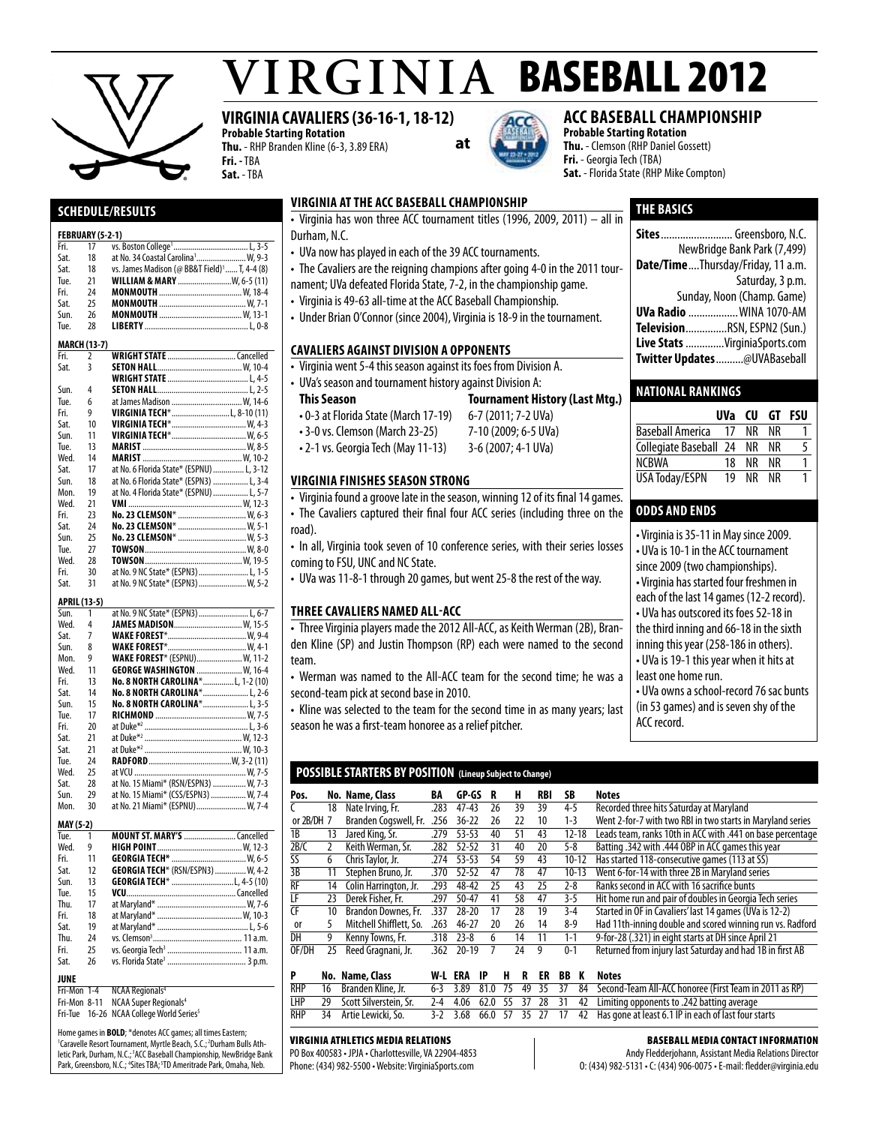

# $VIRGINIA$  BASEBALL 2012

# **VIRGINIA CAVALIERS (36-16-1, 18-12)**

**Probable Starting Rotation Thu.** - RHP Branden Kline (6-3, 3.89 ERA) **Fri. -** TBA **Sat.** - TBA



# **acc baseball championship**

**Probable Starting Rotation Thu.** - Clemson (RHP Daniel Gossett) **Fri.** - Georgia Tech (TBA) **Sat.** - Florida State (RHP Mike Compton)

# **Schedule/Results**

#### **FEBRUARY (5-2-1)**

| Fri. | 17                  |                                                          |
|------|---------------------|----------------------------------------------------------|
| Sat. | 18                  | at No. 34 Coastal Carolina <sup>1</sup> W, 9-3           |
| Sat. | 18                  | vs. James Madison (@ BB&T Field) <sup>1</sup> T, 4-4 (8) |
| Tue. | 21                  | WILLIAM & MARY  W, 6-5 (11)                              |
| Fri. | 24                  |                                                          |
| Sat. | 25                  |                                                          |
| Sun. | 26                  |                                                          |
| Tue. | 28                  |                                                          |
|      | <b>MARCH (13-7)</b> |                                                          |
| Fri. | $\overline{2}$      |                                                          |
| Sat. | 3                   |                                                          |
|      |                     |                                                          |
| Sun. | 4                   |                                                          |
| Tue. | 6                   | at James Madison  W. 14-6                                |
| Fri. | 9                   | VIRGINIA TECH*L, 8-10 (11)                               |
| Sat. | 10                  |                                                          |
| Sun. | 11                  |                                                          |
| Tue. | 13                  |                                                          |
| Wed. | 14                  |                                                          |
| Sat. | 17                  | at No. 6 Florida State* (ESPNU)  L, 3-12                 |
| Sun. | 18                  | at No. 6 Florida State* (ESPN3)  L, 3-4                  |
| Mon. | 19                  | at No. 4 Florida State* (ESPNU)  L, 5-7                  |
| Wed. | 21                  |                                                          |
| Fri. | 23                  | No. 23 CLEMSON*  W, 6-3                                  |
| Sat. | 24                  | No. 23 CLEMSON*  W, 5-1                                  |
| Sun. | 25                  | No. 23 CLEMSON*  W, 5-3                                  |
| Tue. | 27                  |                                                          |
| Wed. | 28                  |                                                          |
| Fri. | 30                  | at No. 9 NC State* (ESPN3)  L, 1-5                       |
| Sat. | 31                  | at No. 9 NC State* (ESPN3)  W, 5-2                       |
|      | APRIL (13-5)        |                                                          |
| Sun. | 1                   | at No. 9 NC State* (ESPN3)  L, 6-7                       |
| Wed. | 4                   | JAMES MADISON W, 15-5                                    |
| Sat. | 7                   |                                                          |
| Sun. | 8                   |                                                          |
| Mon. | 9                   | <b>WAKE FOREST*</b> (ESPNU) W, 11-2                      |
| Wed. | 11                  | <b>GEORGE WASHINGTON  W. 16-4</b>                        |
| Fri. | 13                  | No. 8 NORTH CAROLINA*L, 1-2 (10)                         |
| Sat. | 14                  | No. 8 NORTH CAROLINA* L, 2-6                             |
| Sun. | 15                  | No. 8 NORTH CAROLINA* L, 3-5                             |
| Tue. | 17                  |                                                          |
| Fri. | 20                  |                                                          |
| Sat. | 21                  |                                                          |
| Sat. | 21                  |                                                          |
| Tue. | 24                  |                                                          |

Wed. 25 at VCU ......................................................W, 7-5 Sat. 28 at No. 15 Miami\* (RSN/ESPN3) ................. W, 7-3<br>Sun. 29 at No. 15 Miami\* (CSS/ESPN3) .................. W, 7-4 Sun. 29 at No. 15 Miami\* (CSS/ESPN3) ................... W, 7-4<br>Mon. 30 at No. 21 Miami\* (ESPNU) ......................... W, 7-4 at No. 21 Miami\* (ESPNU). **MAY (5-2)**  Tue. 1 **MountSt. Mary's**.........................Cancelled

| Wed. | 9  |                                          |  |
|------|----|------------------------------------------|--|
| Fri. | 11 |                                          |  |
| Sat. | 12 | <b>GEORGIA TECH*</b> (RSN/ESPN3)  W, 4-2 |  |
| Sun. | 13 |                                          |  |
| Tue. | 15 |                                          |  |
| Thu. | 17 |                                          |  |
| Fri. | 18 |                                          |  |
| Sat. | 19 |                                          |  |
| Thu. | 24 |                                          |  |
| Fri  | 25 |                                          |  |
| Sat. | 26 |                                          |  |
|      |    |                                          |  |

**JUNE**<br>Fri-Mon 1-4 **NCAA Regionals<sup>4</sup>** 

Fri-Mon 8-11 NCAA Super Regionals<sup>4</sup>

Fri-Tue 16-26 NCAA College World Series<sup>5</sup>

Home games in **BOLD**; \*denotes ACC games; all times Eastern; <sup>1</sup>Caravelle Resort Tournament, Myrtle Beach, S.C.; <sup>2</sup>Durham Bulls Athletic Park, Durham, N.C.;<sup>3</sup>ACC Baseball Championship, NewBridge Bank Park, Greensboro, N.C.; <sup>4</sup>Sites TBA; <sup>5</sup>TD Ameritrade Park, Omaha, Neb.

# **virginia atthe acc baseball championship**

**THE basics Sites**.......................... Greensboro, N.C. • Virginia has won three ACC tournament titles (1996, 2009, 2011) – all in Durham, N.C.

**at**

- UVa now has played in each of the 39 ACC tournaments.
- The Cavaliers are the reigning champions after going 4-0 in the 2011 tour-
- nament; UVa defeated Florida State, 7-2, in the championship game.
- Virginia is 49-63 all-time at the ACC Baseball Championship.
- Under Brian O'Connor (since 2004), Virginia is 18-9 in the tournament.

#### **cavaliers against Division A opponents**

- Virginia went 5-4 this season against its foes from Division A.
- UVa's season and tournament history against Division A:
- **This Season Tournament History (Last Mtg.)**
- 0-3 at Florida State (March 17-19) 6-7 (2011; 7-2 UVa)
- 3-0 vs. Clemson (March 23-25) 7-10 (2009; 6-5 UVa)
- 2-1 vs. Georgia Tech (May 11-13) 3-6 (2007; 4-1 UVa)
- 

#### **virginia finishes season strong**

- Virginia found a groove late in the season, winning 12 of its final 14 games.
- The Cavaliers captured their final four ACC series (including three on the road).
- In all, Virginia took seven of 10 conference series, with their series losses coming to FSU, UNC and NC State.
- UVa was 11-8-1 through 20 games, but went 25-8 the rest of the way.

#### **three cavaliers named all-acc**

• Three Virginia players made the 2012 All-ACC, as Keith Werman (2B), Branden Kline (SP) and Justin Thompson (RP) each were named to the second team.

• Werman was named to the All-ACC team for the second time; he was a second-team pick at second base in 2010.

• Kline was selected to the team for the second time in as many years; last season he was a first-team honoree as a relief pitcher.

#### **POSSIBLE STARTERS BY POSITION (Lineup Subject to Change)**

| Pos.         |              | No. Name, Class         | BA   | GP-GS     | R  | н  | <b>RBI</b> | SB        | Notes                                                      |
|--------------|--------------|-------------------------|------|-----------|----|----|------------|-----------|------------------------------------------------------------|
|              | 18           | Nate Irving, Fr.        | .283 | $47 - 43$ | 26 | 39 | 39         | 4-5       | Recorded three hits Saturday at Maryland                   |
| or $2B/DH$ 7 |              | Branden Cogswell, Fr.   | 256  | $36 - 22$ | 26 | 22 | 10         | $1 - 3$   | Went 2-for-7 with two RBI in two starts in Maryland series |
| 1B           | 13           | Jared King, Sr.         | .279 | $53 - 53$ | 40 | 51 | 43         | $12 - 18$ | Leads team, ranks 10th in ACC with .441 on base percentage |
| 2B/C         | $\mathbf{2}$ | Keith Werman, Sr.       | 282  | $52 - 52$ | 31 | 40 | 20         | $5-8$     | Batting .342 with .444 OBP in ACC games this year          |
| SS           | 6            | Chris Taylor, Jr.       | .274 | $53 - 53$ | 54 | 59 | 43         | $10 - 12$ | Has started 118-consecutive games (113 at SS)              |
| 3B           | 11           | Stephen Bruno, Jr.      | .370 | $52 - 52$ | 47 | 78 | 47         | $10-13$   | Went 6-for-14 with three 2B in Maryland series             |
| <b>RF</b>    | 14           | Colin Harrington, Jr.   | 293  | 48-42     | 25 | 43 | 25         | $2 - 8$   | Ranks second in ACC with 16 sacrifice bunts                |
| LF           | 23           | Derek Fisher, Fr.       | .297 | $50 - 47$ | 41 | 58 | 47         | $3-5$     | Hit home run and pair of doubles in Georgia Tech series    |
| <b>CF</b>    | 10           | Brandon Downes, Fr.     | 337  | $28 - 20$ | 17 | 28 | 19         | $3-4$     | Started in OF in Cavaliers' last 14 games (UVa is 12-2)    |
| 0r           | 5.           | Mitchell Shifflett, So. | .263 | $46 - 27$ | 20 | 26 | 14         | $8-9$     | Had 11th-inning double and scored winning run vs. Radford  |
| DH           | 9            | Kenny Towns, Fr.        | .318 | $23 - 8$  | 6  | 14 | 11         | $1 - 1$   | 9-for-28 (.321) in eight starts at DH since April 21       |
| OF/DH        | 25           | Reed Gragnani, Jr.      | .362 | $20 - 19$ |    | 24 | 9          | $0 - 1$   | Returned from injury last Saturday and had 1B in first AB  |
|              | . .          | .                       | .    |           |    |    |            |           |                                                            |

|  | No. Name, Class                       |  |  |  |  | W-L ERA IP H R ER BB K Notes                                                                          |
|--|---------------------------------------|--|--|--|--|-------------------------------------------------------------------------------------------------------|
|  | RHP 16 Branden Kline, Jr.             |  |  |  |  | 6-3 3.89 81.0 75 49 35 37 84 Second-Team All-ACC honoree (First Team in 2011 as RP)                   |
|  |                                       |  |  |  |  | LHP 29 Scott Silverstein, Sr. 2-4 4.06 62.0 55 37 28 31 42 Limiting opponents to .242 batting average |
|  | RHP        34      Artie Lewicki, So. |  |  |  |  | 3-2 3.68 66.0 57 35 27 17 42 Has gone at least 6.1 IP in each of last four starts                     |

#### Virginia Athletics Media Relations

PO Box 400583 • JPJA • Charlottesville, VA 22904-4853 Phone: (434) 982-5500 • Website: VirginiaSports.com

#### Baseball Media Contact Information

Andy Fledderjohann, Assistant Media Relations Director O: (434) 982-5131 • C: (434) 906-0075 • E-mail: fledder@virginia.edu

# **Twitter Updates**..........@UVABaseball

#### **National Rankings**

|                         | UVa | CU | GT | FSU |
|-------------------------|-----|----|----|-----|
| <b>Baseball America</b> | 17  | ΝR | NR |     |
| Collegiate Baseball 24  |     | ΝR | NR | 5   |
| <b>NCBWA</b>            | 18  | ΝR | NR |     |
| <b>USA Today/ESPN</b>   | 19  | ΝR | NR |     |

NewBridge Bank Park (7,499) **Date/Time**....Thursday/Friday, 11 a.m.

Sunday, Noon (Champ. Game) **UVa Radio** ..................WINA 1070-AM **Television**...............RSN, ESPN2 (Sun.) **Live Stats** ..............VirginiaSports.com

Saturday, 3 p.m.

# **odds and ends**

| • Virginia is 35-11 in May since 2009.   |
|------------------------------------------|
| • UVa is 10-1 in the ACC tournament      |
| since 2009 (two championships).          |
| · Virginia has started four freshmen in  |
| each of the last 14 games (12-2 record). |
| • UVa has outscored its foes 52-18 in    |
| the third inning and 66-18 in the sixth  |
| inning this year (258-186 in others).    |
| • UVa is 19-1 this year when it hits at  |
| least one home run.                      |
| • UVa owns a school-record 76 sac bunts  |
| (in 53 games) and is seven shy of the    |
| ACC record.                              |
|                                          |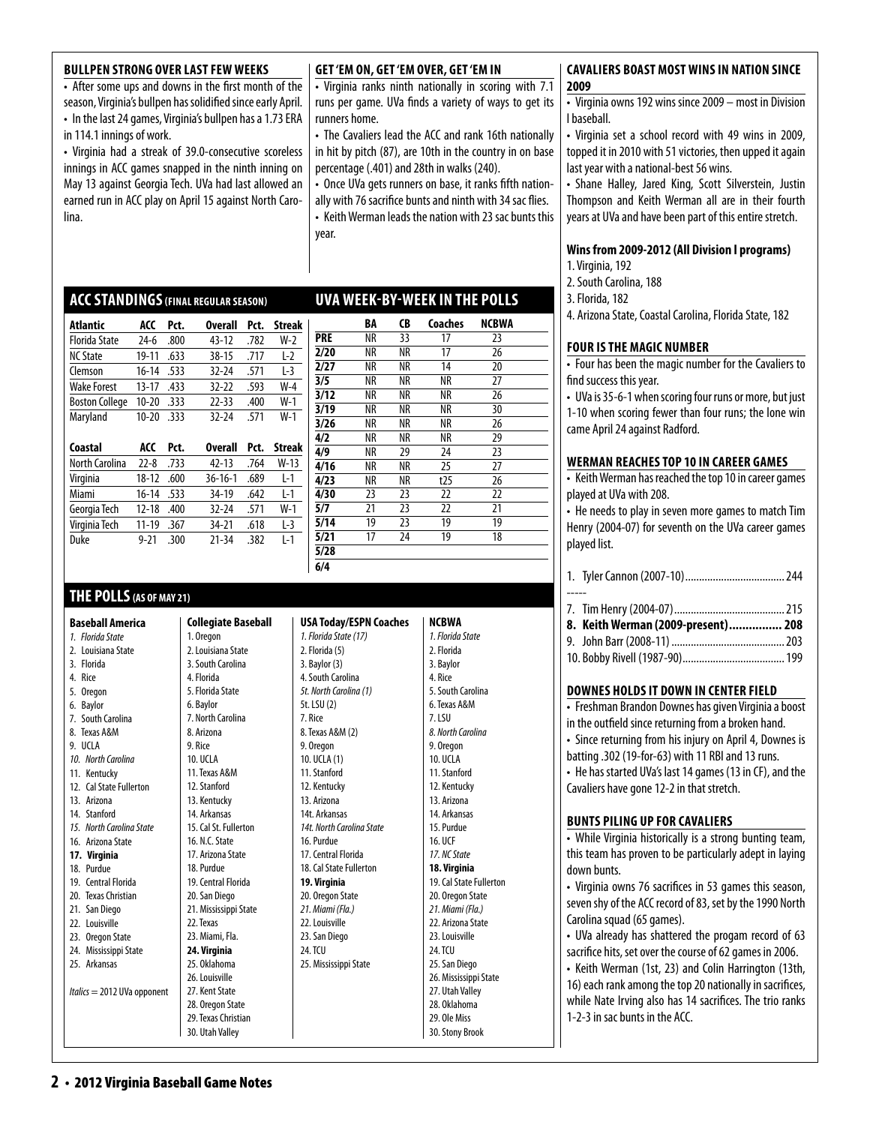#### **BULLPEN STRONG OVER LAST FEW WEEKS**

• After some ups and downs in the first month of the season, Virginia's bullpen has solidified since early April. • In the last 24 games, Virginia's bullpen has a 1.73 ERA in 114.1 innings of work.

• Virginia had a streak of 39.0-consecutive scoreless innings in ACC games snapped in the ninth inning on May 13 against Georgia Tech. UVa had last allowed an earned run in ACC play on April 15 against North Carolina.

**ACCStandings(final regular season)** 

#### **Get 'Em On, Get 'Em Over, Get 'Em In**

• Virginia ranks ninth nationally in scoring with 7.1 runs per game. UVa finds a variety of ways to get its runners home.

• The Cavaliers lead the ACC and rank 16th nationally in hit by pitch (87), are 10th in the country in on base percentage (.401) and 28th in walks (240).

• Once UVa gets runners on base, it ranks fifth nationally with 76 sacrifice bunts and ninth with 34 sac flies. • Keith Werman leads the nation with 23 sac bunts this year.

**uva week-by-week in the polls**

#### **cavaliers boast mostwins in nation since 2009**

• Virginia owns 192 wins since 2009 – most in Division I baseball.

• Virginia set a school record with 49 wins in 2009, topped it in 2010 with 51 victories, then upped it again last year with a national-best 56 wins.

• Shane Halley, Jared King, Scott Silverstein, Justin Thompson and Keith Werman all are in their fourth years at UVa and have been part of this entire stretch.

#### **Wins from 2009-2012 (All Division I programs)**

1. Virginia, 192

- 2. South Carolina, 188
- 3. Florida, 182

4. Arizona State, Coastal Carolina, Florida State, 182

### **Four is the Magic Number**

• Four has been the magic number for the Cavaliers to find success this year.

• UVa is 35-6-1 when scoring four runs or more, but just 1-10 when scoring fewer than four runs; the lone win came April 24 against Radford.

#### **Werman Reaches Top 10 in Career Games**

• Keith Werman has reached the top 10 in career games played at UVa with 208.

• He needs to play in seven more games to match Tim Henry (2004-07) for seventh on the UVa career games

|  | ---- | - |
|--|------|---|
|  |      |   |

| 8. Keith Werman (2009-present) 208 |  |
|------------------------------------|--|
|                                    |  |

|--|--|--|--|

#### **Downes holds it down in center field**

• Freshman Brandon Downes has given Virginia a boost in the outfield since returning from a broken hand.

• Since returning from his injury on April 4, Downes is batting .302 (19-for-63) with 11 RBI and 13 runs.

• He has started UVa's last 14 games (13 in CF), and the Cavaliers have gone 12-2 in that stretch.

#### **bunts piling up for cavaliers**

• While Virginia historically is a strong bunting team, this team has proven to be particularly adept in laying down bunts.

• Virginia owns 76 sacrifices in 53 games this season, seven shy of the ACC record of 83, set by the 1990 North Carolina squad (65 games).

• UVa already has shattered the progam record of 63 sacrifice hits, set over the course of 62 games in 2006.

• Keith Werman (1st, 23) and Colin Harrington (13th, 16) each rank among the top 20 nationally in sacrifices, while Nate Irving also has 14 sacrifices. The trio ranks 1-2-3 in sac bunts in the ACC.

| Atlantic              | ACC       | Pct. | <b>Overall</b> | Pct. | <b>Streak</b> |
|-----------------------|-----------|------|----------------|------|---------------|
| <b>Florida State</b>  | $24-6$    | .800 | 43-12          | .782 | W-2           |
| <b>NC State</b>       | 19-11     | .633 | $38 - 15$      | .717 | $L-2$         |
| Clemson               | $16 - 14$ | .533 | $32 - 24$      | .571 | $L-3$         |
| <b>Wake Forest</b>    | 13-17     | .433 | $32-22$        | .593 | $W-4$         |
| <b>Boston College</b> | $10 - 20$ | .333 | $22 - 33$      | .400 | $W-1$         |
| Maryland              | $10 - 20$ | .333 | $32 - 24$      | .571 | $W-1$         |
| Coastal               | ACC       | Pct. | Overall        | Pct. | <b>Streak</b> |
| North Carolina        | $22 - 8$  | .733 | $42 - 13$      | .764 | W-13          |
|                       |           |      |                |      |               |

| <b>North Carolina</b> | $22 - 8$  | .733 | $42 - 13$     | .764 | W-13  |
|-----------------------|-----------|------|---------------|------|-------|
| Virginia              | 18-12     | .600 | $36 - 16 - 1$ | .689 | l-1   |
| Miami                 | $16-14$   | .533 | 34-19         | .642 | l-1   |
| Georgia Tech          | $12 - 18$ | .400 | $32 - 24$     | .571 | $W-1$ |
| Virginia Tech         | 11-19     | .367 | 34-21         | .618 | L-3   |
| Duke                  | $9 - 21$  | .300 | 21-34         | .382 | I-1   |
|                       |           |      |               |      |       |

# **THE POLLS(AS OF MAY 21)**

**Baseball America** 

- *1. Florida State*  2. Louisiana State 3. Florida
- 4. Rice
- 5. Oregon
- 6. Baylor 7. South Carolina
- 8. Texas A&M
- 9. UCLA
- 
- *10. North Carolina*
- 11. Kentucky
- 12 Cal State Fullerton
- 13. Arizona 14. Stanford
- *15. North Carolina State*
- 16. Arizona State
- **17. Virginia**
- 18. Purdue 19. Central Florida
- 20. Texas Christian
- 21. San Diego
- 22. Louisville
- 23. Oregon State
- 24. Mississippi State
- 25. Arkansas
- *Italics* = 2012 UVa opponent

| 3. South Carolina     | 3. Bay   |
|-----------------------|----------|
| 4. Florida            | 4. Sou   |
| 5. Florida State      | 5t. No   |
| 6. Baylor             | 5t. LSI  |
| 7. North Carolina     | 7. Rice  |
| 8. Arizona            | 8. Texa  |
| 9. Rice               | 9.0re    |
| <b>10. UCLA</b>       | $10.$ UC |
| 11. Texas A&M         | 11. Sti  |
| 12. Stanford          | 12. Ke   |
| 13. Kentucky          | 13. Ar   |
| 14. Arkansas          | 14t. A   |
| 15. Cal St. Fullerton | 14t. N   |
| 16. N.C. State        | 16. Pu   |
| 17. Arizona State     | 17. Ce   |
| 18. Purdue            | 18. Ca   |
| 19. Central Florida   | 19. Vi   |
| 20. San Diego         | 20.0r    |
| 21. Mississippi State | 21. Mi   |
| 22. Texas             | 22. Lo   |
| 23. Miami, Fla.       | 23. Sa   |
| 24. Virginia          | 24. TC   |
| 25. Oklahoma          | 25. Mi   |
| 26. Louisville        |          |
| 27. Kent State        |          |
| 28. Oregon State      |          |
| 29. Texas Christian   |          |

**Collegiate Baseball** 

1. Oregon 2. Louisiana State

| <b>SA Today/ESPN Coaches</b>   | N              |
|--------------------------------|----------------|
| Florida State (17)             | 1              |
| Florida (5)                    | 2              |
| Baylor (3)                     | 3              |
| South Carolina                 | 4              |
| North Carolina (1)             | 5              |
| : LSU(2)                       | 6              |
| Rice                           | 7              |
| Texas A&M (2)                  | δ              |
| <b>Oregon</b>                  | g              |
| ). UCLA (1)                    | 1              |
| I. Stanford                    | 1              |
| 2. Kentucky                    | 1              |
| 3. Arizona                     | 1              |
| <b>4t. Arkansas</b>            | 1              |
| 4t. North Carolina State       | 1              |
| 5. Purdue                      | 1              |
| <sup>7</sup> . Central Florida | 1              |
| 3. Cal State Fullerton         | 1              |
| 9. Virginia                    | 1              |
| . Oregon State                 | 2              |
| I. Miami (Fla.)                | Ž              |
| 2. Louisville                  | 2              |
| 3. San Diego                   | 2              |
| 1. TCU                         | 2              |
| 5. Mississippi State           | $\overline{2}$ |
|                                | $\overline{a}$ |
|                                | 2              |
|                                | $\overline{a}$ |
|                                | $\overline{a}$ |
|                                | 3              |

| 1. Florida State<br>2. Florida<br>3. Baylor<br>4. Rice<br>5. South Carolina<br>6. Texas A&M<br>7.LSU<br>8. North Carolina<br>9. Oregon<br>10. UCI A<br>11. Stanford<br>12. Kentucky<br>13. Arizona<br>14. Arkansas<br>15. Purdue<br>16. UCF<br>17. NC State<br>18. Virginia<br>19. Cal State Fullerton<br>20. Oregon State<br>21. Miami (Fla.)<br>22. Arizona State<br>23. Louisville<br>24. TCU<br>25. San Diego<br>26. Mississippi State<br>27. Utah Valley<br>28. Oklahoma<br>29. Ole Miss | NCBWA |
|-----------------------------------------------------------------------------------------------------------------------------------------------------------------------------------------------------------------------------------------------------------------------------------------------------------------------------------------------------------------------------------------------------------------------------------------------------------------------------------------------|-------|
|                                                                                                                                                                                                                                                                                                                                                                                                                                                                                               |       |
|                                                                                                                                                                                                                                                                                                                                                                                                                                                                                               |       |
|                                                                                                                                                                                                                                                                                                                                                                                                                                                                                               |       |
|                                                                                                                                                                                                                                                                                                                                                                                                                                                                                               |       |
|                                                                                                                                                                                                                                                                                                                                                                                                                                                                                               |       |
|                                                                                                                                                                                                                                                                                                                                                                                                                                                                                               |       |
|                                                                                                                                                                                                                                                                                                                                                                                                                                                                                               |       |
|                                                                                                                                                                                                                                                                                                                                                                                                                                                                                               |       |
|                                                                                                                                                                                                                                                                                                                                                                                                                                                                                               |       |
|                                                                                                                                                                                                                                                                                                                                                                                                                                                                                               |       |
|                                                                                                                                                                                                                                                                                                                                                                                                                                                                                               |       |
|                                                                                                                                                                                                                                                                                                                                                                                                                                                                                               |       |
|                                                                                                                                                                                                                                                                                                                                                                                                                                                                                               |       |
|                                                                                                                                                                                                                                                                                                                                                                                                                                                                                               |       |
|                                                                                                                                                                                                                                                                                                                                                                                                                                                                                               |       |
|                                                                                                                                                                                                                                                                                                                                                                                                                                                                                               |       |
|                                                                                                                                                                                                                                                                                                                                                                                                                                                                                               |       |
|                                                                                                                                                                                                                                                                                                                                                                                                                                                                                               |       |
|                                                                                                                                                                                                                                                                                                                                                                                                                                                                                               |       |
|                                                                                                                                                                                                                                                                                                                                                                                                                                                                                               |       |
|                                                                                                                                                                                                                                                                                                                                                                                                                                                                                               |       |
|                                                                                                                                                                                                                                                                                                                                                                                                                                                                                               |       |
|                                                                                                                                                                                                                                                                                                                                                                                                                                                                                               |       |
|                                                                                                                                                                                                                                                                                                                                                                                                                                                                                               |       |
|                                                                                                                                                                                                                                                                                                                                                                                                                                                                                               |       |
|                                                                                                                                                                                                                                                                                                                                                                                                                                                                                               |       |
|                                                                                                                                                                                                                                                                                                                                                                                                                                                                                               |       |
|                                                                                                                                                                                                                                                                                                                                                                                                                                                                                               |       |
|                                                                                                                                                                                                                                                                                                                                                                                                                                                                                               |       |
| 30. Stony Brook                                                                                                                                                                                                                                                                                                                                                                                                                                                                               |       |

30. Utah Valley

 **BA CB Coaches NCBWA PRE** NR 33 17 23 **2/20** NR NR 17 26 **2/27** NR NR 14 20 **3/5** NR NR NR 27 **3/12** NR NR NR 26 **3/19** NR NR NR 30 **3/26** NR NR NR 26 **4/2** NR NR NR 29 **4/9** NR 29 24 23 **4/16** NR NR 25 27 **4/23** NR NR t25 26 **4/30** 23 23 22 22 **5/7** 21 23 22 21 **5/14** 19 23 19 19<br>**5/21** 17 24 19 18 **5/21** 17 24 19 18

**5/28 6/4**

USA *1. Florida State (17)*   $2.$  Flo

- played list.
	- -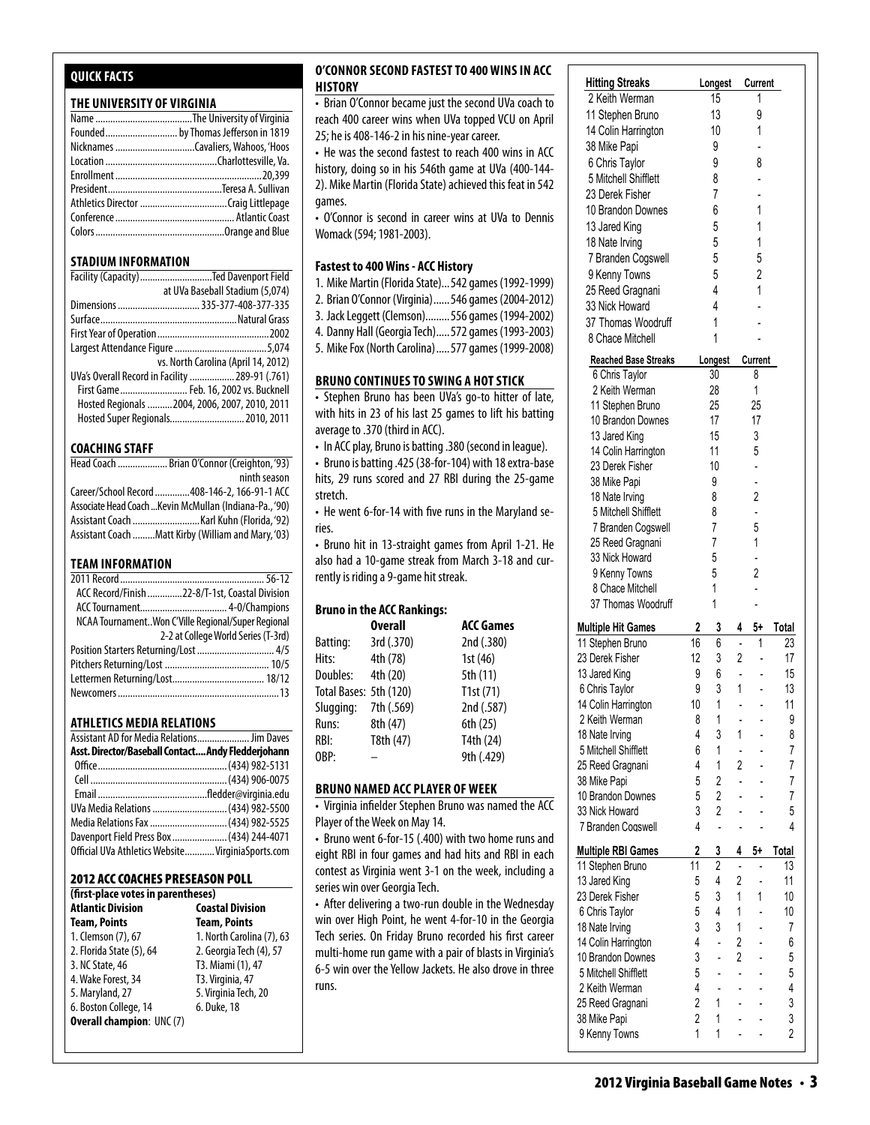# **Quick Facts**

#### **THE UNIVERSITY OF VIRGINIA**

#### **STADIUM INFORMATION**

| Facility (Capacity) Ted Davenport Field         |
|-------------------------------------------------|
| at UVa Baseball Stadium (5,074)                 |
|                                                 |
|                                                 |
|                                                 |
|                                                 |
| vs. North Carolina (April 14, 2012)             |
| UVa's Overall Record in Facility  289-91 (.761) |
| First Game Feb. 16, 2002 vs. Bucknell           |
| Hosted Regionals  2004, 2006, 2007, 2010, 2011  |
| Hosted Super Regionals 2010, 2011               |

#### **COACHING STAFF**

| Head Coach  Brian O'Connor (Creighton, '93)             |
|---------------------------------------------------------|
| ninth season                                            |
| Career/School Record 408-146-2, 166-91-1 ACC            |
| Associate Head Coach  Kevin McMullan (Indiana-Pa., '90) |
|                                                         |
| Assistant Coach Matt Kirby (William and Mary, '03)      |

#### **TEAM INFORMATION**

| ACC Record/Finish 22-8/T-1st, Coastal Division     |  |
|----------------------------------------------------|--|
|                                                    |  |
| NCAA TournamentWon C'Ville Regional/Super Regional |  |
| 2-2 at College World Series (T-3rd)                |  |
| Position Starters Returning/Lost  4/5              |  |
|                                                    |  |
|                                                    |  |
|                                                    |  |
|                                                    |  |

#### **Athletics MEDIA RELATIONS**

| Assistant AD for Media Relations Jim Daves         |  |
|----------------------------------------------------|--|
| Asst. Director/Baseball Contact Andy Fledderjohann |  |
|                                                    |  |
|                                                    |  |
|                                                    |  |
| UVa Media Relations  (434) 982-5500                |  |
| Media Relations Fax  (434) 982-5525                |  |
| Davenport Field Press Box  (434) 244-4071          |  |
| Official UVa Athletics Website VirginiaSports.com  |  |

#### 2012 ACC Coaches Preseason Poll

| (first-place votes in parentheses)                  |                           |  |  |  |  |
|-----------------------------------------------------|---------------------------|--|--|--|--|
| <b>Atlantic Division</b><br><b>Coastal Division</b> |                           |  |  |  |  |
| <b>Team, Points</b>                                 | <b>Team, Points</b>       |  |  |  |  |
| 1. Clemson (7), 67                                  | 1. North Carolina (7), 63 |  |  |  |  |
| 2. Florida State (5), 64                            | 2. Georgia Tech (4), 57   |  |  |  |  |
| 3. NC State, 46                                     | T3. Miami (1), 47         |  |  |  |  |
| 4. Wake Forest, 34                                  | T3. Virginia, 47          |  |  |  |  |
| 5. Maryland, 27                                     | 5. Virginia Tech, 20      |  |  |  |  |
| 6. Boston College, 14                               | 6. Duke, 18               |  |  |  |  |
| <b>Overall champion: UNC (7)</b>                    |                           |  |  |  |  |
|                                                     |                           |  |  |  |  |

#### **O'Connor second fastestto 400 Wins in acc history Multiple Hit Games 2 3 4 5+ Total**

• Brian O'Connor became just the second UVa coach to  $\left| \right|$ reach 400 career wins when UVa topped VCU on April |  $25$ ; he is 408-146-2 in his nine-year career.  $\vert$ 

• He was the second fastest to reach 400 wins in ACC  $\vert$ history, doing so in his 546th game at UVa (400-144- $\quad$   $\vert$ 2). Mike Martin (Florida State) achieved this feat in 542  $\vert$ games. 18 National Communication 4 3 1 - 8 1 - 8 1 - 8 1 - 8 1 - 8 1 - 8 1 - 8 1 - 8 1 - 8 1 - 8 1 - 9 1 - 9 1 - 9 1

games.<br>• O'Connor is second in career wins at UVa to Dennis  $\qquad \qquad \mid$ Womack (594; 1981-2003).  $\frac{25}{2}$  contain target with at over to before  $\frac{25}{2}$ 

#### **Fastest to 400 Wins - ACC History**  $\vert$  **3**  $\vert$

1. Mike Martin (Florida State)... 542 games (1992-1999) |

10 Brandon Downes 5 2 - - 7

- 2. Brian O'Connor (Virginia)...... 546 games (2004-2012) |
- 3. Jack Leggett (Clemson).........556 games (1994-2002) |
- 4. Danny Hall (Georgia Tech).....572 games (1993-2003)
- 5. Mike Fox (North Carolina).....577 games (1999-2008)

#### **BRUNO CONTINUES TO SWING A HOT STICK**

• Stephen Bruno has been UVa's go-to hitter of late, with hits in 23 of his last 25 games to lift his batting average to  $.370$  (third in ACC).

arenage to 1970 (time mirres).<br>• In ACC play, Bruno is batting .380 (second in league). play, brand is batting is so (second in it

• Bruno is batting .425 (38-for-104) with 18 extra-base hits, 29 runs scored and 27 RBI during the 25-game stretch.

• He went 6-for-14 with five runs in the Maryland series.

• Bruno hit in 13-straight games from April 1-21. He also had a 10-game streak from March 3-18 and currently is riding a 9-game hit streak.

#### Bruno in the ACC Rankings:

|                        | <b>Overall</b> | <b>ACC Games</b> |
|------------------------|----------------|------------------|
| Batting:               | 3rd (.370)     | 2nd (.380)       |
| Hits:                  | 4th (78)       | 1st $(46)$       |
| Doubles:               | 4th (20)       | 5th (11)         |
| Total Bases: 5th (120) |                | T1st (71)        |
| Slugging:              | 7th (.569)     | 2nd (.587)       |
| Runs:                  | 8th (47)       | 6th (25)         |
| RBI:                   | T8th (47)      | T4th (24)        |
| OBP:                   |                | 9th (.429)       |

#### **BRUNO NAMED ACC PLAYER OF WEEK** 10 Regarded Downer

• Virginia infielder Stephen Bruno was named the ACC Player of the Week on May 14.

• Bruno went 6-for-15 (.400) with two home runs and eight RBI in four games and had hits and RBI in each contest as Virginia went 3-1 on the week, including a series win over Georgia Tech.

• After delivering a two-run double in the Wednesday win over High Point, he went 4-for-10 in the Georgia Tech series. On Friday Bruno recorded his first career real senest on the y stand recorded his time career.<br>
multi-home run game with a pair of blasts in Virginia's 6-5 win over the Yellow Jackets. He also drove in three runs. 18 none run game with a pair or blasts in virginias

9 Kenny Towns 2 - - - 2

| <b>Hitting Streaks</b>                 |                | Longest                 |                | Current        |                |
|----------------------------------------|----------------|-------------------------|----------------|----------------|----------------|
| 2 Keith Werman                         |                | 15                      |                | 1              |                |
| 11 Stephen Bruno                       |                | 13                      |                | 9              |                |
| 14 Colin Harrington                    |                | 10                      |                | 1              |                |
| 38 Mike Papi                           |                | 9                       |                |                |                |
| 6 Chris Taylor                         |                | 9                       |                | 8              |                |
| 5 Mitchell Shifflett                   |                | 8                       |                |                |                |
| 23 Derek Fisher                        |                | 7                       |                |                |                |
| 10 Brandon Downes                      |                | 6                       |                | 1              |                |
| 13 Jared King                          |                | 5                       |                | 1              |                |
| 18 Nate Irving                         |                | 5                       |                | 1              |                |
| 7 Branden Cogswell                     |                | 5                       |                | 5              |                |
| 9 Kenny Towns                          |                | 5                       |                | 2              |                |
| 25 Reed Gragnani                       |                | 4                       |                | 1              |                |
| 33 Nick Howard                         |                | 4                       |                |                |                |
| 37 Thomas Woodruff                     |                | 1                       |                |                |                |
| 8 Chace Mitchell                       |                | 1                       |                |                |                |
|                                        |                |                         |                |                |                |
| <b>Reached Base Streaks</b>            |                | Longest                 |                | <b>Current</b> |                |
| 6 Chris Taylor                         |                | 30                      |                | 8              |                |
| 2 Keith Werman                         |                | 28                      |                | 1              |                |
| 11 Stephen Bruno                       |                | 25                      |                | 25             |                |
| 10 Brandon Downes                      |                | 17                      |                | 17             |                |
| 13 Jared King                          |                | 15<br>11                |                | 3<br>5         |                |
| 14 Colin Harrington<br>23 Derek Fisher |                | 10                      |                | L.             |                |
| 38 Mike Papi                           |                | 9                       |                |                |                |
| 18 Nate Irving                         |                | 8                       |                | 2              |                |
| 5 Mitchell Shifflett                   |                | 8                       |                |                |                |
| 7 Branden Cogswell                     |                | 7                       |                | 5              |                |
| 25 Reed Gragnani                       |                | 7                       |                | 1              |                |
| 33 Nick Howard                         |                | 5                       |                |                |                |
| 9 Kenny Towns                          |                | 5                       |                | $\overline{c}$ |                |
| 8 Chace Mitchell                       |                | 1                       |                |                |                |
| 37 Thomas Woodruff                     |                | 1                       |                |                |                |
|                                        |                |                         |                |                |                |
| <b>Multiple Hit Games</b>              | 2              | 3<br>6                  | 4              | 5+<br>1        | Total          |
| 11 Stephen Bruno                       | 16<br>12       | 3                       | 2              |                | 23             |
| 23 Derek Fisher                        | 9              | 6                       | $\overline{a}$ |                | 17<br>15       |
| 13 Jared King                          | 9              | 3                       | 1              |                | 13             |
| 6 Chris Taylor<br>14 Colin Harrington  | $10\,$         | 1                       |                |                | 11             |
| 2 Keith Werman                         | 8              | 1                       |                |                | 9              |
| 18 Nate Irving                         | 4              | 3                       | 1              |                | 8              |
| 5 Mitchell Shifflett                   | 6              | 1                       |                |                | 7              |
| 25 Reed Gragnani                       | 4              | 1                       | 2              |                | 7              |
| 38 Mike Papi                           | 5              | $\overline{\mathbf{c}}$ | L              |                | 7              |
| 10 Brandon Downes                      | 5              | $\overline{2}$          |                |                | 7              |
| 33 Nick Howard                         | 3              | $\overline{2}$          |                |                | 5              |
| 7 Branden Cogswell                     | 4              | $\overline{a}$          |                |                | 4              |
|                                        |                |                         |                |                |                |
| <b>Multiple RBI Games</b>              | 2              | 3                       | 4              | 5+             | <b>Total</b>   |
| 11 Stephen Bruno                       | 11             | $\overline{2}$          | $\overline{a}$ | ÷,             | 13             |
| 13 Jared King                          | 5              | 4                       | 2              |                | 11             |
| 23 Derek Fisher                        | 5              | 3                       | 1              | 1              | 10             |
| 6 Chris Taylor                         | 5              | 4                       | 1              |                | 10             |
| 18 Nate Irving                         | 3              | 3                       | 1              |                | 7              |
| 14 Colin Harrington                    | 4              | $\overline{a}$          | $\overline{2}$ |                | 6              |
| 10 Brandon Downes                      | 3              | $\overline{a}$          | 2              |                | 5              |
| 5 Mitchell Shifflett                   | 5              |                         |                |                | 5              |
| 2 Keith Werman                         | 4              |                         |                |                | 4              |
| 25 Reed Gragnani                       | $\overline{c}$ | 1                       |                |                | 3              |
| 38 Mike Papi                           | $\overline{2}$ | 1                       |                |                | 3              |
| 9 Kenny Towns                          | 1              | 1                       |                |                | $\overline{2}$ |

**Multiple RBI Games 2 3 4 5+ Total** 11 Stephen Bruno 11 2 - - 13 13 Jared King 5 4 2 - 11 23 Derek Fisher 5 3 1 1 10 6 Chris Taylor 5 4 1 - 10 18 Nate Irving 3 3 1 - 7 14 Colin Harrington 4 - 2 - 6 10 Brandon Downes 3 - 2 - 5  $5 - 5$  Mitchell Shifflett 5  $-$ 2 Keith Werman 25 Reed Gragnani 2 1 - - 3 38 Mike Papi 2 1 - - 3 9 Kenny Towns 1 1 - - 2 7 Branden Cogswell 1 - - - 1 TEAM 51 19 9 19 19 19

**Reached Base Streaks Longest Current** 6 Chris Taylor 30 8 2 Keith Werman 28 1 11 Stephen Bruno 25 25 10 Brandon Downes 17 17 13 Jared King 15 3 14 Colin Harrington 11 5 23 Derek Fisher 10 - 38 Mike Papi 9 - 18 Nate Irving 8 2 5 Mitchell Shifflett 8 -

25 Reed Gragnani 7 1

 $18.8 \pm 0.000$ 

 7 Branden Cogswell 1 - - - 1 TEAM 51 19 9 1 80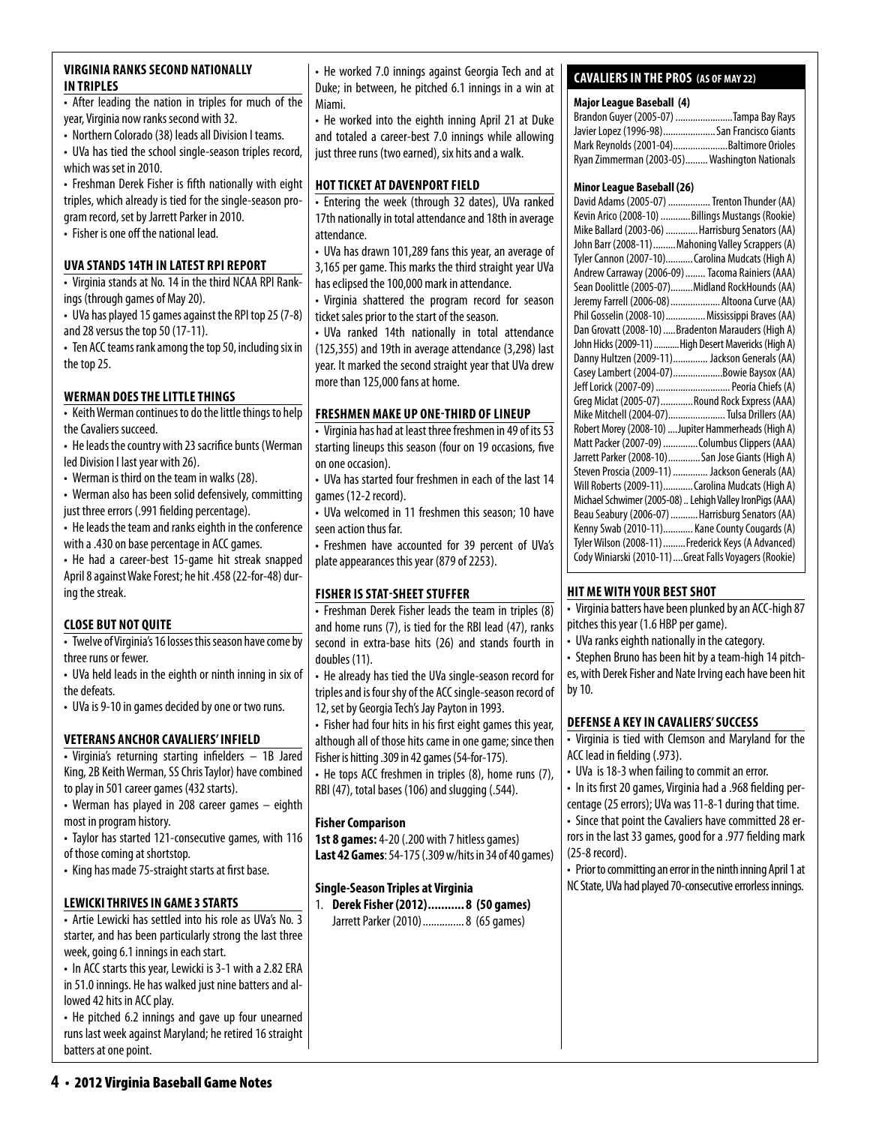• After leading the nation in triples for much of the year, Virginia now ranks second with 32.

• Northern Colorado (38) leads all Division I teams.

• UVa has tied the school single-season triples record, which was set in 2010.

• Freshman Derek Fisher is fifth nationally with eight triples, which already is tied for the single-season program record, set by Jarrett Parker in 2010.

• Fisher is one off the national lead.

### **uva stands 14th in latest RPI report**

• Virginia stands at No. 14 in the third NCAA RPI Rankings (through games of May 20).

• UVa has played 15 games against the RPI top 25 (7-8) and 28 versus the top 50 (17-11).

• Ten ACC teams rank among the top 50, including six in the top 25.

### **Werman does thelittlethings**

• Keith Werman continues to do the little things to help the Cavaliers succeed.

- He leads the country with 23 sacrifice bunts (Werman led Division I last year with 26).
- Werman is third on the team in walks (28).
- Werman also has been solid defensively, committing just three errors (.991 fielding percentage).
- He leads the team and ranks eighth in the conference with a .430 on base percentage in ACC games.

• He had a career-best 15-game hit streak snapped April 8 against Wake Forest; he hit .458 (22-for-48) during the streak.

# **Close But Not Quite**

• Twelve of Virginia's 16 losses this season have come by three runs or fewer.

• UVa held leads in the eighth or ninth inning in six of the defeats.

• UVa is 9-10 in games decided by one or two runs.

# **Veterans anchor cavaliers' infield**

• Virginia's returning starting infielders – 1B Jared King, 2B Keith Werman, SS Chris Taylor) have combined to play in 501 career games (432 starts).

• Werman has played in 208 career games – eighth most in program history.

• Taylor has started 121-consecutive games, with 116 of those coming at shortstop.

• King has made 75-straight starts at first base.

# **Lewicki thrives in game 3 starts**

• Artie Lewicki has settled into his role as UVa's No. 3 starter, and has been particularly strong the last three week, going 6.1 innings in each start.

• In ACC starts this year, Lewicki is 3-1 with a 2.82 ERA in 51.0 innings. He has walked just nine batters and allowed 42 hits in ACC play.

• He pitched 6.2 innings and gave up four unearned runs last week against Maryland; he retired 16 straight batters at one point.

• He worked 7.0 innings against Georgia Tech and at Duke; in between, he pitched 6.1 innings in a win at Miami.

• He worked into the eighth inning April 21 at Duke and totaled a career-best 7.0 innings while allowing just three runs (two earned), six hits and a walk.

#### **HOT TICKET AT DAVENPORT FIELD**

• Entering the week (through 32 dates), UVa ranked 17th nationally in total attendance and 18th in average attendance.

• UVa has drawn 101,289 fans this year, an average of 3,165 per game. This marks the third straight year UVa has eclipsed the 100,000 mark in attendance.

• Virginia shattered the program record for season ticket sales prior to the start of the season.

• UVa ranked 14th nationally in total attendance (125,355) and 19th in average attendance (3,298) last year. It marked the second straight year that UVa drew more than 125,000 fans at home.

# **FRESHMEN MAKE UP ONE-THIRD OF LINEUP**

• Virginia has had at least three freshmen in 49 of its 53 starting lineups this season (four on 19 occasions, five on one occasion).

• UVa has started four freshmen in each of the last 14 games (12-2 record).

• UVa welcomed in 11 freshmen this season; 10 have seen action thus far.

• Freshmen have accounted for 39 percent of UVa's plate appearances this year (879 of 2253).

# **fisher is stat-sheet stuffer**

• Freshman Derek Fisher leads the team in triples (8) and home runs (7), is tied for the RBI lead (47), ranks second in extra-base hits (26) and stands fourth in doubles (11).

• He already has tied the UVa single-season record for triples and is four shy of the ACC single-season record of 12, set by Georgia Tech's Jay Payton in 1993.

• Fisher had four hits in his first eight games this year, although all of those hits came in one game; since then Fisher is hitting .309 in 42 games (54-for-175).

• He tops ACC freshmen in triples (8), home runs (7), RBI (47), total bases (106) and slugging (.544).

# **Fisher Comparison**

**1st 8 games:** 4-20 (.200 with 7 hitless games) **Last 42 Games**: 54-175 (.309 w/hits in 34 of 40 games)

# **Single-Season Triples at Virginia**

1. **Derek Fisher (2012)........... 8 (50 games)** Jarrett Parker (2010)...............8 (65 games)

# **cavaliers in the pros (as of may 22)**

#### **Major League Baseball (4)**

| Brandon Guyer (2005-07) Tampa Bay Rays        |  |
|-----------------------------------------------|--|
| Javier Lopez (1996-98)San Francisco Giants    |  |
| Mark Reynolds (2001-04)Baltimore Orioles      |  |
| Ryan Zimmerman (2003-05) Washington Nationals |  |

#### **Minor League Baseball (26)**

| Kevin Arico (2008-10)  Billings Mustangs (Rookie)<br>Mike Ballard (2003-06)  Harrisburg Senators (AA)<br>John Barr (2008-11)  Mahoning Valley Scrappers (A)<br>Tyler Cannon (2007-10) Carolina Mudcats (High A)<br>Andrew Carraway (2006-09)  Tacoma Rainiers (AAA)<br>Sean Doolittle (2005-07)Midland RockHounds (AA) |
|------------------------------------------------------------------------------------------------------------------------------------------------------------------------------------------------------------------------------------------------------------------------------------------------------------------------|
|                                                                                                                                                                                                                                                                                                                        |
|                                                                                                                                                                                                                                                                                                                        |
|                                                                                                                                                                                                                                                                                                                        |
|                                                                                                                                                                                                                                                                                                                        |
|                                                                                                                                                                                                                                                                                                                        |
|                                                                                                                                                                                                                                                                                                                        |
| Jeremy Farrell (2006-08)  Altoona Curve (AA)                                                                                                                                                                                                                                                                           |
| Phil Gosselin (2008-10) Mississippi Braves (AA)                                                                                                                                                                                                                                                                        |
| Dan Grovatt (2008-10) Bradenton Marauders (High A)                                                                                                                                                                                                                                                                     |
| John Hicks (2009-11)  High Desert Mavericks (High A)                                                                                                                                                                                                                                                                   |
| Danny Hultzen (2009-11) Jackson Generals (AA)                                                                                                                                                                                                                                                                          |
| Casey Lambert (2004-07)Bowie Baysox (AA)                                                                                                                                                                                                                                                                               |
| Jeff Lorick (2007-09)  Peoria Chiefs (A)                                                                                                                                                                                                                                                                               |
| Greg Miclat (2005-07) Round Rock Express (AAA)                                                                                                                                                                                                                                                                         |
| Mike Mitchell (2004-07) Tulsa Drillers (AA)                                                                                                                                                                                                                                                                            |
| Robert Morey (2008-10)  Jupiter Hammerheads (High A)                                                                                                                                                                                                                                                                   |
| Matt Packer (2007-09) Columbus Clippers (AAA)                                                                                                                                                                                                                                                                          |
| Jarrett Parker (2008-10) San Jose Giants (High A)                                                                                                                                                                                                                                                                      |
| Steven Proscia (2009-11)  Jackson Generals (AA)                                                                                                                                                                                                                                                                        |
| Will Roberts (2009-11) Carolina Mudcats (High A)                                                                                                                                                                                                                                                                       |
| Michael Schwimer (2005-08)  Lehigh Valley IronPigs (AAA)                                                                                                                                                                                                                                                               |
| Beau Seabury (2006-07)  Harrisburg Senators (AA)                                                                                                                                                                                                                                                                       |
| Kenny Swab (2010-11) Kane County Cougards (A)                                                                                                                                                                                                                                                                          |
| Tyler Wilson (2008-11)  Frederick Keys (A Advanced)                                                                                                                                                                                                                                                                    |
| Cody Winiarski (2010-11)  Great Falls Voyagers (Rookie)                                                                                                                                                                                                                                                                |

#### **hit mewith your best shot**

• Virginia batters have been plunked by an ACC-high 87 pitches this year (1.6 HBP per game).

- UVa ranks eighth nationally in the category.
- Stephen Bruno has been hit by a team-high 14 pitch-

es, with Derek Fisher and Nate Irving each have been hit by 10.

# **defense a key in cavaliers' success**

• Virginia is tied with Clemson and Maryland for the ACC lead in fielding (.973).

• UVa is 18-3 when failing to commit an error.

• In its first 20 games, Virginia had a .968 fielding percentage (25 errors); UVa was 11-8-1 during that time.

• Since that point the Cavaliers have committed 28 errors in the last 33 games, good for a .977 fielding mark (25-8 record).

• Prior to committing an error in the ninth inning April 1 at NC State, UVa had played 70-consecutive errorless innings.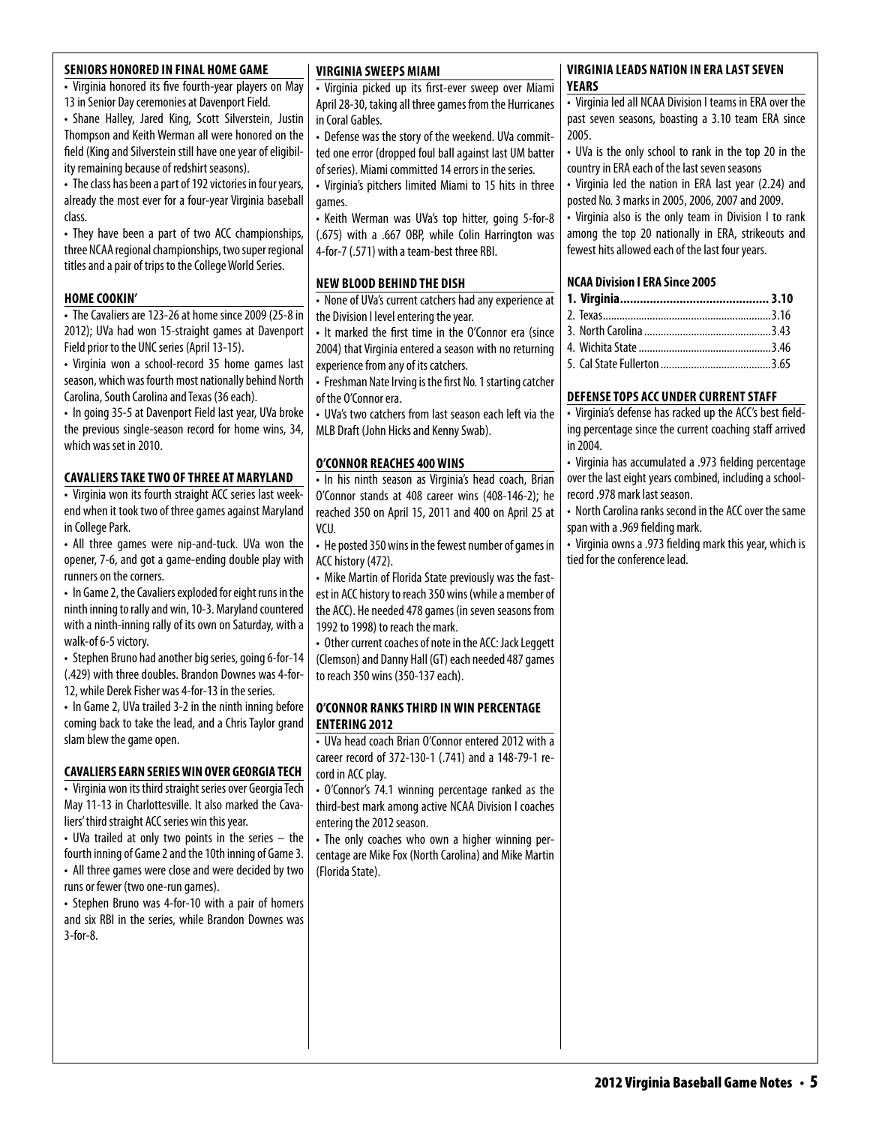| <b>SENIORS HONORED IN FINAL HOME GAME</b>                    | <b>VIRGINIA SWEEPS MIAMI</b>                                                       | <b>VIRGINIA LEADS NATION IN ERA LAST SEVEN</b>           |
|--------------------------------------------------------------|------------------------------------------------------------------------------------|----------------------------------------------------------|
| • Virginia honored its five fourth-year players on May       | • Virginia picked up its first-ever sweep over Miami                               | <b>YEARS</b>                                             |
| 13 in Senior Day ceremonies at Davenport Field.              | April 28-30, taking all three games from the Hurricanes                            | • Virginia led all NCAA Division I teams in ERA over the |
| • Shane Halley, Jared King, Scott Silverstein, Justin        | in Coral Gables.                                                                   | past seven seasons, boasting a 3.10 team ERA since       |
| Thompson and Keith Werman all were honored on the            | • Defense was the story of the weekend. UVa commit-                                | 2005.                                                    |
| field (King and Silverstein still have one year of eligibil- | ted one error (dropped foul ball against last UM batter                            | • UVa is the only school to rank in the top 20 in the    |
| ity remaining because of redshirt seasons).                  | of series). Miami committed 14 errors in the series.                               | country in ERA each of the last seven seasons            |
| • The class has been a part of 192 victories in four years,  | • Virginia's pitchers limited Miami to 15 hits in three                            | • Virginia led the nation in ERA last year (2.24) and    |
| already the most ever for a four-year Virginia baseball      | games.                                                                             | posted No. 3 marks in 2005, 2006, 2007 and 2009.         |
| class.                                                       | • Keith Werman was UVa's top hitter, going 5-for-8                                 | • Virginia also is the only team in Division I to rank   |
| • They have been a part of two ACC championships,            | (.675) with a .667 OBP, while Colin Harrington was                                 | among the top 20 nationally in ERA, strikeouts and       |
| three NCAA regional championships, two super regional        | 4-for-7 (.571) with a team-best three RBI.                                         | fewest hits allowed each of the last four years.         |
| titles and a pair of trips to the College World Series.      |                                                                                    |                                                          |
| <b>HOME COOKIN'</b>                                          | <b>NEW BLOOD BEHIND THE DISH</b>                                                   | <b>NCAA Division I ERA Since 2005</b>                    |
| • The Cavaliers are 123-26 at home since 2009 (25-8 in       | • None of UVa's current catchers had any experience at                             |                                                          |
| 2012); UVa had won 15-straight games at Davenport            | the Division I level entering the year.                                            |                                                          |
| Field prior to the UNC series (April 13-15).                 | • It marked the first time in the O'Connor era (since                              |                                                          |
| • Virginia won a school-record 35 home games last            | 2004) that Virginia entered a season with no returning                             |                                                          |
| season, which was fourth most nationally behind North        | experience from any of its catchers.                                               |                                                          |
| Carolina, South Carolina and Texas (36 each).                | • Freshman Nate Irving is the first No. 1 starting catcher<br>of the O'Connor era. | DEFENSE TOPS ACC UNDER CURRENT STAFF                     |
| • In going 35-5 at Davenport Field last year, UVa broke      |                                                                                    | • Virginia's defense has racked up the ACC's best field- |
| the previous single-season record for home wins, 34,         | • UVa's two catchers from last season each left via the                            | ing percentage since the current coaching staff arrived  |
| which was set in 2010.                                       | MLB Draft (John Hicks and Kenny Swab).                                             | in 2004.                                                 |
|                                                              | <b>O'CONNOR REACHES 400 WINS</b>                                                   | • Virginia has accumulated a .973 fielding percentage    |
| <b>CAVALIERS TAKE TWO OF THREE AT MARYLAND</b>               | • In his ninth season as Virginia's head coach, Brian                              | over the last eight years combined, including a school-  |
| • Virginia won its fourth straight ACC series last week-     | O'Connor stands at 408 career wins (408-146-2); he                                 | record .978 mark last season.                            |
| end when it took two of three games against Maryland         | reached 350 on April 15, 2011 and 400 on April 25 at                               | • North Carolina ranks second in the ACC over the same   |
| in College Park.                                             | VCU.                                                                               | span with a .969 fielding mark.                          |
| • All three games were nip-and-tuck. UVa won the             | • He posted 350 wins in the fewest number of games in                              | • Virginia owns a .973 fielding mark this year, which is |
| opener, 7-6, and got a game-ending double play with          | ACC history (472).                                                                 | tied for the conference lead.                            |
| runners on the corners.                                      | • Mike Martin of Florida State previously was the fast-                            |                                                          |
| • In Game 2, the Cavaliers exploded for eight runs in the    | est in ACC history to reach 350 wins (while a member of                            |                                                          |
| ninth inning to rally and win, 10-3. Maryland countered      | the ACC). He needed 478 games (in seven seasons from                               |                                                          |
| with a ninth-inning rally of its own on Saturday, with a     | 1992 to 1998) to reach the mark.                                                   |                                                          |
| walk-of 6-5 victory.                                         | • Other current coaches of note in the ACC: Jack Leggett                           |                                                          |
| • Stephen Bruno had another big series, going 6-for-14       | (Clemson) and Danny Hall (GT) each needed 487 games                                |                                                          |
| (.429) with three doubles. Brandon Downes was 4-for-         | to reach 350 wins (350-137 each).                                                  |                                                          |
| 12, while Derek Fisher was 4-for-13 in the series.           |                                                                                    |                                                          |
| • In Game 2, UVa trailed 3-2 in the ninth inning before      | O'CONNOR RANKS THIRD IN WIN PERCENTAGE                                             |                                                          |
| coming back to take the lead, and a Chris Taylor grand       | <b>ENTERING 2012</b>                                                               |                                                          |
| slam blew the game open.                                     | • UVa head coach Brian O'Connor entered 2012 with a                                |                                                          |
|                                                              | career record of 372-130-1 (.741) and a 148-79-1 re-                               |                                                          |
| <b>CAVALIERS EARN SERIES WIN OVER GEORGIA TECH</b>           | cord in ACC play.                                                                  |                                                          |
| • Virginia won its third straight series over Georgia Tech   | • O'Connor's 74.1 winning percentage ranked as the                                 |                                                          |
| May 11-13 in Charlottesville. It also marked the Cava-       | third-best mark among active NCAA Division I coaches                               |                                                          |
| liers' third straight ACC series win this year.              | entering the 2012 season.                                                          |                                                          |
| • UVa trailed at only two points in the series - the         | • The only coaches who own a higher winning per-                                   |                                                          |
| fourth inning of Game 2 and the 10th inning of Game 3.       | centage are Mike Fox (North Carolina) and Mike Martin                              |                                                          |
| • All three games were close and were decided by two         | (Florida State).                                                                   |                                                          |
| runs or fewer (two one-run games).                           |                                                                                    |                                                          |
| • Stephen Bruno was 4-for-10 with a pair of homers           |                                                                                    |                                                          |
| and six RBI in the series, while Brandon Downes was          |                                                                                    |                                                          |
| $3$ -for-8.                                                  |                                                                                    |                                                          |
|                                                              |                                                                                    |                                                          |
|                                                              |                                                                                    |                                                          |
|                                                              |                                                                                    |                                                          |
|                                                              |                                                                                    |                                                          |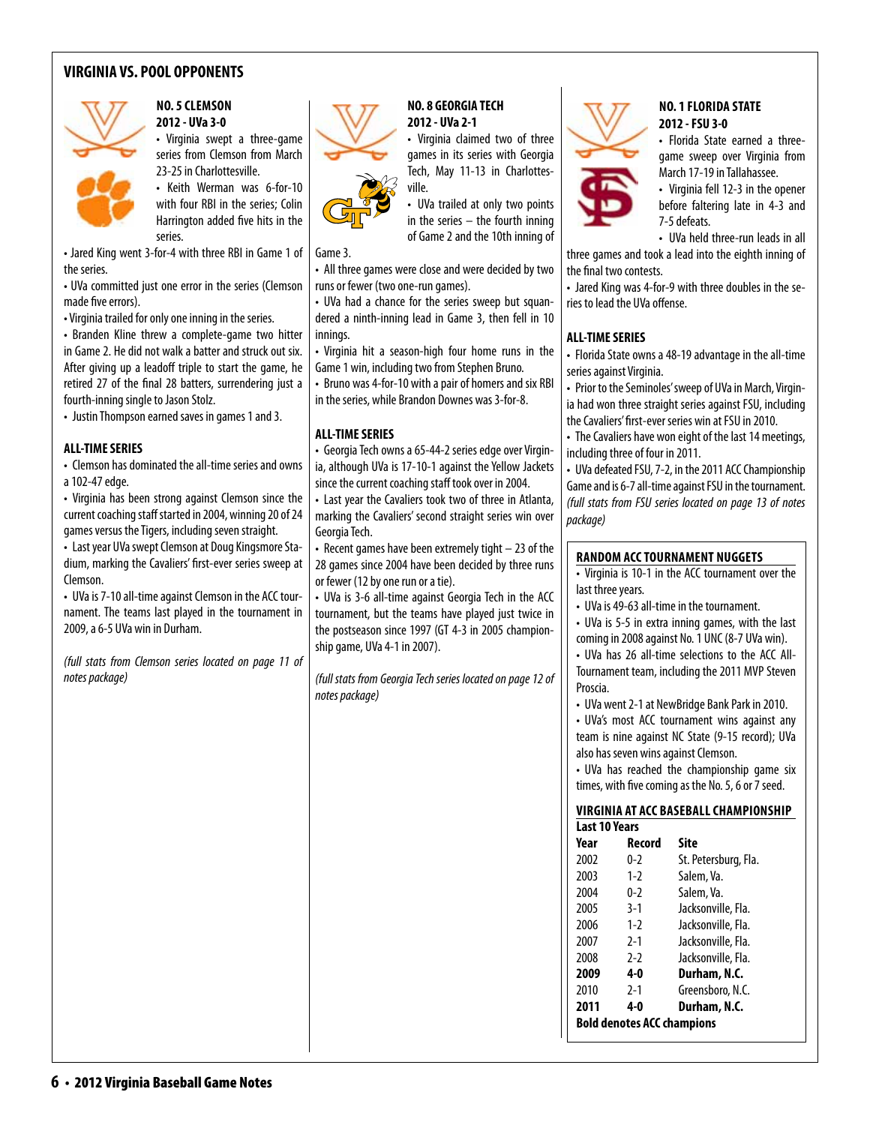# **VIRGINIA VS. POOL OPPONENTS**



### **No. 5 clemson 2012 - UVa 3-0**

• Virginia swept a three-game series from Clemson from March 23-25 in Charlottesville.

• Keith Werman was 6-for-10 with four RBI in the series; Colin Harrington added five hits in the series.

Game 3. • Jared King went 3-for-4 with three RBI in Game 1 of the series.

• UVa committed just one error in the series (Clemson made five errors).

• Virginia trailed for only one inning in the series.

• Branden Kline threw a complete-game two hitter in Game 2. He did not walk a batter and struck out six. After giving up a leadoff triple to start the game, he retired 27 of the final 28 batters, surrendering just a fourth-inning single to Jason Stolz.

• Justin Thompson earned saves in games 1 and 3.

#### **ALL-TIME SERIES**

• Clemson has dominated the all-time series and owns a 102-47 edge.

• Virginia has been strong against Clemson since the current coaching staff started in 2004, winning 20 of 24 games versus the Tigers, including seven straight.

• Last year UVa swept Clemson at Doug Kingsmore Stadium, marking the Cavaliers' first-ever series sweep at Clemson.

• UVa is 7-10 all-time against Clemson in the ACC tournament. The teams last played in the tournament in 2009, a 6-5 UVa win in Durham.

*(full stats from Clemson series located on page 11 of notes package)*



#### **NO. 8 GEORGIA TECH 2012 - UVa 2-1**

• Virginia claimed two of three games in its series with Georgia Tech, May 11-13 in Charlottesville.

• UVa trailed at only two points in the series – the fourth inning of Game 2 and the 10th inning of

• All three games were close and were decided by two runs or fewer (two one-run games).

• UVa had a chance for the series sweep but squandered a ninth-inning lead in Game 3, then fell in 10 innings.

• Virginia hit a season-high four home runs in the Game 1 win, including two from Stephen Bruno.

• Bruno was 4-for-10 with a pair of homers and six RBI in the series, while Brandon Downes was 3-for-8.

#### **ALL-TIME SERIES**

• Georgia Tech owns a 65-44-2 series edge over Virginia, although UVa is 17-10-1 against the Yellow Jackets since the current coaching staff took over in 2004.

• Last year the Cavaliers took two of three in Atlanta, marking the Cavaliers' second straight series win over Georgia Tech.

• Recent games have been extremely tight – 23 of the 28 games since 2004 have been decided by three runs or fewer (12 by one run or a tie).

• UVa is 3-6 all-time against Georgia Tech in the ACC tournament, but the teams have played just twice in the postseason since 1997 (GT 4-3 in 2005 championship game, UVa 4-1 in 2007).

*(full stats from Georgia Tech series located on page 12 of notes package)*



#### **No. 1 florida state 2012 - FSU 3-0**

• Florida State earned a threegame sweep over Virginia from March 17-19 in Tallahassee.

• Virginia fell 12-3 in the opener before faltering late in 4-3 and 7-5 defeats.

• UVa held three-run leads in all

three games and took a lead into the eighth inning of the final two contests.

• Jared King was 4-for-9 with three doubles in the series to lead the UVa offense.

#### **ALL-TIME SERIES**

• Florida State owns a 48-19 advantage in the all-time series against Virginia.

• Prior to the Seminoles' sweep of UVa in March, Virginia had won three straight series against FSU, including the Cavaliers' first-ever series win at FSU in 2010.

• The Cavaliers have won eight of the last 14 meetings, including three of four in 2011.

• UVa defeated FSU, 7-2, in the 2011 ACC Championship Game and is 6-7 all-time against FSU in the tournament. *(full stats from FSU series located on page 13 of notes package)*

#### **random acc tournament nuggets**

• Virginia is 10-1 in the ACC tournament over the last three years.

• UVa is 49-63 all-time in the tournament.

• UVa is 5-5 in extra inning games, with the last coming in 2008 against No. 1 UNC (8-7 UVa win).

• UVa has 26 all-time selections to the ACC All-Tournament team, including the 2011 MVP Steven Proscia.

• UVa went 2-1 at NewBridge Bank Park in 2010.

• UVa's most ACC tournament wins against any team is nine against NC State (9-15 record); UVa also has seven wins against Clemson.

• UVa has reached the championship game six times, with five coming as the No. 5, 6 or 7 seed.

#### **Virginia at ACC BaseballChampionship Last 10 Years**

| Year | Record                            | Site                 |
|------|-----------------------------------|----------------------|
| 2002 | 0-2                               | St. Petersburg, Fla. |
| 2003 | $1-2$                             | Salem, Va.           |
| 2004 | $0 - 2$                           | Salem, Va.           |
| 2005 | $3-1$                             | Jacksonville, Fla.   |
| 2006 | $1-2$                             | Jacksonville, Fla.   |
| 2007 | $2-1$                             | Jacksonville, Fla.   |
| 2008 | $2-2$                             | Jacksonville, Fla.   |
| 2009 | 4-0                               | Durham, N.C.         |
| 2010 | $2-1$                             | Greensboro, N.C.     |
| 2011 | 4-0                               | Durham, N.C.         |
|      | <b>Bold denotes ACC champions</b> |                      |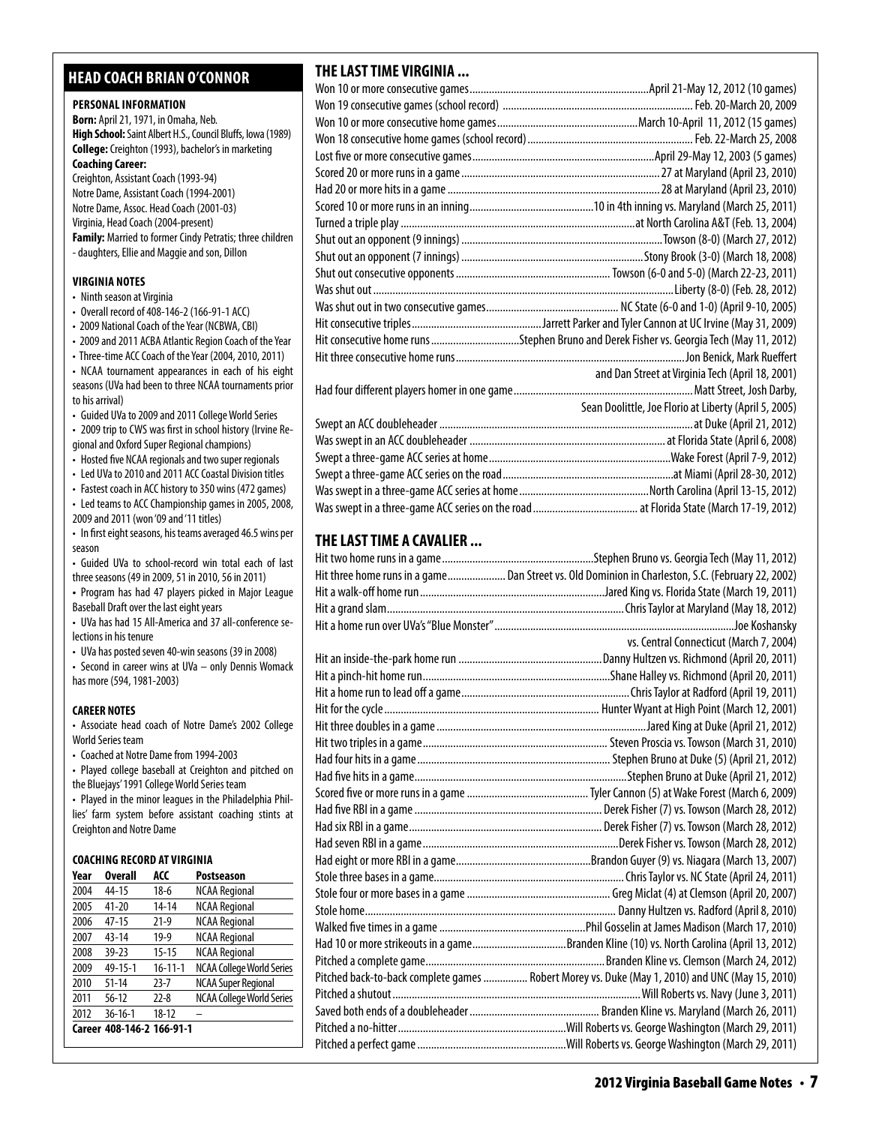# **head coach brian o'connor**

# **PERSONAL INFORMATION**

**Born:** April 21, 1971, in Omaha, Neb. **High School:** Saint Albert H.S., Council Bluffs, Iowa (1989) **College:** Creighton (1993), bachelor's in marketing **Coaching Career:**  Creighton, Assistant Coach (1993-94) Notre Dame, Assistant Coach (1994-2001)

Notre Dame, Assoc. Head Coach (2001-03) Virginia, Head Coach (2004-present) **Family:** Married to former Cindy Petratis; three children - daughters, Ellie and Maggie and son, Dillon

#### **virginia Notes**

- Ninth season at Virginia
- Overall record of 408-146-2 (166-91-1 ACC)
- 2009 National Coach of the Year (NCBWA, CBI)
- 2009 and 2011 ACBA Atlantic Region Coach of the Year

• Three-time ACC Coach of the Year (2004, 2010, 2011) • NCAA tournament appearances in each of his eight seasons (UVa had been to three NCAA tournaments prior to his arrival)

• Guided UVa to 2009 and 2011 College World Series

• 2009 trip to CWS was first in school history (Irvine Regional and Oxford Super Regional champions)

• Hosted five NCAA regionals and two super regionals

• Led UVa to 2010 and 2011 ACC Coastal Division titles

• Fastest coach in ACC history to 350 wins (472 games) • Led teams to ACC Championship games in 2005, 2008, 2009 and 2011 (won '09 and '11 titles)

• In first eight seasons, his teams averaged 46.5 wins per season

• Guided UVa to school-record win total each of last three seasons (49 in 2009, 51 in 2010, 56 in 2011)

**•**  Program has had 47 players picked in Major League Baseball Draft over the last eight years

• UVa has had 15 All-America and 37 all-conference selections in his tenure

• UVa has posted seven 40-win seasons (39 in 2008)

• Second in career wins at UVa – only Dennis Womack has more (594, 1981-2003)

#### **CAREER NOTES**

• Associate head coach of Notre Dame's 2002 College World Series team

• Coached at Notre Dame from 1994-2003

• Played college baseball at Creighton and pitched on the Bluejays' 1991 College World Series team

• Played in the minor leagues in the Philadelphia Phillies' farm system before assistant coaching stints at Creighton and Notre Dame

#### **Coaching Record at virginia**

| Year | <b>Overall</b>            | ACC           | <b>Postseason</b>                |
|------|---------------------------|---------------|----------------------------------|
| 2004 | 44-15                     | $18-6$        | <b>NCAA Regional</b>             |
| 2005 | $41 - 20$                 | $14 - 14$     | <b>NCAA Regional</b>             |
| 2006 | $47 - 15$                 | $21-9$        | <b>NCAA Regional</b>             |
| 2007 | 43-14                     | $19-9$        | <b>NCAA Regional</b>             |
| 2008 | $39 - 23$                 | $15 - 15$     | <b>NCAA Regional</b>             |
| 2009 | 49-15-1                   | $16 - 11 - 1$ | <b>NCAA College World Series</b> |
| 2010 | $51 - 14$                 | $23 - 7$      | <b>NCAA Super Regional</b>       |
| 2011 | $56-12$                   | $22 - 8$      | <b>NCAA College World Series</b> |
| 2012 | $36 - 16 - 1$             | $18 - 12$     |                                  |
|      | Career 408-146-2 166-91-1 |               |                                  |

# **THE LAST TIME VIRGINIA ...**

| Hit consecutive home runs Stephen Bruno and Derek Fisher vs. Georgia Tech (May 11, 2012) |                                                       |
|------------------------------------------------------------------------------------------|-------------------------------------------------------|
|                                                                                          |                                                       |
|                                                                                          | and Dan Street at Virginia Tech (April 18, 2001)      |
|                                                                                          |                                                       |
|                                                                                          | Sean Doolittle, Joe Florio at Liberty (April 5, 2005) |
|                                                                                          |                                                       |
|                                                                                          |                                                       |
|                                                                                          |                                                       |
|                                                                                          |                                                       |
|                                                                                          |                                                       |
|                                                                                          |                                                       |

# **THE LAST TIME A CAVALIER ...**

| Hit three home runs in a game Dan Street vs. Old Dominion in Charleston, S.C. (February 22, 2002) |
|---------------------------------------------------------------------------------------------------|
|                                                                                                   |
|                                                                                                   |
|                                                                                                   |
| vs. Central Connecticut (March 7, 2004)                                                           |
|                                                                                                   |
|                                                                                                   |
|                                                                                                   |
|                                                                                                   |
|                                                                                                   |
|                                                                                                   |
|                                                                                                   |
|                                                                                                   |
|                                                                                                   |
|                                                                                                   |
|                                                                                                   |
|                                                                                                   |
|                                                                                                   |
|                                                                                                   |
|                                                                                                   |
|                                                                                                   |
|                                                                                                   |
| Had 10 or more strikeouts in a gameBranden Kline (10) vs. North Carolina (April 13, 2012)         |
|                                                                                                   |
| Pitched back-to-back complete games  Robert Morey vs. Duke (May 1, 2010) and UNC (May 15, 2010)   |
|                                                                                                   |
|                                                                                                   |
|                                                                                                   |
|                                                                                                   |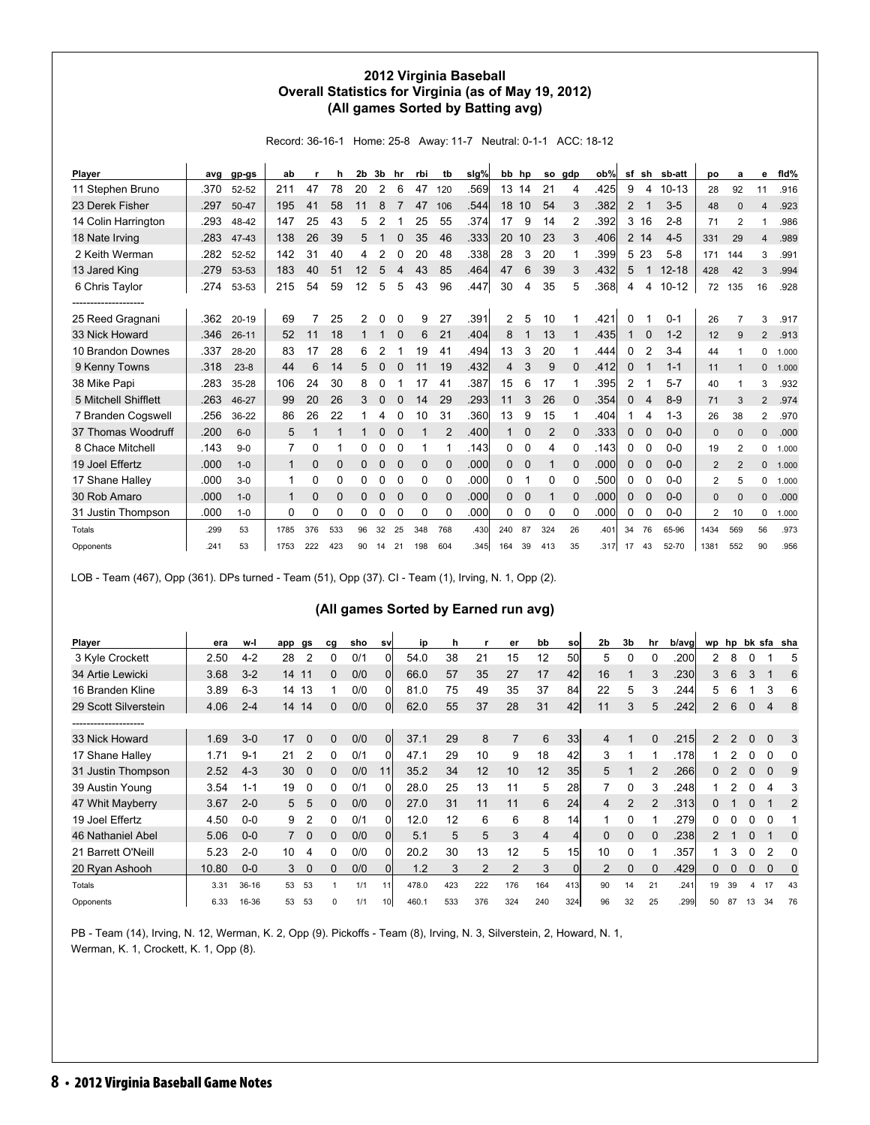#### **2012 Virginia Baseball Overall Statistics for Virginia (as of May 19, 2012) (All games Sorted by Batting avg)**

Record: 36-16-1 Home: 25-8 Away: 11-7 Neutral: 0-1-1 ACC: 18-12

| Player               | ava  | gp-gs     | ab             |             | h        | 2b | 3b | hr          | rbi          | tb          | $slq\%$ | bb       | hp          | so  | gdp         | ob%   | sf             | sh             | sb-att    | DO             | a              | е              | fid%  |
|----------------------|------|-----------|----------------|-------------|----------|----|----|-------------|--------------|-------------|---------|----------|-------------|-----|-------------|-------|----------------|----------------|-----------|----------------|----------------|----------------|-------|
| 11 Stephen Bruno     | .370 | 52-52     | 211            | 47          | 78       | 20 | 2  | 6           | 47           | 120         | .569    | 13       | 14          | 21  | 4           | .425  | 9              | 4              | $10 - 13$ | 28             | 92             | 11             | .916  |
| 23 Derek Fisher      | .297 | 50-47     | 195            | 41          | 58       | 11 | 8  |             | 47           | 106         | .544    | 18       | 10          | 54  | 3           | .382  | $\overline{2}$ | 1              | $3-5$     | 48             | $\Omega$       | 4              | .923  |
| 14 Colin Harrington  | .293 | 48-42     | 147            | 25          | 43       | 5  | 2  |             | 25           | 55          | .374    | 17       | 9           | 14  | 2           | .392  | 3              | 16             | $2 - 8$   | 71             | $\overline{2}$ |                | .986  |
| 18 Nate Irving       | .283 | 47-43     | 138            | 26          | 39       | 5  |    |             | 35           | 46          | .333    | 20       | 10          | 23  | 3           | .406  | $\overline{2}$ | 14             | $4 - 5$   | 331            | 29             | 4              | .989  |
| 2 Keith Werman       | .282 | 52-52     | 142            | 31          | 40       | 4  | 2  | 0           | 20           | 48          | .338    | 28       | 3           | 20  |             | .399  | 5              | 23             | $5 - 8$   | 171            | 144            | 3              | .991  |
| 13 Jared King        | .279 | 53-53     | 183            | 40          | 51       | 12 | 5  |             | 43           | 85          | .464    | 47       | 6           | 39  | 3           | .432  | 5              | 1              | $12 - 18$ | 428            | 42             | 3              | .994  |
| 6 Chris Taylor       | .274 | 53-53     | 215            | 54          | 59       | 12 | 5  | 5           | 43           | 96          | .447    | 30       | 4           | 35  | 5           | .3681 | 4              | 4              | $10 - 12$ | 72             | 135            | 16             | .928  |
| ------------------   |      |           |                |             |          |    |    |             |              |             |         |          |             |     |             |       |                |                |           |                |                |                |       |
| 25 Reed Gragnani     | .362 | $20 - 19$ | 69             | 7           | 25       | 2  | 0  | 0           | 9            | 27          | .391    | 2        | 5           | 10  |             | .421  | 0              |                | $0 - 1$   | 26             | $\overline{7}$ | 3              | .917  |
| 33 Nick Howard       | .346 | $26 - 11$ | 52             | 11          | 18       |    |    |             | 6            | 21          | .404    | 8        |             | 13  |             | .435  |                | 0              | $1 - 2$   | 12             | 9              | $\overline{2}$ | .913  |
| 10 Brandon Downes    | .337 | 28-20     | 83             | 17          | 28       | 6  | 2  |             | 19           | 41          | .494    | 13       | 3           | 20  |             | .444  | 0              | $\overline{2}$ | $3 - 4$   | 44             | 1              | 0              | 1.000 |
| 9 Kenny Towns        | .318 | $23 - 8$  | 44             | 6           | 14       | 5  | 0  |             | 11           | 19          | .432    | 4        | 3           | 9   | $\Omega$    | .412  | 0              |                | $1 - 1$   | 11             |                | 0              | 1.000 |
| 38 Mike Papi         | .283 | 35-28     | 106            | 24          | 30       | 8  | 0  |             | 17           | 41          | .387    | 15       | 6           | 17  |             | .395  | 2              |                | $5 - 7$   | 40             | 1              | 3              | .932  |
| 5 Mitchell Shifflett | .263 | 46-27     | 99             | 20          | 26       | 3  | 0  | 0           | 14           | 29          | .293    | 11       | 3           | 26  | $\Omega$    | .354  | 0              | 4              | $8-9$     | 71             | 3              | $\overline{2}$ | .974  |
| 7 Branden Cogswell   | .256 | 36-22     | 86             | 26          | 22       |    | 4  |             | 10           | 31          | .360    | 13       | 9           | 15  |             | .404  |                | 4              | $1 - 3$   | 26             | 38             | $\overline{2}$ | .970  |
| 37 Thomas Woodruff   | .200 | $6 - 0$   | 5              | 1           |          | 1  | 0  | $\Omega$    |              | 2           | .400    |          | $\Omega$    | 2   | $\Omega$    | .333  | $\mathbf{0}$   | 0              | $0 - 0$   | 0              | $\mathbf 0$    | 0              | .000  |
| 8 Chace Mitchell     | .143 | $9 - 0$   | $\overline{7}$ | 0           |          | 0  | 0  | 0           | 1            |             | .143    | 0        | 0           | 4   | 0           | .143  | 0              | 0              | $0-0$     | 19             | 2              | 0              | 1.000 |
| 19 Joel Effertz      | .000 | $1 - 0$   | $\mathbf{1}$   | $\mathbf 0$ | 0        | 0  | 0  | $\mathbf 0$ | $\mathbf{0}$ | $\mathbf 0$ | .000    | 0        | $\mathbf 0$ |     | $\mathbf 0$ | .000  | 0              | $\mathbf 0$    | $0 - 0$   | $\overline{2}$ | 2              | 0              | 1.000 |
| 17 Shane Halley      | .000 | $3 - 0$   | 1              | 0           | 0        | 0  | 0  | 0           | 0            | 0           | .000    | 0        |             | 0   | 0           | .500  | 0              | 0              | $0-0$     | $\overline{2}$ | 5              | 0              | 1.000 |
| 30 Rob Amaro         | .000 | $1 - 0$   | $\mathbf{1}$   | $\mathbf 0$ | $\Omega$ | 0  | 0  | $\Omega$    | $\Omega$     | $\Omega$    | .000    | $\Omega$ | 0           |     | $\Omega$    | .000  | 0              | $\mathbf 0$    | $0 - 0$   | 0              | $\Omega$       | 0              | .000  |
| 31 Justin Thompson   | .000 | $1 - 0$   | 0              | 0           | 0        | 0  | 0  | 0           | 0            | 0           | .000    | 0        | 0           | 0   | 0           | .000  | 0              | 0              | $0-0$     | $\overline{2}$ | 10             | 0              | 1.000 |
| Totals               | .299 | 53        | 1785           | 376         | 533      | 96 | 32 | 25          | 348          | 768         | .430    | 240      | 87          | 324 | 26          | .401  | 34             | 76             | 65-96     | 1434           | 569            | 56             | .973  |
| Opponents            | .241 | 53        | 1753           | 222         | 423      | 90 | 14 | 21          | 198          | 604         | .345    | 164      | 39          | 413 | 35          | .317  | 17             | 43             | 52-70     | 1381           | 552            | 90             | .956  |

LOB - Team (467), Opp (361). DPs turned - Team (51), Opp (37). CI - Team (1), Irving, N. 1, Opp (2).

### **(All games Sorted by Earned run avg)**

| Player               | era   | w-l     | app | gs       | cg       | sho | sv | ip    | h   |     | er             | bb  | sol             | 2 <sub>b</sub> | 3b             | hr            | b/avg | wp             | hp |          |          | bk sfa sha |
|----------------------|-------|---------|-----|----------|----------|-----|----|-------|-----|-----|----------------|-----|-----------------|----------------|----------------|---------------|-------|----------------|----|----------|----------|------------|
| 3 Kyle Crockett      | 2.50  | $4-2$   | 28  | 2        | 0        | 0/1 | 0  | 54.0  | 38  | 21  | 15             | 12  | 50l             | 5              | 0              |               | .200  | $\overline{2}$ | 8  | 0        |          | 5          |
| 34 Artie Lewicki     | 3.68  | $3 - 2$ | 14  | 11       | 0        | 0/0 | 01 | 66.0  | 57  | 35  | 27             | 17  | 42              | 16             |                | 3             | .2301 | 3              | 6  | 3        |          | 6          |
| 16 Branden Kline     | 3.89  | $6 - 3$ | 14  | 13       |          | 0/0 | 0  | 81.0  | 75  | 49  | 35             | 37  | 84              | 22             | 5              |               | .244  | 5              |    |          | 3        | 6          |
| 29 Scott Silverstein | 4.06  | $2 - 4$ | 14  | 14       | 0        | 0/0 | Οl | 62.0  | 55  | 37  | 28             | 31  | 42              | 11             | 3              | 5             | .242  | $\overline{2}$ | 6  | $\Omega$ | 4        | 8          |
|                      |       |         |     |          |          |     |    |       |     |     |                |     |                 |                |                |               |       |                |    |          |          |            |
| 33 Nick Howard       | 1.69  | $3-0$   | 17  | $\Omega$ | $\Omega$ | 0/0 | Οl | 37.1  | 29  | 8   | $\overline{7}$ | 6   | 33 <sub>1</sub> | 4              |                | $\Omega$      | .215  | $\overline{2}$ | 2  | $\Omega$ | $\Omega$ | 3          |
| 17 Shane Halley      | 1.71  | $9 - 1$ | 21  | 2        | 0        | 0/1 | 0  | 47.1  | 29  | 10  | 9              | 18  | 42              | 3              |                |               | .1781 |                |    | 0        | 0        | 0          |
| 31 Justin Thompson   | 2.52  | $4 - 3$ | 30  | $\Omega$ | 0        | 0/0 | 11 | 35.2  | 34  | 12  | 10             | 12  | 35 <sub>l</sub> | 5              |                | $\mathcal{P}$ | .2661 | 0              | 2  | $\Omega$ | $\Omega$ | 9          |
| 39 Austin Young      | 3.54  | $1 - 1$ | 19  | 0        | n        | 0/1 |    | 28.0  | 25  | 13  | 11             | 5   | 28              |                | O              | 3             | .248  |                |    |          |          | 3          |
| 47 Whit Mayberry     | 3.67  | $2 - 0$ | 5   | 5        | 0        | 0/0 | ΩI | 27.0  | 31  | 11  | 11             | 6   | 24              | 4              | $\mathfrak{p}$ |               | .313  | 0              |    | $\Omega$ |          | 2          |
| 19 Joel Effertz      | 4.50  | $0-0$   | 9   | 2        | 0        | 0/1 | Οl | 12.0  | 12  | 6   | 6              | 8   | 14              |                |                |               | .279  | 0              |    |          |          |            |
| 46 Nathaniel Abel    | 5.06  | $0 - 0$ |     | $\Omega$ | 0        | 0/0 | 01 | 5.1   | 5   | 5   | 3              | 4   | 4               | $\Omega$       | $\Omega$       | $\Omega$      | .238  | $\mathcal{P}$  |    | $\Omega$ |          | 0          |
| 21 Barrett O'Neill   | 5.23  | $2 - 0$ | 10  | 4        | 0        | 0/0 | 0  | 20.2  | 30  | 13  | 12             | 5   | 15 <sub>l</sub> | 10             | 0              |               | .357  |                | 3  | 0        | 2        | O          |
| 20 Ryan Ashooh       | 10.80 | $0-0$   | 3   | 0        | 0        | 0/0 | 01 | 1.2   | 3   | 2   | 2              | 3   | <sup>0</sup>    | 2              |                |               | .429  | 0              |    | $\Omega$ | 0        | 0          |
| Totals               | 3.31  | $36-16$ | 53  | 53       |          | 1/1 |    | 478.0 | 423 | 222 | 176            | 164 | 413             | 90             | 14             | 21            | .241  | 19             | 39 |          | 17       | 43         |
| Opponents            | 6.33  | 16-36   | 53  | 53       | ŋ        | 1/1 | 10 | 460.1 | 533 | 376 | 324            | 240 | 324l            | 96             | 32             | 25            | .299  | 50             | 87 | 13       | 34       | 76         |

PB - Team (14), Irving, N. 12, Werman, K. 2, Opp (9). Pickoffs - Team (8), Irving, N. 3, Silverstein, 2, Howard, N. 1, Werman, K. 1, Crockett, K. 1, Opp (8).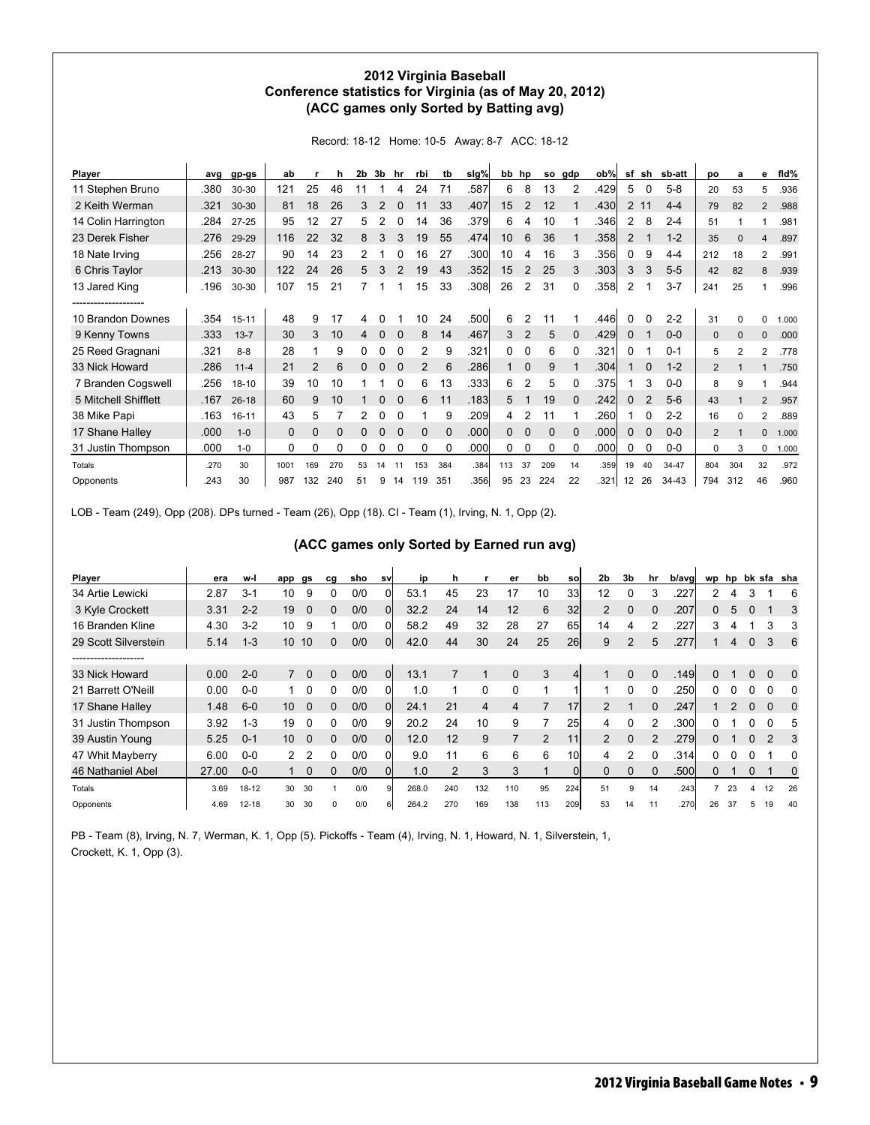#### **2012 Virginia Baseball Conference statistics for Virginia (as of May 20, 2012) (ACC games only Sorted by Batting avg)**

Record: 18-12 Home: 10-5 Away: 8-7 ACC: 18-12

| Player               | ava  | gp-gs     | ab           |             | h        | 2b | 3b | hr       | rbi          | tb       | sig%  | bb  | hp             | so          | gdp      | ob%   | sf                | sh             | sb-att    | po             | a            | е              | fld%  |
|----------------------|------|-----------|--------------|-------------|----------|----|----|----------|--------------|----------|-------|-----|----------------|-------------|----------|-------|-------------------|----------------|-----------|----------------|--------------|----------------|-------|
| 11 Stephen Bruno     | .380 | 30-30     | 121          | 25          | 46       |    |    | 4        | 24           | 71       | .587  | 6   | 8              | 13          | 2        | .429  | 5                 | 0              | $5-8$     | 20             | 53           | 5              | .936  |
| 2 Keith Werman       | .321 | 30-30     | 81           | 18          | 26       | 3  | 2  | $\Omega$ | 11           | 33       | .407  | 15  | 2              | 12          |          | .430  | $\overline{2}$    | 11             | $4 - 4$   | 79             | 82           | $\overline{2}$ | .988  |
| 14 Colin Harrington  | .284 | $27 - 25$ | 95           | 12          | 27       | 5  | 2  |          | 14           | 36       | .379  | 6   | 4              | 10          |          | .346  | 2                 | 8              | $2 - 4$   | 51             |              |                | .981  |
| 23 Derek Fisher      | .276 | 29-29     | 116          | 22          | 32       | 8  | 3  | 3        | 19           | 55       | .474  | 10  | 6              | 36          |          | .358  | 2                 |                | $1 - 2$   | 35             | 0            | 4              | .897  |
| 18 Nate Irving       | .256 | 28-27     | 90           | 14          | 23       | 2  |    |          | 16           | 27       | .300  | 10  | 4              | 16          | 3        | .3561 | 0                 | 9              | $4 - 4$   | 212            | 18           | 2              | .991  |
| 6 Chris Taylor       | .213 | 30-30     | 122          | 24          | 26       | 5  | 3  |          | 19           | 43       | .352  | 15  | $\overline{2}$ | 25          | 3        | .303  | 3                 | 3              | $5-5$     | 42             | 82           | 8              | .939  |
| 13 Jared King        | .196 | 30-30     | 107          | 15          | 21       |    |    |          | 15           | 33       | .308  | 26  | 2              | 31          | 0        | .358  | 2                 |                | $3 - 7$   | 241            | 25           |                | .996  |
|                      |      |           |              |             |          |    |    |          |              |          |       |     |                |             |          |       |                   |                |           |                |              |                |       |
| 10 Brandon Downes    | .354 | $15 - 11$ | 48           | 9           | 17       | 4  |    |          | 10           | 24       | .500  | 6   | 2              | 11          |          | .446  | $\Omega$          | 0              | $2 - 2$   | 31             | $\Omega$     | 0              | 1.000 |
| 9 Kenny Towns        | .333 | $13 - 7$  | 30           | 3           | 10       | 4  | 0  | $\Omega$ | 8            | 14       | .467  | 3   | 2              | 5           | 0        | .429  | 0                 |                | $0-0$     | $\mathbf{0}$   | $\mathbf{0}$ | 0              | .000  |
| 25 Reed Gragnani     | .321 | $8 - 8$   | 28           |             | 9        | 0  | 0  | 0        | 2            | 9        | .321  | 0   | 0              | 6           | 0        | .321  | 0                 |                | $0 - 1$   | 5              | 2            | $\overline{2}$ | .778  |
| 33 Nick Howard       | .286 | $11 - 4$  | 21           | 2           | 6        | 0  | 0  | $\Omega$ | 2            | 6        | .286  |     | $\mathbf 0$    | 9           |          | .3041 |                   | 0              | $1 - 2$   | $\overline{2}$ |              |                | .750  |
| 7 Branden Cogswell   | .256 | $18 - 10$ | 39           | 10          | 10       |    |    |          | 6            | 13       | .3331 | 6   | 2              | 5           |          | .375  |                   | 3              | $0-0$     | 8              | 9            |                | .944  |
| 5 Mitchell Shifflett | .167 | $26 - 18$ | 60           | 9           | 10       |    | 0  | $\Omega$ | 6            | 11       | .183  | 5   |                | 19          | $\Omega$ | .242  | 0                 | $\overline{2}$ | $5-6$     | 43             |              | $\overline{2}$ | .957  |
| 38 Mike Papi         | .163 | $16 - 11$ | 43           | 5           |          |    | 0  | O        |              | 9        | .209  | 4   | 2              | 11          |          | .260  |                   | 0              | $2 - 2$   | 16             | $\Omega$     | 2              | .889  |
| 17 Shane Halley      | .000 | $1 - 0$   | $\mathbf{0}$ | $\mathbf 0$ | $\Omega$ | 0  | 0  | $\Omega$ | $\mathbf{0}$ | $\Omega$ | .000  | 0   | 0              | $\mathbf 0$ | $\Omega$ | .000  | $\mathbf{0}$      | $\mathbf 0$    | $0 - 0$   | $\overline{2}$ | 1            | 0              | 1.000 |
| 31 Justin Thompson   | .000 | $1 - 0$   | 0            | 0           | 0        | 0  | 0  | 0        | 0            | $\Omega$ | .000  | 0   | 0              | 0           | 0        | .000  | 0                 | 0              | $0-0$     | 0              | 3            | 0              | 1.000 |
| Totals               | .270 | 30        | 1001         | 169         | 270      | 53 | 14 | 11       | 153          | 384      | .384  | 113 | 37             | 209         | 14       | .359  | 19                | 40             | 34-47     | 804            | 304          | 32             | .972  |
| Opponents            | .243 | 30        | 987          | 132         | 240      | 51 | 9  | 14       | 119          | 351      | .356  | 95  | 23             | 224         | 22       | .3211 | $12 \overline{ }$ | 26             | $34 - 43$ | 794            | 312          | 46             | .960  |

LOB - Team (249), Opp (208). DPs turned - Team (26), Opp (18). CI - Team (1), Irving, N. 1, Opp (2).

| (ACC games only Sorted by Earned run avg) |  |  |  |
|-------------------------------------------|--|--|--|
|-------------------------------------------|--|--|--|

| Player               | era   | w-l       | app         | gs          | cg | sho | <b>SV</b> | ip    | h   |                | er       | bb             | sol       | 2 <sub>b</sub> | 3b       | hr | b/avg | wp | hp |          |          | bk sfa sha |
|----------------------|-------|-----------|-------------|-------------|----|-----|-----------|-------|-----|----------------|----------|----------------|-----------|----------------|----------|----|-------|----|----|----------|----------|------------|
| 34 Artie Lewicki     | 2.87  | $3-1$     | 10          | 9           | 0  | 0/0 |           | 53.1  | 45  | 23             | 17       | 10             | 33        | 12             |          | 3  | .227  |    |    |          |          | 6          |
| 3 Kyle Crockett      | 3.31  | $2 - 2$   | 19          | $\Omega$    | 0  | 0/0 | ΩI        | 32.2  | 24  | 14             | 12       | 6              | 32        | 2              | 0        |    | .207  | 0  | 5  | $\Omega$ |          | 3          |
| 16 Branden Kline     | 4.30  | $3 - 2$   | 10          | 9           |    | 0/0 |           | 58.2  | 49  | 32             | 28       | 27             | 65        | 14             | 4        |    | .227  | 3  |    |          | 3        | 3          |
| 29 Scott Silverstein | 5.14  | $1 - 3$   | 10          | 10          | 0  | 0/0 | 0l        | 42.0  | 44  | 30             | 24       | 25             | <b>26</b> | 9              | 2        | 5  | .277  |    |    |          | 3        | 6          |
| -----------------    |       |           |             |             |    |     |           |       |     |                |          |                |           |                |          |    |       |    |    |          |          |            |
| 33 Nick Howard       | 0.00  | $2 - 0$   | $7^{\circ}$ | $\Omega$    | 0  | 0/0 | Οl        | 13.1  |     | 1              | $\Omega$ | 3              |           |                | $\Omega$ |    | .149  | O. |    | $\Omega$ | $\Omega$ | $\Omega$   |
| 21 Barrett O'Neill   | 0.00  | $0-0$     |             | 0           | 0  | 0/0 | Οl        | 1.0   |     | 0              | 0        |                |           |                |          |    | .250  | 0  |    | 0        | 0        | 0          |
| 17 Shane Halley      | 1.48  | $6-0$     | 10          | $\Omega$    | 0  | 0/0 | Οl        | 24.1  | 21  | $\overline{4}$ | 4        |                | 17        | $\mathcal{P}$  |          |    | .247  |    |    | $\Omega$ | $\Omega$ | 0          |
| 31 Justin Thompson   | 3.92  | $1 - 3$   | 19          | 0           | 0  | 0/0 | 9         | 20.2  | 24  | 10             | 9        |                | 25        | 4              |          |    | .300  | n  |    | 0        |          | 5          |
| 39 Austin Young      | 5.25  | $0 - 1$   | 10          | $\Omega$    | 0  | 0/0 | Οl        | 12.0  | 12  | 9              |          | $\overline{2}$ | 11        | $\mathcal{P}$  | 0        | 2  | .279  | 0  |    | $\Omega$ | 2        | 3          |
| 47 Whit Mayberry     | 6.00  | $0-0$     | 2           | 2           | 0  | 0/0 |           | 9.0   | 11  | 6              | 6        | 6              | 10        | 4              |          |    | .314  | O. |    |          |          | 0          |
| 46 Nathaniel Abel    | 27.00 | $0-0$     |             | $\mathbf 0$ | 0  | 0/0 |           | 1.0   | 2   | 3              | 3        |                |           |                | 0        |    | .500  | 0  |    | 0        |          | 0          |
| Totals               | 3.69  | $18 - 12$ | 30          | 30          |    | 0/0 | o         | 268.0 | 240 | 132            | 110      | 95             | 224       | 51             | 9        | 14 | .243  | 7  | 23 | 4        | 12       | 26         |
| Opponents            | 4.69  | $12 - 18$ | 30          | 30          | 0  | 0/0 |           | 264.2 | 270 | 169            | 138      | 113            | 209       | 53             | 14       | 11 | .270  | 26 | 37 |          | 19       | 40         |

PB - Team (8), Irving, N. 7, Werman, K. 1, Opp (5). Pickoffs - Team (4), Irving, N. 1, Howard, N. 1, Silverstein, 1, Crockett, K. 1, Opp (3).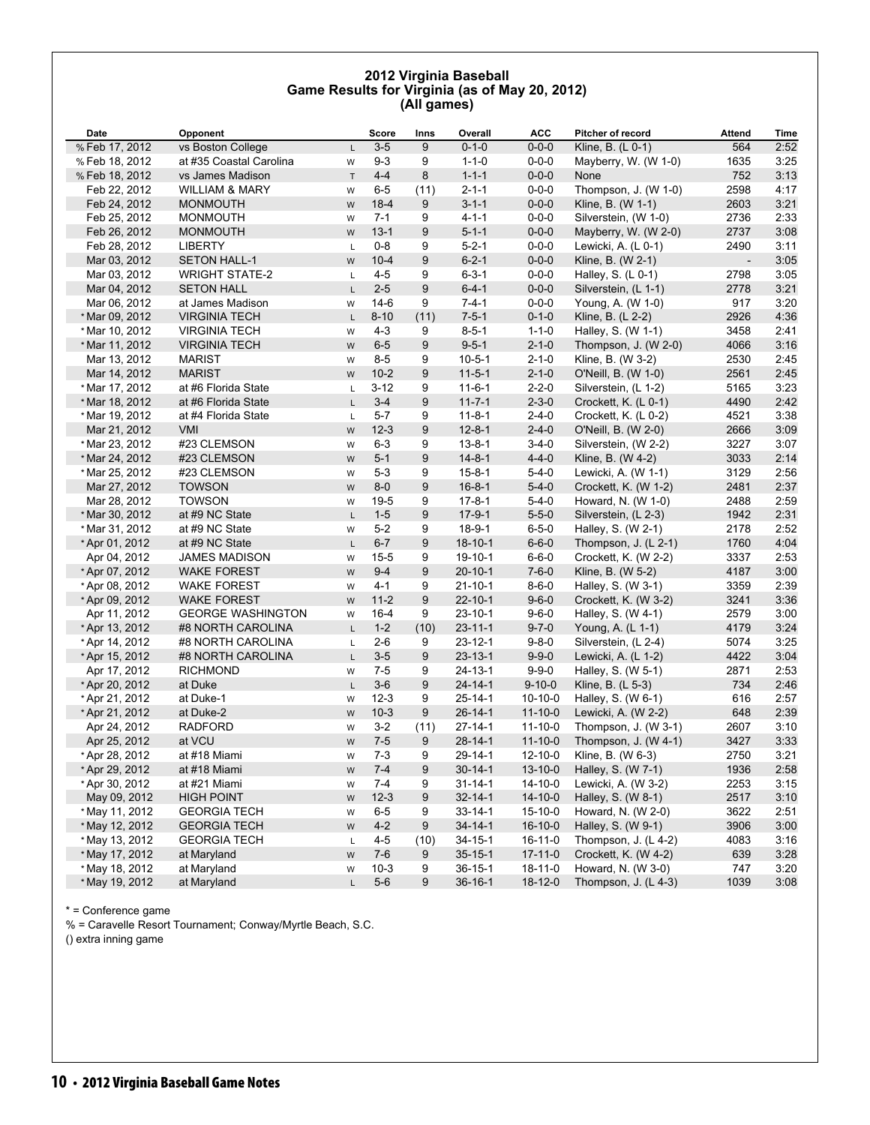#### **2012 Virginia Baseball Game Results for Virginia (as of May 20, 2012) (All games)**

| Date           | Opponent                  |             | <b>Score</b> | Inns | Overall       | <b>ACC</b>    | <b>Pitcher of record</b> | Attend         | Time |
|----------------|---------------------------|-------------|--------------|------|---------------|---------------|--------------------------|----------------|------|
| % Feb 17, 2012 | vs Boston College         | L           | $3-5$        | 9    | $0 - 1 - 0$   | $0 - 0 - 0$   | Kline, B. (L 0-1)        | 564            | 2:52 |
| % Feb 18, 2012 | at #35 Coastal Carolina   | W           | $9 - 3$      | 9    | $1 - 1 - 0$   | $0 - 0 - 0$   | Mayberry, W. (W 1-0)     | 1635           | 3:25 |
| % Feb 18, 2012 | vs James Madison          | $\mathsf T$ | $4 - 4$      | 8    | $1 - 1 - 1$   | $0 - 0 - 0$   | None                     | 752            | 3:13 |
| Feb 22, 2012   | <b>WILLIAM &amp; MARY</b> | W           | $6-5$        | (11) | $2 - 1 - 1$   | $0 - 0 - 0$   | Thompson, J. (W 1-0)     | 2598           | 4:17 |
| Feb 24, 2012   | <b>MONMOUTH</b>           | W           | $18 - 4$     | 9    | $3 - 1 - 1$   | $0 - 0 - 0$   | Kline, B. (W 1-1)        | 2603           | 3:21 |
| Feb 25, 2012   | <b>MONMOUTH</b>           | W           | $7 - 1$      | 9    | $4 - 1 - 1$   | $0 - 0 - 0$   | Silverstein, (W 1-0)     | 2736           | 2:33 |
| Feb 26, 2012   | <b>MONMOUTH</b>           | W           | $13 - 1$     | 9    | $5 - 1 - 1$   | $0 - 0 - 0$   | Mayberry, W. (W 2-0)     | 2737           | 3:08 |
| Feb 28, 2012   | <b>LIBERTY</b>            | L           | $0 - 8$      | 9    | $5 - 2 - 1$   | $0 - 0 - 0$   | Lewicki, A. (L 0-1)      | 2490           | 3:11 |
| Mar 03, 2012   | <b>SETON HALL-1</b>       | W           | $10 - 4$     | 9    | $6 - 2 - 1$   | $0 - 0 - 0$   | Kline, B. (W 2-1)        | $\blacksquare$ | 3:05 |
| Mar 03, 2012   | <b>WRIGHT STATE-2</b>     | L           | $4 - 5$      | 9    | $6 - 3 - 1$   | $0 - 0 - 0$   | Halley, S. $(L 0-1)$     | 2798           | 3:05 |
| Mar 04, 2012   | <b>SETON HALL</b>         | L           | $2 - 5$      | 9    | $6 - 4 - 1$   | $0 - 0 - 0$   | Silverstein, (L 1-1)     | 2778           | 3:21 |
| Mar 06, 2012   | at James Madison          | W           | $14-6$       | 9    | $7 - 4 - 1$   | $0 - 0 - 0$   | Young, A. (W 1-0)        | 917            | 3:20 |
| * Mar 09, 2012 | <b>VIRGINIA TECH</b>      | L           | $8 - 10$     | (11) | $7 - 5 - 1$   | $0 - 1 - 0$   | Kline, B. (L 2-2)        | 2926           | 4:36 |
| * Mar 10, 2012 | <b>VIRGINIA TECH</b>      | W           | $4 - 3$      | 9    | $8 - 5 - 1$   | $1 - 1 - 0$   | Halley, S. (W 1-1)       | 3458           | 2:41 |
| * Mar 11, 2012 | <b>VIRGINIA TECH</b>      | W           | $6-5$        | 9    | $9 - 5 - 1$   | $2 - 1 - 0$   | Thompson, J. (W 2-0)     | 4066           | 3:16 |
| Mar 13, 2012   | <b>MARIST</b>             | W           | $8 - 5$      | 9    | $10 - 5 - 1$  | $2 - 1 - 0$   | Kline, B. (W 3-2)        | 2530           | 2:45 |
| Mar 14, 2012   | <b>MARIST</b>             | W           | $10-2$       | 9    | $11 - 5 - 1$  | $2 - 1 - 0$   | O'Neill, B. (W 1-0)      | 2561           | 2:45 |
| * Mar 17, 2012 | at #6 Florida State       | Г           | $3 - 12$     | 9    | $11 - 6 - 1$  | $2 - 2 - 0$   | Silverstein, (L 1-2)     | 5165           | 3:23 |
| * Mar 18, 2012 | at #6 Florida State       | $\mathsf L$ | $3 - 4$      | 9    | $11 - 7 - 1$  | $2 - 3 - 0$   | Crockett, K. (L 0-1)     | 4490           | 2:42 |
| * Mar 19, 2012 | at #4 Florida State       | L           | $5 - 7$      | 9    | $11 - 8 - 1$  | $2 - 4 - 0$   | Crockett, K. (L 0-2)     | 4521           | 3:38 |
| Mar 21, 2012   | VMI                       | ${\sf W}$   | $12 - 3$     | 9    | $12 - 8 - 1$  | $2 - 4 - 0$   | O'Neill, B. (W 2-0)      | 2666           | 3:09 |
| * Mar 23, 2012 | #23 CLEMSON               | W           | $6 - 3$      | 9    | $13 - 8 - 1$  | $3-4-0$       | Silverstein, (W 2-2)     | 3227           | 3:07 |
| * Mar 24, 2012 | #23 CLEMSON               | W           | $5-1$        | 9    | $14 - 8 - 1$  | $4 - 4 - 0$   | Kline, B. (W 4-2)        | 3033           | 2:14 |
| * Mar 25, 2012 | #23 CLEMSON               | W           | $5 - 3$      | 9    | $15 - 8 - 1$  | $5 - 4 - 0$   | Lewicki, A. (W 1-1)      | 3129           | 2:56 |
| Mar 27, 2012   | <b>TOWSON</b>             | W           | $8-0$        | 9    | $16 - 8 - 1$  | $5 - 4 - 0$   | Crockett, K. (W 1-2)     | 2481           | 2:37 |
| Mar 28, 2012   | <b>TOWSON</b>             | W           | $19-5$       | 9    | $17 - 8 - 1$  | $5 - 4 - 0$   | Howard, N. (W 1-0)       | 2488           | 2:59 |
| * Mar 30, 2012 | at #9 NC State            | L           | $1 - 5$      | 9    | $17-9-1$      | $5 - 5 - 0$   | Silverstein, (L 2-3)     | 1942           | 2:31 |
| * Mar 31, 2012 | at #9 NC State            | W           | $5-2$        | 9    | $18-9-1$      | $6 - 5 - 0$   | Halley, S. (W 2-1)       | 2178           | 2:52 |
| * Apr 01, 2012 | at #9 NC State            | L           | $6 - 7$      | 9    | $18 - 10 - 1$ | $6 - 6 - 0$   | Thompson, J. (L 2-1)     | 1760           | 4:04 |
| Apr 04, 2012   | <b>JAMES MADISON</b>      | W           | $15 - 5$     | 9    | $19-10-1$     | $6 - 6 - 0$   | Crockett, K. (W 2-2)     | 3337           | 2:53 |
| * Apr 07, 2012 | <b>WAKE FOREST</b>        | W           | $9 - 4$      | 9    | $20 - 10 - 1$ | $7 - 6 - 0$   | Kline, B. (W 5-2)        | 4187           | 3:00 |
| * Apr 08, 2012 | <b>WAKE FOREST</b>        | W           | $4 - 1$      | 9    | $21 - 10 - 1$ | $8 - 6 - 0$   | Halley, S. (W 3-1)       | 3359           | 2:39 |
| * Apr 09, 2012 | <b>WAKE FOREST</b>        | W           | $11-2$       | 9    | $22 - 10 - 1$ | $9 - 6 - 0$   | Crockett, K. (W 3-2)     | 3241           | 3:36 |
| Apr 11, 2012   | <b>GEORGE WASHINGTON</b>  | W           | $16 - 4$     | 9    | $23 - 10 - 1$ | $9 - 6 - 0$   | Halley, S. (W 4-1)       | 2579           | 3:00 |
| *Apr 13, 2012  | #8 NORTH CAROLINA         | L           | $1 - 2$      | (10) | $23 - 11 - 1$ | $9 - 7 - 0$   | Young, A. (L 1-1)        | 4179           | 3:24 |
| * Apr 14, 2012 | #8 NORTH CAROLINA         | L           | $2 - 6$      | 9    | $23 - 12 - 1$ | $9 - 8 - 0$   | Silverstein, (L 2-4)     | 5074           | 3:25 |
| *Apr 15, 2012  | #8 NORTH CAROLINA         | L           | $3-5$        | 9    | $23 - 13 - 1$ | $9 - 9 - 0$   | Lewicki, A. (L 1-2)      | 4422           | 3:04 |
| Apr 17, 2012   | RICHMOND                  | W           | $7 - 5$      | 9    | $24 - 13 - 1$ | $9 - 9 - 0$   | Halley, S. (W 5-1)       | 2871           | 2:53 |
| * Apr 20, 2012 | at Duke                   | L           | $3-6$        | 9    | $24 - 14 - 1$ | $9 - 10 - 0$  | Kline, B. (L 5-3)        | 734            | 2:46 |
| *Apr 21, 2012  | at Duke-1                 | W           | $12-3$       | 9    | $25 - 14 - 1$ | $10-10-0$     | Halley, S. (W 6-1)       | 616            | 2:57 |
| * Apr 21, 2012 | at Duke-2                 | W           | $10-3$       | 9    | $26 - 14 - 1$ | $11 - 10 - 0$ | Lewicki, A. (W 2-2)      | 648            | 2:39 |
| Apr 24, 2012   | <b>RADFORD</b>            | W           | $3 - 2$      | (11) | $27 - 14 - 1$ | $11-10-0$     | Thompson, J. (W 3-1)     | 2607           | 3:10 |
| Apr 25, 2012   | at VCU                    | W           | $7 - 5$      | 9    | $28 - 14 - 1$ | $11 - 10 - 0$ | Thompson, J. (W 4-1)     | 3427           | 3:33 |
| * Apr 28, 2012 | at #18 Miami              | W           | $7-3$        | 9    | 29-14-1       | $12 - 10 - 0$ | Kline, B. (W 6-3)        | 2750           | 3:21 |
| * Apr 29, 2012 | at #18 Miami              | W           | $7 - 4$      | 9    | $30 - 14 - 1$ | $13 - 10 - 0$ | Halley, S. (W 7-1)       | 1936           | 2:58 |
| * Apr 30, 2012 | at #21 Miami              | W           | $7 - 4$      | 9    | $31 - 14 - 1$ | 14-10-0       | Lewicki, A. (W 3-2)      | 2253           | 3:15 |
| May 09, 2012   | <b>HIGH POINT</b>         | ${\sf W}$   | $12-3$       | 9    | $32 - 14 - 1$ | $14 - 10 - 0$ | Halley, S. (W 8-1)       | 2517           | 3:10 |
| * May 11, 2012 | <b>GEORGIA TECH</b>       | W           | $6-5$        | 9    | $33 - 14 - 1$ | $15 - 10 - 0$ | Howard, N. (W 2-0)       | 3622           | 2:51 |
| * May 12, 2012 | <b>GEORGIA TECH</b>       | ${\sf W}$   | $4 - 2$      | 9    | $34 - 14 - 1$ | $16-10-0$     | Halley, S. (W 9-1)       | 3906           | 3:00 |
| * May 13, 2012 | <b>GEORGIA TECH</b>       | L           | $4 - 5$      | (10) | $34 - 15 - 1$ | $16 - 11 - 0$ | Thompson, J. (L 4-2)     | 4083           | 3:16 |
| * May 17, 2012 | at Maryland               | ${\sf W}$   | $7-6$        | 9    | $35 - 15 - 1$ | $17 - 11 - 0$ | Crockett, K. (W 4-2)     | 639            | 3:28 |
| * May 18, 2012 | at Maryland               | W           | $10-3$       | 9    | $36 - 15 - 1$ | $18 - 11 - 0$ | Howard, N. (W 3-0)       | 747            | 3:20 |
| * May 19, 2012 | at Maryland               | L           | $5-6$        | 9    | $36 - 16 - 1$ | 18-12-0       | Thompson, J. (L 4-3)     | 1039           | 3:08 |

\* = Conference game

% = Caravelle Resort Tournament; Conway/Myrtle Beach, S.C.

() extra inning game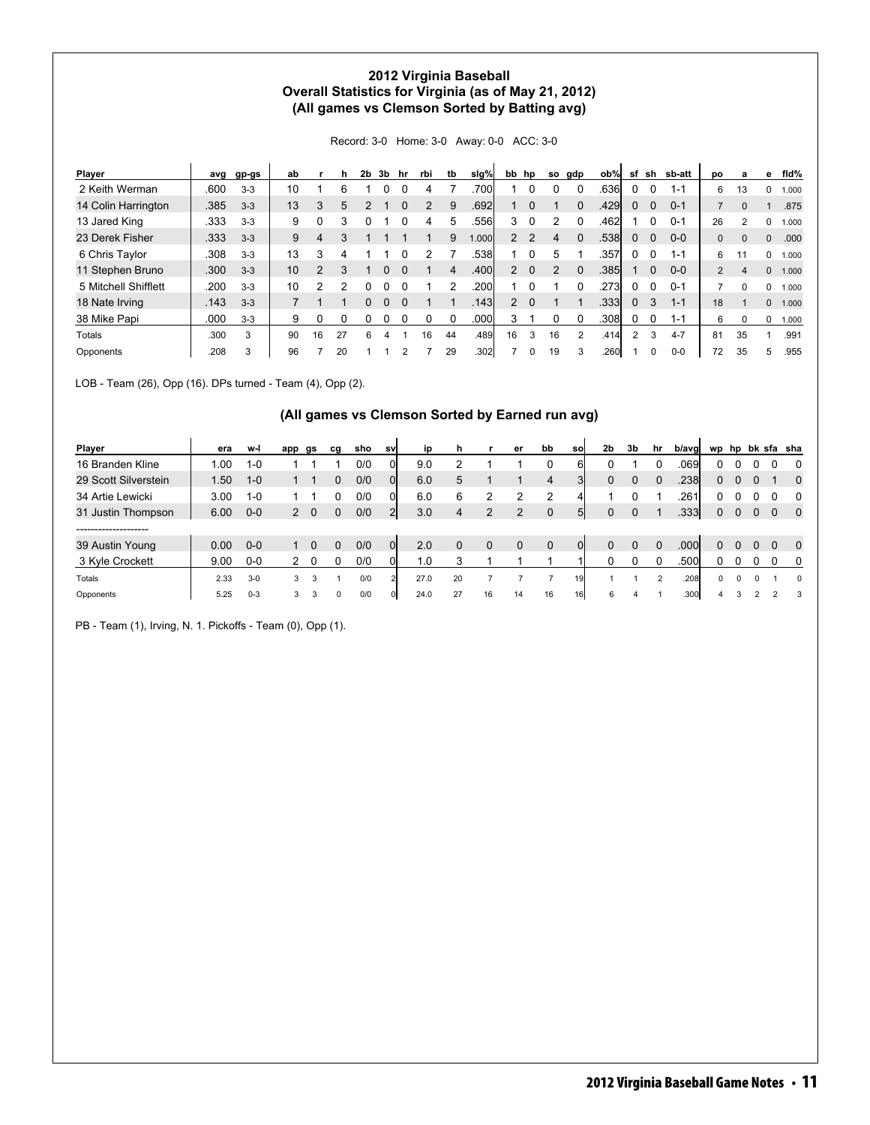### **2012 Virginia Baseball Overall Statistics for Virginia (as of May 21, 2012) (All games vs Clemson Sorted by Batting avg)**

Record: 3-0 Home: 3-0 Away: 0-0 ACC: 3-0

| Player               | avg  | gp-gs   | ab |                | h. | 2b | 3b | hr | rbi | tb | slg%  | bb             | hp       | so | gdp      | ob%   | sf       | sh          | sb-att  | po             | a            | е | fid%  |
|----------------------|------|---------|----|----------------|----|----|----|----|-----|----|-------|----------------|----------|----|----------|-------|----------|-------------|---------|----------------|--------------|---|-------|
| 2 Keith Werman       | .600 | $3 - 3$ | 10 |                | 6  |    |    |    |     |    | .700  |                |          |    |          | .636  |          | 0           | 1-1     | 6              | 13           | 0 | 1.000 |
| 14 Colin Harrington  | .385 | $3 - 3$ | 13 | 3              | 5  |    |    |    |     | 9  | .692  |                |          |    |          | .429  | 0        | 0           | $0 - 1$ |                | 0            |   | .875  |
| 13 Jared King        | .333 | $3-3$   | 9  | 0              |    |    |    |    |     |    | .556  | 3              |          |    |          | .462  |          |             | $0 - 1$ | 26             | 2            | 0 | 1.000 |
| 23 Derek Fisher      | .333 | $3 - 3$ | 9  | 4              |    |    |    |    |     | 9  | 1.000 | $\mathbf{2}$   |          | 4  |          | .5381 | 0        | $\Omega$    | $0 - 0$ | 0              | $\mathbf{0}$ | 0 | .000  |
| 6 Chris Taylor       | .308 | $3 - 3$ | 13 | 3              |    |    |    |    |     |    | .5381 |                |          |    |          | .357  |          | 0           | $1 - 1$ | 6              |              | 0 | 1.000 |
| 11 Stephen Bruno     | .300 | $3 - 3$ | 10 | $\mathfrak{p}$ |    |    |    |    |     | 4  | .400  | $\overline{2}$ | $\Omega$ |    | $\Omega$ | .3851 |          | $\mathbf 0$ | $0 - 0$ | $\overline{2}$ | 4            | 0 | 1.000 |
| 5 Mitchell Shifflett | .200 | $3 - 3$ | 10 |                |    |    |    |    |     |    | .200  |                |          |    |          | .2731 | 0        | 0           | $0 - 1$ |                | 0            | 0 | 1.000 |
| 18 Nate Irving       | .143 | $3 - 3$ |    |                |    |    |    |    |     |    | .1431 | $\overline{2}$ | $\Omega$ |    |          | .3331 | $\Omega$ | 3           | $1 - 1$ | 18             |              | 0 | 1.000 |
| 38 Mike Papi         | .000 | $3 - 3$ | 9  | 0              |    |    |    |    |     |    | .000  | 3              |          |    |          | .3081 |          | 0           | $1 - 1$ | 6              | $\Omega$     | 0 | 1.000 |
| Totals               | .300 | 3       | 90 | 16             | 27 | 6  | 4  |    | 16  | 44 | .489  | 16             | 3        | 16 | 2        | .414  | 2        | 3           | $4 - 7$ | 81             | 35           |   | .991  |
| Opponents            | 208  | 3       | 96 |                | 20 |    |    |    |     | 29 | .302  |                |          | 19 | 3        | .2601 |          | $\Omega$    | $0-0$   | 72             | 35           | 5 | .955  |

LOB - Team (26), Opp (16). DPs turned - Team (4), Opp (2).

#### **(All games vs Clemson Sorted by Earned run avg)**

| Player               | era  | w-l     | app          | gs          | cg | sho | <b>SV</b>      | ip   |    |    | er       | bb          | sol            | 2 <sub>b</sub> | 3b | hr | b/avgl            |              |   |          |          | wp hp bk sfa sha |
|----------------------|------|---------|--------------|-------------|----|-----|----------------|------|----|----|----------|-------------|----------------|----------------|----|----|-------------------|--------------|---|----------|----------|------------------|
| 16 Branden Kline     | 1.00 | $1 - 0$ |              |             |    | 0/0 |                | 9.0  |    |    |          | 0           | 6              |                |    |    | .069'             | 0            |   |          |          | 0                |
| 29 Scott Silverstein | .50  | $1 - 0$ |              |             |    | 0/0 | Οl             | 6.0  | 5  |    |          | 4           |                | 0              |    |    | .2381             | 0            |   |          |          | $\Omega$         |
| 34 Artie Lewicki     | 3.00 | $1 - 0$ |              |             |    | 0/0 |                | 6.0  | 6  |    |          | 2           |                |                |    |    | .261              |              |   |          |          | 0                |
| 31 Justin Thompson   | 6.00 | $0-0$   |              | $2 \quad 0$ |    | 0/0 | 2 <sup>1</sup> | 3.0  | 4  | 2  |          | $\Omega$    | 5 <sup>1</sup> | 0              |    |    | .3331             | $\mathbf{0}$ |   |          | $\Omega$ | $\mathbf{0}$     |
| ------------------   |      |         |              |             |    |     |                |      |    |    |          |             |                |                |    |    |                   |              |   |          |          |                  |
| 39 Austin Young      | 0.00 | $0-0$   |              |             |    | 0/0 | 0l             | 2.0  |    | 0  | $\Omega$ | $\mathbf 0$ |                |                |    |    | .000 <sub>l</sub> | 0            |   |          |          | $\Omega$         |
| 3 Kyle Crockett      | 9.00 | $0-0$   |              | U           |    | 0/0 |                | 1.0  |    |    |          |             |                |                |    |    | .500l             | 0            |   |          |          | 0                |
| Totals               | 2.33 | $3-0$   | 3            | 3           |    | 0/0 |                | 27.0 | 20 |    |          |             | 19             |                |    |    | .208              | 0            | 0 | $\Omega$ |          | 0                |
| Opponents            | 5.25 | $0 - 3$ | $\mathbf{3}$ | 3           | 0  | 0/0 |                | 24.0 | 27 | 16 | 14       | 16          | 16I            | 6              |    |    | .300              |              |   |          |          | 3                |

PB - Team (1), Irving, N. 1. Pickoffs - Team (0), Opp (1).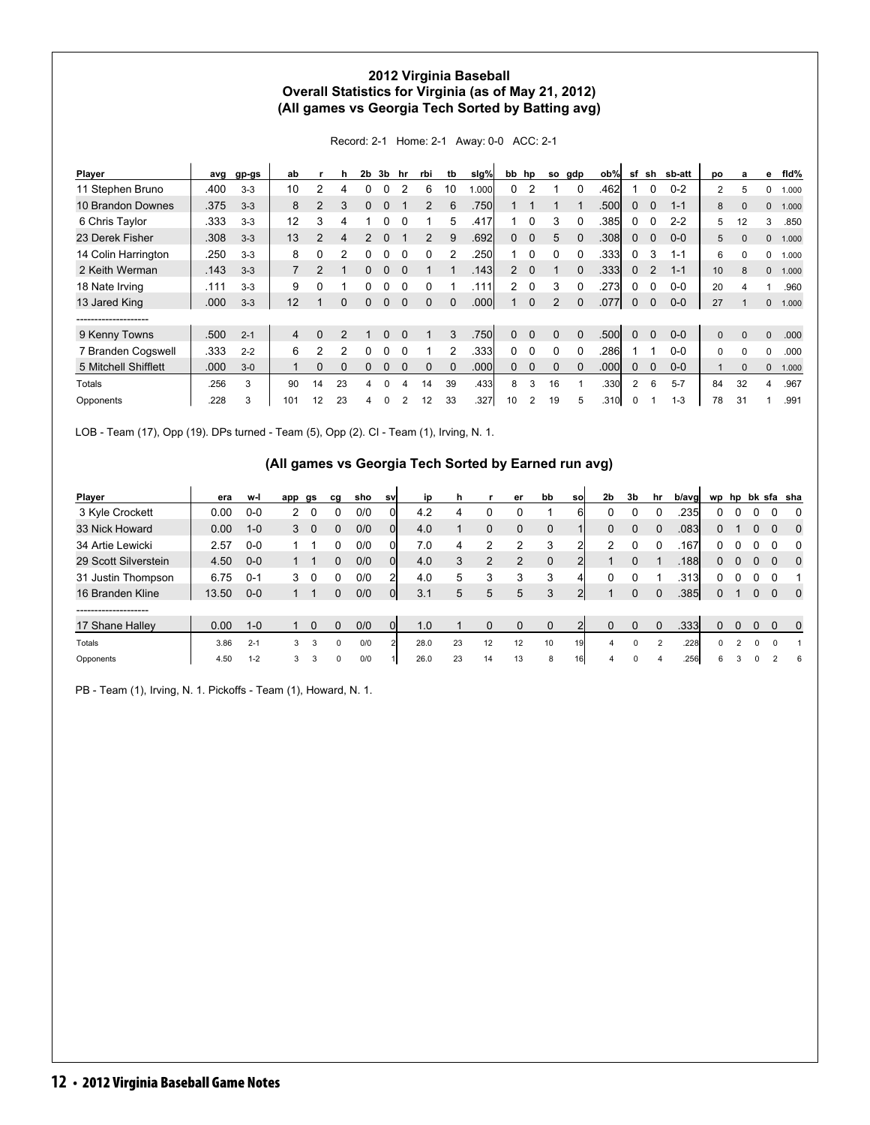### **2012 Virginia Baseball Overall Statistics for Virginia (as of May 21, 2012) (All games vs Georgia Tech Sorted by Batting avg)**

Record: 2-1 Home: 2-1 Away: 0-0 ACC: 2-1

| Player               | avg  | gp-gs   | ab             |                | h        | 2b       | 3b | hr | rbi          | tb       | slg%  | bb hp    |                | so       | gdp      | ob%   | sf             | sh       | sb-att  | po             | a        | е        | fid%  |
|----------------------|------|---------|----------------|----------------|----------|----------|----|----|--------------|----------|-------|----------|----------------|----------|----------|-------|----------------|----------|---------|----------------|----------|----------|-------|
| 11 Stephen Bruno     | .400 | $3 - 3$ | 10             | 2              | 4        |          |    |    | 6            | 10       | 000.1 | $\Omega$ |                |          |          | .462  |                | 0        | $0 - 2$ | $\overline{2}$ | 5        | 0        | 1.000 |
| 10 Brandon Downes    | .375 | $3 - 3$ | 8              | 2              | 3        | $\Omega$ |    |    |              | 6        | .750  |          |                |          |          | .500  | $\mathbf 0$    | 0        | $1 - 1$ | 8              | $\Omega$ | 0        | 1.000 |
| 6 Chris Taylor       | .333 | $3-3$   | 12             | 3              | 4        |          |    |    |              | 5        | .417  |          |                | 3        |          | .385  | <sup>0</sup>   | 0        | $2 - 2$ | 5              | 12       | 3        | .850  |
| 23 Derek Fisher      | .308 | $3 - 3$ | 13             | $\mathfrak{p}$ | 4        |          |    |    | 2            | 9        | .692  | 0        |                | 5.       |          | .3081 | $\Omega$       | $\Omega$ | $0 - 0$ | 5              | $\Omega$ | 0        | 1.000 |
| 14 Colin Harrington  | .250 | $3 - 3$ | 8              | 0              | 2        |          |    |    | <sup>0</sup> | 2        | .250  | 1        |                | $\Omega$ |          | .3331 | 0              | 3        | $1 - 1$ | 6              | U        | 0        | 1.000 |
| 2 Keith Werman       | .143 | $3-3$   | $\overline{7}$ | $\mathcal{P}$  |          |          |    |    |              |          | .143  | 2        | $\Omega$       |          |          | .3331 | $\Omega$       | 2        | $1 - 1$ | 10             | 8        | $\Omega$ | 1.000 |
| 18 Nate Irving       | .111 | $3-3$   | 9              | 0              |          |          |    |    | 0            |          | .111  | 2        | 0              | 3        | 0        | .273  | 0              | 0        | $0-0$   | 20             | 4        |          | .960  |
| 13 Jared King        | .000 | $3 - 3$ | 12             |                | $\Omega$ | $\Omega$ | 0  |    | $\Omega$     | $\Omega$ | .000  |          | $\Omega$       | 2        |          | .077  | $\mathbf{0}$   | $\Omega$ | $0-0$   | 27             |          | $\Omega$ | 1.000 |
| -------------------  |      |         |                |                |          |          |    |    |              |          |       |          |                |          |          |       |                |          |         |                |          |          |       |
| 9 Kenny Towns        | .500 | $2 - 1$ | $\overline{4}$ | $\Omega$       | 2        |          | 0  |    |              | 3        | .750  | $\Omega$ | $\Omega$       | $\Omega$ | $\Omega$ | .500  | $\Omega$       | $\Omega$ | $0 - 0$ | $\Omega$       | $\Omega$ | $\Omega$ | .000  |
| 7 Branden Cogswell   | .333 | $2 - 2$ | 6              | 2              | 2        | 0        |    |    |              |          | .333  | 0        | $\Omega$       | $\Omega$ | $\Omega$ | .286  |                |          | $0 - 0$ | 0              | $\Omega$ | 0        | .000  |
| 5 Mitchell Shifflett | .000 | $3 - 0$ |                | 0              |          |          |    |    |              |          | .000  | 0        |                | 0        |          | .000  |                | $\Omega$ | $0 - 0$ |                | $\Omega$ | $\Omega$ | 1.000 |
| Totals               | .256 | 3       | 90             | 14             | 23       | 4        | 0  | 4  | 14           | 39       | .433  | 8        | 3              | 16       |          | .330  | $\overline{2}$ | 6        | $5 - 7$ | 84             | 32       | 4        | .967  |
| Opponents            | .228 | 3       | 101            | 12             | 23       | 4        |    |    | 12           | 33       | .327  | 10       | $\mathfrak{p}$ | 19       | 5        | .310  | 0              |          | $1 - 3$ | 78             | 31       |          | .991  |

LOB - Team (17), Opp (19). DPs turned - Team (5), Opp (2). CI - Team (1), Irving, N. 1.

### **(All games vs Georgia Tech Sorted by Earned run avg)**

| Player               | era   | w-l     | app | gs | ca       | sho | <b>SV</b> | ip   |    |                | er       | bb          | <b>SO</b>      | 2b            | 3b       | hr             | b/avgl | wp           | hp |          |          | bk sfa sha   |
|----------------------|-------|---------|-----|----|----------|-----|-----------|------|----|----------------|----------|-------------|----------------|---------------|----------|----------------|--------|--------------|----|----------|----------|--------------|
| 3 Kyle Crockett      | 0.00  | $0-0$   | 2   | 0  |          | 0/0 |           | 4.2  | 4  |                | 0        |             | 61             |               |          |                | .235   |              |    |          |          | 0            |
| 33 Nick Howard       | 0.00  | $1 - 0$ | 3   | 0  | 0        | 0/0 | 0         | 4.0  |    | 0              | 0        | 0           |                | 0             | 0        | 0              | .083   |              |    | 0        |          | 0            |
| 34 Artie Lewicki     | 2.57  | $0-0$   |     |    |          | 0/0 |           | 7.0  | 4  |                | 2        | 3           | າ              | $\mathcal{P}$ | 0        |                | .167   |              |    |          |          | 0            |
| 29 Scott Silverstein | 4.50  | $0-0$   |     |    | 0        | 0/0 | 0         | 4.0  |    | $\overline{2}$ | 2        | 0           | $\overline{2}$ |               | $\Omega$ |                | .188   | 0            |    | $\Omega$ |          | 0            |
| 31 Justin Thompson   | 6.75  | $0 - 1$ | 3   | 0  | 0        | 0/0 | 2         | 4.0  | 5  | 3              | 3        | 3           | 4              |               |          |                | .313   |              |    |          |          |              |
| 16 Branden Kline     | 13.50 | $0-0$   |     |    | 0        | 0/0 | 0l        | 3.1  | 5  | 5              | 5        | 3           | $\overline{2}$ |               | $\Omega$ | $\Omega$       | .385   | 0            |    | $\Omega$ | $\Omega$ | $\mathbf{0}$ |
| -------------------  |       |         |     |    |          |     |           |      |    |                |          |             |                |               |          |                |        |              |    |          |          |              |
| 17 Shane Halley      | 0.00  | $1 - 0$ |     | 0  | 0        | 0/0 |           | 1.0  |    | 0              | $\Omega$ | $\mathbf 0$ |                | $\Omega$      | $\Omega$ | $\Omega$       | .333   |              |    |          |          | 0            |
| Totals               | 3.86  | $2 - 1$ | 3   | 3  | $\Omega$ | 0/0 |           | 28.0 | 23 | 12             | 12       | 10          | 19             | 4             | 0        | $\overline{2}$ | .228   | <sup>0</sup> |    | $\Omega$ | $\Omega$ |              |
| Opponents            | 4.50  | $1 - 2$ | 3   | 3  | $\Omega$ | 0/0 |           | 26.0 | 23 | 14             | 13       | 8           | <b>16</b>      | 4             |          |                | .256   | 6            |    |          | 2        | 6            |

PB - Team (1), Irving, N. 1. Pickoffs - Team (1), Howard, N. 1.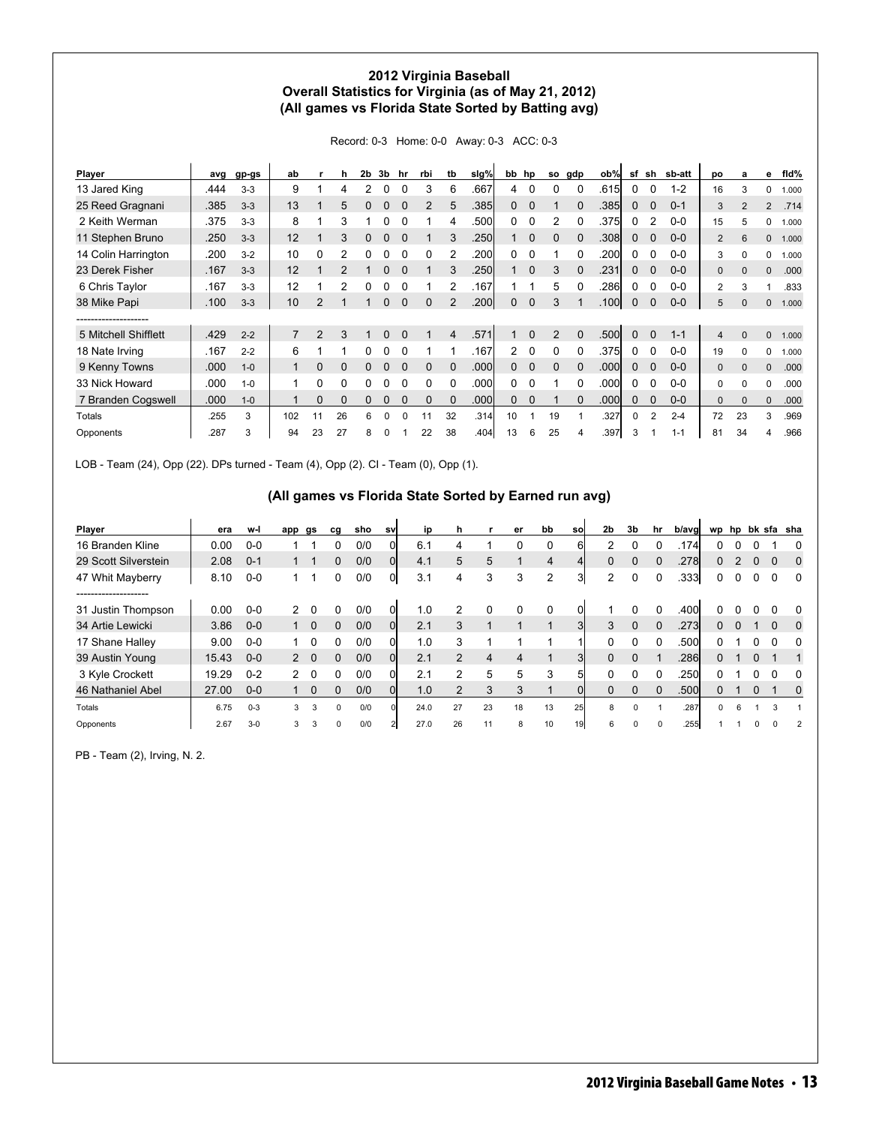### **2012 Virginia Baseball Overall Statistics for Virginia (as of May 21, 2012) (All games vs Florida State Sorted by Batting avg)**

Record: 0-3 Home: 0-0 Away: 0-3 ACC: 0-3

| Player               | avg  | gp-gs   | ab             |               | h             | 2b | 3b | hr           | rbi      | tb             | slg%              | bb           | hp       | so             | gdp          | ob%               | sf       | sh             | sb-att  | po             | a              | е              | fid%  |
|----------------------|------|---------|----------------|---------------|---------------|----|----|--------------|----------|----------------|-------------------|--------------|----------|----------------|--------------|-------------------|----------|----------------|---------|----------------|----------------|----------------|-------|
| 13 Jared King        | .444 | $3-3$   | 9              |               |               |    |    |              | 3        | 6              | .667              | 4            | 0        |                |              | .615              | 0        | 0              | $1 - 2$ | 16             | 3              | 0              | 1.000 |
| 25 Reed Gragnani     | .385 | $3 - 3$ | 13             |               | 5             | 0  | 0  | $\Omega$     | 2        | 5              | .385              | $\mathbf{0}$ | $\Omega$ |                | 0            | .385              | 0        | 0              | $0 - 1$ | 3              | $\overline{2}$ | $\overline{2}$ | .714  |
| 2 Keith Werman       | .375 | $3-3$   | 8              |               | 3             |    | N  |              |          | 4              | .500              | 0            | 0        | 2              | <sup>0</sup> | .375              | 0        | 2              | $0 - 0$ | 15             | 5              | 0              | 1.000 |
| 11 Stephen Bruno     | .250 | $3-3$   | 12             |               | 3             |    | 0  |              |          | 3              | .250              |              | $\Omega$ | $\Omega$       | $\Omega$     | .308              | $\Omega$ | $\Omega$       | $0 - 0$ | 2              | 6              | 0              | 1.000 |
| 14 Colin Harrington  | .200 | $3-2$   | 10             | $\Omega$      | 2             |    |    |              | 0        | 2              | .200              | 0            | $\Omega$ |                | 0            | .200              | 0        | 0              | $0-0$   | 3              | 0              | 0              | 1.000 |
| 23 Derek Fisher      | .167 | $3-3$   | 12             |               | $\mathcal{P}$ |    | 0  |              |          | 3              | .250              |              | $\Omega$ | 3              | $\Omega$     | .231              | $\Omega$ | $\Omega$       | $0 - 0$ | $\Omega$       | 0              | 0              | .000  |
| 6 Chris Taylor       | .167 | $3-3$   | 12             |               | 2             |    |    |              |          |                | .167              |              |          | 5              |              | .286              | 0        | 0              | $0 - 0$ | $\overline{2}$ | 3              |                | .833  |
| 38 Mike Papi         | .100 | $3 - 3$ | 10             | $\mathcal{P}$ |               |    | 0  | $\Omega$     | $\Omega$ |                | .200              | $\mathbf{0}$ | $\Omega$ | 3              |              | .100              | $\Omega$ | $\mathbf 0$    | $0-0$   | 5              | 0              | 0              | 1.000 |
| -----------------    |      |         |                |               |               |    |    |              |          |                |                   |              |          |                |              |                   |          |                |         |                |                |                |       |
| 5 Mitchell Shifflett | .429 | $2 - 2$ | $\overline{7}$ | 2             | 3             |    | 0  |              |          | $\overline{4}$ | .571              |              | $\Omega$ | $\overline{2}$ | $\Omega$     | .500l             | $\Omega$ | $\Omega$       | $1 - 1$ | 4              | $\Omega$       | 0              | 1.000 |
| 18 Nate Irving       | .167 | $2 - 2$ | 6              |               |               |    | 0  |              |          |                | .167              | $\mathbf{2}$ | $\Omega$ | $\Omega$       | $\Omega$     | .375              | $\Omega$ | 0              | $0-0$   | 19             | 0              | 0              | 1.000 |
| 9 Kenny Towns        | .000 | $1 - 0$ |                | 0             | 0             |    | N  |              | $\Omega$ | $\Omega$       | .000 <sub>1</sub> | $\Omega$     | $\Omega$ | $\Omega$       | $\Omega$     | .000 <sub>1</sub> | $\Omega$ | $\Omega$       | $0 - 0$ | 0              | $\Omega$       | 0              | .000  |
| 33 Nick Howard       | .000 | $1 - 0$ |                | 0             | 0             |    |    |              | 0        | 0              | .000              | 0            | 0        |                |              | .000              | 0        | 0              | $0 - 0$ | 0              | 0              | 0              | .000  |
| 7 Branden Cogswell   | .000 | $1 - 0$ |                | $\Omega$      | 0             | 0  | 0  | $\Omega$     | $\Omega$ | $\Omega$       | .000              | 0            | $\Omega$ |                | $\Omega$     | .000              | 0        | $\mathbf 0$    | $0-0$   | 0              | $\Omega$       | 0              | .000  |
| Totals               | .255 | 3       | 102            | 11            | 26            | 6  | 0  | <sup>0</sup> | 11       | 32             | .314              | 10           |          | 19             |              | .327              | $\Omega$ | $\overline{2}$ | $2 - 4$ | 72             | 23             | 3              | .969  |
| Opponents            | 287  | 3       | 94             | 23            | 27            | 8  |    |              | 22       | 38             | .404              | 13           | 6        | 25             | 4            | .397              | 3        |                | $1 - 1$ | 81             | 34             | 4              | .966  |

LOB - Team (24), Opp (22). DPs turned - Team (4), Opp (2). CI - Team (0), Opp (1).

### **(All games vs Florida State Sorted by Earned run avg)**

| Player               | era   | w-l     | app           | gs       | ca       | sho | sv       | ip   | n              |    | er | bb | sol             | 2 <sub>b</sub> | 3b       | hr       | b/aval |   |          |          |   | wp hp bk sfa sha |
|----------------------|-------|---------|---------------|----------|----------|-----|----------|------|----------------|----|----|----|-----------------|----------------|----------|----------|--------|---|----------|----------|---|------------------|
| 16 Branden Kline     | 0.00  | $0-0$   |               |          | 0        | 0/0 | ΟI       | 6.1  |                |    | 0  | 0  | 61              | 2              | 0        | 0        | .174   |   |          |          |   | 0                |
| 29 Scott Silverstein | 2.08  | $0 - 1$ |               |          | 0        | 0/0 | Οl       | 4.1  | 5              | 5  |    | 4  |                 | $\Omega$       | $\Omega$ | $\Omega$ | .278   | 0 |          | 0        |   | 0                |
| 47 Whit Mayberry     | 8.10  | $0-0$   |               |          | 0        | 0/0 | 01       | 3.1  | 4              | 3  | 3  | 2  | 31              | 2              | 0        |          | .333   | 0 |          |          |   | $\Omega$         |
| -------------------  |       |         |               |          |          |     |          |      |                |    |    |    |                 |                |          |          |        |   |          |          |   |                  |
| 31 Justin Thompson   | 0.00  | $0-0$   | $\mathcal{P}$ | 0        | 0        | 0/0 |          | 1.0  |                | 0  | 0  | 0  |                 |                |          |          | .400   |   |          |          |   | $\Omega$         |
| 34 Artie Lewicki     | 3.86  | $0-0$   |               | $\Omega$ | 0        | 0/0 | $\Omega$ | 2.1  | 3              |    |    |    | 3 <sup>l</sup>  | 3              | $\Omega$ | $\Omega$ | .273   | 0 | $\Omega$ |          | 0 | 0                |
| 17 Shane Halley      | 9.00  | $0-0$   |               | 0        | 0        | 0/0 |          | 1.0  | 3              |    |    |    |                 |                |          |          | .500l  |   |          |          |   | $\Omega$         |
| 39 Austin Young      | 15.43 | $0 - 0$ | $\mathcal{P}$ | $\Omega$ | 0        | 0/0 | $\Omega$ | 2.1  | $\mathfrak{p}$ | 4  | 4  |    | 31              | $\Omega$       | $\Omega$ |          | .286l  | 0 |          | $\Omega$ |   |                  |
| 3 Kyle Crockett      | 19.29 | $0 - 2$ | $\mathbf{2}$  | $\Omega$ | 0        | 0/0 |          | 2.1  |                | 5  | 5  | 3  | 51              |                |          |          | .250   |   |          |          |   | 0                |
| 46 Nathaniel Abel    | 27.00 | $0-0$   |               | $\Omega$ | 0        | 0/0 | Οl       | 1.0  |                | 3  | 3  |    | 01              | 0              |          |          | .500l  |   |          | 0        |   | 0                |
| Totals               | 6.75  | $0 - 3$ | 3             | 3        | $\Omega$ | 0/0 |          | 24.0 | 27             | 23 | 18 | 13 | 25              | 8              |          |          | .287   | 0 | 6        |          | 3 |                  |
| Opponents            | 2.67  | $3 - 0$ |               | 3        | $\Omega$ | 0/0 |          | 27.0 | 26             | 11 | 8  | 10 | 19 <sup>l</sup> |                |          |          | .255   |   |          |          |   |                  |

PB - Team (2), Irving, N. 2.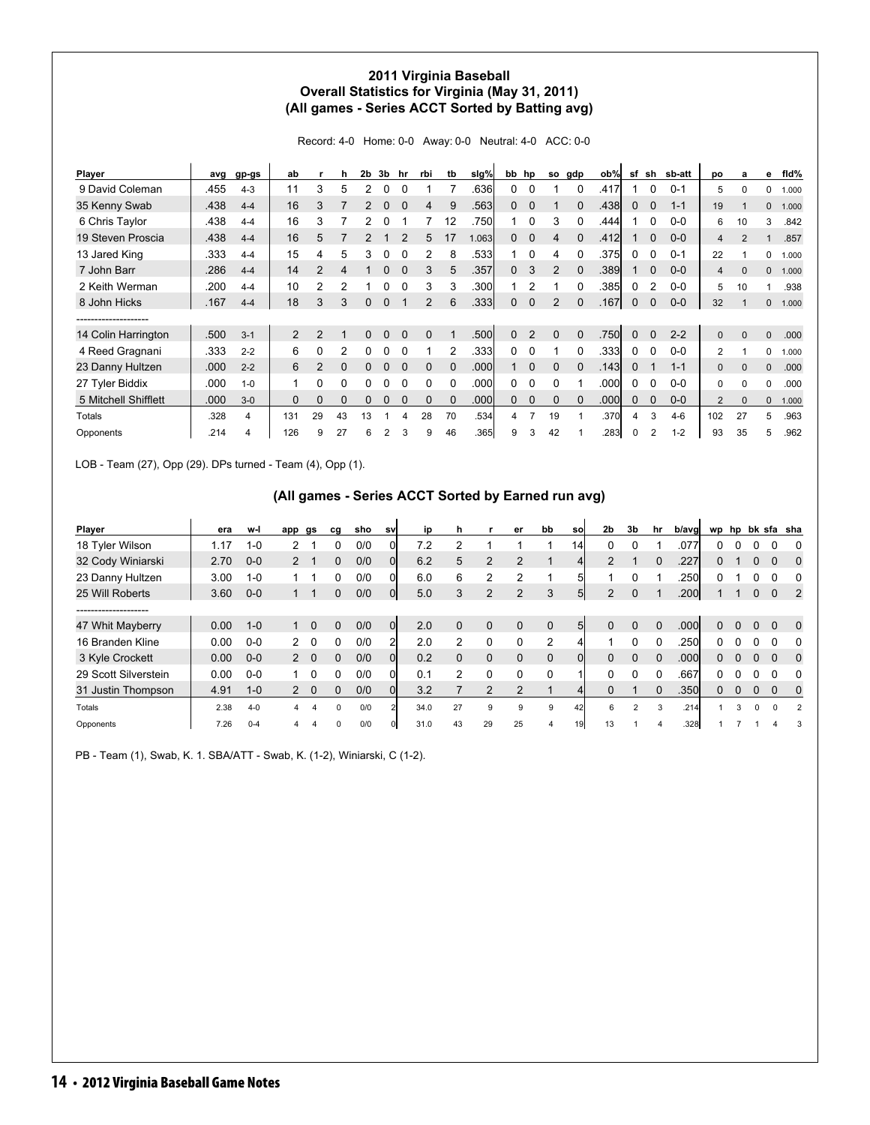### **2011 Virginia Baseball Overall Statistics for Virginia (May 31, 2011) (All games - Series ACCT Sorted by Batting avg)**

Record: 4-0 Home: 0-0 Away: 0-0 Neutral: 4-0 ACC: 0-0

| Player               | avg  | gp-gs   | ab       |                | h              | 2 <sub>b</sub> | 3 <sub>b</sub> | hr       | rbi            | tb       | slg%  |              | bb hp          | so       | gdp          | ob%  | sf          | sh       | sb-att  | po             | a            | е           | fid%  |
|----------------------|------|---------|----------|----------------|----------------|----------------|----------------|----------|----------------|----------|-------|--------------|----------------|----------|--------------|------|-------------|----------|---------|----------------|--------------|-------------|-------|
| 9 David Coleman      | .455 | $4 - 3$ | 11       | 3              | 5              |                |                |          |                |          | .636  | 0            |                |          |              | .417 |             | 0        | $0 - 1$ | 5              | 0            | 0           | 1.000 |
| 35 Kenny Swab        | .438 | $4 - 4$ | 16       | 3              |                | $\mathcal{P}$  | 0              |          | 4              | 9        | .563  | $\mathbf{0}$ | $\Omega$       |          |              | .438 | $\mathbf 0$ | 0        | $1 - 1$ | 19             |              | 0           | 1.000 |
| 6 Chris Taylor       | .438 | $4 - 4$ | 16       | 3              |                | 2              |                |          |                | 12       | .750  | 1            |                | 3        | <sup>0</sup> | .444 |             | 0        | $0 - 0$ | 6              | 10           | 3           | .842  |
| 19 Steven Proscia    | .438 | $4 - 4$ | 16       | 5              |                | 2              |                |          | 5              | 17       | 1.063 | 0            |                | 4        |              | .412 |             | $\Omega$ | $0 - 0$ | 4              | 2            | $\mathbf 1$ | .857  |
| 13 Jared King        | .333 | $4 - 4$ | 15       | 4              | 5              | 3              |                |          | 2              | 8        | .533  |              |                | 4        |              | .375 |             | 0        | $0 - 1$ | 22             |              | 0           | 1.000 |
| 7 John Barr          | .286 | $4 - 4$ | 14       | 2              | 4              |                | 0              |          | 3              | 5        | .357  | $\mathbf{0}$ | 3              | 2        | $\Omega$     | .389 |             | $\Omega$ | $0 - 0$ | $\overline{4}$ | $\Omega$     | $\Omega$    | 1.000 |
| 2 Keith Werman       | .200 | $4 - 4$ | 10       | $\overline{2}$ | $\overline{2}$ |                |                |          | 3              | 3        | .300  |              | 2              |          |              | .385 | 0           | 2        | $0 - 0$ | 5              | 10           |             | .938  |
| 8 John Hicks         | .167 | $4 - 4$ | 18       | 3              | 3              | $\Omega$       | $\Omega$       |          | $\overline{2}$ | 6        | .333  | $\Omega$     | $\Omega$       | 2        |              | .167 | $\mathbf 0$ | $\Omega$ | $0-0$   | 32             |              | 0           | 1.000 |
| -----------------    |      |         |          |                |                |                |                |          |                |          |       |              |                |          |              |      |             |          |         |                |              |             |       |
| 14 Colin Harrington  | .500 | $3 - 1$ | 2        | $\overline{2}$ |                | $\Omega$       | 0              | $\Omega$ | $\Omega$       |          | .500  | $\Omega$     | $\overline{2}$ | $\Omega$ | $\Omega$     | .750 | $\Omega$    | $\Omega$ | $2 - 2$ | $\mathbf{0}$   | $\Omega$     | $\Omega$    | .000  |
| 4 Reed Gragnani      | .333 | $2 - 2$ | 6        | 0              |                | $\Omega$       |                |          |                | 2        | .333  | 0            | 0              |          |              | .333 | 0           | 0        | $0-0$   | 2              |              | 0           | 1.000 |
| 23 Danny Hultzen     | .000 | $2 - 2$ | 6        | 2              | $\Omega$       | $\Omega$       | O              |          | $\Omega$       | $\Omega$ | .000  | 1            | $\Omega$       | $\Omega$ | $\Omega$     | .143 | $\Omega$    |          | $1 - 1$ | $\mathbf{0}$   | $\Omega$     | $\Omega$    | .000  |
| 27 Tyler Biddix      | .000 | $1 - 0$ |          | 0              | 0              | 0              |                |          | 0              | 0        | .000  | 0            | 0              | O        |              | .000 | 0           | 0        | $0 - 0$ | 0              | <sup>0</sup> | 0           | .000  |
| 5 Mitchell Shifflett | .000 | $3 - 0$ | $\Omega$ | $\Omega$       | $\Omega$       | $\Omega$       | 0              | $\Omega$ | $\Omega$       | $\Omega$ | .000  | 0            | $\Omega$       | 0        | $\Omega$     | .000 | 0           | $\Omega$ | $0-0$   | $\overline{2}$ | $\Omega$     | 0           | 1.000 |
| Totals               | .328 | 4       | 131      | 29             | 43             | 13             |                | 4        | 28             | 70       | .534  | 4            |                | 19       |              | .370 | 4           | 3        | $4-6$   | 102            | 27           | 5           | .963  |
| Opponents            | .214 | 4       | 126      | 9              | 27             | 6              | 2              |          | 9              | 46       | .365  | 9            | 3              | 42       |              | .283 | 0           | 2        | $1 - 2$ | 93             | 35           | 5           | .962  |

LOB - Team (27), Opp (29). DPs turned - Team (4), Opp (1).

### **(All games - Series ACCT Sorted by Earned run avg)**

| Player               | era  | w-l     | app           | gs             | cg       | sho | sv           | ip   | h  |             | er             | bb             | sol             | 2 <sub>b</sub> | 3b       | hr       | b/avg |    |          |          |              | wp hp bk sfa sha |
|----------------------|------|---------|---------------|----------------|----------|-----|--------------|------|----|-------------|----------------|----------------|-----------------|----------------|----------|----------|-------|----|----------|----------|--------------|------------------|
| 18 Tyler Wilson      | 1.17 | $1 - 0$ | 2             |                | 0        | 0/0 |              | 7.2  |    |             |                |                | 14              |                |          |          | .077  | 0  |          |          |              | 0                |
| 32 Cody Winiarski    | 2.70 | $0 - 0$ | 2             |                | 0        | 0/0 | Οl           | 6.2  | 5  | 2           | 2              |                |                 | $\mathcal{P}$  |          |          | .227  | 0  |          |          |              | 0                |
| 23 Danny Hultzen     | 3.00 | $1 - 0$ |               |                |          | 0/0 | Οl           | 6.0  | 6  | 2           | 2              |                | 5               |                |          |          | .250  |    |          |          |              | 0                |
| 25 Will Roberts      | 3.60 | $0-0$   |               |                | 0        | 0/0 | 0l           | 5.0  | 3  | 2           | $\overline{2}$ | 3              | 5 <sup>1</sup>  | 2              | $\Omega$ |          | .200  |    |          | 0        | 0            | 2                |
| ------------------   |      |         |               |                |          |     |              |      |    |             |                |                |                 |                |          |          |       |    |          |          |              |                  |
| 47 Whit Mayberry     | 0.00 | $1 - 0$ |               | $\Omega$       | 0        | 0/0 | <sub>0</sub> | 2.0  | 0  | $\mathbf 0$ | $\Omega$       | 0              | 5 <sup>1</sup>  | $\Omega$       | $\Omega$ | $\Omega$ | .000l | 0  | $\Omega$ | $\Omega$ | 0            | $\Omega$         |
| 16 Branden Kline     | 0.00 | $0 - 0$ | $\mathcal{P}$ | $\Omega$       | 0        | 0/0 | 2            | 2.0  | 2  | 0           | 0              | $\overline{2}$ | 4               |                |          |          | .250  | 0  |          |          |              | $\Omega$         |
| 3 Kyle Crockett      | 0.00 | $0-0$   | 2             | $\overline{0}$ | 0        | 0/0 | Οl           | 0.2  | 0  | $\mathbf 0$ | $\Omega$       | $\mathbf{0}$   | 0l              | $\Omega$       | $\Omega$ | $\Omega$ | .000  | 0  | $\Omega$ | $\Omega$ | 0            | $\mathbf 0$      |
| 29 Scott Silverstein | 0.00 | $0-0$   |               |                |          | 0/0 |              | 0.1  |    | 0           | 0              | 0              |                 | U              |          |          | .667  |    |          |          |              | 0                |
| 31 Justin Thompson   | 4.91 | $1 - 0$ | 2             | $\Omega$       | 0        | 0/0 | Οl           | 3.2  |    | 2           | 2              |                |                 |                |          |          | .350  | O. | $\Omega$ | $\Omega$ |              | 0                |
| Totals               | 2.38 | $4 - 0$ | 4             |                | $\Omega$ | 0/0 |              | 34.0 | 27 | 9           | 9              | 9              | 42              | 6              |          |          | .214  |    | 3        | $\Omega$ | <sup>0</sup> | $\overline{2}$   |
| Opponents            | 7.26 | $0 - 4$ | 4             |                | $\Omega$ | 0/0 |              | 31.0 | 43 | 29          | 25             |                | 19 <sup>l</sup> | 13             |          |          | .328  |    |          |          |              | 3                |

PB - Team (1), Swab, K. 1. SBA/ATT - Swab, K. (1-2), Winiarski, C (1-2).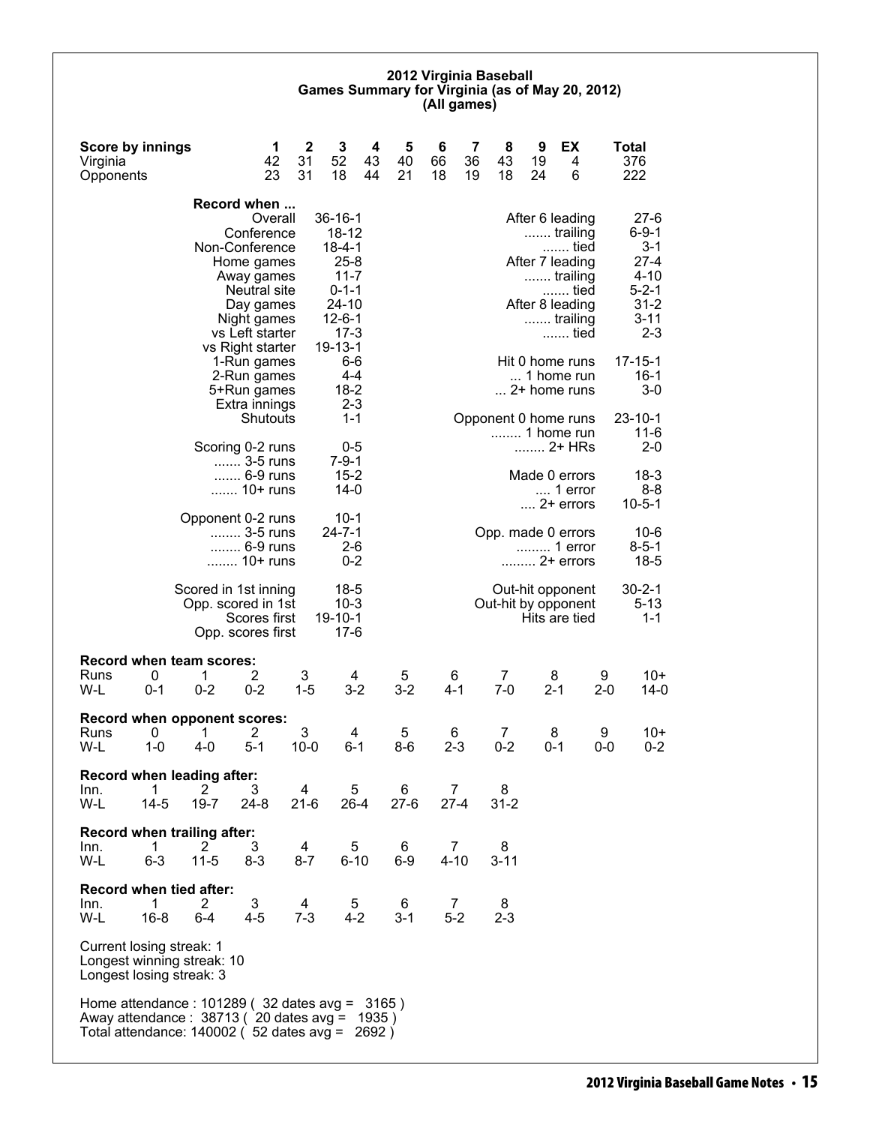#### **2012 Virginia Baseball Games Summary for Virginia (as of May 20, 2012) (All games)**

| <b>Score by innings</b><br>Virginia<br>Opponents                                   |                                                                                                                                                                | 1<br>42<br>23                            | $\mathbf 2$<br>3<br>52<br>31<br>31<br>18  | 4<br>43<br>44                                 | 5<br>40<br>21 | 6<br>66<br>18 | 7<br>36<br>19 | 8<br>43<br>18           | 9<br>19<br>24 | EX<br>4<br>6                                                                       |              | <b>Total</b><br>376<br>222                                                        |
|------------------------------------------------------------------------------------|----------------------------------------------------------------------------------------------------------------------------------------------------------------|------------------------------------------|-------------------------------------------|-----------------------------------------------|---------------|---------------|---------------|-------------------------|---------------|------------------------------------------------------------------------------------|--------------|-----------------------------------------------------------------------------------|
|                                                                                    | Record when                                                                                                                                                    | Overall<br>Conference                    | $36 - 16 - 1$                             | 18-12                                         |               |               |               |                         |               | After 6 leading<br>trailing                                                        |              | $27-6$<br>$6 - 9 - 1$                                                             |
|                                                                                    | Non-Conference<br>Home games<br>Away games<br>vs Left starter                                                                                                  | Neutral site<br>Day games<br>Night games | $18 - 4 - 1$<br>$24 - 10$<br>$12 - 6 - 1$ | $25 - 8$<br>$11 - 7$<br>$0 - 1 - 1$<br>$17-3$ |               |               |               |                         |               | tied<br>After 7 leading<br>trailing<br>tied<br>After 8 leading<br>trailing<br>tied |              | $3 - 1$<br>$27 - 4$<br>$4 - 10$<br>$5 - 2 - 1$<br>$31 - 2$<br>$3 - 11$<br>$2 - 3$ |
|                                                                                    | vs Right starter<br>1-Run games<br>2-Run games<br>5+Run games<br>Extra innings                                                                                 |                                          | $19 - 13 - 1$                             | 6-6<br>4-4<br>$18 - 2$<br>$2 - 3$             |               |               |               |                         |               | Hit 0 home runs<br>1 home run<br>2+ home runs                                      |              | $17 - 15 - 1$<br>$16-1$<br>$3-0$                                                  |
|                                                                                    | Scoring 0-2 runs                                                                                                                                               | Shutouts                                 |                                           | $1 - 1$<br>0-5                                |               |               |               | Opponent 0 home runs    |               | 1 home run<br>2+ HRs                                                               |              | $23 - 10 - 1$<br>$11 - 6$<br>$2 - 0$                                              |
|                                                                                    | 3-5 runs<br>6-9 runs<br>10+ runs                                                                                                                               |                                          |                                           | $7 - 9 - 1$<br>$15 - 2$<br>$14-0$             |               |               |               |                         |               | Made 0 errors<br>$\dots$ 1 error<br>$\dots$ 2+ errors                              |              | $18-3$<br>$8 - 8$<br>$10 - 5 - 1$                                                 |
|                                                                                    | Opponent 0-2 runs<br>3-5 runs<br>6-9 runs<br>10+ runs                                                                                                          |                                          | $24 - 7 - 1$                              | $10-1$<br>$2 - 6$<br>$0 - 2$                  |               |               |               | Opp. made 0 errors      |               | 1 error<br>2+ errors                                                               |              | $10 - 6$<br>$8 - 5 - 1$<br>$18 - 5$                                               |
|                                                                                    | Scored in 1st inning<br>Opp. scored in 1st<br>Opp. scores first                                                                                                | Scores first                             | $19 - 10 - 1$                             | $18-5$<br>$10-3$<br>$17-6$                    |               |               |               | Out-hit by opponent     |               | Out-hit opponent<br>Hits are tied                                                  |              | $30 - 2 - 1$<br>$5 - 13$<br>$1 - 1$                                               |
| 0<br>Runs<br>W-L<br>$0 - 1$                                                        | <b>Record when team scores:</b><br>2<br>1<br>$0 - 2$<br>$0 - 2$                                                                                                |                                          | 3<br>$1 - 5$                              | 4<br>$3 - 2$                                  | 5<br>$3 - 2$  | 6<br>$4 - 1$  |               | $\overline{7}$<br>$7-0$ | 8<br>$2 - 1$  |                                                                                    | 9<br>$2 - 0$ | $10+$<br>$14-0$                                                                   |
| 0<br>Runs<br>$1 - 0$<br>W-L                                                        | Record when opponent scores:<br>2<br>1<br>$4 - 0$<br>$5 - 1$                                                                                                   |                                          | 3<br>$10 - 0$                             | 4<br>$6 - 1$                                  | 5<br>$8-6$    | 6<br>$2 - 3$  |               | 7<br>$0 - 2$            | 8<br>0-1      |                                                                                    | 9<br>0-0     | $10+$<br>$0 - 2$                                                                  |
| 1<br>Inn.<br>W-L<br>14-5                                                           | Record when leading after:<br>$\mathbf{2}^{\prime}$<br>3<br>$19 - 7$<br>$24 - 8$                                                                               |                                          | 4<br>$21-6$                               | 5<br>$26 - 4$                                 | 6<br>$27-6$   | 7<br>$27 - 4$ |               | 8<br>$31 - 2$           |               |                                                                                    |              |                                                                                   |
| 1<br>Inn.<br>W-L<br>$6 - 3$                                                        | Record when trailing after:<br>3<br>2<br>$11 - 5$<br>8-3                                                                                                       |                                          | 4<br>$8 - 7$                              | 5<br>$6 - 10$                                 | 6<br>$6-9$    | 7<br>$4 - 10$ |               | 8<br>$3 - 11$           |               |                                                                                    |              |                                                                                   |
| Record when tied after:<br>Inn.<br>1<br>W-L<br>$16 - 8$                            | 3<br>2.<br>$4 - 5$<br>$6 - 4$                                                                                                                                  |                                          | 4<br>$7-3$                                | 5<br>$4 - 2$                                  | 6<br>$3 - 1$  | 7<br>$5-2$    |               | 8<br>$2 - 3$            |               |                                                                                    |              |                                                                                   |
| Current losing streak: 1<br>Longest winning streak: 10<br>Longest losing streak: 3 |                                                                                                                                                                |                                          |                                           |                                               |               |               |               |                         |               |                                                                                    |              |                                                                                   |
|                                                                                    | Home attendance : 101289 (32 dates avg = 3165)<br>Away attendance: 38713 (20 dates avg = 1935)<br>Total attendance: 140002 ( $\overline{52}$ dates avg = 2692) |                                          |                                           |                                               |               |               |               |                         |               |                                                                                    |              |                                                                                   |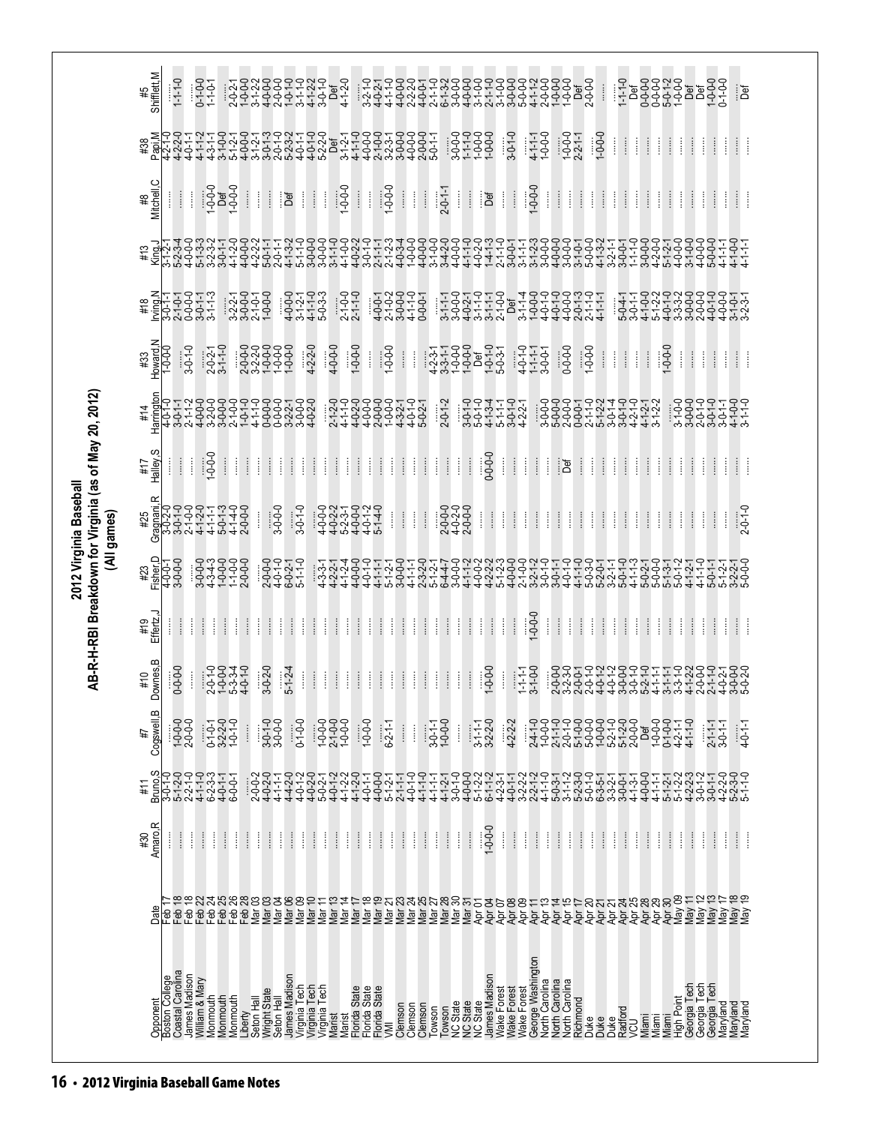|                                                        |                                       | Opponent<br>Boston College<br>Coastal Carolina |                                                                | James Madison<br>William & Mary         | Monmouth                                          |          | Monmouth<br>Monmouth             | Liberty       | Seton <sup>'</sup> Hall         | Wright State<br>Seton Hall                                | James Madison   |                                                           |                                                                                                                                                                   | Virginia Tech<br>Virginia Tech<br>Virginia Tech                                   | Marist                                                    |                                                                                         |                    | Marist<br>Florida State<br>Florida State<br>Florida State<br>VMI                                         |                 | Clemson<br>Clemson                                        |                           | Clemson<br>Towson                                              | Towson                        | NC State<br>NC State<br>NC State |                                                           | James Madison                                                  | Wake Forest          | Wake Forest<br>Wake Forest                                |                            |                                                    | George Washington<br>North Carolina<br>North Carolina<br>North Carolina                                                                       |                            | Richmond<br>Duke                                               | Duke                                                      |               | Duke<br>Radford<br>VCU | Miami    | Miami                                                          |                                                           | Miami<br>High Point |                                                                                                                                                                                                | Georgia Tech<br>Georgia Tech<br>Georgia Tech<br>Maryland                                              |                    | Maryland                                        | Maryland        |
|--------------------------------------------------------|---------------------------------------|------------------------------------------------|----------------------------------------------------------------|-----------------------------------------|---------------------------------------------------|----------|----------------------------------|---------------|---------------------------------|-----------------------------------------------------------|-----------------|-----------------------------------------------------------|-------------------------------------------------------------------------------------------------------------------------------------------------------------------|-----------------------------------------------------------------------------------|-----------------------------------------------------------|-----------------------------------------------------------------------------------------|--------------------|----------------------------------------------------------------------------------------------------------|-----------------|-----------------------------------------------------------|---------------------------|----------------------------------------------------------------|-------------------------------|----------------------------------|-----------------------------------------------------------|----------------------------------------------------------------|----------------------|-----------------------------------------------------------|----------------------------|----------------------------------------------------|-----------------------------------------------------------------------------------------------------------------------------------------------|----------------------------|----------------------------------------------------------------|-----------------------------------------------------------|---------------|------------------------|----------|----------------------------------------------------------------|-----------------------------------------------------------|---------------------|------------------------------------------------------------------------------------------------------------------------------------------------------------------------------------------------|-------------------------------------------------------------------------------------------------------|--------------------|-------------------------------------------------|-----------------|
|                                                        | Date                                  | eb−                                            | FFFFFFFFSSSSSSSSSSS<br>99999999553955555<br>555248883338895554 |                                         |                                                   |          |                                  |               |                                 |                                                           |                 |                                                           |                                                                                                                                                                   |                                                                                   |                                                           |                                                                                         |                    |                                                                                                          |                 |                                                           |                           |                                                                |                               |                                  |                                                           |                                                                |                      |                                                           |                            |                                                    |                                                                                                                                               |                            |                                                                |                                                           |               |                        |          |                                                                |                                                           |                     |                                                                                                                                                                                                |                                                                                                       |                    | May 18<br>May 19                                |                 |
|                                                        | Amaro, R<br>#30                       | Î                                              | $\vdots$                                                       | Î                                       | ļ<br>ĺ                                            | Î        | ļ                                | $\vdots$      | ł                               | $\begin{array}{c} \vdots \\ \vdots \\ \vdots \end{array}$ | ļ               | $\begin{array}{c} \vdots \\ \vdots \\ \vdots \end{array}$ | $\begin{array}{c} \vdots \\ \vdots \\ \vdots \end{array}$<br>Î                                                                                                    | Î                                                                                 | $\begin{array}{c} \vdots \\ \vdots \\ \vdots \end{array}$ | ł                                                                                       | Î<br>Î             | $\vdots$                                                                                                 | ļ               | $\frac{1}{2}$                                             | ļ                         | $\begin{array}{c} \vdots \\ \vdots \\ \vdots \end{array}$<br>ł | $\frac{1}{2}$                 | Î                                | $\vdots$                                                  | $-0.0 - 0.1$                                                   | $\vdots$             | $\frac{1}{2}$                                             | ļ<br>Î                     | ļ                                                  | $\vdots$                                                                                                                                      | ł                          | $\begin{array}{c} \vdots \\ \vdots \\ \vdots \end{array}$<br>ļ | $\begin{array}{c} \vdots \\ \vdots \\ \vdots \end{array}$ | ļ             | $\frac{1}{2}$          | ļ        | $\begin{array}{c} \vdots \\ \vdots \\ \vdots \end{array}$<br>ł | $\begin{array}{c} \vdots \\ \vdots \\ \vdots \end{array}$ | ļ                   | $\begin{array}{c} \begin{array}{c} \begin{array}{c} \begin{array}{c} \begin{array}{c} \end{array}\\ \end{array} \end{array} \end{array} \end{array} \end{array}$                               | ļ                                                                                                     | $\vdots$<br>Î      | ł                                               | ł               |
|                                                        | #11                                   |                                                |                                                                |                                         |                                                   |          | $6 - 0 - 1$                      |               | $2-0-2$<br>$4-0-2-0$<br>$4-1-1$ |                                                           |                 |                                                           |                                                                                                                                                                   |                                                                                   |                                                           | 4 4 4 10 4 4 4 4<br>4 0 0 0 0 1 - 1 0 0<br>4 0 0 0 0 1 - 1 0 0<br>4 0 0 0 1 - 1 0 0 1 0 |                    | $4000$<br>$4001$<br>$5121$<br>$2111$                                                                     |                 | $4 - 0 - 1 - 0$                                           |                           | $4 - 1 - 1 - 0$<br>$4 - 1 - 1 - 1$                             | $4 - 1 - 2 - 1$<br>3-0-1-0    |                                  |                                                           |                                                                |                      |                                                           |                            |                                                    |                                                                                                                                               |                            |                                                                |                                                           |               |                        |          |                                                                |                                                           |                     |                                                                                                                                                                                                | トンジントーロロートングリートリートリック<br>トーマントーンシントートングリート                                                            |                    |                                                 |                 |
|                                                        | m<br>Cogswell,<br>#7                  |                                                | $1 - 0 - 0$<br>2-0-0-0                                         |                                         | $0.1 - 0.1$<br>$3 - 2 - 2 - 0$<br>$1 - 0 - 1 - 0$ |          |                                  | $\vdots$      |                                 | $3-0-1-0$<br>$3-0-0-0$                                    |                 | $0 - 1 - 0 - 0$                                           |                                                                                                                                                                   | $7 - 0 - 0 - 0$<br>$2 - 1 - 0 - 0 - 0$<br>$1 - 0 - 0 - 0 - 0$                     |                                                           |                                                                                         | $1 - 0 - 0$        |                                                                                                          | $6 - 2 - 1 - 1$ | $\begin{array}{c} \vdots \\ \vdots \\ \vdots \end{array}$ | j                         | $3-0-1-1$                                                      | $1 - 0 - 0 - 0$               | ļ                                | $3-1-1-1$                                                 | $3 - 2 - 0$                                                    |                      | $4 - 2 - 2 - 2$                                           |                            | $24 - 1 - 0$<br>$1 - 0 - 0 - 0$<br>$2 - 1 - 1 - 0$ |                                                                                                                                               |                            |                                                                |                                                           |               |                        |          |                                                                |                                                           |                     |                                                                                                                                                                                                | $2 - 1 - 1 - 1$<br>3-0-1-1                                                                            |                    |                                                 | $4 - 0 - 1 - 1$ |
|                                                        | Downes, B<br>#10                      |                                                | $0 - 0 - 0 - 0$                                                | Î                                       |                                                   |          | $20040$<br>$70040$<br>$70040$    |               | $3 - 0 - 2 - 0$                 |                                                           | $5 - 1 - 2 - 4$ |                                                           | $\begin{array}{c} \begin{array}{c} \begin{array}{c} \begin{array}{c} \end{array} \\ \begin{array}{c} \end{array} \end{array} \end{array} \end{array}$<br>$\vdots$ | Î                                                                                 | $\begin{array}{c} \vdots \\ \vdots \\ \vdots \end{array}$ | ļ                                                                                       | $\frac{1}{2}$<br>ļ | $\vdots$                                                                                                 | ļ               | $\begin{array}{c} \vdots \\ \vdots \\ \vdots \end{array}$ | ļ                         | $\frac{1}{2}$<br>Î                                             | $\vdots$                      | ļ                                | $\frac{1}{2}$                                             | $1 - 0 - 0 - 0$                                                | ĺ                    | $1 - 1 - 1 - 1$                                           | $3 - 1 - 0 - 0$            |                                                    |                                                                                                                                               |                            |                                                                |                                                           |               |                        |          |                                                                |                                                           |                     |                                                                                                                                                                                                | ؘۣۣؖ؋؋؆؇؇ڂ؋؇؋؇ڂ؇؇ڂ؋؇؋<br>ؘڹۻ؋ڂ؋ڂ؋ۻۻڂڂ؋ۻڂڂ؋ۻ<br>ؘڣ؋ٵۻ؋ٵۼ؋ػ؋ۻڂڂ؋ۻڂ؋ۻ<br>ؘ؋؋ڂ؋؇ڣۄڂ؋؇؋؇؋ڂ؋؇؋              |                    |                                                 |                 |
|                                                        | Effertz, J<br>#19                     | ł                                              | $\frac{1}{2}$                                                  | ł                                       | $\vdots$                                          | $\vdots$ | ļ                                | $\frac{1}{2}$ | ł                               | $\vdots$                                                  | ļ               | $\frac{1}{2}$                                             | $\frac{1}{2}$<br>Î                                                                                                                                                | ł                                                                                 | $\vdots$                                                  | ļ                                                                                       | $\frac{1}{2}$<br>Î | $\vdots$                                                                                                 | ļ               | $\begin{array}{c} \vdots \\ \vdots \\ \vdots \end{array}$ | ļ                         | Ť<br>ł                                                         | $\frac{1}{2}$                 | ļ                                | $\vdots$                                                  | $\begin{array}{c} \vdots \\ \vdots \\ \vdots \end{array}$<br>ł | ł                    | $\begin{array}{c} \vdots \\ \vdots \\ \vdots \end{array}$ | $0 - 0 - 1$                | ļ                                                  | $\begin{array}{c} \begin{array}{c} \bullet \\ \bullet \\ \bullet \end{array} \end{array}$                                                     | ł                          | $\frac{1}{2}$<br>ŧ                                             | Ť                                                         | ļ             | $\vdots$               | ł        | $\frac{1}{2}$<br>ŧ                                             | ł                                                         | ł                   | $\vdots$                                                                                                                                                                                       | ļ                                                                                                     | Î<br>ł             | Ť                                               | ł               |
| (All games)                                            | #23<br>Fisher,D<br>4-0-0-1<br>4-0-0-0 |                                                |                                                                | $347722$<br>$-0.4000$ $-0.700$ $-0.700$ |                                                   |          |                                  |               |                                 |                                                           |                 |                                                           |                                                                                                                                                                   |                                                                                   |                                                           |                                                                                         |                    |                                                                                                          |                 |                                                           |                           |                                                                |                               |                                  |                                                           |                                                                |                      |                                                           |                            |                                                    | <del>ؘݼݷݷݷݷݷݷ╓᠗ݷݷݸݡݸݸݷݷݷ╓ݸݸݸݸݸݸݸݸݷݙݦݸݸݸݡݷݡݸݸݸݙݙ<br/>ݔᢅᢅᢅᢅᢅᢅᢅᢀᠰᡋᡄᡄ᠔ᡰ᠊᠗ᡫᡄᡠᢂᢤᡶᢒᡞᡃᡳ᠀ᡶ᠘ᢓᡳᢓᡰᡰᡉ᠅᠀᠗ᡶᡄᡫᡰ<br/>᠅ᢢ᠅ᡇᢓᡰᡄᡏᡇᢪᡕᢂᡮᠯᡇᠮ᠑᠅᠔᠕ᡶ᠀ᡶᡗᡏ᠅ᡶᡳᢄᢤᡇᢪᡳ᠅᠀</del> |                            |                                                                |                                                           |               |                        |          |                                                                |                                                           |                     |                                                                                                                                                                                                |                                                                                                       |                    | 50-1-1<br>5-1-2-1-0-2<br>5-1-2-1-0-2<br>5-0-2-1 |                 |
| 2012 Virginia Baseball                                 | #25                                   |                                                |                                                                |                                         |                                                   |          |                                  |               |                                 | $3 - 0 - 0 - 0$                                           |                 | $3-0-1-0$                                                 |                                                                                                                                                                   |                                                                                   |                                                           |                                                                                         |                    |                                                                                                          |                 | $\frac{1}{2}$                                             | $\frac{1}{2}$             | $\frac{1}{2}$                                                  | 2-0-0-0<br>4-0-2-0<br>2-0-0-0 |                                  |                                                           | $\vdots$<br>ļ                                                  | ł                    | $\vdots$                                                  | ļ                          | $\vdots$<br>ļ                                      | ł                                                                                                                                             | ł                          | $\frac{1}{2}$<br>ł                                             | $\frac{1}{2}$                                             | ļ             | ł                      | $\vdots$ | $\vdots$<br>ł                                                  | ł                                                         | Î                   | $\begin{array}{c} \begin{array}{c} \begin{array}{c} \begin{array}{c} \begin{array}{c} \end{array} \end{array} \\ \begin{array}{c} \end{array} \end{array} \end{array} \end{array} \end{array}$ | ļ                                                                                                     | $\frac{1}{2}$<br>ł |                                                 | $2 - 0 - 1 - 0$ |
| AB-R-H-RBI Breakdown for Virginia (as of May 20, 2012) | Halley, S<br>#17                      | ļ                                              | $\frac{1}{2}$                                                  | Î                                       | $-0.0 -$                                          | $\vdots$ | $\frac{1}{2}$                    | $\frac{1}{2}$ | ĺ                               | $\begin{array}{c} \vdots \\ \vdots \end{array}$           | ł               | $\frac{1}{2}$                                             | $\frac{1}{2}$<br>Î                                                                                                                                                | Î                                                                                 | $\frac{1}{2}$                                             | ŧ                                                                                       | ł                  | $\vdots$<br>ł                                                                                            | ł               | $\begin{array}{c} \vdots \\ \vdots \\ \vdots \end{array}$ | ļ                         | $\vdots$<br>Î                                                  | $\frac{1}{2}$                 | ł                                | $\begin{array}{c} \vdots \\ \vdots \\ \vdots \end{array}$ | $0 - 0 - 0 - 0$                                                | Î                    | $\begin{array}{c} \vdots \\ \vdots \\ \vdots \end{array}$ | $\frac{1}{2}$<br>ł         | ł                                                  | ंड                                                                                                                                            |                            | $\begin{array}{c} \vdots \\ \vdots \\ \vdots \end{array}$<br>ŧ | $\frac{1}{2}$                                             | ł             | $\frac{1}{2}$          | ŧ        | $\frac{1}{2}$<br>ŧ                                             | ł                                                         | ł                   | ŧ                                                                                                                                                                                              | j                                                                                                     | Î<br>ł             | Ť                                               | ł               |
|                                                        | #14                                   | Harrington<br>4-0-1-0                          |                                                                |                                         |                                                   |          |                                  |               |                                 |                                                           |                 |                                                           |                                                                                                                                                                   |                                                                                   |                                                           |                                                                                         |                    |                                                                                                          |                 |                                                           |                           |                                                                | $2 - 0 - 1 - 2$               |                                  |                                                           |                                                                | といよいしくしょうしょうしょうしょうかい |                                                           |                            |                                                    |                                                                                                                                               |                            |                                                                |                                                           |               |                        |          |                                                                |                                                           | $3 - 1 - 0 - 0$     |                                                                                                                                                                                                | 3-0-0-0<br>2-0-1-0<br>3-0-1-1<br>3-0-1-1                                                              |                    | $4 - 1 - 0 - 0$<br>$3 - 1 - 1 - 0$              |                 |
|                                                        | $#33$<br>Howard, N                    | $1 - 0 - 0$                                    | $3-0-1-0$                                                      |                                         | $2-0-2-1$<br>3-1-1-0                              |          |                                  |               |                                 |                                                           |                 |                                                           | $4 - 2 - 2 - 0$                                                                                                                                                   |                                                                                   | $4 - 0 - 0 - 0$                                           | $1 - 0 - 0 - 0$                                                                         |                    | ĺ                                                                                                        | $1 - 0 - 0 - 0$ | $\begin{array}{c} \vdots \\ \vdots \\ \vdots \end{array}$ | ŧ                         |                                                                |                               |                                  |                                                           |                                                                |                      | $4-0-1-1$<br>1-1-1-1<br>3-0-0-1                           |                            |                                                    | $0 - 0 - 0 - 0$                                                                                                                               |                            | $-0.0 - 1$                                                     | $\frac{1}{2}$                                             | $\frac{1}{2}$ | $\frac{1}{2}$          | I        | $\vdots$                                                       | $0 - 0 - 1$                                               | Î                   | $\begin{array}{c} \vdots \\ \vdots \\ \vdots \end{array}$                                                                                                                                      | ļ                                                                                                     | $\vdots$<br>ļ      | Ť                                               | Î               |
|                                                        | #18                                   |                                                |                                                                |                                         |                                                   |          | $3270000$<br>$370000$<br>$70000$ |               |                                 |                                                           |                 |                                                           | 4 9 4 4 9<br>4 9 - 7 - 7 - 9<br>4 9 - 7 - 9 - 9<br>4 9 4 5 9                                                                                                      |                                                                                   |                                                           | $2 - 1 - 0 - 0$<br>$2 - 1 - 1 - 0$                                                      |                    | $\begin{array}{l} 799977 \\ -9997979 \\ -9997979 \\ -999799 \end{array}$                                 |                 |                                                           |                           |                                                                |                               |                                  |                                                           |                                                                |                      |                                                           |                            |                                                    | <del>ؘڂ؋ڂ؋؇؇ڂ؋ۼ؋؇؇؋<br/>ؘڹڂ؋؇ڂڂ؋؋ڂ؋ڂ؋ڂ؋ڂڂڂ<br/>ؘڂ؋ڂ؋ڂ؋؊؋؋؋؋؋؇؇</del>                                                                          |                            |                                                                |                                                           |               |                        |          |                                                                |                                                           |                     |                                                                                                                                                                                                | ゙ゖぃヰゕヰぃぃぺヰヰぃぃ<br>゚゠゙ヰ゚゚゚゚゚゠゙゙ゖゖ゙゠゙ゖゖゟゖ゠ゖゖ<br>゙ヸ゠゙ゖゖ゙゠ゖゟゖゟゖ゠ゖゖ                                         |                    |                                                 |                 |
|                                                        | #13                                   |                                                |                                                                |                                         |                                                   |          |                                  |               |                                 |                                                           |                 |                                                           |                                                                                                                                                                   |                                                                                   |                                                           |                                                                                         |                    |                                                                                                          |                 |                                                           |                           |                                                                |                               |                                  |                                                           |                                                                |                      |                                                           |                            |                                                    |                                                                                                                                               |                            |                                                                |                                                           |               |                        |          |                                                                |                                                           |                     |                                                                                                                                                                                                |                                                                                                       | $4 - 1 - 1 - 1$    | $4 - 1 - 1 - 1$<br>$4 - 1 - 1 - 1$              |                 |
|                                                        | #8<br>Mitchell,C                      | ł                                              | ł                                                              | Î                                       |                                                   |          | $1 - 0 - 0$<br>$1 - 0 - 0 - 0$   | $\frac{1}{2}$ | Î                               | ł                                                         | Def             |                                                           |                                                                                                                                                                   | Ш                                                                                 | $1 - 0 - 0 - 0$                                           |                                                                                         | $\vdots$<br>Î      |                                                                                                          | $1 - 0 - 0 - 0$ | $\begin{array}{c} \vdots \\ \vdots \\ \vdots \end{array}$ | $\ddot{\ddot{\mathrm{}}}$ | $\frac{1}{2}$                                                  | $2 - 0 - 1 - 1$               | Ť.                               | $\frac{1}{2}$                                             | ief<br>Def                                                     | Î                    | $\vdots$                                                  | $1 - 0 - 0 - 0$            | $\vdots$                                           | ł                                                                                                                                             | Ť.                         | $\frac{1}{2}$<br>$\frac{1}{2}$                                 | $\mathbb{I}$                                              | ł             | $\frac{1}{2}$          | Î.       | $\frac{1}{2}$<br>ŧ                                             | $\frac{1}{2}$                                             | ł                   | $\frac{1}{2}$                                                                                                                                                                                  | ł                                                                                                     | $\frac{1}{2}$<br>ł | Ť                                               | Î               |
|                                                        | Papi, M<br>#38                        |                                                | $4 - 2 - 2 - 0$<br>$4 - 0 - 1 - 1$                             |                                         |                                                   |          |                                  |               |                                 |                                                           |                 |                                                           |                                                                                                                                                                   |                                                                                   |                                                           |                                                                                         |                    | ヰヰゕヮヰゕゖゖゕヰヰゕ<br>゚゚゚゠゙ゕ゚゠ゖ゠ゖゟゖゟゖゟゖゟゖゟ゠ゟゖゟゟゟゟ<br>゚゚゠ヸゟ゠ゖゟヹゖゟゖヹゟゟヿ゚ヸゟゟゖゟゟゟゖ<br>゙ゕ゚ヸゟヹゟヹゕゟゟゕ゙ヹゟゟヹゟヹ゚゚゠ゖゟゟゟゟヹ |                 |                                                           |                           |                                                                |                               |                                  |                                                           | $3.0000$ $0.0000$ $0.0000$ $0.0000$                            |                      | $3 - 0 - 1 - 0$                                           | $4 - 1 - 1 - 1$<br>1-0-0-0 |                                                    |                                                                                                                                               | $1 - 0 - 0 - 0$<br>2-2-1-1 |                                                                | $1 - 0 - 0 - 0$                                           | ļ             | $\frac{1}{2}$          | ł        | $\frac{1}{2}$<br>ŧ                                             | $\vdots$                                                  | ł                   | $\vdots$                                                                                                                                                                                       | ł                                                                                                     | Î<br>ł             | ł                                               | ł               |
|                                                        | #5<br>Shifflett,M                     |                                                | $1 - 1 - 0$                                                    |                                         | $0 - 1 - 0 - 0$<br>1-1-0-1                        |          |                                  |               |                                 |                                                           |                 |                                                           |                                                                                                                                                                   | ゚゚゚゚゚゚゚゚゚゚゚゚゚゚゚゚゠゚゚゚ゟゟヸゖヸゖヸ<br>゚ゖ゚ゖゖゖゖゖゖ゠ゖゖ゠゚゚゚゚゚ゕゖ<br>゚ゖゖゖゖゖゖゖ゠ゖゖ゠<br>゚ゖゖゖゖゖゖゖゖゖ |                                                           |                                                                                         | $3 - 2 - 1 - 0$    |                                                                                                          |                 |                                                           |                           |                                                                |                               |                                  |                                                           |                                                                |                      |                                                           |                            |                                                    | ゚゚゚ヾ゙゙゙゚゚゚ヮヮヮ゠ヮゕヮヮヮヮヮヮヮヮゞヮヮ<br>゚゚ゕ゙゙゙゠ヮゕ゚゚゚゚ヮ゠゙ゕ゚゚ヮゟゟ゠゙ゟゟゟ゠ゟゟゟゕ゚゚゚゚ゟ<br>゚ゕ゙゠ゟゟ゠ゟゕゟゟゟゟゟゟゟゟゟゟゟゟ                                                 |                            |                                                                | $\begin{array}{c} \vdots \\ \vdots \\ \vdots \end{array}$ |               |                        |          |                                                                |                                                           |                     |                                                                                                                                                                                                | <del>ָ</del> ף סְּפְמְּפָ פְּסְּפָ<br>הָיִיִּהַ בְּפְלָּפְרָיִם<br>הָיִיִּהַ בְּפְלָּפְרָיִם<br>הָיִי |                    |                                                 | jef             |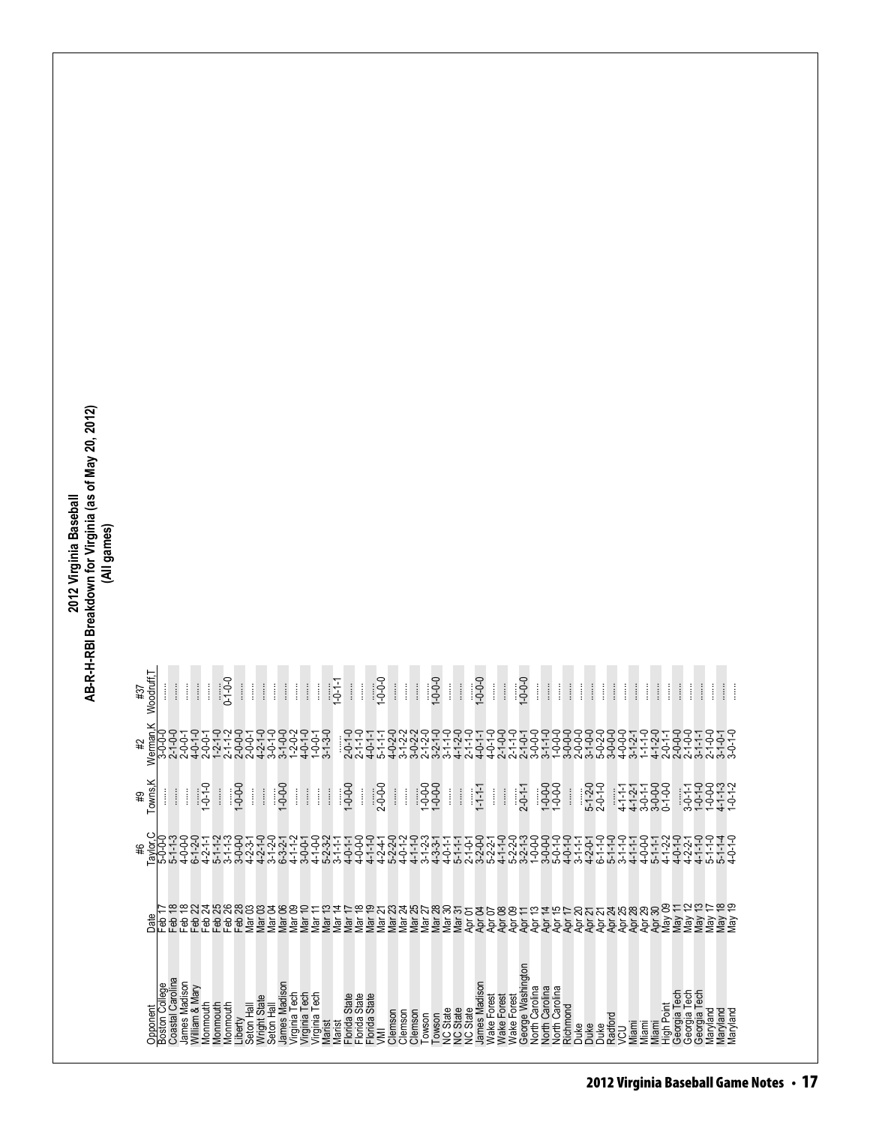| 2012 Virginia Baseball | AB-R-H-RBI Breakdown for Virginia (as of May 20, 2012 | (All games) |
|------------------------|-------------------------------------------------------|-------------|
|                        |                                                       |             |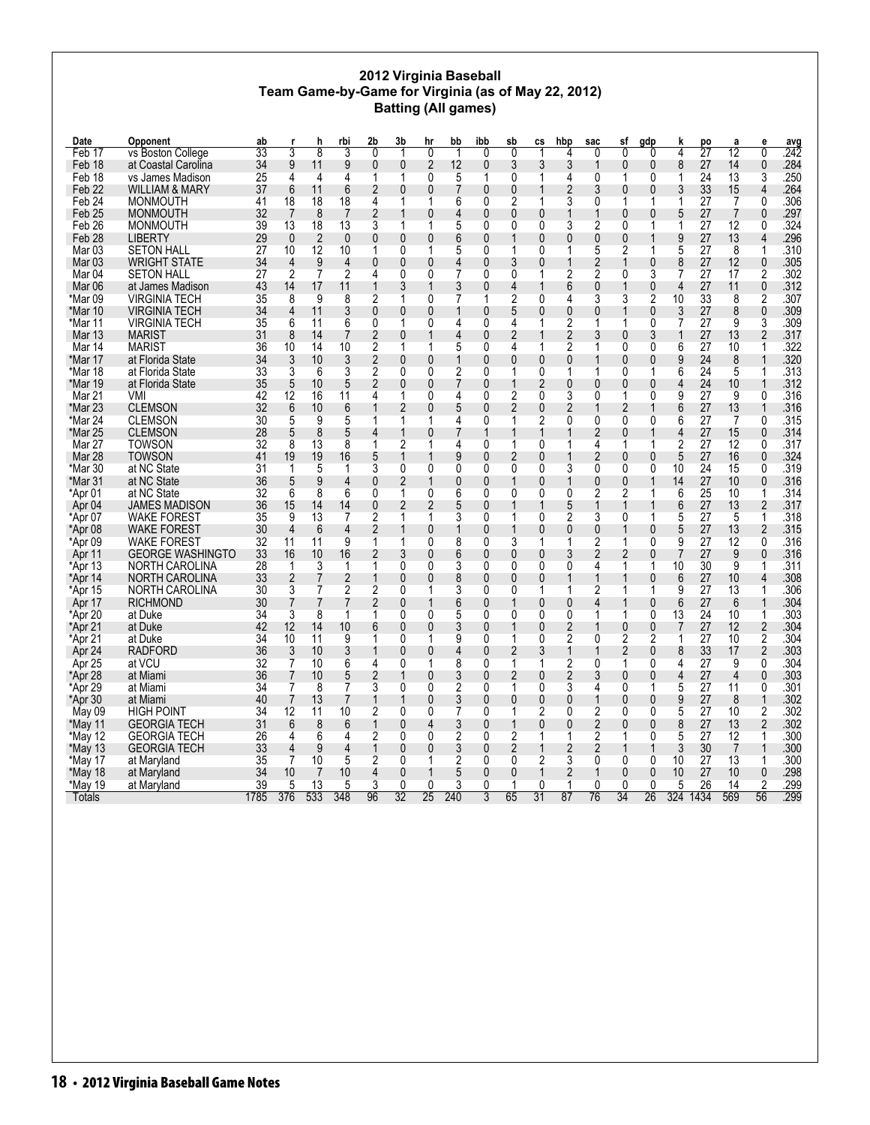### **2012 Virginia Baseball Team Game-by-Game for Virginia (as of May 22, 2012) Batting (All games)**

| Date              | Opponent                | ab   |                | h              | rbi            | 2b             | 3b             | hr     | bb           | ibb            | sb             | СS             | hbp            | sac            | sf             | gdp            | k              | po              | а               | e              | $\frac{avg}{242}$ |
|-------------------|-------------------------|------|----------------|----------------|----------------|----------------|----------------|--------|--------------|----------------|----------------|----------------|----------------|----------------|----------------|----------------|----------------|-----------------|-----------------|----------------|-------------------|
| Feb 17            | vs Boston College       | 33   | 3              | $\overline{8}$ | 3              | $\overline{0}$ | 1              | 0      | 1            | $\overline{0}$ | 0              | 1              | 4              | $\overline{0}$ | $\overline{0}$ | $\overline{0}$ | 4              | $\overline{27}$ | $\overline{12}$ | 0              |                   |
| Feb 18            | at Coastal Carolina     | 34   | 9              | 11             | 9              | 0              | $\mathbf{0}$   | 2      | 12           | 0              | 3              | 3              | 3              | 1              | 0              | $\mathbf{0}$   | 8              | 27              | 14              | 0              | .284              |
| Feb 18            | vs James Madison        | 25   | 4              | 4              | 4              | 1              | 1              | 0      | 5            | 1              | 0              | 1              | 4              | 0              | 1              | 0              | 1              | 24              | 13              | 3              | .250              |
| Feb <sub>22</sub> | WILLIAM & MARY          | 37   | 6              | 11             | 6              | 2              | 0              | 0      |              | 0              | 0              |                | 2              | 3              | 0              | 0              | 3              | 33              | 15              | 4              | .264              |
| Feb 24            | <b>MONMOUTH</b>         | 41   | 18             | 18             | 18             | 4              | 1              | 1      | 6            | 0              | 2              |                | 3              | 0              | 1              | 1              | 1              | 27              | 7               | $\mathbf{0}$   | .306              |
| Feb <sub>25</sub> | <b>MONMOUTH</b>         | 32   | 7              | 8              | 7              | 2              |                | 0      | 4            | $\mathbf{0}$   | $\mathbf{0}$   | $\mathbf{0}$   |                | 1              | 0              | 0              | 5              | 27              | $\overline{7}$  | 0              | .297              |
| Feb <sub>26</sub> | <b>MONMOUTH</b>         | 39   | 13             | 18             | 13             | 3              | 1              | 1      | 5            | 0              | 0              | 0              | 3              | $\overline{2}$ | 0              | 1              | 1              | 27              | 12              | $\mathbf{0}$   | .324              |
| Feb <sub>28</sub> | <b>LIBERTY</b>          | 29   | $\mathbf{0}$   | $\overline{2}$ | $\mathbf{0}$   | 0              | 0              | 0      | 6            | $\mathbf{0}$   |                | $\mathbf{0}$   | 0              | $\mathbf{0}$   | 0              |                | 9              | 27              | 13              | $\overline{4}$ | .296              |
| Mar <sub>03</sub> | <b>SETON HALL</b>       | 27   | 10             | 12             | 10             | 1              | 0              | 1      | 5            | 0              | 1              | 0              | 1              | 5              | 2              | 1              | 5              | 27              | 8               | 1              | .310              |
| Mar 03            | <b>WRIGHT STATE</b>     | 34   | 4              | 9              | $\overline{4}$ | 0              | 0              | 0      | 4            | 0              | 3              | $\mathbf{0}$   | 1              | 2              | 1              | 0              | 8              | 27              | 12              | 0              | .305              |
| Mar 04            | <b>SETON HALL</b>       | 27   | $\overline{2}$ | $\overline{7}$ | $\overline{2}$ | 4              | 0              | 0      |              | 0              | 0              | 1              | 2              | $\overline{c}$ | 0              | 3              | 7              | 27              | 17              | $\overline{2}$ | .302              |
| Mar 06            | at James Madison        | 43   | 14             | 17             | 11             |                | 3              |        | 3            | 0              | 4              |                | 6              | 0              | 1              | 0              | 4              | 27              | 11              | 0              | .312              |
| *Mar 09           | <b>VIRGINIA TECH</b>    | 35   | 8              | 9              | 8              | 2              | 1              | 0      | 7            | 1              | 2              | 0              | 4              | 3              | 3              | 2              | 10             | 33              | 8               | $\overline{2}$ | .307              |
| *Mar 10           | <b>VIRGINIA TECH</b>    | 34   | 4              | 11             | 3              | 0              | 0              | 0      |              | 0              | 5              | $\mathbf{0}$   | 0              | 0              | 1              | 0              | 3              | 27              | 8               | 0              | .309              |
| *Mar 11           | <b>VIRGINIA TECH</b>    | 35   | 6              | 11             | 6              | 0              | 1              | 0      | 4            | 0              | 4              | 1              | 2              | 1              | 1              | 0              | 7              | 27              | 9               | 3              | .309              |
| Mar 13            | <b>MARIST</b>           | 31   | 8              | 14             | 7              | 2              | 0              | 1      | 4            | 0              | 2              |                | 2              | 3              | 0              | 3              |                | 27              | 13              | 2              | .317              |
| Mar 14            | <b>MARIST</b>           | 36   | 10             | 14             | 10             | 2              | 1              |        | 5            | 0              | 4              |                | 2              | 1              | 0              | 0              | 6              | 27              | 10              | 1              | .322              |
| *Mar 17           | at Florida State        | 34   | 3              | 10             | 3              | 2              | 0              | 0      |              | $\mathbf{0}$   | 0              | 0              | 0              |                | 0              | 0              | 9              | 24              | 8               | $\mathbf 1$    | .320              |
| *Mar 18           | at Florida State        | 33   | 3              | 6              | 3              | $\overline{2}$ | 0              | 0      | 2            | 0              | 1              | 0              | 1              | 1              | 0              | 1              | 6              | 24              | 5               | $\mathbf 1$    | .313              |
| *Mar 19           | at Florida State        | 35   | 5              | 10             | 5              | 2              | 0              | 0      |              | $\mathbf{0}$   |                | $\overline{2}$ | 0              | 0              | 0              | $\Omega$       | 4              | 24              | 10              | 1              | .312              |
| Mar 21            | VMI                     | 42   | 12             | 16             | 11             | 4              | 1              | 0      | 4            | 0              | 2              | 0              | 3              | 0              | 1              | 0              | 9              | 27              | 9               | 0              | .316              |
| *Mar 23           | <b>CLEMSON</b>          | 32   | 6              | 10             | 6              |                | $\overline{2}$ | 0      | 5            | 0              | 2              | 0              | 2              | 1              | 2              |                | 6              | 27              | 13              | 1              | .316              |
| *Mar 24           | <b>CLEMSON</b>          | 30   | 5              | 9              | 5              | 1              | 1              | 1      | 4            | 0              | 1              | $\overline{2}$ | 0              | 0              | 0              | 0              | 6              | 27              | 7               | 0              | .315              |
| *Mar 25           | <b>CLEMSON</b>          | 28   | 5              | 8              | 5              | 4              | 1              | 0      |              |                |                | 1              |                | 2              | 0              |                | 4              | 27              | 15              | 0              | .314              |
| Mar 27            | <b>TOWSON</b>           | 32   | 8              | 13             | 8              | 1              | 2              | 1      | 4            | 0              | 1              | $\Omega$       | 1              | 4              | 1              | 1              | $\overline{2}$ | 27              | 12              | $\mathbf{0}$   | .317              |
| <b>Mar 28</b>     | <b>TOWSON</b>           | 41   | 19             | 19             | 16             | 5              | 1              |        | 9            | 0              | 2              | $\theta$       |                | 2              | 0              | 0              | 5              | 27              | 16              | 0              | .324              |
| *Mar 30           | at NC State             | 31   | 1              | 5              | 1              | 3              | 0              | 0      | 0            | 0              | 0              | 0              | 3              | 0              | 0              | 0              | 10             | 24              | 15              | $\Omega$       | .319              |
| *Mar 31           | at NC State             | 36   | 5              | 9              | 4              | 0              | 2              | 1      | $\mathbf{0}$ | 0              | 1              | $\mathbf 0$    | 1              | 0              | 0              |                | 14             | 27              | 10              | 0              | .316              |
| *Apr 01           | at NC State             | 32   | 6              | 8              | 6              | 0              | 1              | 0      | 6            | 0              | 0              | 0              | 0              | 2              | 2              | 1              | 6              | 25              | 10              | 1              | .314              |
| Apr <sub>04</sub> | JAMES MADISON           | 36   | 15             | 14             | 14             | 0              | 2              | 2      | 5            | $\mathbf{0}$   |                | $\mathbf 1$    | 5              | 1              | 1              |                | 6              | 27              | 13              | 2              | .317              |
| *Apr 07           | <b>WAKE FOREST</b>      | 35   | 9              | 13             | 7              | 2              | 1              | 1      | 3            | 0              |                | 0              | 2              | 3              | 0              | 1              | 5              | 27              | 5               | $\mathbf{1}$   | .318              |
| *Apr 08           | <b>WAKE FOREST</b>      | 30   | $\overline{4}$ | 6              | 4              | 2              |                | 0      |              | 0              |                | 0              | 0              | 0              | 1              | 0              | 5              | 27              | 13              | 2              | .315              |
| *Apr 09           | <b>WAKE FOREST</b>      | 32   | 11             | 11             | 9              | 1              | 1              | 0      | 8            | 0              | 3              | 1              | 1              | 2              | 1              | 0              | 9              | 27              | 12              | 0              | .316              |
| Apr 11            | <b>GEORGE WASHINGTO</b> | 33   | 16             | 10             | 16             | 2              | 3              | 0      | 6            | 0              | $\mathbf{0}$   | $\mathbf 0$    | 3              | 2              | $\overline{2}$ | $\mathbf{0}$   | 7              | 27              | 9               | 0              | .316              |
| *Apr 13           | NORTH CAROLINA          | 28   | 1              | 3              | 1              | 1              | 0              | 0      | 3            | 0              | 0              | 0              | 0              | 4              | 1              | 1              | 10             | 30              | 9               | 1              | .311              |
| *Apr 14           | <b>NORTH CAROLINA</b>   | 33   | 2              | $\overline{7}$ | $\overline{2}$ | 1              | 0              | 0      | 8            | $\mathbf{0}$   | $\mathbf{0}$   | $\mathbf{0}$   | 1              | 1              |                | $\mathbf{0}$   | 6              | 27              | 10              | 4              | .308              |
| *Apr 15           | NORTH CAROLINA          | 30   | 3              | 7              | $\overline{2}$ | 2              | 0              | 1      | 3            | 0              | $\Omega$       | 1              | 1              | 2              | 1              | 1              | 9              | 27              | 13              | 1              | .306              |
| Apr 17            | <b>RICHMOND</b>         | 30   | 7              | $\overline{7}$ | 7              | 2              | 0              | 1      | 6            | 0              |                | $\theta$       | 0              | 4              | 1              | 0              | 6              | 27              | 6               | 1              | .304              |
| *Apr 20           | at Duke                 | 34   | 3              | 8              | 1              | 1              | 0              | 0      | 5            | 0              | 0              | 0              | 0              | 1              | 1              | 0              | 13             | 24              | 10              | -1             | .303              |
| *Apr 21           | at Duke                 | 42   | 12             | 14             | 10             | 6              | 0              | 0      | 3            | 0              |                | $\mathbf{0}$   | 2              |                | 0              | $\mathbf{0}$   | 7              | 27              | 12              | 2              | .304              |
| *Apr 21           | at Duke                 | 34   | 10             | 11             | 9              | 1              | 0              | 1      | 9            | 0              | 1              | 0              | $\overline{2}$ | 0              | 2              | $\overline{2}$ | 1              | 27              | 10              | $\overline{2}$ | .304              |
| Apr 24            | <b>RADFORD</b>          | 36   | 3              | 10             | 3              |                | 0              | 0      | 4            | $\mathbf{0}$   | 2              | 3              | 1              | 1              | 2              | $\mathbf{0}$   | 8              | 33              | 17              | 2              | .303              |
|                   | at VCU                  | 32   | 7              | 10             | 6              | 4              | 0              | 1      | 8            | 0              | 1              | 1              | $\overline{2}$ | 0              | 1              | 0              | 4              | 27              | 9               | $\mathbf{0}$   | 304               |
| Apr 25            |                         | 36   | 7              | 10             |                | 2              |                | 0      | 3            | $\mathbf{0}$   | $\overline{2}$ | $\theta$       | 2              | 3              | 0              | $\Omega$       | 4              |                 | $\overline{4}$  | $\mathbf{0}$   |                   |
| *Apr 28           | at Miami                |      |                |                | 5              |                |                |        |              |                |                |                |                |                |                |                |                | 27              |                 |                | .303              |
| *Apr 29           | at Miami                | 34   | 7              | 8              | 7              | 3              | 0              | 0      | 2            | 0              |                | 0              | 3              | 4              | 0              |                | 5              | 27              | 11              | 0              | .301              |
| *Apr 30           | at Miami                | 40   | 7              | 13             | 7              |                |                | 0      | 3            | 0              | 0              | 0              | 0              | 1              | 0              | 0              | 9              | 27              | 8               | 1              | .302              |
| May 09            | <b>HIGH POINT</b>       | 34   | 12             | 11             | 10             | 2              | 0              | 0      | 7            | 0              | 1              | $\overline{2}$ | 0              | 2              | 0              | $\Omega$       | 5              | 27              | 10              | $\overline{2}$ | .302              |
| *May 11           | <b>GEORGIA TECH</b>     | 31   | 6              | 8              | 6              | 1              | 0              | 4      | 3            | $\mathbf{0}$   |                | $\theta$       | 0              | $\overline{2}$ | 0              | $\mathbf{0}$   | 8              | 27              | 13              | 2              | .302              |
| *May 12           | <b>GEORGIA TECH</b>     | 26   | 4              | 6              | 4              | 2              | 0              | 0      | 2            | 0              | $\overline{2}$ | 1              | 1              | 2              | 1              | 0              | 5              | 27              | 12              | 1              | .300              |
| *May 13           | <b>GEORGIA TECH</b>     | 33   | 4              | 9              | 4              | 1              | 0              | 0      | 3            | 0              | 2              | 1              | 2              | 2              |                |                | 3              | 30              | $\overline{7}$  | $\mathbf 1$    | .300              |
| *May 17           | at Maryland             | 35   | 7              | 10             | 5              | 2              | 0              | 1      | 2            | 0              | 0              | 2              | 3              | 0              | 0              | 0              | 10             | 27              | 13              | -1             | .300              |
| *May 18           | at Maryland             | 34   | 10             | 7              | 10             | 4              | 0              |        | 5            | 0              | $\mathbf{0}$   | 1              | 2              |                | 0              | 0              | 10             | 27              | 10              | 0              | .298              |
| *May 19           | at Maryland             | 39   | 5              | 13             | 5              | 3              | 0              | 0      | 3            | 0              |                | 0              | 1              | 0              | 0              | 0              | 5              | 26              | 14              | $\overline{2}$ | .299              |
| Totals            |                         | 1785 | 376            | 533            | 348            | 96             | 32             | $25\,$ | 240          | 3              | 65             | 31             | 87             | 76             | 34             | 26             |                | 324 1434        | 569             | 56             | .299              |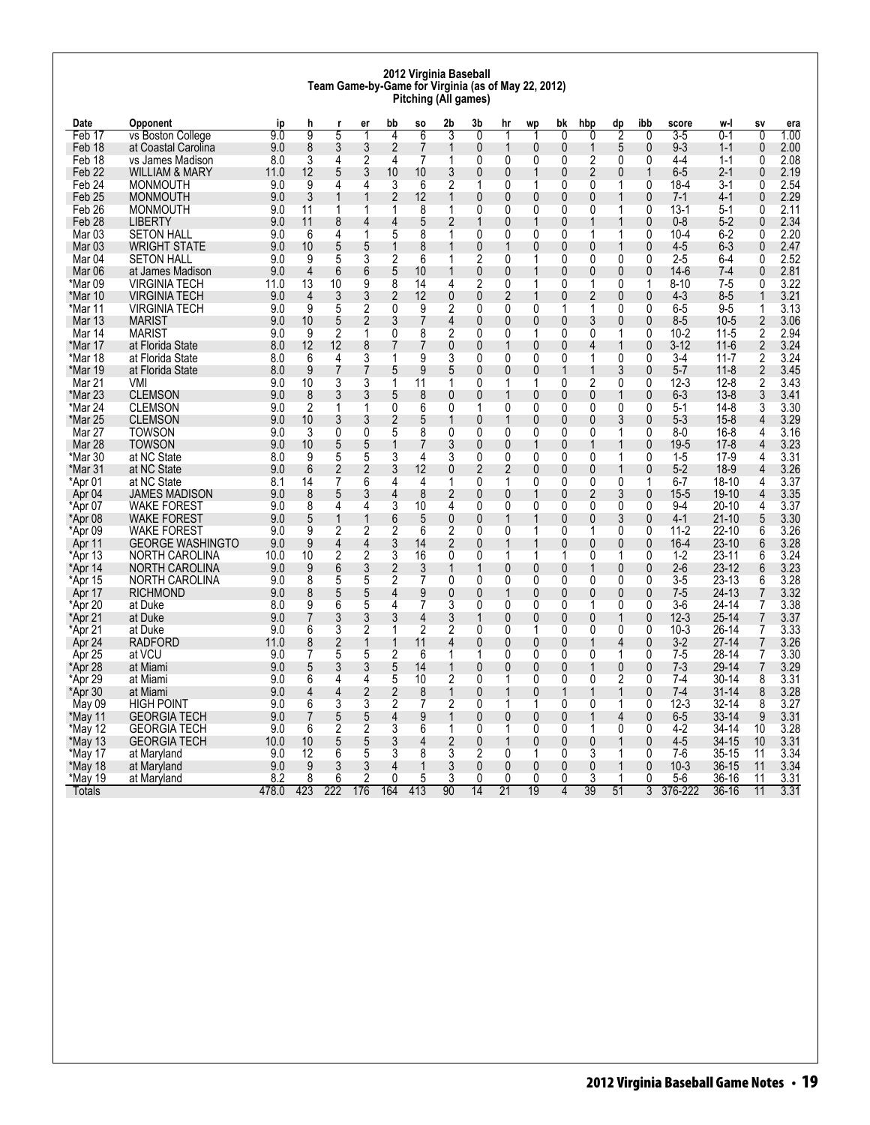#### **2012 Virginia Baseball Team Game-by-Game for Virginia (as of May 22, 2012) Pitching (All games)**

| Date              | Opponent                | ip    | h              |                | er             | bb             | SO             | 2b             | 3b             | hr                       | wp             | bk             | hbp | dp           | ibb            | score    | w-l       | S٧             | era  |
|-------------------|-------------------------|-------|----------------|----------------|----------------|----------------|----------------|----------------|----------------|--------------------------|----------------|----------------|-----|--------------|----------------|----------|-----------|----------------|------|
| Feb 17            | vs Boston College       | 90    | g              | 5              | 1              | $\overline{4}$ | 6              | 3              | $\overline{0}$ | 1                        | -1             | $\overline{0}$ | U   | 2            | 0              | $3-5$    | 0-1       | $\overline{0}$ | 1.00 |
| Feb 18            | at Coastal Carolina     | 9.0   | 8              | 3              | 3              | 2              | 7              | 1              | 0              | $\overline{\phantom{a}}$ | $\mathbf 0$    | $\mathbf{0}$   |     | 5            | 0              | $9 - 3$  | $1 - 1$   | 0              | 2.00 |
| Feb 18            | vs James Madison        | 8.0   | 3              | 4              | 2              | 4              | 7              | 1              | 0              | 0                        | $\mathbf{0}$   | 0              | 2   | 0            | 0              | 4-4      | $1 - 1$   | $\Omega$       | 2.08 |
| Feb 22            | WILLIAM & MARY          | 11.0  | 12             | 5              | 3              | 10             | 10             | 3              | 0              | 0                        | 1              | 0              | 2   | $\mathbf{0}$ | $\mathbf{1}$   | $6-5$    | 2-1       | 0              | 2.19 |
| Feb 24            | <b>MONMOUTH</b>         | 9.0   | 9              | 4              | 4              | 3              | 6              | $\overline{2}$ | 1              | 0                        | 1              | 0              | 0   | 1            | 0              | $18 - 4$ | $3-1$     | 0              | 2.54 |
| Feb <sub>25</sub> | <b>MONMOUTH</b>         | 9.0   | 3              |                | 1              | $\overline{2}$ | 12             | 1              | $\mathbf{0}$   | 0                        | 0              | $\mathbf{0}$   | 0   |              | 0              | $7 - 1$  | $4-1$     | $\mathbf{0}$   | 2.29 |
| Feb 26            | <b>MONMOUTH</b>         | 9.0   | 11             | 1              | 1              | 1              | 8              | 1              | 0              | 0                        | 0              | 0              | 0   | 1            | 0              | $13-1$   | 5-1       | 0              | 2.11 |
| Feb <sub>28</sub> | <b>LIBERTY</b>          | 9.0   | 11             | 8              | 4              | 4              | 5              | 2              |                | 0                        | 1              | 0              |     |              | $\mathbf{0}$   | $0 - 8$  | $5-2$     | $\mathbf{0}$   | 2.34 |
| Mar 03            | <b>SETON HALL</b>       | 9.0   | 6              | 4              | 1              | 5              | 8              | 1              | 0              | 0                        | 0              | 0              | 1   | 1            | 0              | $10 - 4$ | $6 - 2$   | 0              | 2.20 |
| Mar 03            | <b>WRIGHT STATE</b>     | 9.0   | 10             | 5              | 5              | 1              | 8              | 1              | $\bf{0}$       | 1                        | 0              | 0              | 0   | 1            | 0              | 4-5      | 6-3       | 0              | 2.47 |
| Mar <sub>04</sub> | <b>SETON HALL</b>       | 9.0   | 9              | 5              | 3              | 2              | 6              | 1              | 2              | 0                        | 1              | 0              | 0   | 0            | 0              | $2 - 5$  | 6-4       | $\Omega$       | 2.52 |
| Mar 06            | at James Madison        | 9.0   | $\overline{4}$ | 6              | 6              | 5              | 10             |                | 0              | 0                        |                | 0              | 0   | 0            | 0              | $14-6$   | 7-4       | 0              | 2.81 |
| *Mar 09           | <b>VIRGINIA TECH</b>    | 11.0  | 13             | 10             | 9              | 8              | 14             | 4              | $\overline{2}$ | 0                        | 1              | 0              | 1   | $\Omega$     | 1              | $8 - 10$ | $7-5$     | 0              | 3.22 |
| *Mar 10           | <b>VIRGINIA TECH</b>    | 9.0   | $\overline{4}$ | 3              | 3              | 2              | 12             | 0              | $\mathbf{0}$   | 2                        | 1              | $\mathbf{0}$   | 2   | $\mathbf{0}$ | 0              | $4 - 3$  | $8 - 5$   | 1              | 3.21 |
| *Mar 11           | VIRGINIA TECH           | 9.0   | 9              | 5              | $\overline{2}$ | 0              | 9              | $\overline{c}$ | 0              | 0                        | 0              | 1              |     | $\mathbf{0}$ | 0              | 6-5      | $9 - 5$   | 1              | 3.13 |
| <b>Mar 13</b>     | <b>MARIST</b>           | 9.0   | 10             | 5              | $\overline{2}$ | 3              | $\overline{7}$ | 4              | 0              | 0                        | 0              | $\mathbf{0}$   | 3   | $\mathbf{0}$ | $\mathbf{0}$   | $8 - 5$  | $10 - 5$  | $\overline{2}$ | 3.06 |
| Mar 14            | <b>MARIST</b>           | 9.0   | 9              | $\overline{2}$ | 1              | 0              | 8              | $\overline{2}$ | 0              | 0                        | 1              | 0              | 0   | 1            | 0              | $10 - 2$ | 11-5      | 2              | 2.94 |
| *Mar 17           | at Florida State        | 8.0   | 12             | 12             | 8              |                | 7              | 0              | 0              | 1                        | $\mathbf{0}$   | 0              | Δ   | $\mathbf 1$  | 0              | $3 - 12$ | $11-6$    | 2              | 3.24 |
| *Mar 18           | at Florida State        | 8.0   | 6              | 4              | 3              |                | 9              | 3              | 0              | 0                        | 0              | 0              |     | 0            | 0              | $3-4$    | $11 - 7$  | 2              | 3.24 |
| *Mar 19           | at Florida State        | 8.0   | 9              | 7              | 7              | 5              | 9              | 5              | 0              | 0                        | 0              | 1              |     | 3            | 0              | $5 - 7$  | $11 - 8$  | 2              | 3.45 |
| Mar 21            | VMI                     | 9.0   | 10             | 3              | 3              | 1              | 11             | 1              | 0              | 1                        | 1              | $\Omega$       | 2   | 0            | 0              | $12 - 3$ | $12 - 8$  | $\overline{2}$ | 3.43 |
| *Mar 23           | <b>CLEMSON</b>          | 9.0   | 8              | 3              | 3              | 5              | 8              | 0              | 0              | 1                        | 0              | 0              | 0   | 1            | 0              | $6 - 3$  | $13 - 8$  | 3              | 3.41 |
| *Mar 24           | <b>CLEMSON</b>          | 9.0   | 2              | 1              | 1              | 0              | 6              | 0              | 1              | 0                        | 0              | 0              | 0   | 0            | 0              | $5-1$    | $14 - 8$  | 3              | 3.30 |
| *Mar 25           | <b>CLEMSON</b>          | 9.0   | 10             | 3              | 3              | 2              | 5              | 1              | 0              | 1                        | 0              | 0              | 0   | 3            | 0              | $5-3$    | $15 - 8$  | 4              | 3.29 |
| Mar 27            | <b>TOWSON</b>           | 9.0   | 3              | 0              | 0              | 5              | 8              | 0              | 0              | 0                        | 0              | 0              | 0   | 1            | 0              | $8-0$    | 16-8      | 4              | 3.16 |
| Mar 28            | <b>TOWSON</b>           | 9.0   | 10             | 5              | 5              |                |                | 3              | $\mathbf{0}$   | 0                        | 1              | $\mathbf{0}$   |     |              | 0              | $19 - 5$ | $17 - 8$  | 4              | 3.23 |
| *Mar 30           | at NC State             | 8.0   | 9              | 5              | 5              | 3              | 4              | 3              | 0              | 0                        | 0              | 0              | 0   | 1            | 0              | $1-5$    | $17-9$    | 4              | 3.31 |
| *Mar 31           | at NC State             | 9.0   | 6              | 2              | $\overline{c}$ | 3              | 12             | 0              | 2              | 2                        | $\mathbf 0$    | 0              | 0   | 1            | 0              | $5-2$    | $18-9$    | 4              | 3.26 |
| *Apr 01           | at NC State             | 8.1   | 14             | 7              | 6              | 4              | 4              | 1              | 0              | 1                        | 0              | 0              | 0   | 0            | 1              | $6 - 7$  | 18-10     | 4              | 3.37 |
| Apr 04            | JAMES MADISON           | 9.0   | 8              | 5              | 3              | 4              | 8              | 2              | 0              | 0                        | 1              | $\mathbf{0}$   | 2   | 3            | 0              | $15 - 5$ | $19 - 10$ | 4              | 3.35 |
| *Apr 07           | <b>WAKE FOREST</b>      | 9.0   | 8              | 4              | 4              | 3              | 10             | 4              | 0              | 0                        | 0              | 0              | 0   | 0            | 0              | $9-4$    | $20 - 10$ | 4              | 3.37 |
| *Apr 08           | <b>WAKE FOREST</b>      | 9.0   | 5              | 1              | $\mathbf{1}$   | 6              | 5              | 0              | 0              | 1                        |                | 0              | 0   | 3            | 0              | $4-1$    | $21 - 10$ | 5              | 3.30 |
| *Apr 09           | <b>WAKE FOREST</b>      | 9.0   | 9              | 2              | 2              | 2              | 6              | $\overline{2}$ | $\Omega$       | 0                        | 1              | 0              | 1   | $\Omega$     | 0              | $11 - 2$ | $22 - 10$ | 6              | 3.26 |
| Apr 11            | <b>GEORGE WASHINGTO</b> | 9.0   | 9              | 4              | 4              | 3              | 14             | 2              | 0              | 1                        | 1              | 0              | 0   | 0            | 0              | $16 - 4$ | $23 - 10$ | 6              | 3.28 |
| *Apr 13           | NORTH CAROLINA          | 10.0  | 10             | $\overline{2}$ | $\overline{2}$ | 3              | 16             | 0              | 0              | 1                        | 1              | 1              | 0   | 1            | 0              | $1-2$    | $23 - 11$ | 6              | 3.24 |
| *Apr 14           | NORTH CAROLINA          | 9.0   | 9              | 6              | 3              | 2              | 3              | 1              | 1              | $\mathbf{0}$             | 0              | $\mathbf{0}$   |     | $\mathbf{0}$ | $\mathbf{0}$   | $2-6$    | $23-12$   | 6              | 3.23 |
| *Apr 15           | NORTH CAROLINA          | 9.0   | 8              | 5              | 5              | 2              | 7              | 0              | 0              | 0                        | 0              | 0              | 0   | 0            | 0              | 3-5      | $23 - 13$ | 6              | 3.28 |
| Apr 17            | <b>RICHMOND</b>         | 9.0   | 8              | 5              | 5              | 4              | 9              | 0              | 0              | 1                        | 0              | 0              | 0   | 0            | 0              | $7 - 5$  | 24-13     | $\overline{7}$ | 3.32 |
| *Apr 20           | at Duke                 | 8.0   | 9              | 6              | 5              | 4              | 7              | 3              | 0              | 0                        | 0              | 0              |     | $\Omega$     | 0              | $3-6$    | 24-14     | 7              | 3.38 |
| *Apr 21           | at Duke                 | 9.0   | 7              | 3              | 3              | 3              | 4              | 3              |                | 0                        | 0              | 0              | 0   | 1            | 0              | $12 - 3$ | $25 - 14$ | 7              | 3.37 |
| *Apr 21           | at Duke                 | 9.0   | 6              | 3              | 2              | 1              | $\overline{2}$ | 2              | 0              | 0                        | 1              | 0              | 0   | 0            | 0              | $10-3$   | $26 - 14$ | 7              | 3.33 |
| Apr 24            | <b>RADFORD</b>          | 11.0  | 8              | 2              | 1              |                | 11             | 4              | 0              | 0                        | $\mathbf 0$    | 0              |     | 4            | 0              | $3-2$    | $27 - 14$ | 7              | 3.26 |
| Apr 25            | at VCU                  | 9.0   | 7              | 5              | 5              | 2              | 6              | 1              |                | 0                        | $\overline{0}$ | 0              | 0   | 1            | 0              | $7-5$    | 28-14     | $\overline{7}$ | 3.30 |
| *Apr 28           | at Miami                | 9.0   | 5              | 3              | 3              | 5              | 14             | 1              | $\mathbf{0}$   | $\mathbf{0}$             | 0              | $\mathbf{0}$   |     | $\mathbf{0}$ | $\mathbf{0}$   | $7 - 3$  | $29 - 14$ | $\overline{7}$ | 3.29 |
| *Apr 29           | at Miami                | 9.0   | 6              | 4              | 4              | 5              | 10             | 2              | 0              | 1                        | 0              | 0              | 0   | 2            | 0              | $7-4$    | 30-14     | 8              | 3.31 |
| *Apr 30           | at Miami                | 9.0   | 4              | 4              | 2              | 2              | 8              | 1              | 0              |                          | 0              | 1              |     |              | 0              | $7-4$    | $31 - 14$ | 8              | 3.28 |
| May 09            | <b>HIGH POINT</b>       | 9.0   | 6              | 3              | 3              | 2              | 7              | $\overline{2}$ | 0              | 1                        | 1              | 0              | 0   | 1            | 0              | $12 - 3$ | 32-14     | 8              | 3.27 |
| *May 11           | <b>GEORGIA TECH</b>     | 9.0   | 7              | 5              | 5              | 4              | 9              | 1              | 0              | $\mathbf{0}$             | $\mathbf 0$    | $\mathbf{0}$   |     | 4            | 0              | $6-5$    | $33 - 14$ | 9              | 3.31 |
| *May 12           | <b>GEORGIA TECH</b>     | 9.0   | 6              | 2              | $\overline{2}$ | 3              | 6              | 1              | 0              | 1                        | 0              | 0              | 1   | 0            | 0              | $4-2$    | 34-14     | 10             | 3.28 |
| *May 13           | <b>GEORGIA TECH</b>     | 10.0  | 10             | 5              | 5              | 3              | 4              | 2              | $\bf{0}$       | 1                        | 0              | $\mathbf{0}$   | 0   | 1            | 0              | $4-5$    | $34 - 15$ | 10             | 3.31 |
| *May 17           | at Maryland             | 9.0   | 12             | 6              | 5              | 3              | 8              | 3              | 2              | 0                        | 1              | 0              | 3   | 1            | 0              | $7-6$    | $35 - 15$ | 11             | 3.34 |
| *May 18           | at Maryland             | 9.0   | 9              | 3              | 3              | 4              |                | 3              | 0              | 0                        | $\mathbf{0}$   | 0              | 0   |              | 0              | $10-3$   | $36 - 15$ | 11             | 3.34 |
| *May 19           | at Maryland             | 8.2   | 8              | 6              | $\overline{2}$ | 0              | 5              | 3              | $\Omega$       | 0                        | $\Omega$       | 0              | 3   | 1            | $\Omega$       | $5-6$    | 36-16     | 11             | 3.31 |
| Totals            |                         | 478.0 | 423            | 222            | 176            | 164            | 413            | 90             | 14             | $\overline{21}$          | 19             | $\overline{4}$ | 39  | 51           | $\overline{3}$ | 376-222  | $36 - 16$ | 11             | 3.31 |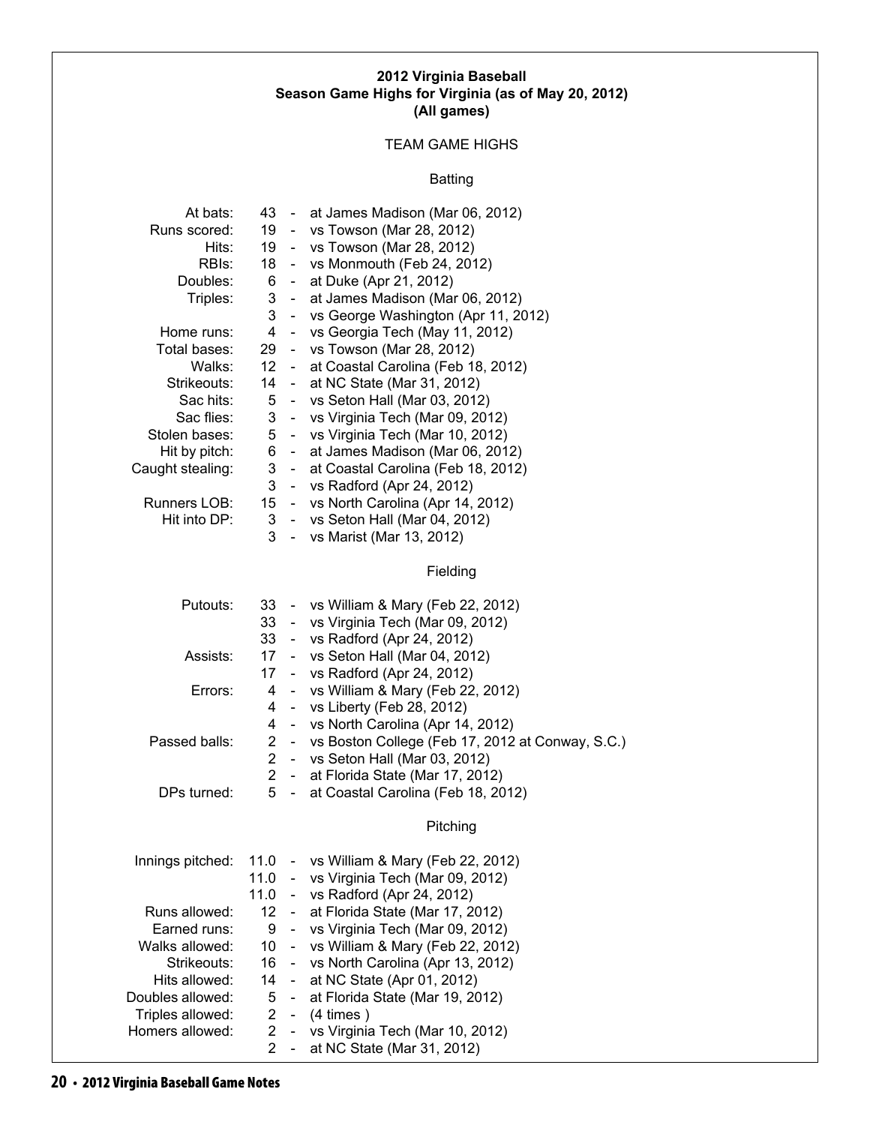#### **2012 Virginia Baseball Season Game Highs for Virginia (as of May 20, 2012) (All games)**

# TEAM GAME HIGHS

### Batting

| At bats:<br>Runs scored:<br>Hits:<br>RBI <sub>s</sub> :<br>Doubles:<br>Triples:<br>Home runs:<br>Total bases:<br>Walks:<br>Strikeouts:<br>Sac hits:<br>Sac flies:<br>Stolen bases:<br>Hit by pitch:<br>Caught stealing:<br>Runners LOB:<br>Hit into DP: | 19<br>19<br>18<br>6<br>3<br>3<br>$\overline{4}$<br>29<br>12 <sup>7</sup><br>14<br>5<br>3<br>5<br>6<br>3<br>3<br>15 <sub>15</sub><br>3<br>3 | $\sim 100$<br>$\sim$<br>$\sim$ $-$<br>$\sim$<br>$\sim$<br>$\sim$ .<br>$\sim$ $^{-1}$<br>$\sim$<br>$\sim$ $-$<br>$\sim$ $-$<br>$\sim 10$ | 43 - at James Madison (Mar 06, 2012)<br>- vs Towson (Mar 28, 2012)<br>- vs Towson (Mar 28, 2012)<br>- vs Monmouth (Feb 24, 2012)<br>at Duke (Apr 21, 2012)<br>at James Madison (Mar 06, 2012)<br>vs George Washington (Apr 11, 2012)<br>vs Georgia Tech (May 11, 2012)<br>vs Towson (Mar 28, 2012)<br>at Coastal Carolina (Feb 18, 2012)<br>at NC State (Mar 31, 2012)<br>vs Seton Hall (Mar 03, 2012)<br>- vs Virginia Tech (Mar 09, 2012)<br>vs Virginia Tech (Mar 10, 2012)<br>at James Madison (Mar 06, 2012)<br>at Coastal Carolina (Feb 18, 2012)<br>- vs Radford (Apr 24, 2012)<br>- vs North Carolina (Apr 14, 2012)<br>- vs Seton Hall (Mar 04, 2012)<br>- vs Marist (Mar 13, 2012)<br>Fielding |
|---------------------------------------------------------------------------------------------------------------------------------------------------------------------------------------------------------------------------------------------------------|--------------------------------------------------------------------------------------------------------------------------------------------|-----------------------------------------------------------------------------------------------------------------------------------------|----------------------------------------------------------------------------------------------------------------------------------------------------------------------------------------------------------------------------------------------------------------------------------------------------------------------------------------------------------------------------------------------------------------------------------------------------------------------------------------------------------------------------------------------------------------------------------------------------------------------------------------------------------------------------------------------------------|
| Putouts:                                                                                                                                                                                                                                                | 33<br>33                                                                                                                                   |                                                                                                                                         | 33 - vs William & Mary (Feb 22, 2012)<br>- vs Virginia Tech (Mar 09, 2012)<br>- vs Radford (Apr 24, 2012)                                                                                                                                                                                                                                                                                                                                                                                                                                                                                                                                                                                                |
| Assists:                                                                                                                                                                                                                                                | 17 <sup>17</sup><br>17                                                                                                                     |                                                                                                                                         | - vs Seton Hall (Mar 04, 2012)<br>- vs Radford (Apr 24, 2012)                                                                                                                                                                                                                                                                                                                                                                                                                                                                                                                                                                                                                                            |
| Errors:                                                                                                                                                                                                                                                 | 4<br>4<br>4                                                                                                                                | $\blacksquare$<br>$\blacksquare$                                                                                                        | vs William & Mary (Feb 22, 2012)<br>vs Liberty (Feb 28, 2012)<br>- vs North Carolina (Apr 14, 2012)                                                                                                                                                                                                                                                                                                                                                                                                                                                                                                                                                                                                      |
| Passed balls:                                                                                                                                                                                                                                           | $\overline{2}$<br>$\overline{2}$<br>$\overline{2}$                                                                                         |                                                                                                                                         | - vs Boston College (Feb 17, 2012 at Conway, S.C.)<br>- vs Seton Hall (Mar 03, 2012)<br>- at Florida State (Mar 17, 2012)                                                                                                                                                                                                                                                                                                                                                                                                                                                                                                                                                                                |
| DPs turned:                                                                                                                                                                                                                                             | 5                                                                                                                                          | $\sim$                                                                                                                                  | at Coastal Carolina (Feb 18, 2012)                                                                                                                                                                                                                                                                                                                                                                                                                                                                                                                                                                                                                                                                       |
|                                                                                                                                                                                                                                                         |                                                                                                                                            |                                                                                                                                         | Pitching                                                                                                                                                                                                                                                                                                                                                                                                                                                                                                                                                                                                                                                                                                 |
| Innings pitched:                                                                                                                                                                                                                                        | 11.0<br>11.0<br>11.0                                                                                                                       | $\overline{\phantom{a}}$<br>$\sim 100$                                                                                                  | vs William & Mary (Feb 22, 2012)<br>vs Virginia Tech (Mar 09, 2012)<br>- vs Radford (Apr 24, 2012)                                                                                                                                                                                                                                                                                                                                                                                                                                                                                                                                                                                                       |
| Runs allowed:<br>Earned runs:<br>Walks allowed:<br>Strikeouts:<br>Hits allowed:<br>Doubles allowed:<br>Triples allowed:<br>Homers allowed:                                                                                                              | 12 <sup>12</sup><br>9<br>$10-10$<br>16<br>14<br>5<br>$\overline{2}$<br>$\overline{2}$<br>$\overline{2}$                                    | $\sim$<br>$\overline{\phantom{0}}$<br>$\overline{\phantom{a}}$<br>$\overline{\phantom{0}}$<br>$\overline{\phantom{0}}$<br>$\sim$        | at Florida State (Mar 17, 2012)<br>vs Virginia Tech (Mar 09, 2012)<br>vs William & Mary (Feb 22, 2012)<br>vs North Carolina (Apr 13, 2012)<br>at NC State (Apr 01, 2012)<br>at Florida State (Mar 19, 2012)<br>- $(4 \times)$<br>vs Virginia Tech (Mar 10, 2012)<br>at NC State (Mar 31, 2012)                                                                                                                                                                                                                                                                                                                                                                                                           |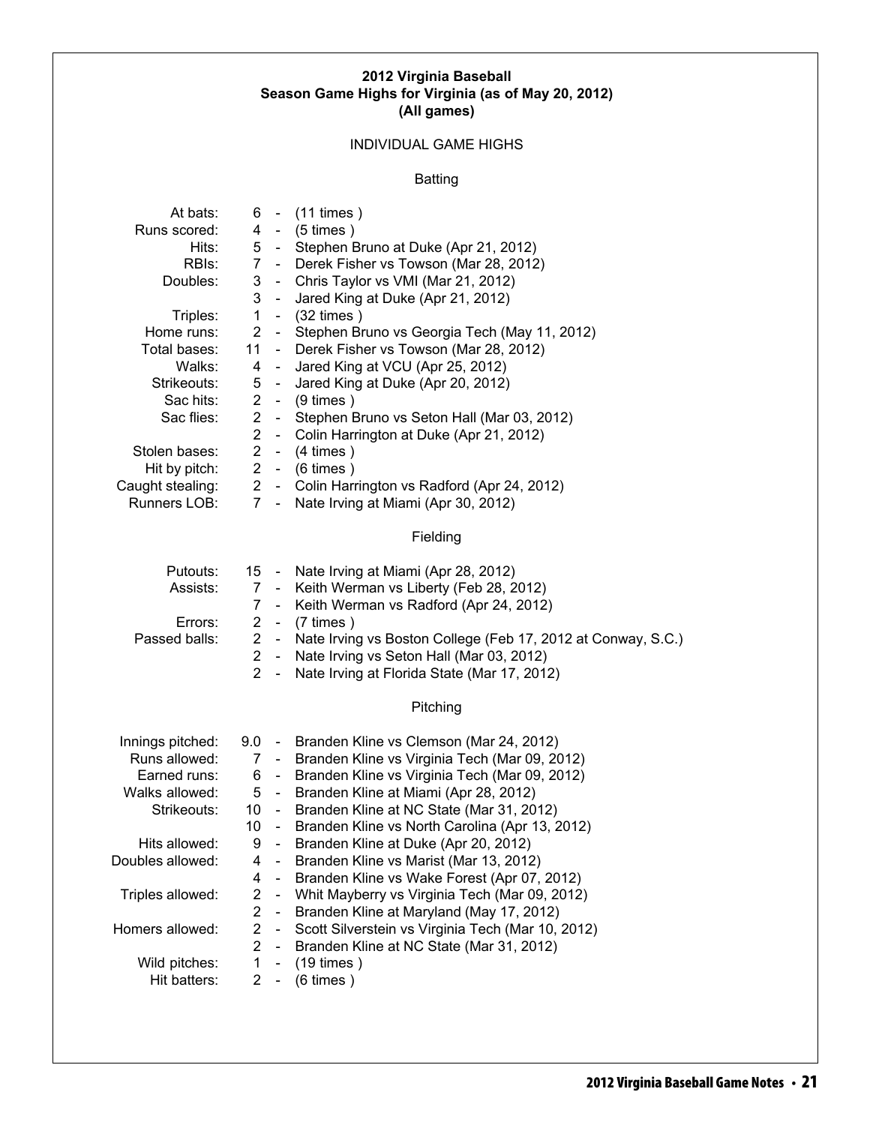#### **2012 Virginia Baseball Season Game Highs for Virginia (as of May 20, 2012) (All games)**

# INDIVIDUAL GAME HIGHS

# Batting

| At bats:         | 6               |                          | $-$ (11 times)                                               |
|------------------|-----------------|--------------------------|--------------------------------------------------------------|
| Runs scored:     | 4               | $\sim$                   | $(5 \times)$                                                 |
| Hits:            | 5 <sub>5</sub>  | $\sim$                   | Stephen Bruno at Duke (Apr 21, 2012)                         |
| RBIs:            | 7 <sup>1</sup>  | $\sim 100$               | Derek Fisher vs Towson (Mar 28, 2012)                        |
| Doubles:         | 3               | $\frac{1}{2}$            | Chris Taylor vs VMI (Mar 21, 2012)                           |
|                  | 3               | $\blacksquare$           | Jared King at Duke (Apr 21, 2012)                            |
| Triples:         | $\mathbf{1}$    |                          | $-$ (32 times)                                               |
| Home runs:       | $\overline{2}$  | $\blacksquare$           | Stephen Bruno vs Georgia Tech (May 11, 2012)                 |
| Total bases:     | 11              | $\sim$ $^{-1}$           | Derek Fisher vs Towson (Mar 28, 2012)                        |
| Walks:           | 4               | $\blacksquare$           | Jared King at VCU (Apr 25, 2012)                             |
| Strikeouts:      | 5               | $\sim$                   | Jared King at Duke (Apr 20, 2012)                            |
| Sac hits:        | $\overline{2}$  |                          | - $(9 \times)$                                               |
| Sac flies:       | $\overline{2}$  | $\blacksquare$           | Stephen Bruno vs Seton Hall (Mar 03, 2012)                   |
|                  | $\overline{2}$  | $\blacksquare$           | Colin Harrington at Duke (Apr 21, 2012)                      |
| Stolen bases:    | $\overline{2}$  | $\sim$                   | $(4 \times)$                                                 |
| Hit by pitch:    | $\overline{2}$  |                          | $-$ (6 times)                                                |
| Caught stealing: |                 | $2 -$                    | Colin Harrington vs Radford (Apr 24, 2012)                   |
| Runners LOB:     | 7               | $\omega_{\rm{eff}}$      | Nate Irving at Miami (Apr 30, 2012)                          |
|                  |                 |                          |                                                              |
|                  |                 |                          | Fielding                                                     |
| Putouts:         | 15 -            |                          | Nate Irving at Miami (Apr 28, 2012)                          |
| Assists:         | 7               | $\sim 100$               | Keith Werman vs Liberty (Feb 28, 2012)                       |
|                  | 7               | $\sim$                   | Keith Werman vs Radford (Apr 24, 2012)                       |
| Errors:          | $\overline{2}$  | $\frac{1}{2}$            | $(7 \times)$                                                 |
| Passed balls:    | $\overline{2}$  | $\sim$                   | Nate Irving vs Boston College (Feb 17, 2012 at Conway, S.C.) |
|                  | $\overline{2}$  | $\sim$                   | Nate Irving vs Seton Hall (Mar 03, 2012)                     |
|                  | $\overline{2}$  | $\sim$                   | Nate Irving at Florida State (Mar 17, 2012)                  |
|                  |                 |                          |                                                              |
|                  |                 |                          | Pitching                                                     |
| Innings pitched: | $9.0 -$         |                          | Branden Kline vs Clemson (Mar 24, 2012)                      |
| Runs allowed:    | 7               | $\sim$                   | Branden Kline vs Virginia Tech (Mar 09, 2012)                |
| Earned runs:     | 6               | $\sim$                   | Branden Kline vs Virginia Tech (Mar 09, 2012)                |
| Walks allowed:   | 5               | $\sim$                   | Branden Kline at Miami (Apr 28, 2012)                        |
| Strikeouts:      | 10 <sup>°</sup> | $\sim$ $-$               | Branden Kline at NC State (Mar 31, 2012)                     |
|                  | 10              | $\omega_{\rm{eff}}$      | Branden Kline vs North Carolina (Apr 13, 2012)               |
| Hits allowed:    | 9               |                          | Branden Kline at Duke (Apr 20, 2012)                         |
| Doubles allowed: | 4               | $\blacksquare$           | Branden Kline vs Marist (Mar 13, 2012)                       |
|                  | 4               | $\blacksquare$           | Branden Kline vs Wake Forest (Apr 07, 2012)                  |
| Triples allowed: | 2               | $\blacksquare$           | Whit Mayberry vs Virginia Tech (Mar 09, 2012)                |
|                  | 2               | $\blacksquare$           | Branden Kline at Maryland (May 17, 2012)                     |
| Homers allowed:  | $\overline{c}$  | $\blacksquare$           | Scott Silverstein vs Virginia Tech (Mar 10, 2012)            |
|                  | $\overline{2}$  | $\overline{\phantom{a}}$ | Branden Kline at NC State (Mar 31, 2012)                     |
| Wild pitches:    | $\mathbf{1}$    | $\blacksquare$           | $(19 \times)$                                                |
| Hit batters:     | 2               |                          | $(6 \times)$                                                 |
|                  |                 |                          |                                                              |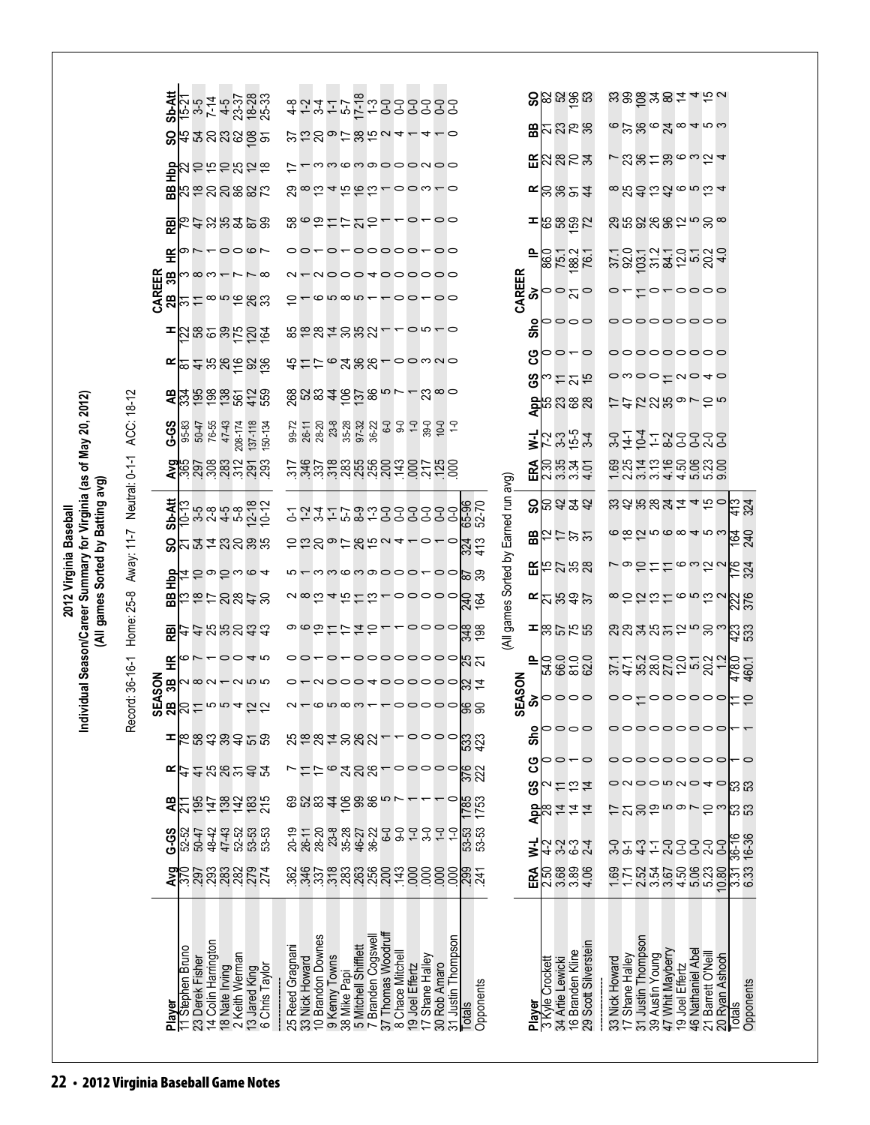|                                                                |                                      | Sb-Att             |                                     |                     |                | 15 5 4 3 5 8 3<br>15 5 4 5 7 8 9 3<br>15 4 3 9 8 9                                                                                                                                                                                                                                                        |         | 4 4 9 4 4 9                                                      |                   |               |                                                                             | woooooo<br>Haddoooo    |                                       |                 |                                 |                         |                       |                                      |                 |                 | <b>ន</b> ន្ទ្រីន្ទ្រី                     |                                          |       |          |                                                                                                                    |                   | <u> ಜಹಿಹಿಳಿ ಇಕ್ಕ</u> ನ                           |                          |           |
|----------------------------------------------------------------|--------------------------------------|--------------------|-------------------------------------|---------------------|----------------|-----------------------------------------------------------------------------------------------------------------------------------------------------------------------------------------------------------------------------------------------------------------------------------------------------------|---------|------------------------------------------------------------------|-------------------|---------------|-----------------------------------------------------------------------------|------------------------|---------------------------------------|-----------------|---------------------------------|-------------------------|-----------------------|--------------------------------------|-----------------|-----------------|-------------------------------------------|------------------------------------------|-------|----------|--------------------------------------------------------------------------------------------------------------------|-------------------|--------------------------------------------------|--------------------------|-----------|
|                                                                |                                      |                    |                                     |                     |                |                                                                                                                                                                                                                                                                                                           |         | <b>ひにのっておちっょー4ー0</b>                                             |                   |               |                                                                             |                        |                                       |                 |                                 |                         |                       |                                      |                 |                 | <b>ឌ</b> ុននន                             |                                          |       |          |                                                                                                                    |                   | $\infty$ pgoggatow                               |                          |           |
|                                                                |                                      | 흉                  |                                     |                     |                | <b>2252528</b>                                                                                                                                                                                                                                                                                            |         |                                                                  |                   |               |                                                                             | - mm c m o o o o n o o |                                       |                 |                                 |                         |                       |                                      |                 |                 | <b>EA</b> &6x                             |                                          |       |          |                                                                                                                    |                   | 了28128634                                        |                          |           |
|                                                                |                                      | 岊                  |                                     |                     |                | あなののある                                                                                                                                                                                                                                                                                                    |         | <u> 8 ∞ 5 4 5 6 5 − 0 0 w − 0</u>                                |                   |               |                                                                             |                        |                                       |                 |                                 |                         |                       |                                      | ≃               |                 | <b>ខ្លួន24</b>                            |                                          |       |          |                                                                                                                    |                   | <b>∞83</b> 은약 @ m <i>b</i> 4                     |                          |           |
|                                                                |                                      | 쭏                  |                                     |                     |                | 54999888                                                                                                                                                                                                                                                                                                  |         | 86922227-0700                                                    |                   |               |                                                                             |                        |                                       |                 |                                 |                         |                       |                                      | ᆂ               |                 | န်းစီစီအ                                  |                                          |       |          |                                                                                                                    |                   |                                                  |                          |           |
|                                                                |                                      | 또                  |                                     |                     |                | 0002                                                                                                                                                                                                                                                                                                      |         | 00-000000000                                                     |                   |               |                                                                             |                        |                                       |                 |                                 |                         |                       |                                      | 으               |                 | 0 - 0 -<br>8 - 0 -<br>8 - 0 -             |                                          |       |          |                                                                                                                    |                   |                                                  |                          |           |
|                                                                |                                      | CAREER<br>2B<br>3B |                                     |                     |                | ကထက $\leftarrow$ $\sim$ $\sim$ $\infty$                                                                                                                                                                                                                                                                   |         |                                                                  |                   |               |                                                                             | - NOOO TOOOOO          |                                       | $00-00$         |                                 |                         |                       |                                      | CAREER<br>ઢ     |                 | ంచం                                       |                                          |       |          |                                                                                                                    |                   | -to-oooo                                         |                          |           |
|                                                                |                                      |                    | ကြ                                  |                     |                | ≒∞ౖౖౣౢ                                                                                                                                                                                                                                                                                                    |         |                                                                  |                   |               | $-$ a a a a                                                                 |                        |                                       |                 |                                 |                         |                       |                                      | o               |                 | 0000                                      |                                          |       |          |                                                                                                                    |                   | 00000000                                         |                          |           |
|                                                                |                                      |                    |                                     |                     |                | <b>=</b>   ដូឌទីនងទីខ្ន                                                                                                                                                                                                                                                                                   |         | 5287557                                                          |                   |               |                                                                             |                        |                                       |                 |                                 | $\circ$ $\circ$ $\circ$ |                       |                                      | င်္တ<br>ပ္ပ     |                 | 00-0                                      |                                          |       |          |                                                                                                                    |                   | 000000000                                        |                          |           |
|                                                                |                                      |                    |                                     |                     |                |                                                                                                                                                                                                                                                                                                           |         | おけけてみああり00320                                                    |                   |               |                                                                             |                        |                                       |                 |                                 |                         |                       |                                      | ဖိ              | က               | けどお                                       |                                          |       |          |                                                                                                                    |                   | $\sim$ $\sim$ $\sim$ $\sim$ $\sim$ $\sim$ $\sim$ |                          |           |
|                                                                |                                      |                    |                                     |                     |                | 2222                                                                                                                                                                                                                                                                                                      |         | $8983482880 - 4$                                                 |                   |               |                                                                             |                        |                                       |                 |                                 | $\mathbb{R}^{\infty}$ ဝ |                       |                                      |                 |                 | <b>a</b> ុននន<br><b>a</b>                 |                                          |       |          |                                                                                                                    |                   | けれてのあっての5                                        |                          |           |
| ridual Season/Career Summary for Virginia (as of May 20, 2012) | Away: 11-7 Neutral: 0-1-1 ACC: 18-12 | G-S                | 95-83                               | 76-55<br>50-47      | 47-43          | 208-174<br>137-118                                                                                                                                                                                                                                                                                        | 150-134 | 99-72<br>26-11<br>28-20                                          |                   | $23 - 8$      | $35 - 28$<br>$97 - 32$<br>$36 - 22$                                         |                        |                                       |                 |                                 |                         |                       |                                      | ミ               |                 | 7.3.54<br>7.3.54                          |                                          | $3-0$ | $14 - 1$ | $10-4$                                                                                                             |                   | 132523                                           |                          |           |
|                                                                |                                      |                    |                                     |                     |                | <b>ទា</b> ន្ធ ក្នុង ក្នុង ក្នុង<br><b>4</b> កុំ កុំ កុំ កុំ កុំ កុំ កុំ កុំ                                                                                                                                                                                                                               |         | ndununun 1001-002                                                |                   |               |                                                                             |                        |                                       |                 |                                 |                         |                       |                                      |                 |                 |                                           |                                          |       |          |                                                                                                                    |                   | 8841968888<br>- 23444669                         |                          |           |
| (All games Sorted by Batting avg)                              |                                      |                    |                                     |                     |                | <b>99</b><br>99999829<br><b>99</b> 99982                                                                                                                                                                                                                                                                  |         | ことなといることところころ                                                    |                   |               |                                                                             |                        |                                       |                 |                                 |                         | 65-96<br>52-70        | (All games Sorted by Earned run avg) |                 |                 | 88322                                     |                                          |       |          |                                                                                                                    |                   | sassataro                                        | $\frac{4}{3}$<br>324     |           |
|                                                                |                                      | င္တ                |                                     |                     |                | <b>ដូ</b> ង្គីដូន្តូង                                                                                                                                                                                                                                                                                     |         | <b>UUSのけぬちっょっしょっ</b>                                             |                   |               |                                                                             |                        |                                       |                 |                                 |                         | $\frac{24}{33}$       |                                      |                 |                 | <b>思</b> 右는 2월                            |                                          |       |          |                                                                                                                    |                   | <u>ၜၜ</u> ၯၑၜၜ႖ၑၑ                                | <u>le st</u>             |           |
|                                                                |                                      |                    |                                     |                     |                | $\frac{1}{2}$ = $\frac{1}{2}$ = $\frac{1}{2}$ = $\frac{1}{2}$ = $\frac{1}{2}$ = $\frac{1}{2}$ = $\frac{1}{2}$ = $\frac{1}{2}$ = $\frac{1}{2}$ = $\frac{1}{2}$ = $\frac{1}{2}$ = $\frac{1}{2}$ = $\frac{1}{2}$ = $\frac{1}{2}$ = $\frac{1}{2}$ = $\frac{1}{2}$ = $\frac{1}{2}$ = $\frac{1}{2}$ = $\frac{1$ |         |                                                                  |                   |               |                                                                             | mmcmoooo-oo            |                                       |                 |                                 |                         | $\frac{8}{29}$        |                                      |                 |                 | $E_{52}^{2}$ 28                           |                                          |       |          |                                                                                                                    |                   | っかけけるっかっ                                         | $\frac{176}{324}$        |           |
| 2012 Virginia Baseball                                         |                                      | 58                 |                                     |                     |                | おはけのぬけい                                                                                                                                                                                                                                                                                                   |         | $\sim$ ∞ $\sim$ $\sim$ $\sim$ $\sim$ $\sim$ $\sim$ $\sim$ $\sim$ |                   |               |                                                                             |                        |                                       |                 |                                 |                         | <u>240</u><br>164     |                                      |                 |                 | $E$ $\approx$ $E$ $\approx$ $E$ $\approx$ |                                          |       |          |                                                                                                                    |                   | 80000052                                         | 226                      |           |
|                                                                | Home: 25-8                           | 巼                  |                                     |                     |                | 44gegaa                                                                                                                                                                                                                                                                                                   |         |                                                                  |                   |               |                                                                             |                        |                                       |                 |                                 |                         |                       |                                      |                 |                 | 면역영역                                      |                                          |       |          |                                                                                                                    |                   | ສູສູສູສຸກສູ                                      | <b>ដូ</b> ន្ល            |           |
|                                                                |                                      | 뚠                  |                                     |                     |                | 07-0040                                                                                                                                                                                                                                                                                                   |         | 00-00-0000000                                                    |                   |               |                                                                             |                        |                                       |                 |                                 |                         | ಸಿ ಸ                  |                                      | ௨               |                 | ದ ಹಿ<br> <br> ದ ಹಿ ಜ ದ                    |                                          |       |          |                                                                                                                    |                   | $4888852878787807778077$                         |                          |           |
|                                                                | rd: 36-16-1                          | SON<br>ä           |                                     |                     |                | $\frac{m}{2}$                                                                                                                                                                                                                                                                                             |         |                                                                  |                   |               |                                                                             |                        |                                       |                 |                                 |                         | uooo4000000M7         |                                      | EASON<br>စိ     |                 | 0000                                      |                                          |       |          |                                                                                                                    |                   | °°±000000                                        |                          |           |
| Í                                                              | Reco                                 | <b>ဟ လ</b>         |                                     |                     |                | $B_0$ $\approx$ $B_1$ $\approx$ $B_2$ $\approx$ $B_3$ $\approx$ $B_4$ $\approx$ $B_5$                                                                                                                                                                                                                     |         |                                                                  |                   |               |                                                                             |                        |                                       |                 |                                 | $\sim$ 0000             |                       |                                      | ဟ<br><b>Sho</b> |                 | 0000                                      |                                          |       |          |                                                                                                                    |                   | 00000000                                         |                          |           |
|                                                                |                                      |                    |                                     |                     |                | Ⅰ 2 2 3 3 3 4 2 2 3                                                                                                                                                                                                                                                                                       |         | segussa-                                                         |                   |               |                                                                             |                        |                                       |                 |                                 |                         | ន្លៃខ្ញ               |                                      | ပ္ပ             |                 | 0 – 0                                     |                                          |       |          |                                                                                                                    |                   | 00000000                                         | $\overline{\phantom{0}}$ |           |
|                                                                |                                      |                    |                                     |                     |                | $\frac{1}{2}$ = 22223                                                                                                                                                                                                                                                                                     |         |                                                                  |                   |               |                                                                             | $\circ$ 388-00000      |                                       |                 |                                 |                         | 376                   |                                      | <u>ငိ</u>       |                 | けおは                                       |                                          |       |          |                                                                                                                    |                   | onoowno4o                                        | င္ဟြ ကို                 |           |
|                                                                |                                      | æ                  |                                     |                     |                | 29422825                                                                                                                                                                                                                                                                                                  |         | 888246880                                                        |                   |               |                                                                             |                        |                                       |                 |                                 |                         | 1785<br>1753          |                                      |                 |                 | <mark>요</mark> ペさささ<br>4                  |                                          |       |          |                                                                                                                    |                   | けひのねちゅてれる                                        | င္ဟြ ကို                 |           |
|                                                                |                                      | G-S                | 52-52<br>50-47                      | 48-42               |                | 42<br>422<br>4323                                                                                                                                                                                                                                                                                         |         | 20-19<br>26-11                                                   | 28-20             | 23-8<br>35-28 |                                                                             | 46-27<br>36-22         |                                       |                 |                                 | $-5 -$                  | 3<br>3<br>3<br>3<br>3 |                                      | ₹               |                 | というとし                                     |                                          |       | $5 -$    | $4 - 7$                                                                                                            |                   | SSSSS                                            | 36-16<br>16-36           |           |
|                                                                |                                      |                    | $\frac{25}{25}$                     |                     |                |                                                                                                                                                                                                                                                                                                           |         |                                                                  |                   |               |                                                                             |                        |                                       |                 |                                 |                         | 8855888885788888888   |                                      | ERA             |                 | <b>ន្ត្រី</b><br>និង និង<br>ក្នុង ម       |                                          |       |          |                                                                                                                    |                   | ត្ត<br>ក្នុងប្អូន មិនដូច<br>ទី២ មិនដូច           | $\frac{31}{33}$          |           |
|                                                                |                                      |                    |                                     |                     |                |                                                                                                                                                                                                                                                                                                           |         |                                                                  |                   |               |                                                                             |                        |                                       |                 |                                 |                         |                       |                                      |                 |                 |                                           |                                          |       |          |                                                                                                                    |                   |                                                  |                          |           |
|                                                                |                                      |                    |                                     |                     |                |                                                                                                                                                                                                                                                                                                           |         |                                                                  |                   |               |                                                                             |                        |                                       |                 |                                 |                         |                       |                                      |                 |                 |                                           |                                          |       |          |                                                                                                                    |                   |                                                  |                          |           |
|                                                                |                                      |                    | 11 Stephen Bruno<br>23 Derek Fisher | 14 Colin Harrington |                | 2 Keith Werman                                                                                                                                                                                                                                                                                            |         | 25 Reed Gragnani<br>33 Nick Howard                               | 10 Brandon Downes |               | 9 Kenny Towns<br>38 Mike Papi<br>5 Mitchell Shifflett<br>7 Branden Cogswell |                        | 37 Thomas Woodruft<br>8 Chace Mitchel |                 | 17 Shane Halley<br>30 Rob Amaro | 31 Justin Thompson      |                       |                                      |                 |                 |                                           | 16 Branden Kline<br>29 Scott Silverstein |       |          | 33 Nick Howard<br>17 Shane Halley<br>31 Justin Thompson<br>39 Austin Young<br>47 Whit Mayberry<br>47 Vhit Mayberry | 46 Nathaniel Abel | 21 Barrett O'Neill<br>20 Ryan Ashooh             |                          |           |
|                                                                |                                      |                    |                                     |                     | 18 Nate Irving | 13 Jared King<br>6 Chris Taylor                                                                                                                                                                                                                                                                           |         |                                                                  |                   |               |                                                                             |                        |                                       | 19 Joel Effertz |                                 |                         | Opponents             |                                      |                 | 3 Kyle Crockett | 34 Artie Lewicki                          |                                          |       |          |                                                                                                                    |                   |                                                  |                          | Opponents |
|                                                                |                                      | Player             |                                     |                     |                |                                                                                                                                                                                                                                                                                                           |         |                                                                  |                   |               |                                                                             |                        |                                       |                 |                                 |                         | Totals                |                                      | Player          |                 |                                           |                                          |       |          |                                                                                                                    |                   |                                                  | Totals                   |           |
|                                                                |                                      |                    |                                     |                     |                |                                                                                                                                                                                                                                                                                                           |         |                                                                  |                   |               |                                                                             |                        |                                       |                 |                                 |                         |                       |                                      |                 |                 |                                           |                                          |       |          |                                                                                                                    |                   |                                                  |                          |           |
| 22 • 2012 Virginia Baseball Game Notes                         |                                      |                    |                                     |                     |                |                                                                                                                                                                                                                                                                                                           |         |                                                                  |                   |               |                                                                             |                        |                                       |                 |                                 |                         |                       |                                      |                 |                 |                                           |                                          |       |          |                                                                                                                    |                   |                                                  |                          |           |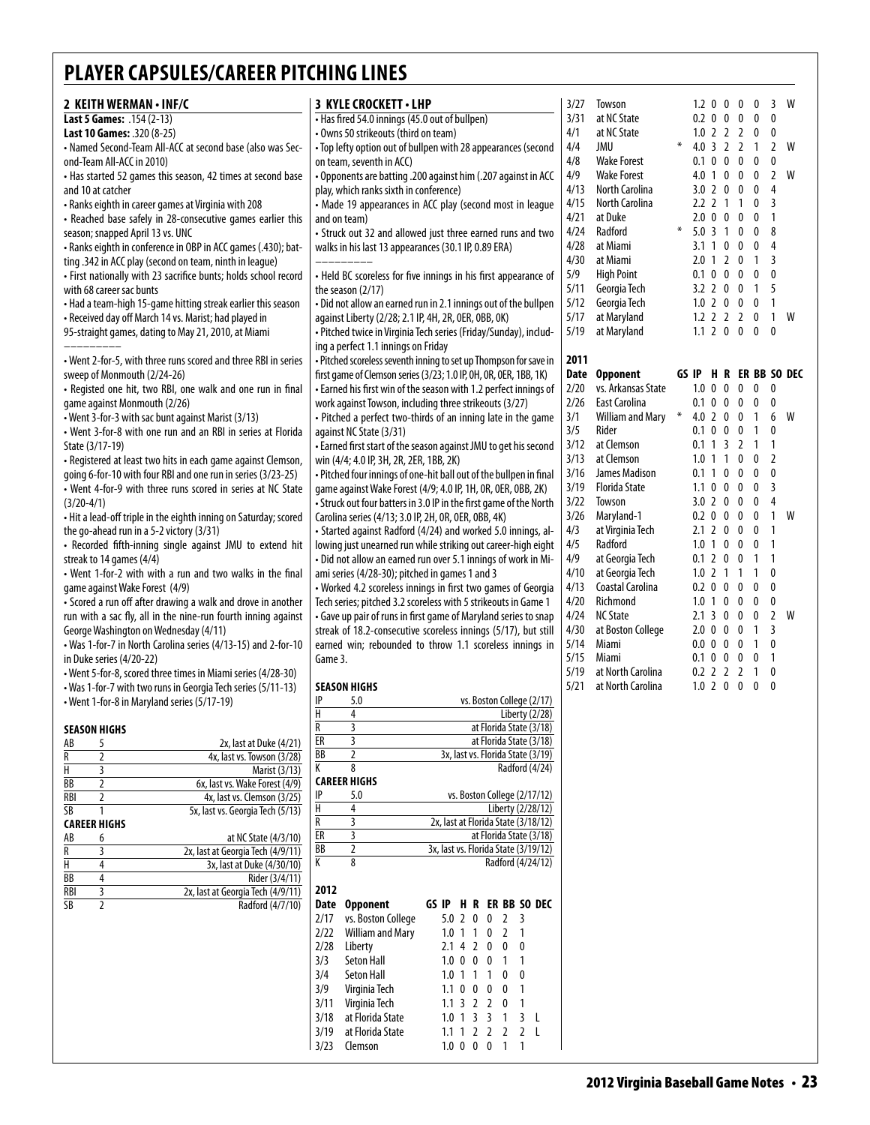| 2 KEITH WERMAN . INF/C                                                                                                       | <b>3 KYLE CROCKETT • LHP</b>                                                                                                          | 3/27         | Towson                               |        | $1.2$ 0 0 0 0                      |                                     | 3 W                              |     |
|------------------------------------------------------------------------------------------------------------------------------|---------------------------------------------------------------------------------------------------------------------------------------|--------------|--------------------------------------|--------|------------------------------------|-------------------------------------|----------------------------------|-----|
| Last 5 Games: .154 (2-13)                                                                                                    | • Has fired 54.0 innings (45.0 out of bullpen)                                                                                        | 3/31         | at NC State                          |        | $0.2 \t0 \t0 \t0$                  | $\mathbf 0$                         | 0                                |     |
| Last 10 Games: .320 (8-25)<br>- Named Second-Team All-ACC at second base (also was Sec-                                      | • Owns 50 strikeouts (third on team)<br>• Top lefty option out of bullpen with 28 appearances (second                                 | 4/1<br>4/4   | at NC State<br>JMU                   |        | $1.0$ 2 2 2 0<br>4.0 3 2 2 1       |                                     | 0<br>2 W                         |     |
| ond-Team All-ACC in 2010)                                                                                                    | on team, seventh in ACC)                                                                                                              | 4/8          | <b>Wake Forest</b>                   |        | 0.1 0 0 0                          | $\mathbf 0$                         | 0                                |     |
| • Has started 52 games this season, 42 times at second base                                                                  | Opponents are batting .200 against him (.207 against in ACC                                                                           | 4/9          | <b>Wake Forest</b>                   |        | $4.0$ 1 0 0                        | $\mathbf 0$                         | 2 W                              |     |
| and 10 at catcher                                                                                                            | play, which ranks sixth in conference)                                                                                                | 4/13         | <b>North Carolina</b>                |        | 3.0 2 0 0                          | 0                                   | 4                                |     |
| • Ranks eighth in career games at Virginia with 208                                                                          | • Made 19 appearances in ACC play (second most in league                                                                              | 4/15<br>4/21 | North Carolina                       |        | 2.2 2 1 1 0<br>$2.0 \t0 \t0 \t0$   |                                     | 3                                |     |
| • Reached base safely in 28-consecutive games earlier this<br>season; snapped April 13 vs. UNC                               | and on team)<br>• Struck out 32 and allowed just three earned runs and two                                                            | 4/24         | at Duke<br>Radford                   | $\ast$ | $5.0$ 3 1 0                        | 0<br>0                              | $\overline{1}$<br>8              |     |
| - Ranks eighth in conference in OBP in ACC games (.430); bat-                                                                | walks in his last 13 appearances (30.1 IP, 0.89 ERA)                                                                                  | 4/28         | at Miami                             |        | 3.1 1 0 0                          | 0                                   | 4                                |     |
| ting .342 in ACC play (second on team, ninth in league)                                                                      |                                                                                                                                       | 4/30         | at Miami                             |        | $2.0 \t1 \t2 \t0$                  | $\overline{1}$                      | 3                                |     |
| • First nationally with 23 sacrifice bunts; holds school record                                                              | • Held BC scoreless for five innings in his first appearance of                                                                       | 5/9          | <b>High Point</b>                    |        | 0.1 0 0 0                          | $\mathbf 0$                         | $\mathbf{0}$                     |     |
| with 68 career sac bunts                                                                                                     | the season (2/17)                                                                                                                     | 5/11<br>5/12 | Georgia Tech<br>Georgia Tech         |        | 3.2 2 0 0 1<br>$1.0$ 2 0 0         | 0                                   | 5<br>$\mathbf{1}$                |     |
| • Had a team-high 15-game hitting streak earlier this season<br>• Received day off March 14 vs. Marist; had played in        | • Did not allow an earned run in 2.1 innings out of the bullpen<br>against Liberty (2/28; 2.1 IP, 4H, 2R, 0ER, 0BB, 0K)               | 5/17         | at Maryland                          |        | $1.2$ 2 2 2 0                      |                                     | $\mathbf{1}$                     | W   |
| 95-straight games, dating to May 21, 2010, at Miami                                                                          | - Pitched twice in Virginia Tech series (Friday/Sunday), includ-                                                                      | 5/19         | at Maryland                          |        | $1.1$ 2 0 0                        | 0                                   | $\mathbf{0}$                     |     |
|                                                                                                                              | ing a perfect 1.1 innings on Friday                                                                                                   |              |                                      |        |                                    |                                     |                                  |     |
| • Went 2-for-5, with three runs scored and three RBI in series                                                               | • Pitched scoreless seventh inning to set up Thompson for save in                                                                     | 2011         |                                      |        | GS IP H R ER BB SO DE              |                                     |                                  |     |
| sweep of Monmouth (2/24-26)<br>• Registed one hit, two RBI, one walk and one run in final                                    | first game of Clemson series (3/23; 1.0 IP, 0H, 0R, 0ER, 1BB, 1K)<br>• Earned his first win of the season with 1.2 perfect innings of | 2/20         | Date Opponent<br>vs. Arkansas State  |        | $1.0 \t0 \t0 \t0$                  | $\mathbf 0$                         | 0                                |     |
| game against Monmouth (2/26)                                                                                                 | work against Towson, including three strikeouts (3/27)                                                                                | 2/26         | East Carolina                        |        | 0.1 0 0 0 0                        |                                     | 0                                |     |
| • Went 3-for-3 with sac bunt against Marist (3/13)                                                                           | • Pitched a perfect two-thirds of an inning late in the game                                                                          | 3/1          | William and Mary *                   |        | 4.0 2 0 0 1                        |                                     |                                  | 6 W |
| • Went 3-for-8 with one run and an RBI in series at Florida                                                                  | against NC State (3/31)                                                                                                               | 3/5          | Rider                                |        | 0.1 0 0 0                          | $\overline{1}$                      | 0                                |     |
| State (3/17-19)                                                                                                              | • Earned first start of the season against JMU to get his second                                                                      | 3/12<br>3/13 | at Clemson<br>at Clemson             |        | 0.1 1 3 2 1<br>$1.0$ 1 1 0         | $\mathbf 0$                         | $\overline{1}$<br>$\overline{2}$ |     |
| • Registered at least two hits in each game against Clemson,<br>going 6-for-10 with four RBI and one run in series (3/23-25) | win (4/4; 4.0 IP, 3H, 2R, 2ER, 1BB, 2K)<br>• Pitched four innings of one-hit ball out of the bullpen in final                         | 3/16         | James Madison                        |        | 0.1 1 0 0                          | $\mathbf 0$                         | $\mathbf 0$                      |     |
| • Went 4-for-9 with three runs scored in series at NC State                                                                  | game against Wake Forest (4/9; 4.0 IP, 1H, 0R, 0ER, 0BB, 2K)                                                                          | 3/19         | <b>Florida State</b>                 |        | $1.1 \t0 \t0 \t0$                  | $\mathbf{0}$                        | 3                                |     |
| $(3/20-4/1)$                                                                                                                 | • Struck out four batters in 3.0 IP in the first game of the North                                                                    | 3/22         | Towson                               |        | 3.0 2 0 0                          | 0                                   | 4                                |     |
| • Hit a lead-off triple in the eighth inning on Saturday; scored                                                             | Carolina series (4/13; 3.0 IP, 2H, 0R, 0ER, 0BB, 4K)                                                                                  | 3/26         | Maryland-1                           |        | 0.2 0 0 0                          | $\mathbf 0$                         | $1 \quad W$                      |     |
| the go-ahead run in a 5-2 victory (3/31)                                                                                     | • Started against Radford (4/24) and worked 5.0 innings, al-                                                                          | 4/3<br>4/5   | at Virginia Tech<br>Radford          |        | $2.1$ 2 0 0<br>1.0 1 0 0           | $\overline{\mathbf{0}}$<br>$\bm{0}$ | $\mathbf{1}$<br>$\overline{1}$   |     |
| • Recorded fifth-inning single against JMU to extend hit<br>streak to 14 games (4/4)                                         | lowing just unearned run while striking out career-high eight<br>- Did not allow an earned run over 5.1 innings of work in Mi-        | 4/9          | at Georgia Tech                      |        | 0.1 2 0 0                          | $\overline{1}$                      | $\overline{1}$                   |     |
| • Went 1-for-2 with with a run and two walks in the final                                                                    | ami series (4/28-30); pitched in games 1 and 3                                                                                        | 4/10         | at Georgia Tech                      |        | $1.0$ 2 1 1 1                      |                                     | 0                                |     |
| game against Wake Forest (4/9)                                                                                               | • Worked 4.2 scoreless innings in first two games of Georgia                                                                          | 4/13         | Coastal Carolina                     |        | $0.2 \t0 \t0 \t0$                  | 0                                   | 0                                |     |
| • Scored a run off after drawing a walk and drove in another                                                                 | Tech series; pitched 3.2 scoreless with 5 strikeouts in Game 1                                                                        | 4/20         | Richmond                             |        | $1.0 \t1 \t0 \t0$                  | 0                                   | 0<br>2 W                         |     |
| run with a sac fly, all in the nine-run fourth inning against<br>George Washington on Wednesday (4/11)                       | • Gave up pair of runs in first game of Maryland series to snap<br>streak of 18.2-consecutive scoreless innings (5/17), but still     | 4/24<br>4/30 | <b>NC State</b><br>at Boston College |        | $2.1$ 3 0 0 0<br>$2.0 \t0 \t0 \t0$ | $\overline{1}$                      | 3                                |     |
| • Was 1-for-7 in North Carolina series (4/13-15) and 2-for-10                                                                | earned win; rebounded to throw 1.1 scoreless innings in                                                                               | 5/14         | Miami                                |        | 0.0 0 0 0                          | $\overline{1}$                      | 0                                |     |
| in Duke series (4/20-22)                                                                                                     | Game 3.                                                                                                                               | 5/15         | Miami                                |        | 0.1 0 0 0 0                        |                                     | $\overline{1}$                   |     |
| • Went 5-for-8, scored three times in Miami series (4/28-30)                                                                 |                                                                                                                                       | 5/19         | at North Carolina                    |        | $0.2$ 2 2 2 1 0                    |                                     |                                  |     |
| • Was 1-for-7 with two runs in Georgia Tech series (5/11-13)<br>• Went 1-for-8 in Maryland series (5/17-19)                  | <b>SEASON HIGHS</b><br>IP<br>5.0<br>vs. Boston College (2/17)                                                                         | 5/21         | at North Carolina                    |        | $1.0$ 2 0 0                        | $0\quad 0$                          |                                  |     |
|                                                                                                                              | $\overline{H}$<br>4<br>Liberty (2/28)                                                                                                 |              |                                      |        |                                    |                                     |                                  |     |
| <b>SEASON HIGHS</b>                                                                                                          | R<br>3<br>at Florida State (3/18)                                                                                                     |              |                                      |        |                                    |                                     |                                  |     |
| 2x, last at Duke (4/21)<br>AB<br>5                                                                                           | ER<br>3<br>at Florida State (3/18)<br>BB<br>$\overline{2}$<br>3x, last vs. Florida State (3/19)                                       |              |                                      |        |                                    |                                     |                                  |     |
| $\overline{2}$<br>$\overline{\mathsf{R}}$<br>4x, last vs. Towson (3/28)<br>Н<br>3<br><b>Marist (3/13)</b>                    | K<br>8<br>Radford (4/24)                                                                                                              |              |                                      |        |                                    |                                     |                                  |     |
| BB<br>$\overline{2}$<br>6x, last vs. Wake Forest (4/9)                                                                       | <b>CAREER HIGHS</b>                                                                                                                   |              |                                      |        |                                    |                                     |                                  |     |
| <b>RBI</b><br>2<br>4x, last vs. Clemson (3/25)                                                                               | IP<br>vs. Boston College (2/17/12)<br>5.0<br>H<br>4<br>Liberty (2/28/12)                                                              |              |                                      |        |                                    |                                     |                                  |     |
| $\overline{\text{SB}}$<br>1<br>5x, last vs. Georgia Tech (5/13)<br><b>CAREER HIGHS</b>                                       | 3<br>R<br>2x, last at Florida State (3/18/12)                                                                                         |              |                                      |        |                                    |                                     |                                  |     |
| at NC State (4/3/10)<br>AB<br>6                                                                                              | ER<br>3<br>at Florida State (3/18)                                                                                                    |              |                                      |        |                                    |                                     |                                  |     |
| R<br>3<br>2x, last at Georgia Tech (4/9/11)                                                                                  | $\overline{2}$<br><b>BB</b><br>3x, last vs. Florida State (3/19/12)                                                                   |              |                                      |        |                                    |                                     |                                  |     |
| H<br>4<br>3x, last at Duke (4/30/10)<br><b>BB</b><br>4<br>Rider (3/4/11)                                                     | K<br>8<br>Radford (4/24/12)                                                                                                           |              |                                      |        |                                    |                                     |                                  |     |
| $\overline{\mathbf{3}}$<br><b>RBI</b><br>2x, last at Georgia Tech (4/9/11)                                                   | 2012                                                                                                                                  |              |                                      |        |                                    |                                     |                                  |     |
| $\overline{\text{SB}}$<br>$\overline{2}$<br>Radford (4/7/10)                                                                 | <b>Opponent</b><br>GS IP H R ER BB SO DEC<br>Date                                                                                     |              |                                      |        |                                    |                                     |                                  |     |
|                                                                                                                              | vs. Boston College<br>2/17<br>5.0 2 0 0 2 3                                                                                           |              |                                      |        |                                    |                                     |                                  |     |
|                                                                                                                              | <b>William and Mary</b><br>2/22<br>$1.0$ 1 1 0 2 1<br>Liberty<br>2/28<br>2.142000                                                     |              |                                      |        |                                    |                                     |                                  |     |
|                                                                                                                              | Seton Hall<br>3/3<br>1.0 0 0 0 1 1                                                                                                    |              |                                      |        |                                    |                                     |                                  |     |
|                                                                                                                              | <b>Seton Hall</b><br>3/4<br>1.0 1 1 1 0 0                                                                                             |              |                                      |        |                                    |                                     |                                  |     |
|                                                                                                                              | 3/9<br>Virginia Tech<br>$1.1$ 0 0 0 0 1                                                                                               |              |                                      |        |                                    |                                     |                                  |     |
|                                                                                                                              | 3/11<br>Virginia Tech<br>1.1 3 2 2 0 1<br>at Florida State                                                                            |              |                                      |        |                                    |                                     |                                  |     |
|                                                                                                                              | 3/18<br>1.0 1 3 3 1 3 L<br>at Florida State<br>3/19<br>1.1 1 2 2 2 2 L                                                                |              |                                      |        |                                    |                                     |                                  |     |
|                                                                                                                              | 3/23<br>Clemson<br>1.0 0 0 0 1 1                                                                                                      |              |                                      |        |                                    |                                     |                                  |     |
|                                                                                                                              |                                                                                                                                       |              |                                      |        |                                    |                                     |                                  |     |

| 4/1  | at NC State             |       | 1.0 | $\overline{2}$ | $\overline{2}$ | $\overline{\mathbf{c}}$ | 0            | 0              |        |
|------|-------------------------|-------|-----|----------------|----------------|-------------------------|--------------|----------------|--------|
| 4/4  | JMU                     | ∗     | 4.0 | $\overline{3}$ | $\overline{2}$ | $\overline{2}$          | 1            | $\overline{2}$ | W      |
| 4/8  | <b>Wake Forest</b>      |       | 0.1 | 0              | 0              | 0                       | 0            | 0              |        |
| 4/9  | <b>Wake Forest</b>      |       | 4.0 | 1              | 0              | 0                       | 0            | $\overline{2}$ | W      |
| 4/13 | <b>North Carolina</b>   |       | 3.0 | $\overline{2}$ | 0              | 0                       | 0            | 4              |        |
| 4/15 | North Carolina          |       | 2.2 | $\overline{2}$ | 1              | 1                       | 0            | 3              |        |
| 4/21 | at Duke                 |       | 2.0 | 0              | 0              | 0                       | 0            | 1              |        |
| 4/24 | Radford                 | ∗     | 5.0 | 3              | 1              | 0                       | 0            | 8              |        |
| 4/28 | at Miami                |       | 3.1 | 1              | 0              | 0                       | 0            | 4              |        |
| 4/30 | at Miami                |       | 2.0 | 1              | $\overline{2}$ | 0                       | 1            | 3              |        |
| 5/9  | <b>High Point</b>       |       | 0.1 | 0              | 0              | 0                       | 0            | 0              |        |
| 5/11 | Georgia Tech            |       | 3.2 | $\overline{2}$ | 0              | 0                       | 1            | 5              |        |
| 5/12 | Georgia Tech            |       | 1.0 | $\overline{2}$ | 0              | 0                       | 0            | 1              |        |
| 5/17 | at Maryland             |       | 1.2 | $\overline{2}$ | $\overline{2}$ | $\overline{2}$          | 0            | 1              | w      |
| 5/19 | at Maryland             |       | 1.1 | $\overline{2}$ | 0              | 0                       | 0            | 0              |        |
| 2011 |                         |       |     |                |                |                         |              |                |        |
| Date | <b>Opponent</b>         | GS IP |     | H              | R              | ER                      | <b>BB</b>    |                | SO DEC |
| 2/20 | vs. Arkansas State      |       | 1.0 | 0              | 0              | 0                       | 0            | 0              |        |
| 2/26 | <b>East Carolina</b>    |       | 0.1 | 0              | 0              | 0                       | 0            | 0              |        |
| 3/1  | <b>William and Mary</b> | ∗     | 4.0 | $\overline{2}$ | 0              | 0                       | 1            | 6              | W      |
| 3/5  | Rider                   |       | 0.1 | 0              | 0              | 0                       | 1            | 0              |        |
| 3/12 | at Clemson              |       | 0.1 | 1              | 3              | $\overline{2}$          | 1            | 1              |        |
| 3/13 | at Clemson              |       | 1.0 | 1              | 1              | 0                       | 0            | $\overline{2}$ |        |
| 3/16 | James Madison           |       | 0.1 | 1              | 0              | 0                       | 0            | 0              |        |
| 3/19 | <b>Florida State</b>    |       | 1.1 | 0              | 0              | 0                       | 0            | 3              |        |
| 3/22 | Towson                  |       | 3.0 | $\overline{2}$ | 0              | 0                       | 0            | $\overline{4}$ |        |
| 3/26 | Maryland-1              |       | 0.2 | 0              | 0              | 0                       | 0            | 1              | W      |
| 4/3  | at Virginia Tech        |       | 2.1 | $\overline{2}$ | 0              | 0                       | 0            | 1              |        |
| 4/5  | Radford                 |       | 1.0 | 1              | 0              | 0                       | 0            | 1              |        |
| 4/9  | at Georgia Tech         |       | 0.1 | $\overline{2}$ | 0              | 0                       | 1            | 1              |        |
| 4/10 | at Georgia Tech         |       | 1.0 | $\overline{2}$ | 1              | 1                       | 1            | 0              |        |
| 4/13 | Coastal Carolina        |       | 0.2 | 0              | 0              | 0                       | 0            | 0              |        |
| 4/20 | Richmond                |       | 1.0 | 1              | 0              | 0                       | 0            | 0              |        |
| 4/24 | <b>NC State</b>         |       | 2.1 | 3              | 0              | 0                       | 0            | 2              | W      |
| 4/30 | at Boston College       |       | 2.0 | 0              | 0              | 0                       | 1            | 3              |        |
| 5/14 | Miami                   |       | 0.0 | 0              | 0              | 0                       | 1            | 0              |        |
| 5/15 | Miami                   |       | 0.1 | 0              | 0              | 0                       | 0            | 1              |        |
| 5/19 | at North Carolina       |       | 0.2 | $\overline{2}$ | $\overline{2}$ | $\overline{2}$          | 1            | $\mathbf{0}$   |        |
| 5/21 | at North Carolina       |       | 1.0 | $\overline{2}$ | $\mathbf{0}$   | $\mathbf{0}$            | $\mathbf{0}$ | $\mathbf{0}$   |        |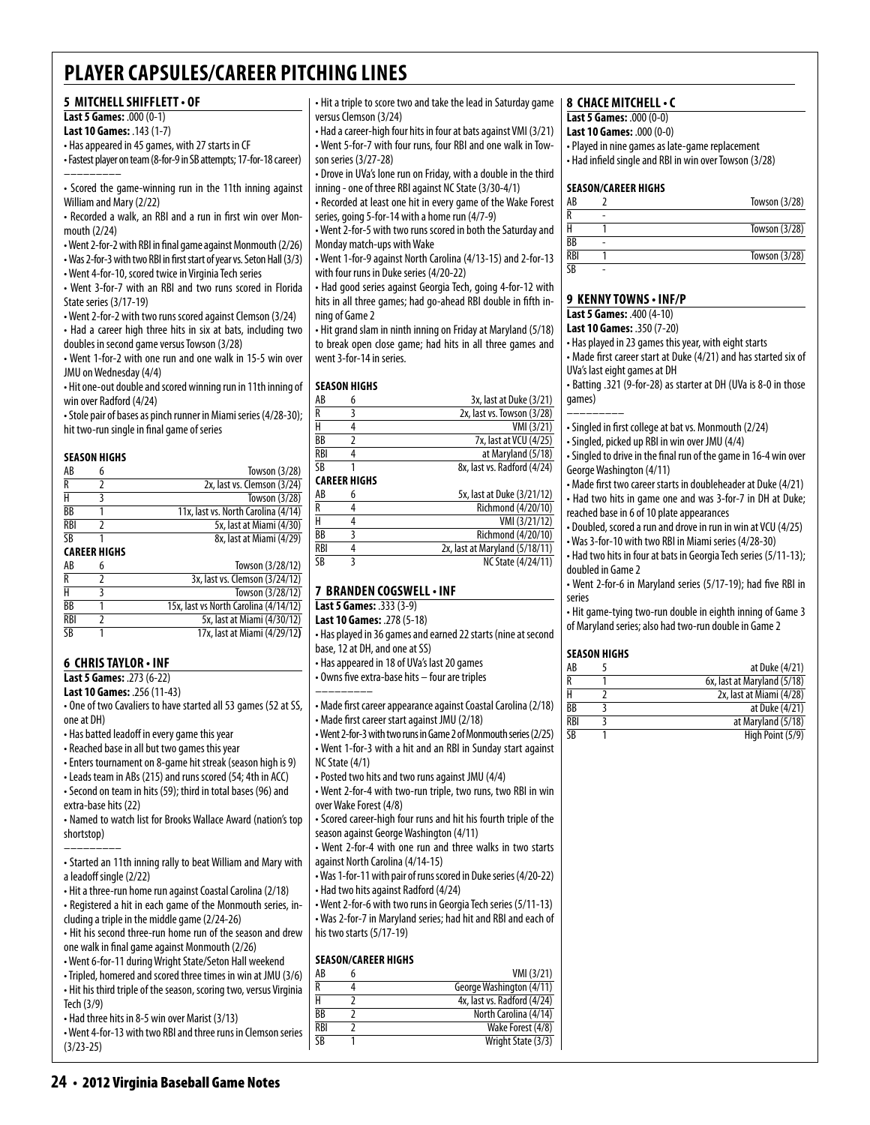### **5 MitchellShifflett• OF**

#### **Last 5 Games:** .000 (0-1) **Last 10 Games:** .143 (1-7)

• Has appeared in 45 games, with 27 starts in CF

• Fastest player on team (8-for-9 in SB attempts; 17-for-18 career) –––––––––

• Scored the game-winning run in the 11th inning against William and Mary (2/22)

• Recorded a walk, an RBI and a run in first win over Monmouth (2/24)

- Went 2-for-2 with RBI in final game against Monmouth (2/26)
- Was 2-for-3 with two RBI in first start of year vs. Seton Hall (3/3)
- Went 4-for-10, scored twice in Virginia Tech series

• Went 3-for-7 with an RBI and two runs scored in Florida State series (3/17-19)

• Went 2-for-2 with two runs scored against Clemson (3/24) • Had a career high three hits in six at bats, including two

doubles in second game versus Towson (3/28) • Went 1-for-2 with one run and one walk in 15-5 win over JMU on Wednesday (4/4)

• Hit one-out double and scored winning run in 11th inning of win over Radford (4/24)

• Stole pair of bases as pinch runner in Miami series (4/28-30); hit two-run single in final game of series

#### **season Highs**

| AB         | 6                   | Towson (3/28)                       |
|------------|---------------------|-------------------------------------|
| R          | 7                   | 2x, last vs. Clemson (3/24)         |
| Н          | 3                   | Towson (3/28)                       |
| <b>BB</b>  |                     | 11x, last vs. North Carolina (4/14) |
| <b>RBI</b> |                     | 5x, last at Miami (4/30)            |
| SB         |                     | 8x, last at Miami (4/29)            |
|            | <b>CAREER HIGHS</b> |                                     |
| AB         | 6                   | Towson (3/28/12)                    |
| R          |                     | 3x, last vs. Clemson (3/24/12)      |
|            |                     | Towson (3/28/12)                    |

| н          | Towson (3/28/12)                      |
|------------|---------------------------------------|
| BB         | 15x, last vs North Carolina (4/14/12) |
| <b>RBI</b> | 5x, last at Miami (4/30/12)           |
| SB         | 17x, last at Miami (4/29/12)          |

#### **6 Chris Taylor • INF**

**Last 5 Games:** .273 (6-22) **Last 10 Games:** .256 (11-43)

• One of two Cavaliers to have started all 53 games (52 at SS, one at DH)

- Has batted leadoff in every game this year
- Reached base in all but two games this year
- Enters tournament on 8-game hit streak (season high is 9)

• Leads team in ABs (215) and runs scored (54; 4th in ACC) • Second on team in hits (59); third in total bases (96) and

extra-base hits (22) • Named to watch list for Brooks Wallace Award (nation's top

shortstop) ––––––––– • Started an 11th inning rally to beat William and Mary with

a leadoff single (2/22)

- Hit a three-run home run against Coastal Carolina (2/18)
- Registered a hit in each game of the Monmouth series, including a triple in the middle game (2/24-26)
- Hit his second three-run home run of the season and drew one walk in final game against Monmouth (2/26)
- Went 6-for-11 during Wright State/Seton Hall weekend
- Tripled, homered and scored three times in win at JMU (3/6)
- Hit his third triple of the season, scoring two, versus Virginia Tech (3/9)
- Had three hits in 8-5 win over Marist (3/13)

• Went 4-for-13 with two RBI and three runs in Clemson series (3/23-25)

• Hit a triple to score two and take the lead in Saturday game versus Clemson (3/24)

• Had a career-high four hits in four at bats against VMI (3/21) • Went 5-for-7 with four runs, four RBI and one walk in Towson series (3/27-28)

• Drove in UVa's lone run on Friday, with a double in the third inning - one of three RBI against NC State (3/30-4/1)

• Recorded at least one hit in every game of the Wake Forest series, going 5-for-14 with a home run (4/7-9)

• Went 2-for-5 with two runs scored in both the Saturday and Monday match-ups with Wake

• Went 1-for-9 against North Carolina (4/13-15) and 2-for-13 with four runs in Duke series (4/20-22)

• Had good series against Georgia Tech, going 4-for-12 with hits in all three games; had go-ahead RBI double in fifth inning of Game 2

• Hit grand slam in ninth inning on Friday at Maryland (5/18) to break open close game; had hits in all three games and went 3-for-14 in series.

#### **Season Highs**

| AB         | 6                   | 3x, last at Duke (3/21)        |
|------------|---------------------|--------------------------------|
| R          | 3                   | 2x, last vs. Towson (3/28)     |
| H          | 4                   | VMI (3/21)                     |
| <b>BB</b>  | 2                   | 7x, last at VCU (4/25)         |
| <b>RBI</b> | 4                   | at Maryland (5/18)             |
| SB         | 1                   | 8x, last vs. Radford (4/24)    |
|            | <b>CAREER HIGHS</b> |                                |
| AB         | 6                   | 5x, last at Duke (3/21/12)     |
| R          | 4                   | Richmond (4/20/10)             |
| Н          | 4                   | VMI (3/21/12)                  |
| BB         | 3                   | Richmond (4/20/10)             |
| <b>RBI</b> | 4                   | 2x, last at Maryland (5/18/11) |
| SB         | ξ                   | NC State (4/24/11)             |
|            |                     |                                |

#### **7 Branden Cogswell• INF**

**Last 5 Games:** .333 (3-9) **Last 10 Games:** .278 (5-18)

• Has played in 36 games and earned 22 starts (nine at second base, 12 at DH, and one at SS)

• Has appeared in 18 of UVa's last 20 games

• Owns five extra-base hits – four are triples

–––––––––

• Made first career appearance against Coastal Carolina (2/18) • Made first career start against JMU (2/18)

• Went 2-for-3 with two runs in Game 2 of Monmouth series (2/25)

- Went 1-for-3 with a hit and an RBI in Sunday start against NC State (4/1) • Posted two hits and two runs against JMU (4/4)
- Went 2-for-4 with two-run triple, two runs, two RBI in win over Wake Forest (4/8)

• Scored career-high four runs and hit his fourth triple of the season against George Washington (4/11)

• Went 2-for-4 with one run and three walks in two starts against North Carolina (4/14-15)

• Was 1-for-11 with pair of runs scored in Duke series (4/20-22) • Had two hits against Radford (4/24)

• Went 2-for-6 with two runs in Georgia Tech series (5/11-13) • Was 2-for-7 in Maryland series; had hit and RBI and each of his two starts (5/17-19)

#### **Season/Career Highs**

| AB        | VMI (3/21)                  |
|-----------|-----------------------------|
| R         | George Washington (4/11)    |
| Н         | 4x, last vs. Radford (4/24) |
| ВB        | North Carolina (4/14)       |
| RBI       | Wake Forest (4/8)           |
| <b>SR</b> | Wright State (3/3)          |
|           |                             |

#### **8 chace mitchell• c**

**Last 5 Games:** .000 (0-0)

- **Last 10 Games:** .000 (0-0)
- Played in nine games as late-game replacement
- Had infield single and RBI in win over Towson (3/28)

#### **Season/career Highs**

| AB             |   | Towson (3/28) |
|----------------|---|---------------|
|                |   |               |
|                |   | Towson (3/28) |
| BB             | ۰ |               |
| <b>RBI</b>     |   | Towson (3/28) |
| $\overline{R}$ |   |               |

#### **9 Kenny towns • INF/P**

**Last 5 Games:** .400 (4-10)

- **Last 10 Games:** .350 (7-20)
- Has played in 23 games this year, with eight starts
- Made first career start at Duke (4/21) and has started six of UVa's last eight games at DH
- Batting .321 (9-for-28) as starter at DH (UVa is 8-0 in those games)
- Singled in first college at bat vs. Monmouth (2/24)
- 
- Singled to drive in the final run of the game in 16-4 win over George Washington (4/11)
- Made first two career starts in doubleheader at Duke (4/21)
- Had two hits in game one and was 3-for-7 in DH at Duke; reached base in 6 of 10 plate appearances
- Doubled, scored a run and drove in run in win at VCU (4/25) • Was 3-for-10 with two RBI in Miami series (4/28-30)
- Had two hits in four at bats in Georgia Tech series (5/11-13); doubled in Game 2
- Went 2-for-6 in Maryland series (5/17-19); had five RBI in
- series • Hit game-tying two-run double in eighth inning of Game 3
- of Maryland series; also had two-run double in Game 2

#### **Season Highs**

| AB         | at Duke (4/21)              |
|------------|-----------------------------|
| R          | 6x, last at Maryland (5/18) |
| н          | 2x, last at Miami (4/28)    |
| <b>BB</b>  | at Duke (4/21)              |
| <b>RBI</b> | at Maryland (5/18)          |
| SB         | High Point (5/9)            |

–––––––––

• Singled, picked up RBI in win over JMU (4/4)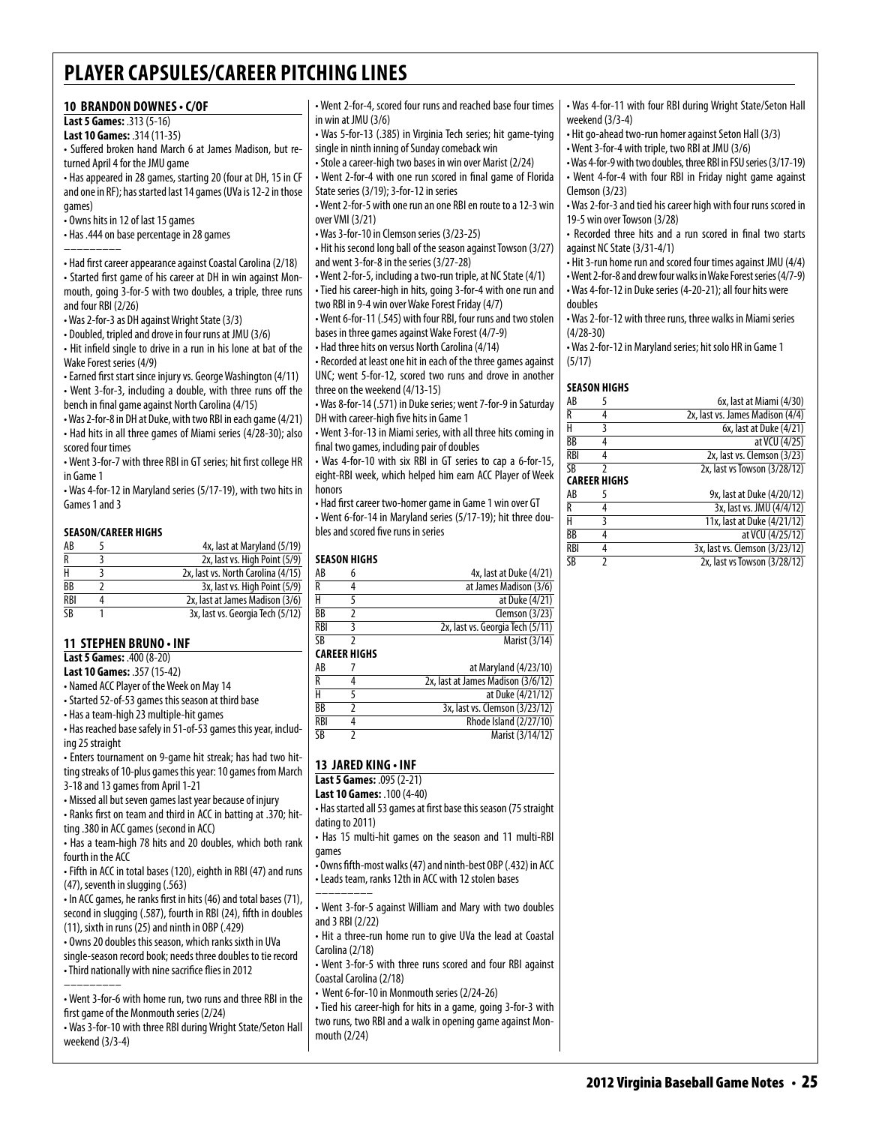#### **10 brandon downes • c/OF**

**Last 5 Games:** .313 (5-16)

**Last 10 Games:** .314 (11-35)

• Suffered broken hand March 6 at James Madison, but returned April 4 for the JMU game

• Has appeared in 28 games, starting 20 (four at DH, 15 in CF and one in RF); has started last 14 games (UVa is 12-2 in those games)

• Owns hits in 12 of last 15 games

• Has .444 on base percentage in 28 games

–––––––––

• Had first career appearance against Coastal Carolina (2/18) • Started first game of his career at DH in win against Monmouth, going 3-for-5 with two doubles, a triple, three runs and four RBI (2/26)

• Was 2-for-3 as DH against Wright State (3/3)

• Doubled, tripled and drove in four runs at JMU (3/6)

• Hit infield single to drive in a run in his lone at bat of the Wake Forest series (4/9)

• Earned first start since injury vs. George Washington (4/11)

• Went 3-for-3, including a double, with three runs off the bench in final game against North Carolina (4/15)

• Was 2-for-8 in DH at Duke, with two RBI in each game (4/21) • Had hits in all three games of Miami series (4/28-30); also scored four times

• Went 3-for-7 with three RBI in GT series; hit first college HR in Game 1

• Was 4-for-12 in Maryland series (5/17-19), with two hits in Games 1 and 3

#### **Season/Career Highs**

| AB         | 4x, last at Maryland (5/19)        |
|------------|------------------------------------|
| R          | 2x, last vs. High Point (5/9)      |
|            | 2x, last vs. North Carolina (4/15) |
| ВB         | 3x, last vs. High Point (5/9)      |
| <b>RBI</b> | 2x, last at James Madison (3/6)    |
| ςB         | 3x, last vs. Georgia Tech (5/12)   |

#### **11 Stephen Bruno • INF**

**Last 5 Games:** .400 (8-20)

**Last 10 Games:** .357 (15-42)

• Named ACC Player of the Week on May 14

• Started 52-of-53 games this season at third base

• Has a team-high 23 multiple-hit games

• Has reached base safely in 51-of-53 games this year, including 25 straight

• Enters tournament on 9-game hit streak; has had two hitting streaks of 10-plus games this year: 10 games from March 3-18 and 13 games from April 1-21

• Missed all but seven games last year because of injury

• Ranks first on team and third in ACC in batting at .370; hitting .380 in ACC games (second in ACC)

• Has a team-high 78 hits and 20 doubles, which both rank fourth in the ACC

• Fifth in ACC in total bases (120), eighth in RBI (47) and runs (47), seventh in slugging (.563)

• In ACC games, he ranks first in hits (46) and total bases (71), second in slugging (.587), fourth in RBI (24), fifth in doubles (11), sixth in runs (25) and ninth in OBP (.429)

• Owns 20 doubles this season, which ranks sixth in UVa

single-season record book; needs three doubles to tie record

• Third nationally with nine sacrifice flies in 2012 –––––––––

• Went 3-for-6 with home run, two runs and three RBI in the first game of the Monmouth series (2/24)

• Was 3-for-10 with three RBI during Wright State/Seton Hall weekend (3/3-4)

• Went 2-for-4, scored four runs and reached base four times in win at JMU (3/6)

• Was 5-for-13 (.385) in Virginia Tech series; hit game-tying single in ninth inning of Sunday comeback win

• Stole a career-high two bases in win over Marist (2/24)

• Went 2-for-4 with one run scored in final game of Florida State series (3/19); 3-for-12 in series

• Went 2-for-5 with one run an one RBI en route to a 12-3 win over VMI (3/21)

• Was 3-for-10 in Clemson series (3/23-25)

• Hit his second long ball of the season against Towson (3/27) and went 3-for-8 in the series (3/27-28)

• Went 2-for-5, including a two-run triple, at NC State (4/1) • Tied his career-high in hits, going 3-for-4 with one run and two RBI in 9-4 win over Wake Forest Friday (4/7)

• Went 6-for-11 (.545) with four RBI, four runs and two stolen

bases in three games against Wake Forest (4/7-9) • Had three hits on versus North Carolina (4/14)

• Recorded at least one hit in each of the three games against UNC; went 5-for-12, scored two runs and drove in another

three on the weekend (4/13-15)

• Was 8-for-14 (.571) in Duke series; went 7-for-9 in Saturday DH with career-high five hits in Game 1

• Went 3-for-13 in Miami series, with all three hits coming in final two games, including pair of doubles

• Was 4-for-10 with six RBI in GT series to cap a 6-for-15, eight-RBI week, which helped him earn ACC Player of Week honors

• Had first career two-homer game in Game 1 win over GT • Went 6-for-14 in Maryland series (5/17-19); hit three doubles and scored five runs in series

#### **Season Highs**

| AB              | 4x, last at Duke (4/21)          |
|-----------------|----------------------------------|
| R               | at James Madison (3/6)           |
| Н               | at Duke (4/21)                   |
| $\overline{BB}$ | Clemson (3/23)                   |
| RBI             | 2x, last vs. Georgia Tech (5/11) |
| SB              | Marist (3/14)                    |

#### **Career Highs**

| AB              | at Maryland (4/23/10)              |
|-----------------|------------------------------------|
| R               | 2x, last at James Madison (3/6/12) |
| н               | at Duke (4/21/12)                  |
| BB              | 3x, last vs. Clemson (3/23/12)     |
| <b>RBI</b>      | Rhode Island (2/27/10)             |
| $\overline{SB}$ | Marist (3/14/12)                   |

# **13 Jared King • INF**

**Last 5 Games:** .095 (2-21)

**Last 10 Games:** .100 (4-40)

• Has started all 53 games at first base this season (75 straight dating to 2011)

• Has 15 multi-hit games on the season and 11 multi-RBI games

• Owns fifth-most walks (47) and ninth-best OBP (.432) in ACC • Leads team, ranks 12th in ACC with 12 stolen bases

––––––––– • Went 3-for-5 against William and Mary with two doubles and 3 RBI (2/22)

• Hit a three-run home run to give UVa the lead at Coastal Carolina (2/18)

• Went 3-for-5 with three runs scored and four RBI against Coastal Carolina (2/18)

• Went 6-for-10 in Monmouth series (2/24-26)

• Tied his career-high for hits in a game, going 3-for-3 with two runs, two RBI and a walk in opening game against Monmouth (2/24)

• Was 4-for-11 with four RBI during Wright State/Seton Hall weekend (3/3-4)

• Hit go-ahead two-run homer against Seton Hall (3/3)

• Went 3-for-4 with triple, two RBI at JMU (3/6)

• Was 4-for-9 with two doubles, three RBI in FSU series (3/17-19) • Went 4-for-4 with four RBI in Friday night game against Clemson (3/23)

• Was 2-for-3 and tied his career high with four runs scored in 19-5 win over Towson (3/28)

• Recorded three hits and a run scored in final two starts against NC State (3/31-4/1)

• Hit 3-run home run and scored four times against JMU (4/4)

• Went 2-for-8 and drew four walks in Wake Forest series (4/7-9)

• Was 4-for-12 in Duke series (4-20-21); all four hits were doubles

• Was 2-for-12 with three runs, three walks in Miami series (4/28-30)

• Was 2-for-12 in Maryland series; hit solo HR in Game 1 (5/17)

#### **season Highs**

| AB         |                     | 6x, last at Miami (4/30)         |  |  |  |
|------------|---------------------|----------------------------------|--|--|--|
| R          | 4                   | 2x, last vs. James Madison (4/4) |  |  |  |
| н          | 3                   | 6x, last at Duke (4/21)          |  |  |  |
| ВB         | 4                   | at VCU (4/25)                    |  |  |  |
| <b>RBI</b> | 4                   | 2x, last vs. Clemson (3/23)      |  |  |  |
| <b>SB</b>  |                     | 2x, last vs Towson (3/28/12)     |  |  |  |
|            | <b>CAREER HIGHS</b> |                                  |  |  |  |
| AB         | 5                   | 9x, last at Duke (4/20/12)       |  |  |  |
| R          | 4                   | 3x, last vs. JMU (4/4/12)        |  |  |  |
| H          | 3                   | 11x, last at Duke (4/21/12)      |  |  |  |
| ВB         | 4                   | at VCU (4/25/12)                 |  |  |  |
| <b>RBI</b> | 4                   | 3x, last vs. Clemson (3/23/12)   |  |  |  |
|            |                     |                                  |  |  |  |

SB 2 2x, last vs Towson (3/28/12)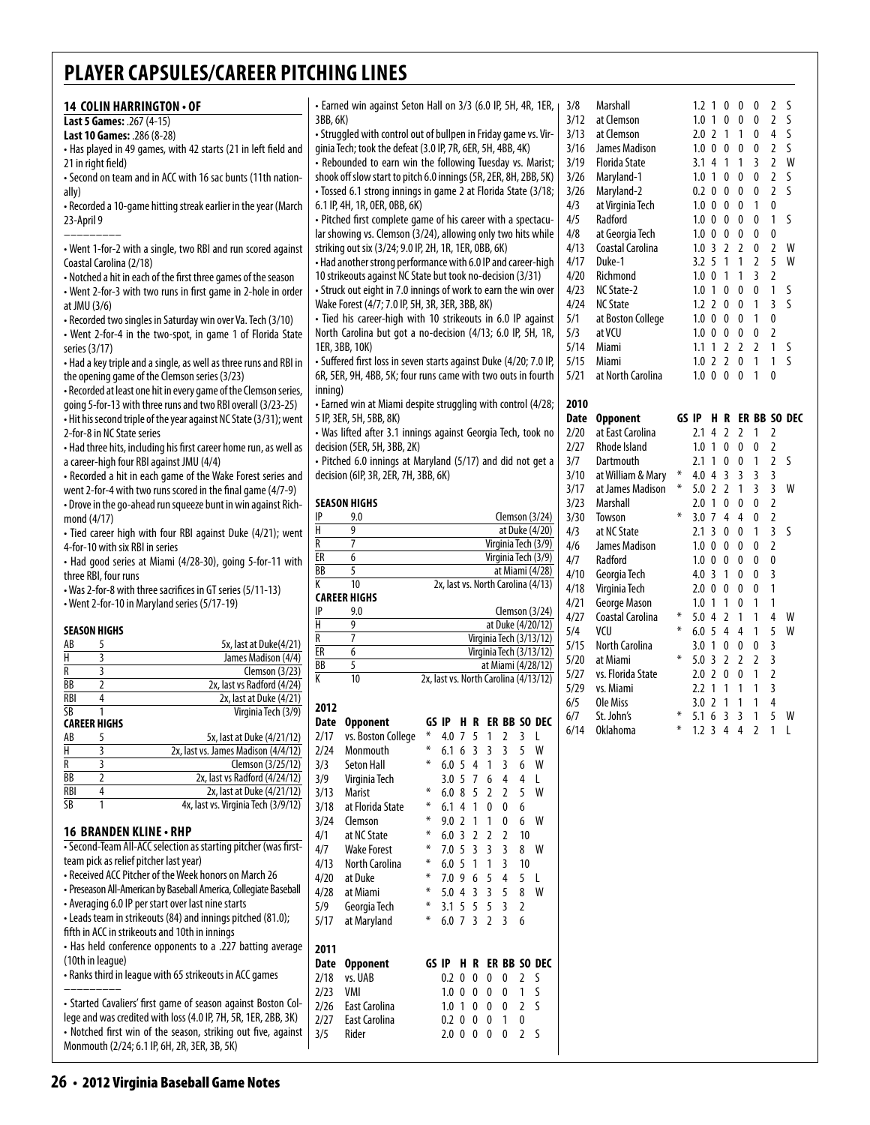| 14 COLIN HARRINGTON . OF<br>Last 5 Games: .267 (4-15)<br>Last 10 Games: .286 (8-28)<br>• Has played in 49 games, with 42 starts (21 in left field and<br>21 in right field)<br>- Second on team and in ACC with 16 sac bunts (11th nation-<br>ally)<br>• Recorded a 10-game hitting streak earlier in the year (March<br>23-April 9<br>• Went 1-for-2 with a single, two RBI and run scored against<br>Coastal Carolina (2/18)<br>• Notched a hit in each of the first three games of the season<br>• Went 2-for-3 with two runs in first game in 2-hole in order<br>at JMU (3/6)<br>• Recorded two singles in Saturday win over Va. Tech (3/10)<br>• Went 2-for-4 in the two-spot, in game 1 of Florida State<br>series (3/17)<br>• Had a key triple and a single, as well as three runs and RBI in<br>the opening game of the Clemson series (3/23)<br>. Recorded at least one hit in every game of the Clemson series, | • Earned win against Seton Hall on 3/3 (6.0 IP, 5H, 4R, 1ER,  <br>3BB, 6K)<br>- Struggled with control out of bullpen in Friday game vs. Vir-<br>qinia Tech; took the defeat (3.0 IP, 7R, 6ER, 5H, 4BB, 4K)<br>• Rebounded to earn win the following Tuesday vs. Marist;<br>shook off slow start to pitch 6.0 innings (5R, 2ER, 8H, 2BB, 5K)<br>· Tossed 6.1 strong innings in game 2 at Florida State (3/18;<br>6.1 IP, 4H, 1R, 0ER, 0BB, 6K)<br>- Pitched first complete game of his career with a spectacu-<br>lar showing vs. Clemson (3/24), allowing only two hits while<br>striking out six (3/24; 9.0 IP, 2H, 1R, 1ER, 0BB, 6K)<br>• Had another strong performance with 6.0 IP and career-high<br>10 strikeouts against NC State but took no-decision (3/31)<br>• Struck out eight in 7.0 innings of work to earn the win over<br>Wake Forest (4/7; 7.0 IP, 5H, 3R, 3ER, 3BB, 8K)<br>• Tied his career-high with 10 strikeouts in 6.0 IP against<br>North Carolina but got a no-decision (4/13; 6.0 IP, 5H, 1R,<br>1ER, 3BB, 10K)<br>· Suffered first loss in seven starts against Duke (4/20; 7.0 IP,<br>6R, 5ER, 9H, 4BB, 5K; four runs came with two outs in fourth<br>inning) | 3/8<br>Marshall<br>3/12<br>at Clemson<br>3/13<br>at Clemson<br>3/16<br>James Madison<br>3/19<br><b>Florida State</b><br>3/26<br>Maryland-1<br>3/26<br>Maryland-2<br>4/3<br>at Virginia Tech<br>4/5<br>Radford<br>4/8<br>at Georgia Tech<br>4/13<br>Coastal Carolina<br>4/17<br>Duke-1<br>4/20<br>Richmond<br>4/23<br>NC State-2<br>4/24<br><b>NC State</b><br>5/1<br>at Boston College<br>5/3<br>at VCU<br>5/14<br>Miami<br>5/15<br>Miami<br>5/21<br>at North Carolina | 2 S<br>$1.2 \t1 \t0 \t0 \t0$<br>0<br>2 <sup>5</sup><br>1.0 <sub>1</sub><br>0<br>$\mathbf{0}$<br>4S<br>$2.0$ 2 1 1<br>$\mathbf 0$<br>0<br>2 <sub>5</sub><br>$1.0 \t0 \t0 \t0$<br>2 W<br>3.1 4 1 1 3<br>2 <sup>5</sup><br>1.0 1 0 0 0<br>0.2 0 0 0 0<br>2 <sub>5</sub><br>$\overline{1}$<br>$\mathbf 0$<br>$1.0 \t0 \t0 \t0$<br>S<br>1.0 0 0 0 0<br>$\overline{1}$<br>$1.0 \t0 \t0 \t0$<br>0<br>0<br>$1.0$ 3 2 2 0<br>2 V<br>3.2 5 1 1 2 5 W<br>$\overline{3}$<br>1.0 0 1 1<br>2<br>S<br>1.0 1 0 0 0<br>$\overline{1}$<br>1.2 2 0 0 1 3 5<br>$1.0 \t0 \t0 \t0$<br>$\overline{1}$<br>0<br>1.0 0 0 0 0<br>$\overline{2}$<br>1.1 1 2 2 2 1 5<br>1.0 2 2 0 1 1 S<br>1.0 0 0 0 1 0 |
|---------------------------------------------------------------------------------------------------------------------------------------------------------------------------------------------------------------------------------------------------------------------------------------------------------------------------------------------------------------------------------------------------------------------------------------------------------------------------------------------------------------------------------------------------------------------------------------------------------------------------------------------------------------------------------------------------------------------------------------------------------------------------------------------------------------------------------------------------------------------------------------------------------------------------|--------------------------------------------------------------------------------------------------------------------------------------------------------------------------------------------------------------------------------------------------------------------------------------------------------------------------------------------------------------------------------------------------------------------------------------------------------------------------------------------------------------------------------------------------------------------------------------------------------------------------------------------------------------------------------------------------------------------------------------------------------------------------------------------------------------------------------------------------------------------------------------------------------------------------------------------------------------------------------------------------------------------------------------------------------------------------------------------------------------------------------------------------------------------------------------------|------------------------------------------------------------------------------------------------------------------------------------------------------------------------------------------------------------------------------------------------------------------------------------------------------------------------------------------------------------------------------------------------------------------------------------------------------------------------|-----------------------------------------------------------------------------------------------------------------------------------------------------------------------------------------------------------------------------------------------------------------------------------------------------------------------------------------------------------------------------------------------------------------------------------------------------------------------------------------------------------------------------------------------------------------------------------------------------------------------------------------------------------------------------|
| qoing 5-for-13 with three runs and two RBI overall (3/23-25)                                                                                                                                                                                                                                                                                                                                                                                                                                                                                                                                                                                                                                                                                                                                                                                                                                                              | • Earned win at Miami despite struggling with control (4/28;<br>5 IP, 3ER, 5H, 5BB, 8K)                                                                                                                                                                                                                                                                                                                                                                                                                                                                                                                                                                                                                                                                                                                                                                                                                                                                                                                                                                                                                                                                                                    | 2010<br>Date Opponent                                                                                                                                                                                                                                                                                                                                                                                                                                                  | GS IP H R ER BB SO D                                                                                                                                                                                                                                                                                                                                                                                                                                                                                                                                                                                                                                                        |
| • Hit his second triple of the year against NC State (3/31); went<br>2-for-8 in NC State series<br>• Had three hits, including his first career home run, as well as<br>a career-high four RBI against JMU (4/4)<br>• Recorded a hit in each game of the Wake Forest series and<br>went 2-for-4 with two runs scored in the final game (4/7-9)                                                                                                                                                                                                                                                                                                                                                                                                                                                                                                                                                                            | · Was lifted after 3.1 innings against Georgia Tech, took no<br>decision (5ER, 5H, 3BB, 2K)<br>• Pitched 6.0 innings at Maryland (5/17) and did not get a<br>decision (6IP, 3R, 2ER, 7H, 3BB, 6K)                                                                                                                                                                                                                                                                                                                                                                                                                                                                                                                                                                                                                                                                                                                                                                                                                                                                                                                                                                                          | 2/20<br>at East Carolina<br>2/27<br>Rhode Island<br>3/7<br>Dartmouth<br>3/10<br>at William & Mary<br>3/17<br>at James Madison                                                                                                                                                                                                                                                                                                                                          | 2.1 4 2 2 1 2<br>1.0 1 0 0 0<br>2<br>2 <sub>5</sub><br>2.1 1 0 0 1<br>4.0 4 3 3 3<br>$*$<br>3<br>$*$<br>$3 \sqrt{ }$<br>$5.0$ 2 2 1<br>$\mathbf{3}$                                                                                                                                                                                                                                                                                                                                                                                                                                                                                                                         |
| - Drove in the go-ahead run squeeze bunt in win against Rich-                                                                                                                                                                                                                                                                                                                                                                                                                                                                                                                                                                                                                                                                                                                                                                                                                                                             | <b>SEASON HIGHS</b>                                                                                                                                                                                                                                                                                                                                                                                                                                                                                                                                                                                                                                                                                                                                                                                                                                                                                                                                                                                                                                                                                                                                                                        | 3/23<br>Marshall                                                                                                                                                                                                                                                                                                                                                                                                                                                       | 2.0 1 0 0 0<br>$\overline{2}$                                                                                                                                                                                                                                                                                                                                                                                                                                                                                                                                                                                                                                               |
| mond (4/17)<br>· Tied career high with four RBI against Duke (4/21); went                                                                                                                                                                                                                                                                                                                                                                                                                                                                                                                                                                                                                                                                                                                                                                                                                                                 | IP<br>9.0<br>Clemson $(3/24)$<br>Н<br>9<br>at Duke (4/20)                                                                                                                                                                                                                                                                                                                                                                                                                                                                                                                                                                                                                                                                                                                                                                                                                                                                                                                                                                                                                                                                                                                                  | 3/30<br>Towson<br>4/3<br>at NC State                                                                                                                                                                                                                                                                                                                                                                                                                                   | $*$<br>$3.0$ 7 4 4 0<br>$\overline{2}$<br>$1 \quad 3 \quad 5$<br>$2.1 \t3 \t0 \t0$                                                                                                                                                                                                                                                                                                                                                                                                                                                                                                                                                                                          |
| 4-for-10 with six RBI in series                                                                                                                                                                                                                                                                                                                                                                                                                                                                                                                                                                                                                                                                                                                                                                                                                                                                                           | R<br>$\overline{7}$<br>Virginia Tech (3/9)                                                                                                                                                                                                                                                                                                                                                                                                                                                                                                                                                                                                                                                                                                                                                                                                                                                                                                                                                                                                                                                                                                                                                 | 4/6<br>James Madison                                                                                                                                                                                                                                                                                                                                                                                                                                                   | $1.0 \t0 \t0 \t0$<br>$\mathbf{0}$<br>$\overline{2}$                                                                                                                                                                                                                                                                                                                                                                                                                                                                                                                                                                                                                         |
| • Had good series at Miami (4/28-30), going 5-for-11 with                                                                                                                                                                                                                                                                                                                                                                                                                                                                                                                                                                                                                                                                                                                                                                                                                                                                 | ER<br>6<br>Virginia Tech (3/9)<br>$\overline{BB}$<br>5<br>at Miami (4/28)                                                                                                                                                                                                                                                                                                                                                                                                                                                                                                                                                                                                                                                                                                                                                                                                                                                                                                                                                                                                                                                                                                                  | 4/7<br>Radford<br>4/10<br>Georgia Tech                                                                                                                                                                                                                                                                                                                                                                                                                                 | 1.0 0 0 0 0 0<br>4.0 3 1 0 0 3                                                                                                                                                                                                                                                                                                                                                                                                                                                                                                                                                                                                                                              |
| three RBI, four runs<br>• Was 2-for-8 with three sacrifices in GT series (5/11-13)                                                                                                                                                                                                                                                                                                                                                                                                                                                                                                                                                                                                                                                                                                                                                                                                                                        | К<br>10<br>2x, last vs. North Carolina (4/13)                                                                                                                                                                                                                                                                                                                                                                                                                                                                                                                                                                                                                                                                                                                                                                                                                                                                                                                                                                                                                                                                                                                                              | 4/18<br>Virginia Tech                                                                                                                                                                                                                                                                                                                                                                                                                                                  | 2.0 0 0 0 0 1                                                                                                                                                                                                                                                                                                                                                                                                                                                                                                                                                                                                                                                               |
| • Went 2-for-10 in Maryland series (5/17-19)                                                                                                                                                                                                                                                                                                                                                                                                                                                                                                                                                                                                                                                                                                                                                                                                                                                                              | <b>CAREER HIGHS</b><br>IP<br>9.0<br>Clemson $(3/24)$                                                                                                                                                                                                                                                                                                                                                                                                                                                                                                                                                                                                                                                                                                                                                                                                                                                                                                                                                                                                                                                                                                                                       | 4/21<br>George Mason                                                                                                                                                                                                                                                                                                                                                                                                                                                   | 1.0 1 1 0 1 1                                                                                                                                                                                                                                                                                                                                                                                                                                                                                                                                                                                                                                                               |
| <b>SEASON HIGHS</b>                                                                                                                                                                                                                                                                                                                                                                                                                                                                                                                                                                                                                                                                                                                                                                                                                                                                                                       | Н<br>9<br>at Duke (4/20/12)                                                                                                                                                                                                                                                                                                                                                                                                                                                                                                                                                                                                                                                                                                                                                                                                                                                                                                                                                                                                                                                                                                                                                                | 4/27<br>Coastal Carolina<br>5/4<br>VCU                                                                                                                                                                                                                                                                                                                                                                                                                                 | $\ast$<br>$5.0$ 4 2 1<br>$\overline{1}$<br>4 W<br>5 W<br>$\ast$<br>6.05441                                                                                                                                                                                                                                                                                                                                                                                                                                                                                                                                                                                                  |
| AB<br>5<br>5x, last at Duke(4/21)                                                                                                                                                                                                                                                                                                                                                                                                                                                                                                                                                                                                                                                                                                                                                                                                                                                                                         | R<br>$\overline{7}$<br>Virginia Tech (3/13/12)<br>E                                                                                                                                                                                                                                                                                                                                                                                                                                                                                                                                                                                                                                                                                                                                                                                                                                                                                                                                                                                                                                                                                                                                        | 5/15<br><b>North Carolina</b>                                                                                                                                                                                                                                                                                                                                                                                                                                          | 3.0 1 0 0 0 3                                                                                                                                                                                                                                                                                                                                                                                                                                                                                                                                                                                                                                                               |
| H<br>3<br>James Madison (4/4)<br>R<br>3                                                                                                                                                                                                                                                                                                                                                                                                                                                                                                                                                                                                                                                                                                                                                                                                                                                                                   | 6<br>Virginia Tech (3/13/12)<br><b>BB</b><br>5<br>at Miami (4/28/12)                                                                                                                                                                                                                                                                                                                                                                                                                                                                                                                                                                                                                                                                                                                                                                                                                                                                                                                                                                                                                                                                                                                       | 5/20<br>at Miami                                                                                                                                                                                                                                                                                                                                                                                                                                                       | $\ast$<br>5.0 3 2 2 2 3                                                                                                                                                                                                                                                                                                                                                                                                                                                                                                                                                                                                                                                     |
| Clemson (3/23)<br><b>BB</b><br>$\overline{2}$<br>2x, last vs Radford (4/24)                                                                                                                                                                                                                                                                                                                                                                                                                                                                                                                                                                                                                                                                                                                                                                                                                                               | K<br>10<br>2x, last vs. North Carolina (4/13/12)                                                                                                                                                                                                                                                                                                                                                                                                                                                                                                                                                                                                                                                                                                                                                                                                                                                                                                                                                                                                                                                                                                                                           | vs. Florida State<br>5/27<br>5/29<br>vs. Miami                                                                                                                                                                                                                                                                                                                                                                                                                         | 2.0 2 0 0 1 2<br>2.2 1 1 1 1 3                                                                                                                                                                                                                                                                                                                                                                                                                                                                                                                                                                                                                                              |
| <b>RBI</b><br>4<br>2x, last at Duke (4/21)                                                                                                                                                                                                                                                                                                                                                                                                                                                                                                                                                                                                                                                                                                                                                                                                                                                                                | 2012                                                                                                                                                                                                                                                                                                                                                                                                                                                                                                                                                                                                                                                                                                                                                                                                                                                                                                                                                                                                                                                                                                                                                                                       | 6/5<br>Ole Miss                                                                                                                                                                                                                                                                                                                                                                                                                                                        | 3.0 2 1 1 1 4                                                                                                                                                                                                                                                                                                                                                                                                                                                                                                                                                                                                                                                               |
| SB<br>$\mathbf{1}$<br>Virginia Tech (3/9)<br><b>CAREER HIGHS</b>                                                                                                                                                                                                                                                                                                                                                                                                                                                                                                                                                                                                                                                                                                                                                                                                                                                          | GS IP H R ER BB SO DEC<br>Date Opponent                                                                                                                                                                                                                                                                                                                                                                                                                                                                                                                                                                                                                                                                                                                                                                                                                                                                                                                                                                                                                                                                                                                                                    | St. John's<br>6/7                                                                                                                                                                                                                                                                                                                                                                                                                                                      | 5.1 6 3 3 1 5 W<br>$*$                                                                                                                                                                                                                                                                                                                                                                                                                                                                                                                                                                                                                                                      |
| AB<br>5<br>5x, last at Duke (4/21/12)                                                                                                                                                                                                                                                                                                                                                                                                                                                                                                                                                                                                                                                                                                                                                                                                                                                                                     | 2/17<br>vs. Boston College<br>4.0 7 5 1<br>2<br>$\overline{\mathbf{3}}$<br>-L                                                                                                                                                                                                                                                                                                                                                                                                                                                                                                                                                                                                                                                                                                                                                                                                                                                                                                                                                                                                                                                                                                              | 6/14 Oklahoma                                                                                                                                                                                                                                                                                                                                                                                                                                                          | * 1.234421 L                                                                                                                                                                                                                                                                                                                                                                                                                                                                                                                                                                                                                                                                |
| $\overline{H}$<br>3<br>2x, last vs. James Madison (4/4/12)<br>R<br>3<br>Clemson (3/25/12)                                                                                                                                                                                                                                                                                                                                                                                                                                                                                                                                                                                                                                                                                                                                                                                                                                 | 2/24<br>Monmouth<br>$6.1\,6\,3\,3$<br>5<br>W<br>3<br><b>Seton Hall</b><br>6<br>3/3<br>$6.0\,5\,4\,1$<br>3<br>W                                                                                                                                                                                                                                                                                                                                                                                                                                                                                                                                                                                                                                                                                                                                                                                                                                                                                                                                                                                                                                                                             |                                                                                                                                                                                                                                                                                                                                                                                                                                                                        |                                                                                                                                                                                                                                                                                                                                                                                                                                                                                                                                                                                                                                                                             |
| <b>BB</b><br>$\overline{2}$<br>2x, last vs Radford (4/24/12)                                                                                                                                                                                                                                                                                                                                                                                                                                                                                                                                                                                                                                                                                                                                                                                                                                                              | 3/9<br>Virginia Tech<br>4<br>3.0 5 7 6<br>4<br>L                                                                                                                                                                                                                                                                                                                                                                                                                                                                                                                                                                                                                                                                                                                                                                                                                                                                                                                                                                                                                                                                                                                                           |                                                                                                                                                                                                                                                                                                                                                                                                                                                                        |                                                                                                                                                                                                                                                                                                                                                                                                                                                                                                                                                                                                                                                                             |
| <b>RBI</b><br>4<br>2x, last at Duke (4/21/12)<br><b>SB</b><br>1<br>4x, last vs. Virginia Tech (3/9/12)                                                                                                                                                                                                                                                                                                                                                                                                                                                                                                                                                                                                                                                                                                                                                                                                                    | 3/13<br>5<br>Marist<br>⋇<br>6.08522<br>W<br>at Florida State<br>⋇                                                                                                                                                                                                                                                                                                                                                                                                                                                                                                                                                                                                                                                                                                                                                                                                                                                                                                                                                                                                                                                                                                                          |                                                                                                                                                                                                                                                                                                                                                                                                                                                                        |                                                                                                                                                                                                                                                                                                                                                                                                                                                                                                                                                                                                                                                                             |
|                                                                                                                                                                                                                                                                                                                                                                                                                                                                                                                                                                                                                                                                                                                                                                                                                                                                                                                           | 3/18<br>$6.1$ 4 1 0<br>6<br>0<br>3/24<br>Clemson<br>⋇<br>$9.0$ 2 1 1<br>6<br>W<br>0                                                                                                                                                                                                                                                                                                                                                                                                                                                                                                                                                                                                                                                                                                                                                                                                                                                                                                                                                                                                                                                                                                        |                                                                                                                                                                                                                                                                                                                                                                                                                                                                        |                                                                                                                                                                                                                                                                                                                                                                                                                                                                                                                                                                                                                                                                             |
| 16 BRANDEN KLINE · RHP                                                                                                                                                                                                                                                                                                                                                                                                                                                                                                                                                                                                                                                                                                                                                                                                                                                                                                    | 4/1<br>at NC State<br>⋇<br>6.0 3 2 2 2<br>10                                                                                                                                                                                                                                                                                                                                                                                                                                                                                                                                                                                                                                                                                                                                                                                                                                                                                                                                                                                                                                                                                                                                               |                                                                                                                                                                                                                                                                                                                                                                                                                                                                        |                                                                                                                                                                                                                                                                                                                                                                                                                                                                                                                                                                                                                                                                             |
| - Second-Team All-ACC selection as starting pitcher (was first-<br>team pick as relief pitcher last year)                                                                                                                                                                                                                                                                                                                                                                                                                                                                                                                                                                                                                                                                                                                                                                                                                 | 4/7<br><b>Wake Forest</b><br>*<br>7.0 5 3 3 3<br>8 W<br>4/13<br>North Carolina<br>⋇                                                                                                                                                                                                                                                                                                                                                                                                                                                                                                                                                                                                                                                                                                                                                                                                                                                                                                                                                                                                                                                                                                        |                                                                                                                                                                                                                                                                                                                                                                                                                                                                        |                                                                                                                                                                                                                                                                                                                                                                                                                                                                                                                                                                                                                                                                             |
| • Received ACC Pitcher of the Week honors on March 26                                                                                                                                                                                                                                                                                                                                                                                                                                                                                                                                                                                                                                                                                                                                                                                                                                                                     | 6.0 5 1 1 3<br>10<br>4/20<br>at Duke<br>5 <sub>1</sub><br>*<br>7.0 9 6 5<br>4                                                                                                                                                                                                                                                                                                                                                                                                                                                                                                                                                                                                                                                                                                                                                                                                                                                                                                                                                                                                                                                                                                              |                                                                                                                                                                                                                                                                                                                                                                                                                                                                        |                                                                                                                                                                                                                                                                                                                                                                                                                                                                                                                                                                                                                                                                             |
| · Preseason All-American by Baseball America, Collegiate Baseball                                                                                                                                                                                                                                                                                                                                                                                                                                                                                                                                                                                                                                                                                                                                                                                                                                                         | 4/28<br>at Miami<br>5.0 4 3 3 5<br>8 <sup>8</sup><br>W                                                                                                                                                                                                                                                                                                                                                                                                                                                                                                                                                                                                                                                                                                                                                                                                                                                                                                                                                                                                                                                                                                                                     |                                                                                                                                                                                                                                                                                                                                                                                                                                                                        |                                                                                                                                                                                                                                                                                                                                                                                                                                                                                                                                                                                                                                                                             |
| • Averaging 6.0 IP per start over last nine starts<br>• Leads team in strikeouts (84) and innings pitched (81.0);<br>fifth in ACC in strikeouts and 10th in innings                                                                                                                                                                                                                                                                                                                                                                                                                                                                                                                                                                                                                                                                                                                                                       | 5/9<br>Georgia Tech<br>⋇<br>3.1 5 5 5 3<br>2<br>5/17<br>at Maryland<br>*<br>6.0 7 3 2 3 6                                                                                                                                                                                                                                                                                                                                                                                                                                                                                                                                                                                                                                                                                                                                                                                                                                                                                                                                                                                                                                                                                                  |                                                                                                                                                                                                                                                                                                                                                                                                                                                                        |                                                                                                                                                                                                                                                                                                                                                                                                                                                                                                                                                                                                                                                                             |
| • Has held conference opponents to a .227 batting average<br>(10th in league)                                                                                                                                                                                                                                                                                                                                                                                                                                                                                                                                                                                                                                                                                                                                                                                                                                             | 2011                                                                                                                                                                                                                                                                                                                                                                                                                                                                                                                                                                                                                                                                                                                                                                                                                                                                                                                                                                                                                                                                                                                                                                                       |                                                                                                                                                                                                                                                                                                                                                                                                                                                                        |                                                                                                                                                                                                                                                                                                                                                                                                                                                                                                                                                                                                                                                                             |
| • Ranks third in league with 65 strikeouts in ACC games                                                                                                                                                                                                                                                                                                                                                                                                                                                                                                                                                                                                                                                                                                                                                                                                                                                                   | Date Opponent<br>GS IP H R ER BB SO DEC<br>vs. UAB<br>2/18<br>0.2 0 0 0 0 2 5                                                                                                                                                                                                                                                                                                                                                                                                                                                                                                                                                                                                                                                                                                                                                                                                                                                                                                                                                                                                                                                                                                              |                                                                                                                                                                                                                                                                                                                                                                                                                                                                        |                                                                                                                                                                                                                                                                                                                                                                                                                                                                                                                                                                                                                                                                             |
|                                                                                                                                                                                                                                                                                                                                                                                                                                                                                                                                                                                                                                                                                                                                                                                                                                                                                                                           | VMI<br>2/23<br>1.0 0 0 0 0<br>1 S                                                                                                                                                                                                                                                                                                                                                                                                                                                                                                                                                                                                                                                                                                                                                                                                                                                                                                                                                                                                                                                                                                                                                          |                                                                                                                                                                                                                                                                                                                                                                                                                                                                        |                                                                                                                                                                                                                                                                                                                                                                                                                                                                                                                                                                                                                                                                             |
| - Started Cavaliers' first game of season against Boston Col-<br>lege and was credited with loss (4.0 IP, 7H, 5R, 1ER, 2BB, 3K)                                                                                                                                                                                                                                                                                                                                                                                                                                                                                                                                                                                                                                                                                                                                                                                           | 2/26<br><b>East Carolina</b><br>2 S<br>1.0 1 0 0<br>$\mathbf 0$                                                                                                                                                                                                                                                                                                                                                                                                                                                                                                                                                                                                                                                                                                                                                                                                                                                                                                                                                                                                                                                                                                                            |                                                                                                                                                                                                                                                                                                                                                                                                                                                                        |                                                                                                                                                                                                                                                                                                                                                                                                                                                                                                                                                                                                                                                                             |
| • Notched first win of the season, striking out five, against<br>Monmouth (2/24; 6.1 IP, 6H, 2R, 3ER, 3B, 5K)                                                                                                                                                                                                                                                                                                                                                                                                                                                                                                                                                                                                                                                                                                                                                                                                             | 2/27<br>East Carolina<br>$0.2 \t0 \t0 \t0$<br>0<br>$\overline{1}$<br>3/5<br>Rider<br>2.0 0 0 0 0 2 5                                                                                                                                                                                                                                                                                                                                                                                                                                                                                                                                                                                                                                                                                                                                                                                                                                                                                                                                                                                                                                                                                       |                                                                                                                                                                                                                                                                                                                                                                                                                                                                        |                                                                                                                                                                                                                                                                                                                                                                                                                                                                                                                                                                                                                                                                             |

3/12 at Clemson 1.0 1 0 0 0 2 S 13 at Clemson 2.0 2 1 1 0 4 S<br>1.0 0 0 0 0 2 S ames Madison 1.0 0 0 0 0 2 S |<br>| 10 T | 10 T | 10 T | 10 T | 10 T | 10 T | 10 T | 10 T | 10 T | 2 T | 10 T | 2 T | 10 T | 2 T | 10 T | 2 T | 1.0 1 0 0 0 2 S 3/26 Maryland-2 0.2 0 0 0 0 2 S 4/3 at Virginia Tech 1.0 0 0 0 1 0 Protocol and the card of the card of the card of the card of the card of the card of the card of the card of t<br>The card of the card of the card of the card of the card of the card of the card of the card of the card of th<br> <sup>1</sup> deorgia Tech Oastal Carolina 1.0 3 2 2 0 2 W 0uke-1 3.2 5 1 1 2 5 W 4/20 Richmond 1.0 0 1 1 3 2 4/23 NC State-2 1.0 1 0 0 0 1 S 1.2 2 0 0 1 3<br>1.0 0 0 0 1 0 at Boston College 1.0 0 0 0 1 1.0 0 0 0 0 0 2<br>1.1 1 2 2 2 1 1 1 2 2 2 1 5/14 Miami 1.1 1 2 2 2 1 S 1.0 2 2 0 1 1 5 5/21 at North Carolina 1.0 0 0 0 1 0 **Opponent GS IP H R ER BB SO DEC**<br>tt East Carolina 2.1 4 2 2 1 2 1 at East Carolina<br>
2.1 4 2 2 1 2<br>
2 ahode Island<br>
2 1.0 1 0 0 0 2  $1.0$  1 0 0 0 2 3/7 Dartmouth 2.1 1 0 0 1 2 S  $*$  4.0 4 3 3 3 3<br> $*$  5.0 2 2 1 3 3 3/17 at James Madison \* 5.0 2 2 1 3 3 W % Marshall 2.0 1 0 0 0 2<br>1 x 3.0 7 4 4 0 2 3.0 7 4 4 0 2<br>2.1 3 0 0 1 3 at NC State 2.1 3 0 0 1 3 S 4/6 James Madison 1.0 0 0 0 0 2 4/7 Radford 1.0 0 0 0 0 0 4.0 3 1 0 0 3 4/18 Virginia Tech 2.0 0 0 0 0 1 4/21 George Mason 1.0 1 1 0 1 1 .<br>1/20 Coastal Carolina \* 5.0 4 2 1 1 4 W<br>2/20 2 4 4 1 5 W 5/4 VCU \* 6.0 5 4 4 1 5 W  $3.0 1 0 0 0 3$ 5/20 at Miami \* 5.0 3 2 2 2 3 5/27 vs. Florida State 2.0 2 0 0 1 2 5. Miami 2.2 1 1 1 1 3<br>Ne Miss 3.0 2 1 1 1 4 8.0 2 1 1 1 6/7 St. John's \* 5.1 6 3 3 1 5 W 0klahoma \* 1.2 3 4 4 2 1 L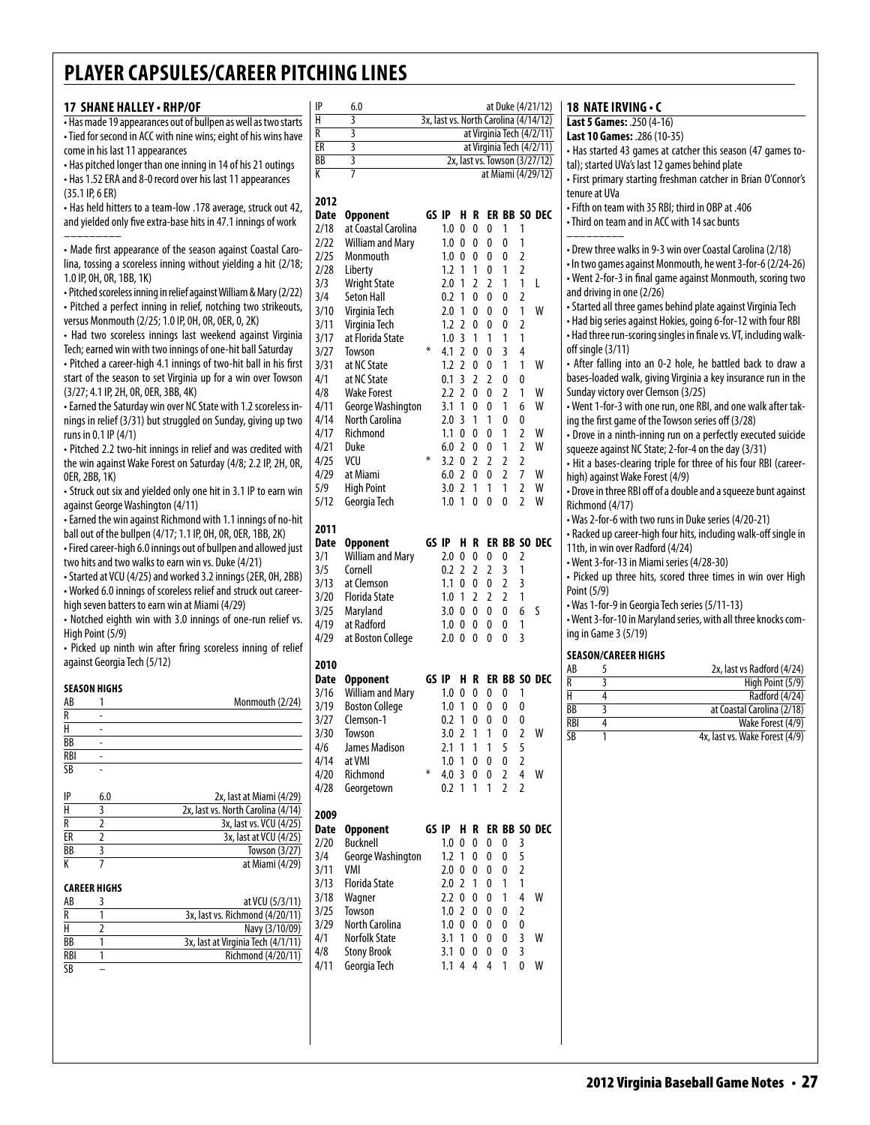#### **17 shane halley • RHP/OF**

• Has made 19 appearances out of bullpen as well as two starts • Tied for second in ACC with nine wins; eight of his wins have come in his last 11 appearances • Has pitched longer than one inning in 14 of his 21 outings

• Has 1.52 ERA and 8-0 record over his last 11 appearances (35.1 IP, 6 ER)

• Has held hitters to a team-low .178 average, struck out 42, and yielded only five extra-base hits in 47.1 innings of work –––––––––

• Made first appearance of the season against Coastal Carolina, tossing a scoreless inning without yielding a hit (2/18; 1.0 IP, 0H, 0R, 1BB, 1K)

• Pitched scoreless inning in relief against William & Mary (2/22) • Pitched a perfect inning in relief, notching two strikeouts, versus Monmouth (2/25; 1.0 IP, 0H, 0R, 0ER, 0, 2K)

• Had two scoreless innings last weekend against Virginia Tech; earned win with two innings of one-hit ball Saturday

• Pitched a career-high 4.1 innings of two-hit ball in his first start of the season to set Virginia up for a win over Towson

(3/27; 4.1 IP, 2H, 0R, 0ER, 3BB, 4K) • Earned the Saturday win over NC State with 1.2 scoreless innings in relief (3/31) but struggled on Sunday, giving up two

runs in 0.1 IP (4/1) • Pitched 2.2 two-hit innings in relief and was credited with the win against Wake Forest on Saturday (4/8; 2.2 IP, 2H, 0R, 0ER, 2BB, 1K)

• Struck out six and yielded only one hit in 3.1 IP to earn win against George Washington (4/11)

• Earned the win against Richmond with 1.1 innings of no-hit ball out of the bullpen (4/17; 1.1 IP, 0H, 0R, 0ER, 1BB, 2K)

• Fired career-high 6.0 innings out of bullpen and allowed just two hits and two walks to earn win vs. Duke (4/21)

• Started at VCU (4/25) and worked 3.2 innings (2ER, 0H, 2BB) • Worked 6.0 innings of scoreless relief and struck out career-

high seven batters to earn win at Miami (4/29)

• Notched eighth win with 3.0 innings of one-run relief vs. High Point (5/9)

• Picked up ninth win after firing scoreless inning of relief against Georgia Tech (5/12)

#### **SEASON HIGHS**<br>AB 1  $\frac{\text{AB}}{\text{R}}$  1 Monmouth (2/24) R -  $H$  - $\overline{BB}$  $RBI$  $\overline{SB}$

| 2x, last at Miami (4/29)<br>IP<br>6.0   |                |
|-----------------------------------------|----------------|
| Н<br>2x, last vs. North Carolina (4/14) | $\mathbf{z}$   |
| 3x, last vs. VCU (4/25)<br>R            | D              |
| ER<br>3x, last at VCU (4/25)            | $\overline{2}$ |
| BB<br>Towson (3/27)                     | 3,             |
| at Miami (4/29)                         | 3,             |

|  | CAREER HIGHS |  |  |
|--|--------------|--|--|
|  |              |  |  |

| AB        | at VCU (5/3/11)                    |
|-----------|------------------------------------|
| R         | 3x, last vs. Richmond (4/20/11)    |
| н         | Navy (3/10/09)                     |
| BB        | 3x, last at Virginia Tech (4/1/11) |
| RBI       | Richmond (4/20/11)                 |
| <b>SB</b> |                                    |

| Н    | 3                       |       |         |              |   |   |                |                | 3x, last vs. North Carolina (4/14/12) |
|------|-------------------------|-------|---------|--------------|---|---|----------------|----------------|---------------------------------------|
| R    | 3                       |       |         |              |   |   |                |                | at Virginia Tech (4/2/11)             |
| ER   | 3                       |       |         |              |   |   |                |                | at Virginia Tech (4/2/11)             |
| BB   | $\overline{\mathbf{3}}$ |       |         |              |   |   |                |                | 2x, last vs. Towson (3/27/12)         |
| К    | 7                       |       |         |              |   |   |                |                | at Miami (4/29/12)                    |
|      |                         |       |         |              |   |   |                |                |                                       |
|      |                         |       |         |              |   |   |                |                |                                       |
| 2012 |                         |       |         |              |   |   |                |                |                                       |
| Date | <b>Opponent</b>         |       | GS IP   | H            | R |   |                |                | ER BB SO DEC                          |
| 2/18 | at Coastal Carolina     |       | 1.0     | 0            | 0 | 0 | 1              | 1              |                                       |
| 2/22 | William and Mary        |       | 1.0     | 0            | 0 | 0 | 0              | 1              |                                       |
| 2/25 | Monmouth                |       | 1.0     | 0            | 0 | 0 | 0              | $\overline{2}$ |                                       |
| 2/28 | Liberty                 |       | 1.2     | 1            | 1 | 0 | 1              | $\overline{2}$ |                                       |
| 3/3  | <b>Wright State</b>     |       | 2.0     | 1            | 2 | 2 | 1              | 1              | L                                     |
| 3/4  | <b>Seton Hall</b>       |       | 0.2     | 1            | 0 | 0 | 0              | 2              |                                       |
| 3/10 | Virginia Tech           |       | 2.0     | 1            | 0 | 0 | 0              | 1              | W                                     |
| 3/11 |                         |       | 1.2     | 2            | 0 | 0 |                | $\overline{2}$ |                                       |
|      | Virginia Tech           |       |         |              |   |   | 0              |                |                                       |
| 3/17 | at Florida State        |       | 1.0     | 3            | 1 | 1 | 1              | 1              |                                       |
| 3/27 | <b>Towson</b>           | ∗     | 4.1     | 2            | 0 | 0 | 3              | 4              |                                       |
| 3/31 | at NC State             |       | 1.2     | 2            | 0 | 0 | 1              | 1              | W                                     |
| 4/1  | at NC State             |       | 0.1     | 3            | 2 | 2 | 0              | 0              |                                       |
| 4/8  | <b>Wake Forest</b>      |       | 2.2     | 2            | 0 | 0 | 2              | 1              | W                                     |
| 4/11 | George Washington       |       | 3.1     | 1            | 0 | 0 | 1              | 6              | W                                     |
| 4/14 | North Carolina          |       | 2.0     | 3            | 1 | 1 | 0              | 0              |                                       |
| 4/17 | Richmond                |       | 1.1     | 0            | 0 | 0 | 1              | 2              | W                                     |
| 4/21 | Duke                    |       | 6.0     | 2            | 0 | 0 | 1              | 2              | W                                     |
|      |                         | ⋇     |         |              |   |   |                |                |                                       |
| 4/25 | VCU                     |       | 3.2     | 0            | 2 | 2 | 2              | 2              |                                       |
| 4/29 | at Miami                |       | 6.0     | 2            | 0 | 0 | $\overline{2}$ | 7              | W                                     |
| 5/9  | <b>High Point</b>       |       | 3.0     | 2            | 1 | 1 | 1              | 2              | w                                     |
| 5/12 | Georgia Tech            |       | 1.0     | 1            | 0 | 0 | 0              | 2              | W                                     |
|      |                         |       |         |              |   |   |                |                |                                       |
| 2011 |                         |       |         |              |   |   |                |                |                                       |
| Date | <b>Opponent</b>         | GS IP |         | н            | R |   | ER BB          |                | SO DEC                                |
| 3/1  | <b>William and Mary</b> |       | 2.0     | 0            | 0 | 0 | 0              | 2              |                                       |
| 3/5  | Cornell                 |       | 0.2     | 2            | 2 | 2 | 3              | 1              |                                       |
| 3/13 | at Clemson              |       | 1.1     | 0            | 0 | 0 | 2              | 3              |                                       |
| 3/20 | <b>Florida State</b>    |       | 1.0     | 1            | 2 | 2 | 2              | 1              |                                       |
|      |                         |       |         |              |   |   |                |                |                                       |
| 3/25 | Maryland                |       | 3.0     | 0            | 0 | 0 | 0              | 6              | S                                     |
| 4/19 | at Radford              |       | 1.0     | 0            | 0 | 0 | 0              | 1              |                                       |
| 4/29 | at Boston College       |       | 2.0     | 0            | 0 | 0 | 0              | 3              |                                       |
|      |                         |       |         |              |   |   |                |                |                                       |
| 2010 |                         |       |         |              |   |   |                |                |                                       |
| Date | <b>Opponent</b>         | GS IP |         | H            | R |   |                |                | ER BB SO DEC                          |
| 3/16 | <b>William and Mary</b> |       | 1.0     | 0            | 0 | 0 | 0              | 1              |                                       |
| 3/19 | <b>Boston College</b>   |       | 1.0     | 1            | 0 | 0 | 0              | 0              |                                       |
| 3/27 | Clemson-1               |       | 0.2     | 1            | 0 | 0 | 0              | 0              |                                       |
| 3/30 | Towson                  |       | 3.0     | 2            | 1 | 1 | 0              | 2              | W                                     |
| 4/6  | James Madison           |       | 2.1     | 1            | 1 | 1 | 5              | 5              |                                       |
| 4/14 | at VMI                  |       | 1.0     | $\mathbf{1}$ | 0 | 0 | 0              | 2              |                                       |
|      |                         | ⋇     |         |              |   |   |                |                |                                       |
| 4/20 | Richmond                |       | 4.0     | 3            | 0 | 0 | 2              | 4              | W                                     |
| 4/28 | Georgetown              |       | 0.2     | 1            | 1 | 1 | 2              | 2              |                                       |
|      |                         |       |         |              |   |   |                |                |                                       |
| 2009 |                         |       |         |              |   |   |                |                |                                       |
| Date | <b>Opponent</b>         |       | GS IP   | H            | R |   |                |                | ER BB SO DEC                          |
| 2/20 | <b>Bucknell</b>         |       | 1.0     | 0            | 0 | 0 | 0              | 3              |                                       |
| 3/4  | George Washington       |       | 1.2     | 1            | 0 | 0 | 0              | 5              |                                       |
| 3/11 | VMI                     |       | 2.0     | 0            | 0 | 0 | 0              | 2              |                                       |
| 3/13 | Florida State           |       | 2.0     | 2            | 1 | 0 | 1              | 1              |                                       |
| 3/18 | Wagner                  |       | 2.2     | 0            | 0 | 0 | 1              | 4              | W                                     |
| 3/25 | Towson                  |       | 1.0     | 2            | 0 | 0 | 0              | 2              |                                       |
|      |                         |       |         |              |   |   |                |                |                                       |
| 3/29 | North Carolina          |       | $1.0\,$ | 0            | 0 | 0 | 0              | 0              |                                       |
| 4/1  | Norfolk State           |       | 3.1     | 1            | 0 | 0 | 0              | 3              | W                                     |
| 4/8  | <b>Stony Brook</b>      |       | 3.1     | 0            | 0 | 0 | 0              | 3              |                                       |
| 4/11 | Georgia Tech            |       | 1.1     | 4            | 4 | 4 | 1              | 0              | W                                     |
|      |                         |       |         |              |   |   |                |                |                                       |
|      |                         |       |         |              |   |   |                |                |                                       |
|      |                         |       |         |              |   |   |                |                |                                       |
|      |                         |       |         |              |   |   |                |                |                                       |

#### **1P** 6.0 **at Duke (4/21/12) 18 NATE IRVING • C**

|                                  | Last 5 Games: .250 (4-16)                                         |
|----------------------------------|-------------------------------------------------------------------|
|                                  |                                                                   |
|                                  | Last 10 Games: . 286 (10-35)                                      |
|                                  | - Has started 43 games at catcher this season (47 games to-       |
|                                  | tal); started UVa's last 12 games behind plate                    |
|                                  | • First primary starting freshman catcher in Brian O'Connor's     |
|                                  | tenure at UVa                                                     |
|                                  | - Fifth on team with 35 RBI; third in OBP at .406                 |
|                                  | • Third on team and in ACC with 14 sac bunts                      |
|                                  | • Drew three walks in 9-3 win over Coastal Carolina (2/18)        |
|                                  | · In two games against Monmouth, he went 3-for-6 (2/24-26)        |
|                                  | • Went 2-for-3 in final game against Monmouth, scoring two        |
|                                  | and driving in one (2/26)                                         |
|                                  | • Started all three games behind plate against Virginia Tech      |
|                                  | • Had big series against Hokies, going 6-for-12 with four RBI     |
|                                  | - Had three run-scoring singles in finale vs. VT, including walk- |
|                                  | off single (3/11)                                                 |
|                                  | • After falling into an 0-2 hole, he battled back to draw a       |
|                                  | bases-loaded walk, giving Virginia a key insurance run in the     |
|                                  | Sunday victory over Clemson (3/25)                                |
|                                  | - Went 1-for-3 with one run, one RBI, and one walk after tak-     |
|                                  | ing the first game of the Towson series off (3/28)                |
|                                  | • Drove in a ninth-inning run on a perfectly executed suicide     |
|                                  | squeeze against NC State; 2-for-4 on the day (3/31)               |
|                                  | • Hit a bases-clearing triple for three of his four RBI (career-  |
|                                  | high) against Wake Forest (4/9)                                   |
|                                  | . Drove in three RBI off of a double and a squeeze bunt against   |
|                                  | Richmond (4/17)                                                   |
|                                  | • Was 2-for-6 with two runs in Duke series (4/20-21)              |
|                                  | • Racked up career-high four hits, including walk-off single in   |
|                                  | 11th, in win over Radford (4/24)                                  |
|                                  | • Went 3-for-13 in Miami series (4/28-30)                         |
|                                  | · Picked up three hits, scored three times in win over High       |
| Point (5/9)                      |                                                                   |
|                                  | • Was 1-for-9 in Georgia Tech series (5/11-13)                    |
|                                  | - Went 3-for-10 in Maryland series, with all three knocks com-    |
|                                  |                                                                   |
|                                  | ing in Game 3 (5/19)                                              |
|                                  |                                                                   |
|                                  | <b>SEASON/CAREER HIGHS</b>                                        |
|                                  | 5<br>2x, last vs Radford (4/24)                                   |
|                                  | 3<br>High Point (5/9)                                             |
|                                  | 4<br>Radford (4/24)                                               |
| AB<br>R<br>Н<br>BB<br><b>RBI</b> | 3<br>at Coastal Carolina (2/18)<br>4                              |
|                                  |                                                                   |
| SB                               | 1                                                                 |
|                                  | Wake Forest (4/9)<br>4x, last vs. Wake Forest (4/9)               |
|                                  |                                                                   |
|                                  |                                                                   |
|                                  |                                                                   |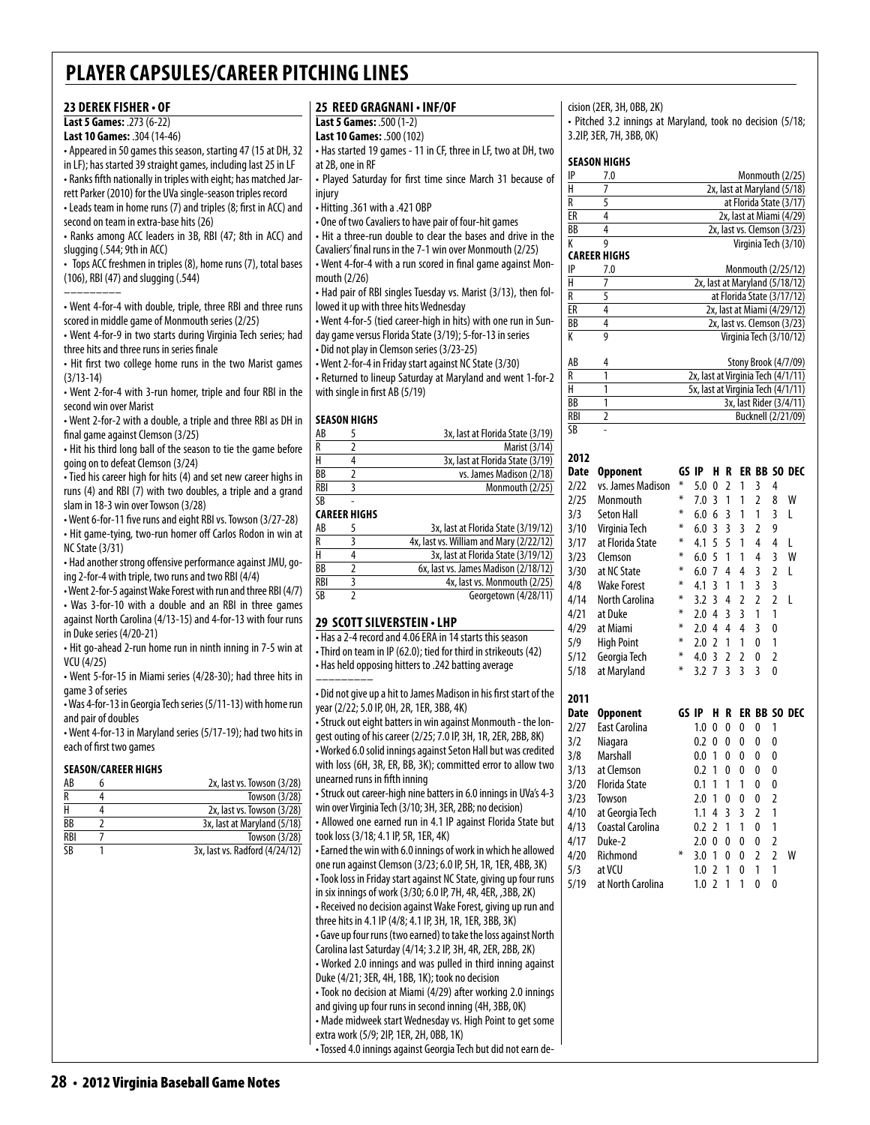#### **23 Derek fisher • of Last 5 Games:** .273 (6-22) **Last 10 Games:** .304 (14-46) • Appeared in 50 games this season, starting 47 (15 at DH, 32 in LF); has started 39 straight games, including last 25 in LF • Ranks fifth nationally in triples with eight; has matched Jarrett Parker (2010) for the UVa single-season triples record • Leads team in home runs (7) and triples (8; first in ACC) and second on team in extra-base hits (26) • Ranks among ACC leaders in 3B, RBI (47; 8th in ACC) and slugging (.544; 9th in ACC) • Tops ACC freshmen in triples (8), home runs (7), total bases (106), RBI (47) and slugging (.544) ––––––––– • Went 4-for-4 with double, triple, three RBI and three runs scored in middle game of Monmouth series (2/25) • Went 4-for-9 in two starts during Virginia Tech series; had three hits and three runs in series finale • Hit first two college home runs in the two Marist games (3/13-14) • Went 2-for-4 with 3-run homer, triple and four RBI in the second win over Marist • Went 2-for-2 with a double, a triple and three RBI as DH in final game against Clemson (3/25) • Hit his third long ball of the season to tie the game before going on to defeat Clemson (3/24) • Tied his career high for hits (4) and set new career highs in runs (4) and RBI (7) with two doubles, a triple and a grand slam in 18-3 win over Towson (3/28) • Went 6-for-11 five runs and eight RBI vs. Towson (3/27-28) • Hit game-tying, two-run homer off Carlos Rodon in win at NC State (3/31) • Had another strong offensive performance against JMU, going 2-for-4 with triple, two runs and two RBI (4/4) • Went 2-for-5 against Wake Forest with run and three RBI (4/7) • Was 3-for-10 with a double and an RBI in three games against North Carolina (4/13-15) and 4-for-13 with four runs at 2B, one in RF injury • Hitting .361 with a .421 OBP mouth (2/26) with single in first AB (5/19) **Season Highs**  $\overline{\text{CR}}$ **Career Highs**

in Duke series (4/20-21) • Hit go-ahead 2-run home run in ninth inning in 7-5 win at VCU (4/25)

• Went 5-for-15 in Miami series (4/28-30); had three hits in game 3 of series

• Was 4-for-13 in Georgia Tech series (5/11-13) with home run and pair of doubles

• Went 4-for-13 in Maryland series (5/17-19); had two hits in each of first two games

#### **Season/career Highs**

| AB  | 2x, last vs. Towson (3/28)     |
|-----|--------------------------------|
| R   | Towson (3/28)                  |
|     | 2x, last vs. Towson (3/28)     |
| ВB  | 3x, last at Maryland (5/18)    |
| RBI | Towson (3/28)                  |
| ٢R  | 3x, last vs. Radford (4/24/12) |
|     |                                |

#### **25 Reed Gragnani • INF/OF**

**Last 5 Games:** .500 (1-2)

**Last 10 Games:** .500 (102)

• Has started 19 games - 11 in CF, three in LF, two at DH, two

• Played Saturday for first time since March 31 because of

• One of two Cavaliers to have pair of four-hit games

• Hit a three-run double to clear the bases and drive in the

Cavaliers' final runs in the 7-1 win over Monmouth (2/25) • Went 4-for-4 with a run scored in final game against Mon-

• Had pair of RBI singles Tuesday vs. Marist (3/13), then followed it up with three hits Wednesday

• Went 4-for-5 (tied career-high in hits) with one run in Sunday game versus Florida State (3/19); 5-for-13 in series

• Did not play in Clemson series (3/23-25)

• Went 2-for-4 in Friday start against NC State (3/30) • Returned to lineup Saturday at Maryland and went 1-for-2

| AB         | 3x, last at Florida State (3/19) |
|------------|----------------------------------|
| R          | Marist (3/14)                    |
| Н          | 3x, last at Florida State (3/19) |
| <b>BB</b>  | vs. James Madison (2/18)         |
| <b>RBI</b> | Monmouth (2/25)                  |

| AB         | 3x, last at Florida State (3/19/12)     |
|------------|-----------------------------------------|
| R          | 4x, last vs. William and Mary (2/22/12) |
| н          | 3x, last at Florida State (3/19/12)     |
| ВB         | 6x, last vs. James Madison (2/18/12)    |
| <b>RBI</b> | 4x, last vs. Monmouth (2/25)            |
| SB         | Georgetown (4/28/11)                    |
|            |                                         |

#### **29 scott silverstein • LHP**

• Has a 2-4 record and 4.06 ERA in 14 starts this season • Third on team in IP (62.0); tied for third in strikeouts (42) • Has held opposing hitters to .242 batting average

––––––––– • Did not give up a hit to James Madison in his first start of the year (2/22; 5.0 IP, 0H, 2R, 1ER, 3BB, 4K)

• Struck out eight batters in win against Monmouth - the longest outing of his career (2/25; 7.0 IP, 3H, 1R, 2ER, 2BB, 8K) • Worked 6.0 solid innings against Seton Hall but was credited with loss (6H, 3R, ER, BB, 3K); committed error to allow two unearned runs in fifth inning

• Struck out career-high nine batters in 6.0 innings in UVa's 4-3 win over Virginia Tech (3/10; 3H, 3ER, 2BB; no decision) • Allowed one earned run in 4.1 IP against Florida State but took loss (3/18; 4.1 IP, 5R, 1ER, 4K) • Earned the win with 6.0 innings of work in which he allowed one run against Clemson (3/23; 6.0 IP, 5H, 1R, 1ER, 4BB, 3K) • Took loss in Friday start against NC State, giving up four runs

in six innings of work (3/30; 6.0 IP, 7H, 4R, 4ER, ,3BB, 2K) • Received no decision against Wake Forest, giving up run and three hits in 4.1 IP (4/8; 4.1 IP, 3H, 1R, 1ER, 3BB, 3K) • Gave up four runs (two earned) to take the loss against North Carolina last Saturday (4/14; 3.2 IP, 3H, 4R, 2ER, 2BB, 2K) • Worked 2.0 innings and was pulled in third inning against Duke (4/21; 3ER, 4H, 1BB, 1K); took no decision • Took no decision at Miami (4/29) after working 2.0 innings

and giving up four runs in second inning (4H, 3BB, 0K) • Made midweek start Wednesday vs. High Point to get some extra work (5/9; 2IP, 1ER, 2H, 0BB, 1K)

• Tossed 4.0 innings against Georgia Tech but did not earn de-

### cision (2ER, 3H, 0BB, 2K)

• Pitched 3.2 innings at Maryland, took no decision (5/18; 3.2IP, 3ER, 7H, 3BB, 0K)

#### **season Highs**

| IP              | 7.0                 | Monmouth (2/25)             |
|-----------------|---------------------|-----------------------------|
| н               |                     | 2x, last at Maryland (5/18) |
| R               |                     | at Florida State (3/17)     |
| ER              |                     | 2x, last at Miami (4/29)    |
| $\overline{BB}$ |                     | 2x, last vs. Clemson (3/23) |
|                 |                     | Virginia Tech (3/10)        |
|                 | <b>CAREER HIGHS</b> |                             |

| IP              | 7.0 | Monmouth (2/25/12)             |
|-----------------|-----|--------------------------------|
|                 |     | 2x, last at Maryland (5/18/12) |
| R               |     | at Florida State (3/17/12)     |
| FR              |     | 2x, last at Miami (4/29/12)    |
| $\overline{BB}$ |     | 2x, last vs. Clemson (3/23)    |
|                 |     | Virginia Tech (3/10/12)        |
|                 |     |                                |

| AB                     | Stony Brook (4/7/09)               |
|------------------------|------------------------------------|
| R                      | 2x, last at Virginia Tech (4/1/11) |
| н                      | 5x, last at Virginia Tech (4/1/11) |
| BB                     | 3x, last Rider (3/4/11)            |
| <b>RBI</b>             | Bucknell (2/21/09)                 |
| $\overline{\text{SB}}$ |                                    |

| 2012 |                      |       |     |                          |                         |                |                |                         |              |
|------|----------------------|-------|-----|--------------------------|-------------------------|----------------|----------------|-------------------------|--------------|
| Date | Opponent             | GS IP |     | н                        | R                       |                |                |                         | ER BB SO DEC |
| 2/22 | vs. James Madison    | ⋇     | 5.0 | 0                        | $\overline{2}$          | 1              | 3              | 4                       |              |
| 2/25 | Monmouth             | ⋇     | 7.0 | 3                        | 1                       | 1              | $\overline{2}$ | 8                       | W            |
| 3/3  | <b>Seton Hall</b>    | ⋇     | 6.0 | 6                        | 3                       | 1              | 1              | 3                       | L            |
| 3/10 | Virginia Tech        | ∗     | 6.0 | 3                        | $\overline{3}$          | 3              | $\overline{2}$ | 9                       |              |
| 3/17 | at Florida State     | ⋇     | 4.1 | 5                        | 5                       | 1              | $\overline{4}$ | 4                       | L            |
| 3/23 | Clemson              | ∗     | 6.0 | 5                        | 1                       | 1              | 4              | 3                       | W            |
| 3/30 | at NC State          | ⋇     | 6.0 | 7                        | 4                       | 4              | 3              | $\overline{\mathbf{c}}$ | L            |
| 4/8  | <b>Wake Forest</b>   | ⋇     | 4.1 | 3                        | 1                       | 1              | 3              | 3                       |              |
| 4/14 | North Carolina       | ∗     | 3.2 | 3                        | 4                       | $\overline{2}$ | $\overline{2}$ | $\overline{2}$          | L            |
| 4/21 | at Duke              | ⋇     | 2.0 | 4                        | $\overline{3}$          | $\overline{3}$ | 1              | 1                       |              |
| 4/29 | at Miami             | ⋇     | 2.0 | 4                        | $\overline{4}$          | $\overline{4}$ | 3              | 0                       |              |
| 5/9  | <b>High Point</b>    | ⋇     | 2.0 | 2                        | 1                       | 1              | 0              | 1                       |              |
| 5/12 | Georgia Tech         | ∗     | 4.0 | 3                        | $\overline{2}$          | 2              | 0              | 2                       |              |
| 5/18 | at Maryland          | ⋇     | 3.2 | $\overline{7}$           | $\overline{\mathsf{S}}$ | $\overline{3}$ | 3              | $\mathbf{0}$            |              |
| 2011 |                      |       |     |                          |                         |                |                |                         |              |
| Date | <b>Opponent</b>      | GS IP |     | н                        | R                       |                |                |                         | ER BB SO DEC |
| 2/27 | <b>East Carolina</b> |       | 1.0 | 0                        | 0                       | $\mathbf{0}$   | 0              | 1                       |              |
| 3/2  | Niagara              |       | 0.2 | 0                        | 0                       | $\mathbf{0}$   | 0              | 0                       |              |
| 3/8  | Marshall             |       | 0.0 | 1                        | 0                       | $\mathbf{0}$   | 0              | 0                       |              |
| 3/13 | at Clemson           |       | 0.2 | 1                        | $\mathbf{0}$            | $\mathbf{0}$   | 0              | 0                       |              |
| 3/20 | <b>Florida State</b> |       | 0.1 | 1                        | 1                       | 1              | 0              | 0                       |              |
| 3/23 | Towson               |       | 2.0 | 1                        | 0                       | 0              | 0              | $\overline{2}$          |              |
| 4/10 | at Georgia Tech      |       | 1.1 | 4                        | 3                       | $\overline{3}$ | 2              | 1                       |              |
| 4/13 | Coastal Carolina     |       | 0.2 | $\overline{2}$           | 1                       | 1              | 0              | 1                       |              |
| 4/17 | Duke-2               |       | 2.0 | $\mathbf{0}$             | 0                       | $\mathbf{0}$   | 0              | $\overline{2}$          |              |
| 4/20 | Richmond             | ⋇     | 3.0 | 1                        | 0                       | 0              | $\overline{2}$ | $\overline{2}$          | W            |
| 5/3  | at VCU               |       | 1.0 | $\overline{\phantom{a}}$ | 1                       | $\Omega$       | 1              | 1                       |              |
| 5/19 | at North Carolina    |       | 1.0 | $\overline{2}$           | 1                       | 1              | 0              | 0                       |              |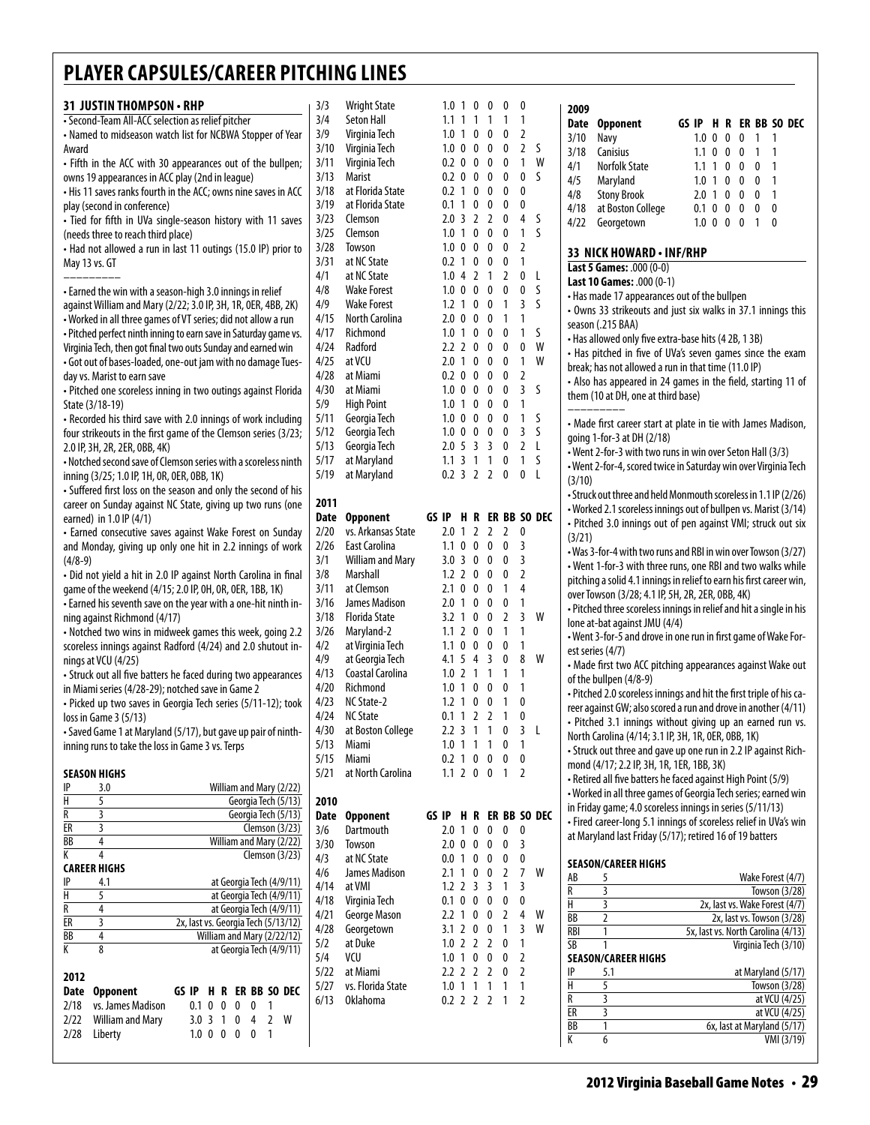| 31 JUSTIN THOMPSON • RHP                                                                                                       | 3/3          |
|--------------------------------------------------------------------------------------------------------------------------------|--------------|
| · Second-Team All-ACC selection as relief pitcher                                                                              | 3/4          |
| • Named to midseason watch list for NCBWA Stopper of Year                                                                      | 3/9          |
| Award                                                                                                                          | 3/10         |
| • Fifth in the ACC with 30 appearances out of the bullpen;                                                                     | 3/11         |
| owns 19 appearances in ACC play (2nd in league)<br>. His 11 saves ranks fourth in the ACC; owns nine saves in ACC              | 3/13<br>3/18 |
| play (second in conference)                                                                                                    | 3/19         |
| · Tied for fifth in UVa single-season history with 11 saves                                                                    | 3/23         |
| (needs three to reach third place)                                                                                             | 3/25         |
| • Had not allowed a run in last 11 outings (15.0 IP) prior to                                                                  | 3/28         |
| May 13 vs. GT                                                                                                                  | 3/31         |
|                                                                                                                                | 4/1          |
| • Earned the win with a season-high 3.0 innings in relief                                                                      | 4/8<br>4/9   |
| against William and Mary (2/22; 3.0 IP, 3H, 1R, 0ER, 4BB, 2K)<br>• Worked in all three games of VT series; did not allow a run | 4/15         |
| - Pitched perfect ninth inning to earn save in Saturday game vs.                                                               | 4/17         |
| Virginia Tech, then got final two outs Sunday and earned win                                                                   | 4/24         |
| - Got out of bases-loaded, one-out jam with no damage Tues-                                                                    | 4/25         |
| day vs. Marist to earn save                                                                                                    | 4/28         |
| · Pitched one scoreless inning in two outings against Florida                                                                  | 4/30         |
| State (3/18-19)                                                                                                                | 5/9          |
| • Recorded his third save with 2.0 innings of work including                                                                   | 5/11<br>5/12 |
| four strikeouts in the first game of the Clemson series (3/23;<br>2.0 IP, 3H, 2R, 2ER, 0BB, 4K)                                | 5/13         |
| • Notched second save of Clemson series with a scoreless ninth                                                                 | 5/17         |
| inning (3/25; 1.0 IP, 1H, 0R, 0ER, 0BB, 1K)                                                                                    | 5/19         |
| • Suffered first loss on the season and only the second of his                                                                 |              |
| career on Sunday against NC State, giving up two runs (one                                                                     | 2011         |
| earned) in 1.0 IP (4/1)                                                                                                        | Date         |
| • Earned consecutive saves against Wake Forest on Sunday<br>and Monday, giving up only one hit in 2.2 innings of work          | 2/20<br>2/26 |
| $(4/8-9)$                                                                                                                      | 3/1          |
| · Did not yield a hit in 2.0 IP against North Carolina in final                                                                | 3/8          |
| game of the weekend (4/15; 2.0 IP, 0H, 0R, 0ER, 1BB, 1K)                                                                       | 3/11         |
| - Earned his seventh save on the year with a one-hit ninth in-                                                                 | 3/16         |
| ning against Richmond (4/17)                                                                                                   | 3/18         |
| • Notched two wins in midweek games this week, going 2.2<br>scoreless innings against Radford (4/24) and 2.0 shutout in-       | 3/26<br>4/2  |
| nings at VCU (4/25)                                                                                                            | 4/9          |
| • Struck out all five batters he faced during two appearances                                                                  | 4/13         |
| in Miami series (4/28-29); notched save in Game 2                                                                              | 4/20         |
| · Picked up two saves in Georgia Tech series (5/11-12); took                                                                   | 4/23         |
| loss in Game 3 (5/13)                                                                                                          | 4/24         |
| - Saved Game 1 at Maryland (5/17), but gave up pair of ninth-                                                                  | 4/30<br>5/13 |
| inning runs to take the loss in Game 3 vs. Terps                                                                               | 5/15         |
| <b>SEASON HIGHS</b>                                                                                                            | 5/21         |
| IP<br>William and Mary (2/22)<br>3.0                                                                                           |              |
| Н<br>Georgia Tech (5/13)<br>5                                                                                                  | 2010         |
| R<br>$\overline{\mathbf{3}}$<br>Georgia Tech (5/13)<br>ER<br>Clemson (3/23)<br>3                                               | Date         |
| William and Mary (2/22)<br>ВB<br>4                                                                                             | 3/6<br>3/30  |
| 4<br>K<br>Clemson (3/23)                                                                                                       | 4/3          |
| <b>CAREER HIGHS</b>                                                                                                            | 4/6          |
| IP<br>at Georgia Tech (4/9/11)<br>4.1                                                                                          | 4/14         |
| $\overline{\mathsf{H}}$<br>5<br>at Georgia Tech (4/9/11)<br>at Georgia Tech (4/9/11)<br>R<br>4                                 | 4/18         |
| ER<br>3<br>2x, last vs. Georgia Tech (5/13/12)                                                                                 | 4/21         |
| William and Mary (2/22/12)<br>ВB<br>4                                                                                          | 4/28<br>5/2  |
| at Georgia Tech (4/9/11)<br>К<br>8                                                                                             | 5/4          |
|                                                                                                                                | 5/22         |
| 2012<br>Date<br>GS IP<br>ΗR<br>ER BB SO DEC<br>Opponent                                                                        | 5/27         |
| 2/18<br>vs. James Madison<br>0.1<br>0<br>0<br>0<br>1<br>0                                                                      | 6/13         |

2/22 William and Mary 3.0 3 1 0 4 2 W 2/28 Liberty 1.0 0 0 0 0 1

| 3/3                                                                                                     | <b>Wright State</b>     | 1.0        | 1              | 0              | 0                   | 0              | 0                   |              |
|---------------------------------------------------------------------------------------------------------|-------------------------|------------|----------------|----------------|---------------------|----------------|---------------------|--------------|
| 3/4                                                                                                     | Seton Hall              | 1.1        | 1              | 1              | 1                   | 1              | 1                   |              |
| 3/9                                                                                                     | Virginia Tech           | 1.0        | 1              | 0              | 0                   | 0              | $\overline{2}$      |              |
| 3/10                                                                                                    | Virginia Tech           | 1.0        | 0              | 0              | 0                   | 0              | $\overline{2}$      | S            |
| 3/11                                                                                                    | Virginia Tech           | 0.2        | 0              | 0              | 0                   | 0              | 1                   | W            |
| 3/13                                                                                                    | Marist                  | 0.2        | 0              | 0              | 0                   | 0              | 0                   | S            |
| 3/18                                                                                                    | at Florida State        | 0.2        | 1              | 0              | 0                   | 0              | 0                   |              |
| 3/19                                                                                                    | at Florida State        | 0.1        | 1              | 0              | 0                   | 0              | 0                   |              |
| 3/23                                                                                                    | Clemson                 | 2.0        | 3              | $\overline{2}$ | $\overline{2}$      | 0              | 4                   | S            |
| 3/25                                                                                                    | Clemson                 | 1.0        | 1              | 0              | 0                   | 0              | 1                   | S            |
| 3/28                                                                                                    | Towson                  | 1.0        | 0              | 0              | 0                   | 0              | 2                   |              |
| 3/31                                                                                                    | at NC State             | 0.2        | 1              | 0              | 0                   | 0              | 1                   |              |
| 4/1                                                                                                     | at NC State             | 1.0        | 4              | 2              | 1                   | 2              | 0                   | L            |
| 4/8                                                                                                     | <b>Wake Forest</b>      | 1.0        | 0              | 0              | 0                   | 0              | 0                   | S<br>Ś       |
| 4/9                                                                                                     | <b>Wake Forest</b>      | 1.2        | 1              | 0              | 0                   | 1              | 3                   |              |
| 4/15                                                                                                    | North Carolina          | 2.0        | 0              | 0              | 0                   | 1              | 1                   |              |
| 4/17                                                                                                    | Richmond                | 1.0        | 1              | 0              | 0                   | 0              | 1                   | S            |
| 4/24                                                                                                    | Radford                 | 2.2        | 2<br>1         | 0              | 0                   | 0              | 0                   | W            |
| 4/25                                                                                                    | at VCU                  | 2.0        |                | 0              | 0                   | 0              | 1                   | W            |
| 4/28<br>4/30                                                                                            | at Miami<br>at Miami    | 0.2<br>1.0 | 0<br>0         | 0<br>0         | 0<br>0              | 0<br>0         | $\overline{2}$<br>3 | S            |
| 5/9                                                                                                     | <b>High Point</b>       | 1.0        | 1              | 0              | 0                   | 0              | 1                   |              |
| 5/11                                                                                                    | Georgia Tech            | 1.0        | 0              | 0              | 0                   | 0              | 1                   | S            |
| 5/12                                                                                                    | Georgia Tech            | 1.0        | 0              | 0              | 0                   | 0              | 3                   | S            |
| 5/13                                                                                                    | Georgia Tech            | 2.0        | 5              | 3              | 3                   | 0              | $\overline{2}$      | L            |
| 5/17                                                                                                    | at Maryland             | 1.1        | 3              | 1              | 1                   | 0              | 1                   | S            |
| 5/19                                                                                                    | at Maryland             | 0.2        | 3              | 2              | $\overline{2}$      | 0              | 0                   | L            |
|                                                                                                         |                         |            |                |                |                     |                |                     |              |
| 2011                                                                                                    |                         |            |                |                |                     |                |                     |              |
| Date                                                                                                    | <b>Opponent</b>         | GS IP      | H              | R              |                     |                |                     | ER BB SO DEC |
| 2/20                                                                                                    | vs. Arkansas State      | 2.0        | 1              | $\overline{2}$ | $\overline{2}$      | $\overline{2}$ | 0                   |              |
| 2/26                                                                                                    | East Carolina           | 1.1        | 0              | 0              | 0                   | 0              | 3                   |              |
| 3/1                                                                                                     | <b>William and Mary</b> | 3.0        | 3              | 0              | 0                   | 0              | 3                   |              |
|                                                                                                         |                         |            |                |                |                     |                |                     |              |
|                                                                                                         | Marshall                | 1.2        | $\overline{2}$ | 0              | 0                   | 0              | $\overline{2}$      |              |
|                                                                                                         | at Clemson              | 2.1        | 0              | 0              | 0                   | 1              | 4                   |              |
|                                                                                                         | James Madison           | 2.0        | 1              | 0              | 0                   | 0              | 1                   |              |
|                                                                                                         | <b>Florida State</b>    | 3.2        | 1              | 0              | 0                   | $\overline{2}$ | 3                   | W            |
| 3/8<br>3/11<br>3/16<br>3/18<br>3/26                                                                     | Maryland-2              | 1.1        | 2              | 0              | 0                   | 1              | 1                   |              |
|                                                                                                         | at Virginia Tech        | 1.1        | 0              | 0              | 0                   | 0              | 1                   |              |
|                                                                                                         | at Georgia Tech         | 4.1        | 5              | 4              | 3                   | 0              | 8                   | W            |
|                                                                                                         | Coastal Carolina        | 1.0        | $\overline{2}$ | 1              | 1                   | 1              | 1                   |              |
|                                                                                                         | Richmond                | 1.0        | 1              | 0              | 0                   | 0              | 1                   |              |
|                                                                                                         | NC State-2              | 1.2        | 1              | 0              | 0                   | 1              | 0                   |              |
|                                                                                                         | <b>NC State</b>         | 0.1        | 1              | 2              | 2                   | 1              | 0                   |              |
|                                                                                                         | at Boston College       | 2.2        | 3              | 1              | 1                   | 0              | 3                   | L            |
|                                                                                                         | Miami                   | $1.0\,$    | 1              | 1              | 1                   | 0              | 1                   |              |
|                                                                                                         | Miami                   | 0.2        | 1              | 0              | 0                   | 0              | 0                   |              |
| 4/2<br>4/9<br>4/13<br>4/20<br>4/23<br>4/24<br>4/30<br>5/13<br>5/15<br>5/21                              | at North Carolina       | 1.1        | 2              | 0              | 0                   | 1              | 2                   |              |
|                                                                                                         |                         |            |                |                |                     |                |                     |              |
| 2010                                                                                                    |                         |            |                |                |                     |                |                     |              |
|                                                                                                         | <b>Opponent</b>         | GS IP      | H.             | R              |                     |                |                     | ER BB SO DEC |
|                                                                                                         | Dartmouth               | 2.0        | 1              | 0              | 0                   | 0              | 0                   |              |
|                                                                                                         | Towson                  | $2.0\,$    | 0              | 0              | 0                   | 0              | 3                   |              |
|                                                                                                         | at NC State             | $0.0\,$    | 1              | 0              | 0                   | 0              | 0                   |              |
|                                                                                                         | James Madison           | 2.1        | 1              | 0              | 0                   | $\overline{2}$ | 7                   | W            |
|                                                                                                         | at VMI                  | 1.2        | 2              | 3              | 3                   | 1              | 3                   |              |
|                                                                                                         | Virginia Tech           | 0.1        | 0              | 0              | 0                   | 0              | 0                   |              |
|                                                                                                         | George Mason            | 2.2        | 1              | 0              | 0                   | $\overline{2}$ | 4                   | W            |
|                                                                                                         | Georgetown<br>at Duke   | 3.1<br>1.0 | 2<br>2         | 0<br>2         | 0<br>$\overline{2}$ | 1<br>0         | 3<br>1              | W            |
|                                                                                                         | VCU                     | 1.0        | 1              | 0              | 0                   | 0              |                     |              |
|                                                                                                         | at Miami                | 2.2        | 2              | 2              | 2                   | 0              | $\overline{2}$<br>2 |              |
|                                                                                                         | vs. Florida State       | $1.0\,$    | 1              | 1              | 1                   | 1              | 1                   |              |
| Date<br>3/6<br>3/30<br>4/3<br>4/6<br>4/14<br>4/18<br>4/21<br>4/28<br>5/2<br>5/4<br>5/22<br>5/27<br>6/13 | <b>Oklahoma</b>         | 0.2        | 2              | 2              | 2                   | 1              | $\overline{2}$      |              |
|                                                                                                         |                         |            |                |                |                     |                |                     |              |

| Date     |                                                                                   | GS IP<br>H.<br>R<br>ER BB SO DEC                                                                                                                                                                                                                                                                                                                                                                                                                                                                                                                                                                                                                                                       |
|----------|-----------------------------------------------------------------------------------|----------------------------------------------------------------------------------------------------------------------------------------------------------------------------------------------------------------------------------------------------------------------------------------------------------------------------------------------------------------------------------------------------------------------------------------------------------------------------------------------------------------------------------------------------------------------------------------------------------------------------------------------------------------------------------------|
| 3/10     | <b>Opponent</b><br>Navy                                                           | 1.0<br>0<br>0<br>1<br>0<br>1                                                                                                                                                                                                                                                                                                                                                                                                                                                                                                                                                                                                                                                           |
| 3/18     | Canisius                                                                          | 1.1<br>1<br>0<br>1<br>0<br>0                                                                                                                                                                                                                                                                                                                                                                                                                                                                                                                                                                                                                                                           |
| 4/1      | Norfolk State                                                                     | 1.1<br>$\mathbf{1}$<br>0<br>1<br>0                                                                                                                                                                                                                                                                                                                                                                                                                                                                                                                                                                                                                                                     |
|          | Maryland                                                                          | 0<br>$\mathbf{1}$<br>1.0<br>0<br>0<br>1                                                                                                                                                                                                                                                                                                                                                                                                                                                                                                                                                                                                                                                |
| 4/5      |                                                                                   | 0<br>1<br>$2.0 \t1$<br>0<br>0<br>0                                                                                                                                                                                                                                                                                                                                                                                                                                                                                                                                                                                                                                                     |
| 4/8      | <b>Stony Brook</b>                                                                |                                                                                                                                                                                                                                                                                                                                                                                                                                                                                                                                                                                                                                                                                        |
| 4/18     | at Boston College                                                                 | 0<br>0<br>0.1<br>0<br>0<br>0                                                                                                                                                                                                                                                                                                                                                                                                                                                                                                                                                                                                                                                           |
| 4/22     | Georgetown                                                                        | 1<br>$1.0\,$ $0$<br>0<br>0<br>0                                                                                                                                                                                                                                                                                                                                                                                                                                                                                                                                                                                                                                                        |
|          | 33 NICK HOWARD . INF/RHP<br>Last 5 Games: .000 (0-0)<br>Last 10 Games: .000 (0-1) | • Has made 17 appearances out of the bullpen                                                                                                                                                                                                                                                                                                                                                                                                                                                                                                                                                                                                                                           |
|          | season (.215 BAA)                                                                 | • Owns 33 strikeouts and just six walks in 37.1 innings this                                                                                                                                                                                                                                                                                                                                                                                                                                                                                                                                                                                                                           |
|          |                                                                                   | • Has allowed only five extra-base hits (4 2B, 1 3B)                                                                                                                                                                                                                                                                                                                                                                                                                                                                                                                                                                                                                                   |
|          |                                                                                   | • Has pitched in five of UVa's seven games since the exam                                                                                                                                                                                                                                                                                                                                                                                                                                                                                                                                                                                                                              |
|          |                                                                                   | break; has not allowed a run in that time (11.0 IP)                                                                                                                                                                                                                                                                                                                                                                                                                                                                                                                                                                                                                                    |
|          |                                                                                   | • Also has appeared in 24 games in the field, starting 11 of                                                                                                                                                                                                                                                                                                                                                                                                                                                                                                                                                                                                                           |
|          | them (10 at DH, one at third base)                                                |                                                                                                                                                                                                                                                                                                                                                                                                                                                                                                                                                                                                                                                                                        |
|          |                                                                                   |                                                                                                                                                                                                                                                                                                                                                                                                                                                                                                                                                                                                                                                                                        |
|          |                                                                                   | • Made first career start at plate in tie with James Madison,                                                                                                                                                                                                                                                                                                                                                                                                                                                                                                                                                                                                                          |
|          | going 1-for-3 at DH (2/18)                                                        |                                                                                                                                                                                                                                                                                                                                                                                                                                                                                                                                                                                                                                                                                        |
|          |                                                                                   | . Went 2-for-3 with two runs in win over Seton Hall (3/3)                                                                                                                                                                                                                                                                                                                                                                                                                                                                                                                                                                                                                              |
|          |                                                                                   | • Went 2-for-4, scored twice in Saturday win over Virginia Tech                                                                                                                                                                                                                                                                                                                                                                                                                                                                                                                                                                                                                        |
| (3/10)   |                                                                                   |                                                                                                                                                                                                                                                                                                                                                                                                                                                                                                                                                                                                                                                                                        |
|          |                                                                                   | • Struck out three and held Monmouth scoreless in 1.1 IP (2/26)                                                                                                                                                                                                                                                                                                                                                                                                                                                                                                                                                                                                                        |
|          |                                                                                   | • Worked 2.1 scoreless innings out of bullpen vs. Marist (3/14)                                                                                                                                                                                                                                                                                                                                                                                                                                                                                                                                                                                                                        |
|          |                                                                                   | • Pitched 3.0 innings out of pen against VMI; struck out six                                                                                                                                                                                                                                                                                                                                                                                                                                                                                                                                                                                                                           |
|          |                                                                                   |                                                                                                                                                                                                                                                                                                                                                                                                                                                                                                                                                                                                                                                                                        |
| (3/21)   |                                                                                   |                                                                                                                                                                                                                                                                                                                                                                                                                                                                                                                                                                                                                                                                                        |
|          |                                                                                   | • Was 3-for-4 with two runs and RBI in win over Towson (3/27)                                                                                                                                                                                                                                                                                                                                                                                                                                                                                                                                                                                                                          |
|          |                                                                                   | • Went 1-for-3 with three runs, one RBI and two walks while                                                                                                                                                                                                                                                                                                                                                                                                                                                                                                                                                                                                                            |
|          |                                                                                   | pitching a solid 4.1 innings in relief to earn his first career win,                                                                                                                                                                                                                                                                                                                                                                                                                                                                                                                                                                                                                   |
|          |                                                                                   | over Towson (3/28; 4.1 IP, 5H, 2R, 2ER, 0BB, 4K)                                                                                                                                                                                                                                                                                                                                                                                                                                                                                                                                                                                                                                       |
|          |                                                                                   | • Pitched three scoreless innings in relief and hit a single in his                                                                                                                                                                                                                                                                                                                                                                                                                                                                                                                                                                                                                    |
|          | lone at-bat against JMU (4/4)                                                     |                                                                                                                                                                                                                                                                                                                                                                                                                                                                                                                                                                                                                                                                                        |
|          |                                                                                   | - Went 3-for-5 and drove in one run in first game of Wake For-                                                                                                                                                                                                                                                                                                                                                                                                                                                                                                                                                                                                                         |
|          | est series (4/7)                                                                  |                                                                                                                                                                                                                                                                                                                                                                                                                                                                                                                                                                                                                                                                                        |
|          |                                                                                   | • Made first two ACC pitching appearances against Wake out                                                                                                                                                                                                                                                                                                                                                                                                                                                                                                                                                                                                                             |
|          |                                                                                   |                                                                                                                                                                                                                                                                                                                                                                                                                                                                                                                                                                                                                                                                                        |
|          | of the bullpen (4/8-9)                                                            |                                                                                                                                                                                                                                                                                                                                                                                                                                                                                                                                                                                                                                                                                        |
|          |                                                                                   |                                                                                                                                                                                                                                                                                                                                                                                                                                                                                                                                                                                                                                                                                        |
|          |                                                                                   |                                                                                                                                                                                                                                                                                                                                                                                                                                                                                                                                                                                                                                                                                        |
|          |                                                                                   |                                                                                                                                                                                                                                                                                                                                                                                                                                                                                                                                                                                                                                                                                        |
|          |                                                                                   | North Carolina (4/14; 3.1 IP, 3H, 1R, OER, OBB, 1K)                                                                                                                                                                                                                                                                                                                                                                                                                                                                                                                                                                                                                                    |
|          |                                                                                   |                                                                                                                                                                                                                                                                                                                                                                                                                                                                                                                                                                                                                                                                                        |
|          |                                                                                   |                                                                                                                                                                                                                                                                                                                                                                                                                                                                                                                                                                                                                                                                                        |
|          |                                                                                   | mond (4/17; 2.2 IP, 3H, 1R, 1ER, 1BB, 3K)<br>· Retired all five batters he faced against High Point (5/9)                                                                                                                                                                                                                                                                                                                                                                                                                                                                                                                                                                              |
|          |                                                                                   |                                                                                                                                                                                                                                                                                                                                                                                                                                                                                                                                                                                                                                                                                        |
|          |                                                                                   |                                                                                                                                                                                                                                                                                                                                                                                                                                                                                                                                                                                                                                                                                        |
|          |                                                                                   | in Friday game; 4.0 scoreless innings in series (5/11/13)                                                                                                                                                                                                                                                                                                                                                                                                                                                                                                                                                                                                                              |
|          |                                                                                   |                                                                                                                                                                                                                                                                                                                                                                                                                                                                                                                                                                                                                                                                                        |
|          |                                                                                   | at Maryland last Friday (5/17); retired 16 of 19 batters                                                                                                                                                                                                                                                                                                                                                                                                                                                                                                                                                                                                                               |
|          | SEASON/CAREER HIGHS                                                               |                                                                                                                                                                                                                                                                                                                                                                                                                                                                                                                                                                                                                                                                                        |
|          |                                                                                   |                                                                                                                                                                                                                                                                                                                                                                                                                                                                                                                                                                                                                                                                                        |
| AB       | 5                                                                                 |                                                                                                                                                                                                                                                                                                                                                                                                                                                                                                                                                                                                                                                                                        |
| R        | 3                                                                                 |                                                                                                                                                                                                                                                                                                                                                                                                                                                                                                                                                                                                                                                                                        |
| Н        | 3                                                                                 |                                                                                                                                                                                                                                                                                                                                                                                                                                                                                                                                                                                                                                                                                        |
| ВB       | $\overline{2}$                                                                    |                                                                                                                                                                                                                                                                                                                                                                                                                                                                                                                                                                                                                                                                                        |
| RBI      | 1                                                                                 |                                                                                                                                                                                                                                                                                                                                                                                                                                                                                                                                                                                                                                                                                        |
| SB       | 1                                                                                 |                                                                                                                                                                                                                                                                                                                                                                                                                                                                                                                                                                                                                                                                                        |
|          | SEASON/CAREER HIGHS                                                               |                                                                                                                                                                                                                                                                                                                                                                                                                                                                                                                                                                                                                                                                                        |
| IP       | 5.1                                                                               |                                                                                                                                                                                                                                                                                                                                                                                                                                                                                                                                                                                                                                                                                        |
| Н        | 5                                                                                 |                                                                                                                                                                                                                                                                                                                                                                                                                                                                                                                                                                                                                                                                                        |
| R        | 3                                                                                 |                                                                                                                                                                                                                                                                                                                                                                                                                                                                                                                                                                                                                                                                                        |
| ER<br>BB | 3<br>1                                                                            | - Pitched 2.0 scoreless innings and hit the first triple of his ca-<br>reer against GW; also scored a run and drove in another (4/11)<br>· Pitched 3.1 innings without giving up an earned run vs.<br>- Struck out three and gave up one run in 2.2 IP against Rich-<br>• Worked in all three games of Georgia Tech series; earned win<br>· Fired career-long 5.1 innings of scoreless relief in UVa's win<br>Wake Forest (4/7)<br>Towson (3/28)<br>2x, last vs. Wake Forest (4/7)<br>2x, last vs. Towson (3/28)<br>5x, last vs. North Carolina (4/13)<br>Virginia Tech (3/10)<br>at Maryland (5/17)<br>Towson (3/28)<br>at VCU (4/25)<br>at VCU (4/25)<br>6x, last at Maryland (5/17) |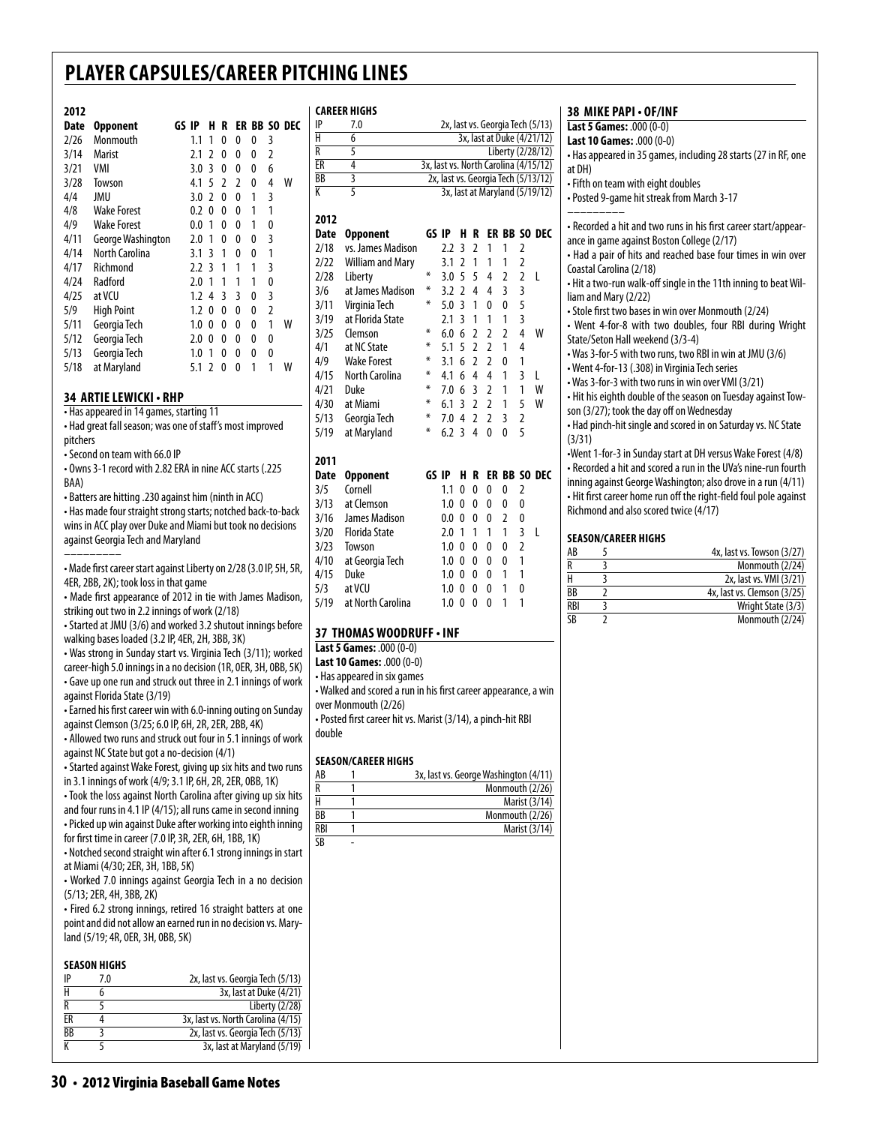**career Highs**

over Monmouth (2/26)

**Season/career Highs**

double

 $\overline{\text{SR}}$ 

• Posted first career hit vs. Marist (3/14), a pinch-hit RBI

AB 1 3x, last vs. George Washington (4/11)  $R = 1$  Monmouth (2/26) H 1 Marist (3/14)<br>BB 1 Monmouth (2/26)  $Monmouth (2/26)$ RBI 1 Marist (3/14)

#### **2012**

| Date | Opponent          | GS IP |     | н              | R |   |   |                | ER BB SO DEC |
|------|-------------------|-------|-----|----------------|---|---|---|----------------|--------------|
| 2/26 | Monmouth          |       | 1.1 | 1              | 0 | 0 | 0 | 3              |              |
| 3/14 | Marist            |       | 2.1 | 2              | 0 | 0 | 0 | 2              |              |
| 3/21 | VMI               |       | 3.0 | 3              | 0 | 0 | 0 | 6              |              |
| 3/28 | Towson            |       | 4.1 | 5              | 2 | 2 | 0 | 4              | W            |
| 4/4  | JMU               |       | 3.0 | $\overline{2}$ | 0 | 0 | 1 | 3              |              |
| 4/8  | Wake Forest       |       | 0.2 | 0              | 0 | 0 | 1 | 1              |              |
| 4/9  | Wake Forest       |       | 0.0 | 1              | 0 | 0 | 1 | 0              |              |
| 4/11 | George Washington |       | 2.0 | 1              | 0 | 0 | 0 | 3              |              |
| 4/14 | North Carolina    |       | 3.1 | 3              | 1 | 0 | 0 | 1              |              |
| 4/17 | Richmond          |       | 2.2 | 3              | 1 | 1 | 1 | 3              |              |
| 4/24 | Radford           |       | 2.0 | 1              | 1 | 1 | 1 | 0              |              |
| 4/25 | at VCU            |       | 1.2 | 4              | 3 | 3 | 0 | 3              |              |
| 5/9  | <b>High Point</b> |       | 1.2 | 0              | 0 | 0 | 0 | $\overline{2}$ |              |
| 5/11 | Georgia Tech      |       | 1.0 | 0              | 0 | 0 | 0 | 1              | w            |
| 5/12 | Georgia Tech      |       | 2.0 | 0              | 0 | 0 | 0 | 0              |              |
| 5/13 | Georgia Tech      |       | 1.0 | 1              | 0 | 0 | 0 | 0              |              |
| 5/18 | at Maryland       |       | 5.1 | 2              | 0 | 0 | 1 | 1              | W            |

#### **34 artielewicki • rhp**

• Has appeared in 14 games, starting 11

• Had great fall season; was one of staff's most improved pitchers

• Second on team with 66.0 IP

• Owns 3-1 record with 2.82 ERA in nine ACC starts (.225 BAA)

• Batters are hitting .230 against him (ninth in ACC)

• Has made four straight strong starts; notched back-to-back wins in ACC play over Duke and Miami but took no decisions against Georgia Tech and Maryland

––––––––– • Made first career start against Liberty on 2/28 (3.0 IP, 5H, 5R, 4ER, 2BB, 2K); took loss in that game

• Made first appearance of 2012 in tie with James Madison, striking out two in 2.2 innings of work (2/18)

• Started at JMU (3/6) and worked 3.2 shutout innings before walking bases loaded (3.2 IP, 4ER, 2H, 3BB, 3K)

• Was strong in Sunday start vs. Virginia Tech (3/11); worked career-high 5.0 innings in a no decision (1R, 0ER, 3H, 0BB, 5K) • Gave up one run and struck out three in 2.1 innings of work against Florida State (3/19)

• Earned his first career win with 6.0-inning outing on Sunday against Clemson (3/25; 6.0 IP, 6H, 2R, 2ER, 2BB, 4K)

• Allowed two runs and struck out four in 5.1 innings of work against NC State but got a no-decision (4/1)

• Started against Wake Forest, giving up six hits and two runs in 3.1 innings of work (4/9; 3.1 IP, 6H, 2R, 2ER, 0BB, 1K)

• Took the loss against North Carolina after giving up six hits and four runs in 4.1 IP (4/15); all runs came in second inning • Picked up win against Duke after working into eighth inning

for first time in career (7.0 IP, 3R, 2ER, 6H, 1BB, 1K) • Notched second straight win after 6.1 strong innings in start at Miami (4/30; 2ER, 3H, 1BB, 5K)

• Worked 7.0 innings against Georgia Tech in a no decision (5/13; 2ER, 4H, 3BB, 2K)

• Fired 6.2 strong innings, retired 16 straight batters at one point and did not allow an earned run in no decision vs. Maryland (5/19; 4R, 0ER, 3H, 0BB, 5K)

#### **season Highs**

| IP | 7.0 | 2x, last vs. Georgia Tech (5/13)   |
|----|-----|------------------------------------|
|    |     | 3x, last at Duke (4/21)            |
| R  |     | Liberty (2/28)                     |
| FR |     | 3x, last vs. North Carolina (4/15) |
| BB |     | 2x, last vs. Georgia Tech (5/13)   |
|    |     | 3x, last at Maryland (5/19)        |
|    |     |                                    |

| IP          | 7.0<br>2x, last vs. Georgia Tech (5/13)                         |                                |     |                |                |                |                |                |                                       |  |  |  |
|-------------|-----------------------------------------------------------------|--------------------------------|-----|----------------|----------------|----------------|----------------|----------------|---------------------------------------|--|--|--|
| Ĥ           | $\overline{6}$                                                  | 3x, last at Duke (4/21/12)     |     |                |                |                |                |                |                                       |  |  |  |
| R           | 5<br>Liberty (2/28/12)                                          |                                |     |                |                |                |                |                |                                       |  |  |  |
| ER          | $\overline{4}$                                                  |                                |     |                |                |                |                |                | 3x, last vs. North Carolina (4/15/12) |  |  |  |
| BB          | $\overline{\overline{3}}$                                       |                                |     |                |                |                |                |                | 2x, last vs. Georgia Tech (5/13/12)   |  |  |  |
| K           | $\overline{5}$                                                  | 3x, last at Maryland (5/19/12) |     |                |                |                |                |                |                                       |  |  |  |
|             |                                                                 |                                |     |                |                |                |                |                |                                       |  |  |  |
| 2012        |                                                                 |                                |     |                |                |                |                |                |                                       |  |  |  |
| Date        | <b>Opponent</b>                                                 | GS IP                          |     | H              | R              |                |                |                | <b>ER BB SO DEC</b>                   |  |  |  |
| 2/18        | vs. James Madison                                               |                                | 2.2 | 3              | $\overline{2}$ | 1              | 1              | $\overline{2}$ |                                       |  |  |  |
| 2/22        | <b>William and Mary</b>                                         |                                | 3.1 | $\overline{2}$ | $\mathbf{1}$   | 1              | 1              | $\overline{2}$ |                                       |  |  |  |
| 2/28        | Liberty                                                         | ¥                              | 3.0 | 5              | 5              | 4              | $\overline{2}$ | $\overline{2}$ | L                                     |  |  |  |
| 3/6         | at James Madison                                                | ⋇                              | 3.2 | $\overline{2}$ | 4              | 4              | 3              | 3              |                                       |  |  |  |
| 3/11        | Virginia Tech                                                   | ∗                              | 5.0 | 3              | 1              | 0              | 0              | 5              |                                       |  |  |  |
| 3/19        | at Florida State                                                |                                | 2.1 | 3              | 1              | 1              | 1              | 3              |                                       |  |  |  |
| 3/25        | Clemson                                                         | ⋇                              | 6.0 | 6              | $\overline{2}$ | $\overline{2}$ | $\overline{2}$ | 4              | W                                     |  |  |  |
| 4/1         | at NC State                                                     | ∗                              | 5.1 | 5              | $\overline{2}$ | $\overline{2}$ | 1              | 4              |                                       |  |  |  |
| 4/9         | <b>Wake Forest</b>                                              | ⋇                              | 3.1 | 6              | $\overline{2}$ | $\overline{2}$ | 0              | 1              |                                       |  |  |  |
| 4/15        | North Carolina                                                  | ⋇                              | 4.1 | 6              | $\overline{4}$ | 4              | 1              | $\overline{3}$ | L                                     |  |  |  |
| 4/21        | Duke                                                            | ⋇                              | 7.0 | 6              | $\overline{3}$ | $\overline{2}$ | 1              | 1              | W                                     |  |  |  |
| 4/30        | at Miami                                                        | ⋇                              | 6.1 | 3              | $\overline{2}$ | 2              | 1              | 5              | W                                     |  |  |  |
| 5/13        | Georgia Tech                                                    | ⋇                              | 7.0 | $\overline{4}$ | $\overline{2}$ | $\overline{2}$ | 3              | $\overline{2}$ |                                       |  |  |  |
| 5/19        | at Maryland                                                     | ⋇                              | 6.2 | 3              | 4              | 0              | 0              | 5              |                                       |  |  |  |
| 2011        |                                                                 |                                |     |                |                |                |                |                |                                       |  |  |  |
| <b>Date</b> | <b>Opponent</b>                                                 | GS IP                          |     | н              | R              |                | ER BB          |                | SO DEC                                |  |  |  |
| 3/5         | Cornell                                                         |                                | 1.1 | 0              | 0              | 0              | 0              | 2              |                                       |  |  |  |
| 3/13        | at Clemson                                                      |                                | 1.0 | 0              | 0              | 0              | 0              | 0              |                                       |  |  |  |
| 3/16        | James Madison                                                   |                                | 0.0 | 0              | 0              | 0              | $\overline{2}$ | 0              |                                       |  |  |  |
| 3/20        | <b>Florida State</b>                                            |                                | 2.0 | 1              | 1              | 1              | 1              | 3              | L                                     |  |  |  |
| 3/23        | Towson                                                          |                                | 1.0 | $\Omega$       | 0              | $\Omega$       | 0              | $\overline{2}$ |                                       |  |  |  |
| 4/10        | at Georgia Tech                                                 |                                | 1.0 | 0              | 0              | 0              | 0              | 1              |                                       |  |  |  |
| 4/15        | Duke                                                            |                                | 1.0 | 0              | 0              | 0              | 1              | 1              |                                       |  |  |  |
| 5/3         | at VCU                                                          |                                | 1.0 | 0              | 0              | 0              | 1              | 0              |                                       |  |  |  |
| 5/19        | at North Carolina                                               |                                | 1.0 | 0              | 0              | 0              | 1              | 1              |                                       |  |  |  |
|             | 37 THOMAS WOODRUFF . INF                                        |                                |     |                |                |                |                |                |                                       |  |  |  |
|             | Last 5 Games: .000 (0-0)                                        |                                |     |                |                |                |                |                |                                       |  |  |  |
|             | Last 10 Games: .000 (0-0)                                       |                                |     |                |                |                |                |                |                                       |  |  |  |
|             | • Has appeared in six games                                     |                                |     |                |                |                |                |                |                                       |  |  |  |
|             | • Walked and scored a run in his first career appearance, a win |                                |     |                |                |                |                |                |                                       |  |  |  |

#### **38 mike papi • OF/inf**

**Last 5 Games:** .000 (0-0) **Last 10 Games:** .000 (0-0) • Has appeared in 35 games, including 28 starts (27 in RF, one at DH) • Fifth on team with eight doubles • Posted 9-game hit streak from March 3-17 ––––––––– • Recorded a hit and two runs in his first career start/appearance in game against Boston College (2/17) • Had a pair of hits and reached base four times in win over Coastal Carolina (2/18) • Hit a two-run walk-off single in the 11th inning to beat William and Mary (2/22) • Stole first two bases in win over Monmouth (2/24) • Went 4-for-8 with two doubles, four RBI during Wright State/Seton Hall weekend (3/3-4) • Was 3-for-5 with two runs, two RBI in win at JMU (3/6) • Went 4-for-13 (.308) in Virginia Tech series • Was 3-for-3 with two runs in win over VMI (3/21) • Hit his eighth double of the season on Tuesday against Towson (3/27); took the day off on Wednesday • Had pinch-hit single and scored in on Saturday vs. NC State (3/31) •Went 1-for-3 in Sunday start at DH versus Wake Forest (4/8) • Recorded a hit and scored a run in the UVa's nine-run fourth inning against George Washington; also drove in a run (4/11) • Hit first career home run off the right-field foul pole against

#### **Season/career Highs**

Richmond and also scored twice (4/17)

| AB                     | 4x, last vs. Towson (3/27)  |
|------------------------|-----------------------------|
| R                      | Monmouth (2/24)             |
| Н                      | 2x, last vs. VMI (3/21)     |
| ВB                     | 4x, last vs. Clemson (3/25) |
| <b>RBI</b>             | Wright State (3/3)          |
| $\overline{\text{SB}}$ | Monmouth (2/24)             |

#### **30** • 2012 Virginia Baseball Game Notes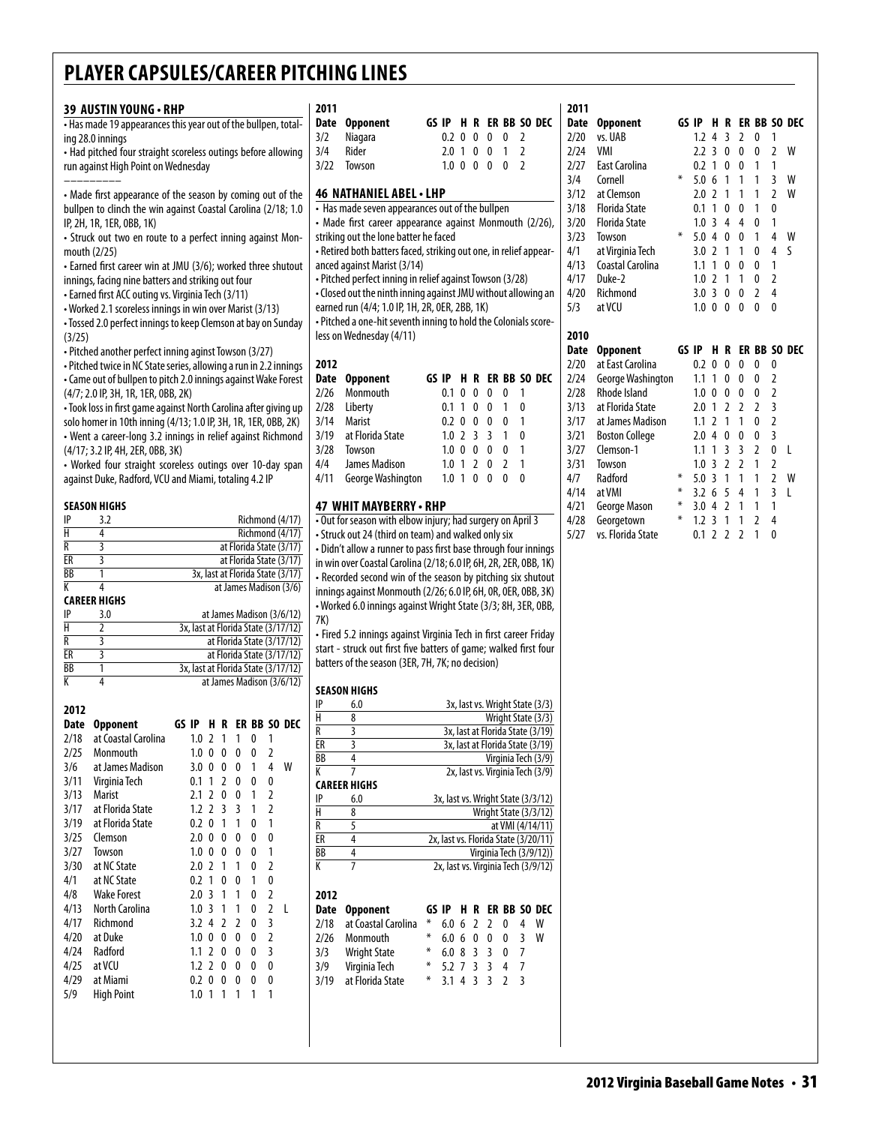|                         | 39 AUSTIN YOUNG · RHP                                             |                                     |                                  |                         |                |   | 2011           |      |                                                                   |                                      |                   |                       |                |                |                                     |
|-------------------------|-------------------------------------------------------------------|-------------------------------------|----------------------------------|-------------------------|----------------|---|----------------|------|-------------------------------------------------------------------|--------------------------------------|-------------------|-----------------------|----------------|----------------|-------------------------------------|
|                         | . Has made 19 appearances this year out of the bullpen, total-    |                                     |                                  |                         |                |   | Date           |      | <b>Opponent</b>                                                   | GS IP H R ER BB SO DEC               |                   |                       |                |                |                                     |
|                         | ing 28.0 innings                                                  |                                     |                                  |                         |                |   | 3/2            |      | Niagara                                                           |                                      |                   | $0.2 \t0 \t0 \t0 \t0$ |                | <sup>2</sup>   |                                     |
|                         | • Had pitched four straight scoreless outings before allowing     |                                     |                                  |                         |                |   | 3/4            |      | Rider                                                             |                                      | 2.0 1 0 0         |                       | $\overline{1}$ | 2              |                                     |
|                         | run against High Point on Wednesday                               |                                     |                                  |                         |                |   | 3/22           |      | Towson                                                            |                                      |                   | 1.0 0 0 0 0           |                | $\overline{2}$ |                                     |
|                         |                                                                   |                                     |                                  |                         |                |   |                |      |                                                                   |                                      |                   |                       |                |                |                                     |
|                         | • Made first appearance of the season by coming out of the        |                                     |                                  |                         |                |   |                |      | 46 NATHANIEL ABEL · LHP                                           |                                      |                   |                       |                |                |                                     |
|                         | bullpen to clinch the win against Coastal Carolina (2/18; 1.0     |                                     |                                  |                         |                |   |                |      | • Has made seven appearances out of the bullpen                   |                                      |                   |                       |                |                |                                     |
|                         | IP, 2H, 1R, 1ER, 0BB, 1K)                                         |                                     |                                  |                         |                |   |                |      | • Made first career appearance against Monmouth (2/26),           |                                      |                   |                       |                |                |                                     |
|                         | - Struck out two en route to a perfect inning against Mon-        |                                     |                                  |                         |                |   |                |      | striking out the lone batter he faced                             |                                      |                   |                       |                |                |                                     |
|                         | mouth $(2/25)$                                                    |                                     |                                  |                         |                |   |                |      | - Retired both batters faced, striking out one, in relief appear- |                                      |                   |                       |                |                |                                     |
|                         | • Earned first career win at JMU (3/6); worked three shutout      |                                     |                                  |                         |                |   |                |      | anced against Marist (3/14)                                       |                                      |                   |                       |                |                |                                     |
|                         | innings, facing nine batters and striking out four                |                                     |                                  |                         |                |   |                |      | · Pitched perfect inning in relief against Towson (3/28)          |                                      |                   |                       |                |                |                                     |
|                         | • Earned first ACC outing vs. Virginia Tech (3/11)                |                                     |                                  |                         |                |   |                |      | . Closed out the ninth inning against JMU without allowing an     |                                      |                   |                       |                |                |                                     |
|                         | • Worked 2.1 scoreless innings in win over Marist (3/13)          |                                     |                                  |                         |                |   |                |      | earned run (4/4; 1.0 IP, 1H, 2R, 0ER, 2BB, 1K)                    |                                      |                   |                       |                |                |                                     |
|                         | • Tossed 2.0 perfect innings to keep Clemson at bay on Sunday     |                                     |                                  |                         |                |   |                |      | - Pitched a one-hit seventh inning to hold the Colonials score-   |                                      |                   |                       |                |                |                                     |
| (3/25)                  |                                                                   |                                     |                                  |                         |                |   |                |      | less on Wednesday (4/11)                                          |                                      |                   |                       |                |                |                                     |
|                         | • Pitched another perfect inning aginst Towson (3/27)             |                                     |                                  |                         |                |   |                |      |                                                                   |                                      |                   |                       |                |                |                                     |
|                         | • Pitched twice in NC State series, allowing a run in 2.2 innings |                                     |                                  |                         |                |   | 2012           |      |                                                                   |                                      |                   |                       |                |                |                                     |
|                         | • Came out of bullpen to pitch 2.0 innings against Wake Forest    |                                     |                                  |                         |                |   | Date           |      | <b>Opponent</b>                                                   | GS IP H R ER BB SO DEC               |                   |                       |                |                |                                     |
|                         | (4/7; 2.0 IP, 3H, 1R, 1ER, 0BB, 2K)                               |                                     |                                  |                         |                |   | 2/26           |      | Monmouth                                                          |                                      |                   | $0.1 \t0 \t0 \t0$     | 0              | $\overline{1}$ |                                     |
|                         | • Took loss in first game against North Carolina after giving up  |                                     |                                  |                         |                |   | 2/28           |      | Liberty                                                           |                                      | 0.1 1 0 0         |                       | $\overline{1}$ | 0              |                                     |
|                         | solo homer in 10th inning (4/13; 1.0 IP, 3H, 1R, 1ER, 0BB, 2K)    |                                     |                                  |                         |                |   | 3/14           |      | <b>Marist</b>                                                     |                                      | $0.2 \t0 \t0 \t0$ |                       | $\mathbf{0}$   | $\mathbf{1}$   |                                     |
|                         | • Went a career-long 3.2 innings in relief against Richmond       |                                     |                                  |                         |                |   | 3/19           |      | at Florida State                                                  |                                      | $1.0$ 2 3 3       |                       | $\mathbf{1}$   | 0              |                                     |
|                         | (4/17; 3.2 IP, 4H, 2ER, 0BB, 3K)                                  |                                     |                                  |                         |                |   | 3/28           |      | Towson                                                            |                                      | 1.0 0 0 0         |                       | 0              | 1              |                                     |
|                         | • Worked four straight scoreless outings over 10-day span         |                                     |                                  |                         |                |   | 4/4            |      | James Madison                                                     |                                      | $1.0 \t1 \t2 \t0$ |                       | $\overline{2}$ | $\mathbf{1}$   |                                     |
|                         | against Duke, Radford, VCU and Miami, totaling 4.2 IP             |                                     |                                  |                         |                |   | 4/11           |      | George Washington                                                 |                                      | 1.0 1 0 0         |                       | $\mathbf{0}$   | $\mathbf{0}$   |                                     |
|                         |                                                                   |                                     |                                  |                         |                |   |                |      |                                                                   |                                      |                   |                       |                |                |                                     |
|                         | <b>SEASON HIGHS</b>                                               |                                     |                                  |                         |                |   |                |      | 47 WHIT MAYBERRY - RHP                                            |                                      |                   |                       |                |                |                                     |
| IP                      | 3.2                                                               |                                     |                                  | Richmond (4/17)         |                |   |                |      | . Out for season with elbow injury; had surgery on April 3        |                                      |                   |                       |                |                |                                     |
| $\overline{H}$          | 4                                                                 |                                     |                                  | Richmond (4/17)         |                |   |                |      | • Struck out 24 (third on team) and walked only six               |                                      |                   |                       |                |                |                                     |
| $\overline{R}$          | 3                                                                 |                                     | at Florida State (3/17)          |                         |                |   |                |      | • Didn't allow a runner to pass first base through four innings   |                                      |                   |                       |                |                |                                     |
| ER<br><b>BB</b>         | 3<br>1                                                            |                                     | 3x, last at Florida State (3/17) | at Florida State (3/17) |                |   |                |      | in win over Coastal Carolina (2/18; 6.0 IP, 6H, 2R, 2ER, 0BB, 1K) |                                      |                   |                       |                |                |                                     |
| К                       | 4                                                                 |                                     | at James Madison (3/6)           |                         |                |   |                |      | • Recorded second win of the season by pitching six shutout       |                                      |                   |                       |                |                |                                     |
|                         | <b>CAREER HIGHS</b>                                               |                                     |                                  |                         |                |   |                |      | innings against Monmouth (2/26; 6.0 IP, 6H, 0R, 0ER, 0BB, 3K)     |                                      |                   |                       |                |                |                                     |
| IP                      | 3.0                                                               |                                     | at James Madison (3/6/12)        |                         |                |   |                |      | • Worked 6.0 innings against Wright State (3/3; 8H, 3ER, 0BB,     |                                      |                   |                       |                |                |                                     |
| $\overline{\mathsf{H}}$ | 2                                                                 | 3x, last at Florida State (3/17/12) |                                  |                         |                |   | 7K)            |      |                                                                   |                                      |                   |                       |                |                |                                     |
| R                       | 3                                                                 |                                     | at Florida State (3/17/12)       |                         |                |   |                |      | • Fired 5.2 innings against Virginia Tech in first career Friday  |                                      |                   |                       |                |                |                                     |
| ER                      | 3                                                                 |                                     | at Florida State (3/17/12)       |                         |                |   |                |      | start - struck out first five batters of game; walked first four  |                                      |                   |                       |                |                |                                     |
| <b>BB</b>               | 1                                                                 | 3x, last at Florida State (3/17/12) |                                  |                         |                |   |                |      | batters of the season (3ER, 7H, 7K; no decision)                  |                                      |                   |                       |                |                |                                     |
| К                       | 4                                                                 |                                     | at James Madison (3/6/12)        |                         |                |   |                |      | <b>SEASON HIGHS</b>                                               |                                      |                   |                       |                |                |                                     |
|                         |                                                                   |                                     |                                  |                         |                |   | IP             |      | 6.0                                                               |                                      |                   |                       |                |                | 3x, last vs. Wright State (3/3)     |
| 2012                    |                                                                   |                                     |                                  |                         |                |   | Н              |      | 8                                                                 |                                      |                   |                       |                |                | Wright State (3/3)                  |
|                         | Date Opponent                                                     | GS IP H R ER BB SO DEC              |                                  |                         |                |   | R              |      | 3                                                                 |                                      |                   |                       |                |                | 3x, last at Florida State (3/19)    |
|                         | 2/18 at Coastal Carolina                                          |                                     | 1.0 2 1 1 0 1                    |                         |                |   | ER             |      | 3                                                                 |                                      |                   |                       |                |                | 3x, last at Florida State (3/19)    |
| 2/25                    | Monmouth                                                          |                                     | 1.0 0 0 0                        | $\bf{0}$                | $\overline{2}$ |   | BB             |      | 4                                                                 |                                      |                   |                       |                |                | Virginia Tech (3/9)                 |
| 3/6                     | at James Madison                                                  | $3.0 \t0 \t0$                       | 0                                | 1                       | $\overline{4}$ | W | K              |      | 7                                                                 |                                      |                   |                       |                |                | 2x, last vs. Virginia Tech (3/9)    |
| 3/11                    | Virginia Tech                                                     |                                     | $0.1$ 1 2 0                      | 0                       | 0              |   |                |      | <b>CAREER HIGHS</b>                                               |                                      |                   |                       |                |                |                                     |
| 3/13                    | Marist                                                            | 2.1 2 0                             | 0                                | $\mathbf{1}$            | 2              |   | IP             |      | 6.0                                                               |                                      |                   |                       |                |                | 3x, last vs. Wright State (3/3/12)  |
| 3/17                    | at Florida State                                                  | $1.2 \t2 \t3$                       | 3                                | $\mathbf{1}$            | 2              |   | Н              |      | 8                                                                 |                                      |                   |                       |                |                | Wright State (3/3/12)               |
| 3/19                    | at Florida State                                                  | $0.2 \t0 \t1$                       | $\overline{1}$                   | 0                       | $\mathbf{1}$   |   | R              |      | 5                                                                 |                                      |                   |                       |                |                | at VMI (4/14/11)                    |
| 3/25                    | Clemson                                                           | $2.0 \t0 \t0$                       | 0                                | 0                       | 0              |   | ER             |      | 4                                                                 | 2x, last vs. Florida State (3/20/11) |                   |                       |                |                |                                     |
| 3/27                    | Towson                                                            | $1.0 \t0 \t0$                       | 0                                | 0                       | $\mathbf{1}$   |   | BB             |      | 4                                                                 |                                      |                   |                       |                |                | Virginia Tech (3/9/12))             |
| 3/30                    | at NC State                                                       |                                     | $2.0$ 2 1 1                      | 0                       | $\overline{2}$ |   | $\overline{K}$ |      | 7                                                                 |                                      |                   |                       |                |                | 2x, last vs. Virginia Tech (3/9/12) |
| 4/1                     | at NC State                                                       | $0.2$ 1 0                           | 0                                | 1                       | 0              |   |                |      |                                                                   |                                      |                   |                       |                |                |                                     |
| 4/8                     | <b>Wake Forest</b>                                                | 2.0 3 1                             | 1                                | 0                       | 2              |   | 2012           |      |                                                                   |                                      |                   |                       |                |                |                                     |
| 4/13                    | North Carolina                                                    | $1.0 \t3 \t1$                       | $\overline{1}$                   | 0                       | $\mathbf{2}$   | L |                | Date | <b>Opponent</b>                                                   | GS IP H R ER BB SO DEC               |                   |                       |                |                |                                     |
| 4/17                    | Richmond                                                          |                                     | 3.2 4 2 2                        | 0                       | 3              |   | 2/18           |      | at Coastal Carolina                                               | ⋇                                    | $6.0 \t6 \t2 \t2$ |                       | 0              | 4              | W                                   |
| 4/20                    | at Duke                                                           |                                     | $1.0 \t0 \t0 \t0$                | 0                       | $\overline{2}$ |   | 2/26           |      | Monmouth                                                          | ⋇                                    | 6.0600            |                       | 0              | 3              | W                                   |
| 4/24                    | Radford                                                           |                                     | $1.1$ 2 0 0                      | 0                       | 3              |   | 3/3            |      | <b>Wright State</b>                                               | ⋇                                    | 6.0833            |                       | 0              | $\overline{7}$ |                                     |
| 4/25                    | at VCU                                                            |                                     | 1.2 2 0 0                        | 0                       | 0              |   | 3/9            |      | Virginia Tech                                                     | ⋇                                    | 5.2 7 3 3         |                       | 4              | 7              |                                     |
| 4/29                    | at Miami                                                          |                                     | 0.2 0 0 0                        | 0                       | 0              |   | 3/19           |      | at Florida State                                                  | *                                    | $3.1$ 4 3 3       |                       | $\overline{2}$ | 3              |                                     |
| 5/9                     | <b>High Point</b>                                                 |                                     | $1.0$ 1 1 1 1                    |                         | $\mathbf{1}$   |   |                |      |                                                                   |                                      |                   |                       |                |                |                                     |
|                         |                                                                   |                                     |                                  |                         |                |   |                |      |                                                                   |                                      |                   |                       |                |                |                                     |
|                         |                                                                   |                                     |                                  |                         |                |   |                |      |                                                                   |                                      |                   |                       |                |                |                                     |
|                         |                                                                   |                                     |                                  |                         |                |   |                |      |                                                                   |                                      |                   |                       |                |                |                                     |
|                         |                                                                   |                                     |                                  |                         |                |   |                |      |                                                                   |                                      |                   |                       |                |                |                                     |

| Date | <b>Opponent</b>      | GS IP |     | Н              | R              |                |                |                | ER BB SO DEC |
|------|----------------------|-------|-----|----------------|----------------|----------------|----------------|----------------|--------------|
| 2/20 | vs. UAB              |       | 1.2 | 4              | 3              | 2              | 0              | 1              |              |
| 2/24 | VMI                  |       | 2.2 | 3              | 0              | 0              | 0              | $\overline{2}$ | W            |
| 2/27 | East Carolina        |       | 0.2 | 1              | 0              | 0              | 1              | 1              |              |
| 3/4  | Cornell              | ∗     | 5.0 | 6              | 1              | 1              | 1              | 3              | W            |
| 3/12 | at Clemson           |       | 2.0 | $\overline{2}$ | 1              | 1              | 1              | $\overline{2}$ | W            |
| 3/18 | <b>Florida State</b> |       | 0.1 | 1              | 0              | 0              | 1              | 0              |              |
| 3/20 | <b>Florida State</b> |       | 1.0 | 3              | 4              | 4              | 0              | 1              |              |
| 3/23 | Towson               | ∗     | 5.0 | 4              | 0              | 0              | 1              | 4              | W            |
| 4/1  | at Virginia Tech     |       | 3.0 | $\overline{2}$ | 1              | 1              | 0              | 4              | S            |
| 4/13 | Coastal Carolina     |       | 1.1 | 1              | 0              | 0              | 0              | 1              |              |
| 4/17 | Duke-2               |       | 1.0 | 2              | 1              | 1              | 0              | 2              |              |
| 4/20 | Richmond             |       | 3.0 | 3              | 0              | 0              | $\overline{2}$ | 4              |              |
| 5/3  | at VCU               |       | 1.0 | $\mathbf{0}$   | 0              | 0              | 0              | 0              |              |
|      |                      |       |     |                |                |                |                |                |              |
|      |                      |       |     |                |                |                |                |                |              |
| 2010 |                      |       |     |                |                |                |                |                |              |
| Date | <b>Opponent</b>      | GS IP |     | н              | R              |                |                |                | ER BB SO DEC |
| 2/20 | at East Carolina     |       | 0.2 | 0              | 0              | 0              | 0              | 0              |              |
| 2/24 | George Washington    |       | 1.1 | 1              | 0              | 0              | 0              | 2              |              |
| 2/28 | Rhode Island         |       | 1.0 | 0              | 0              | 0              | 0              | 2              |              |
| 3/13 | at Florida State     |       | 2.0 | 1              | 2              | 2              | $\overline{2}$ | 3              |              |
| 3/17 | at James Madison     |       | 1.1 | $\overline{2}$ | 1              | 1              | 0              | $\overline{2}$ |              |
| 3/21 | Boston College       |       | 2.0 | 4              | 0              | 0              | 0              | 3              |              |
| 3/27 | Clemson-1            |       | 1.1 | 1              | 3              | 3              | $\overline{2}$ | 0              | L            |
| 3/31 | Towson               |       | 1.0 | 3              | $\overline{2}$ | $\overline{2}$ | 1              | 2              |              |
| 4/7  | Radford              | ⋇     | 5.0 | 3              | 1              | 1              | 1              | $\overline{2}$ | W            |
| 4/14 | at VMI               | ⋇     | 3.2 | 6              | 5              | 4              | 1              | 3              | L            |
| 4/21 | George Mason         | ⋇     | 3.0 | 4              | $\overline{2}$ | 1              | 1              | 1              |              |
| 4/28 | Georgetown           | ⋇     | 1.2 | 3              | 1              | 1              | 2              | 4              |              |